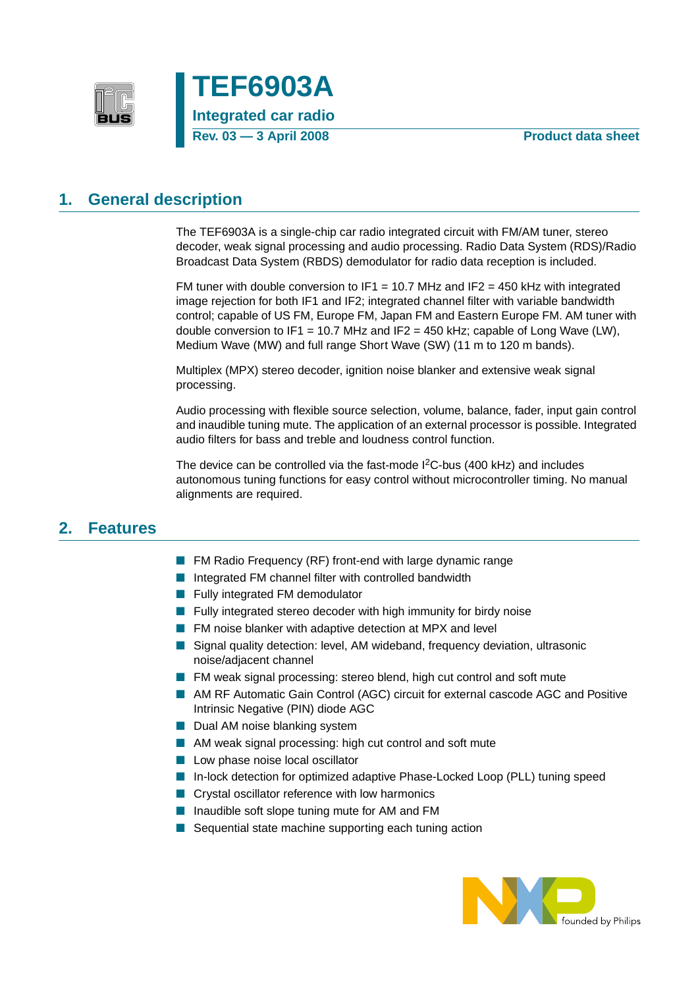



#### **1. General description**

The TEF6903A is a single-chip car radio integrated circuit with FM/AM tuner, stereo decoder, weak signal processing and audio processing. Radio Data System (RDS)/Radio Broadcast Data System (RBDS) demodulator for radio data reception is included.

FM tuner with double conversion to IF1 = 10.7 MHz and IF2 = 450 kHz with integrated image rejection for both IF1 and IF2; integrated channel filter with variable bandwidth control; capable of US FM, Europe FM, Japan FM and Eastern Europe FM. AM tuner with double conversion to IF1 = 10.7 MHz and IF2 = 450 kHz; capable of Long Wave (LW), Medium Wave (MW) and full range Short Wave (SW) (11 m to 120 m bands).

Multiplex (MPX) stereo decoder, ignition noise blanker and extensive weak signal processing.

Audio processing with flexible source selection, volume, balance, fader, input gain control and inaudible tuning mute. The application of an external processor is possible. Integrated audio filters for bass and treble and loudness control function.

The device can be controlled via the fast-mode  $1<sup>2</sup>C$ -bus (400 kHz) and includes autonomous tuning functions for easy control without microcontroller timing. No manual alignments are required.

#### **2. Features**

- FM Radio Frequency (RF) front-end with large dynamic range
- Integrated FM channel filter with controlled bandwidth
- Fully integrated FM demodulator
- Fully integrated stereo decoder with high immunity for birdy noise
- FM noise blanker with adaptive detection at MPX and level
- Signal quality detection: level, AM wideband, frequency deviation, ultrasonic noise/adjacent channel
- FM weak signal processing: stereo blend, high cut control and soft mute
- AM RF Automatic Gain Control (AGC) circuit for external cascode AGC and Positive Intrinsic Negative (PIN) diode AGC
- Dual AM noise blanking system
- AM weak signal processing: high cut control and soft mute
- Low phase noise local oscillator
- In-lock detection for optimized adaptive Phase-Locked Loop (PLL) tuning speed
- Crystal oscillator reference with low harmonics
- Inaudible soft slope tuning mute for AM and FM
- Sequential state machine supporting each tuning action

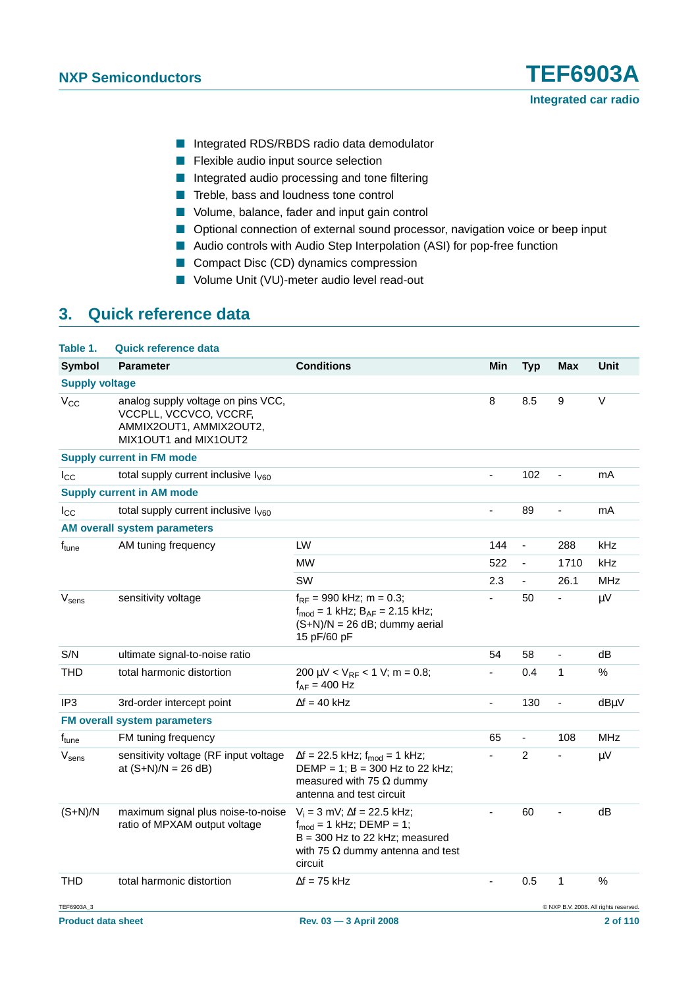- Integrated RDS/RBDS radio data demodulator
- Flexible audio input source selection
- Integrated audio processing and tone filtering
- Treble, bass and loudness tone control
- Volume, balance, fader and input gain control
- Optional connection of external sound processor, navigation voice or beep input
- Audio controls with Audio Step Interpolation (ASI) for pop-free function
- Compact Disc (CD) dynamics compression
- Volume Unit (VU)-meter audio level read-out

#### **3. Quick reference data**

| Table 1.                  | <b>Quick reference data</b>                                                                                      |                                                                                                                                                                       |     |                |                |                                       |
|---------------------------|------------------------------------------------------------------------------------------------------------------|-----------------------------------------------------------------------------------------------------------------------------------------------------------------------|-----|----------------|----------------|---------------------------------------|
| <b>Symbol</b>             | <b>Parameter</b>                                                                                                 | <b>Conditions</b>                                                                                                                                                     | Min | Typ            | <b>Max</b>     | Unit                                  |
| <b>Supply voltage</b>     |                                                                                                                  |                                                                                                                                                                       |     |                |                |                                       |
| $V_{CC}$                  | analog supply voltage on pins VCC,<br>VCCPLL, VCCVCO, VCCRF,<br>AMMIX2OUT1, AMMIX2OUT2,<br>MIX1OUT1 and MIX1OUT2 |                                                                                                                                                                       | 8   | 8.5            | 9              | V                                     |
|                           | <b>Supply current in FM mode</b>                                                                                 |                                                                                                                                                                       |     |                |                |                                       |
| $I_{\rm CC}$              | total supply current inclusive $I_{\text{V60}}$                                                                  |                                                                                                                                                                       | ÷,  | 102            | $\overline{a}$ | mA                                    |
|                           | <b>Supply current in AM mode</b>                                                                                 |                                                                                                                                                                       |     |                |                |                                       |
| $I_{\rm CC}$              | total supply current inclusive $I_{\text{V60}}$                                                                  |                                                                                                                                                                       | ÷,  | 89             | $\blacksquare$ | mA                                    |
|                           | <b>AM overall system parameters</b>                                                                              |                                                                                                                                                                       |     |                |                |                                       |
| f <sub>tune</sub>         | AM tuning frequency                                                                                              | LW                                                                                                                                                                    | 144 | $\blacksquare$ | 288            | kHz                                   |
|                           |                                                                                                                  | <b>MW</b>                                                                                                                                                             | 522 | $\blacksquare$ | 1710           | kHz                                   |
|                           |                                                                                                                  | SW                                                                                                                                                                    | 2.3 | ÷,             | 26.1           | <b>MHz</b>                            |
| V <sub>sens</sub>         | sensitivity voltage                                                                                              | $f_{RF}$ = 990 kHz; m = 0.3;<br>$f_{mod} = 1$ kHz; $B_{AF} = 2.15$ kHz;<br>$(S+N)/N = 26$ dB; dummy aerial<br>15 pF/60 pF                                             |     | 50             |                | $\mu V$                               |
| S/N                       | ultimate signal-to-noise ratio                                                                                   |                                                                                                                                                                       | 54  | 58             | $\blacksquare$ | dB                                    |
| <b>THD</b>                | total harmonic distortion                                                                                        | 200 $\mu$ V < V <sub>RF</sub> < 1 V; m = 0.8;<br>$f_{AF} = 400$ Hz                                                                                                    |     | 0.4            | 1              | $\%$                                  |
| IP <sub>3</sub>           | 3rd-order intercept point                                                                                        | $\Delta f = 40$ kHz                                                                                                                                                   | ÷,  | 130            | $\blacksquare$ | dBµV                                  |
|                           | <b>FM overall system parameters</b>                                                                              |                                                                                                                                                                       |     |                |                |                                       |
| f <sub>tune</sub>         | FM tuning frequency                                                                                              |                                                                                                                                                                       | 65  | $\blacksquare$ | 108            | <b>MHz</b>                            |
| Vsens                     | sensitivity voltage (RF input voltage<br>at $(S+N)/N = 26 dB$                                                    | $\Delta f = 22.5$ kHz; $f_{mod} = 1$ kHz;<br>DEMP = 1; $B = 300$ Hz to 22 kHz;<br>measured with 75 $\Omega$ dummy<br>antenna and test circuit                         |     | $\overline{c}$ |                | $\mu V$                               |
| $(S+N)/N$                 | maximum signal plus noise-to-noise<br>ratio of MPXAM output voltage                                              | $V_i = 3$ mV; $\Delta f = 22.5$ kHz;<br>$f_{\text{mod}} = 1$ kHz; DEMP = 1;<br>$B = 300$ Hz to 22 kHz: measured<br>with 75 $\Omega$ dummy antenna and test<br>circuit | ä,  | 60             |                | dB                                    |
| <b>THD</b>                | total harmonic distortion                                                                                        | $\Delta f = 75$ kHz                                                                                                                                                   | ä,  | 0.5            | 1              | %                                     |
| TEF6903A_3                |                                                                                                                  |                                                                                                                                                                       |     |                |                | C NXP B.V. 2008. All rights reserved. |
| <b>Product data sheet</b> |                                                                                                                  | Rev. 03 - 3 April 2008                                                                                                                                                |     |                |                | 2 of 110                              |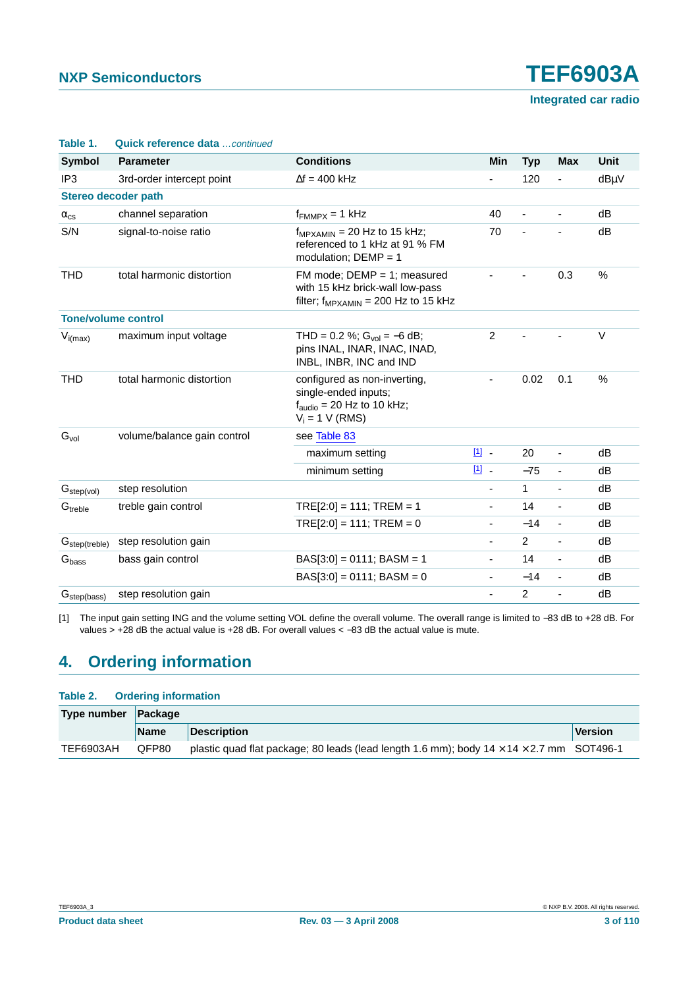**Integrated car radio**

| Table 1.                   | Quick reference data  continued |                                                                                                                    |                          |                |                          |             |  |  |
|----------------------------|---------------------------------|--------------------------------------------------------------------------------------------------------------------|--------------------------|----------------|--------------------------|-------------|--|--|
| Symbol                     | <b>Parameter</b>                | <b>Conditions</b>                                                                                                  | Min                      | <b>Typ</b>     | <b>Max</b>               | <b>Unit</b> |  |  |
| IP <sub>3</sub>            | 3rd-order intercept point       | $\Delta f = 400$ kHz                                                                                               |                          | 120            |                          | dBµV        |  |  |
|                            | Stereo decoder path             |                                                                                                                    |                          |                |                          |             |  |  |
| $\alpha_{\text{cs}}$       | channel separation              | $f_{FMMPX} = 1$ kHz                                                                                                | 40                       | ä,             | $\overline{\phantom{a}}$ | dB          |  |  |
| S/N                        | signal-to-noise ratio           | $f_{MPXAMIN}$ = 20 Hz to 15 kHz;<br>referenced to 1 kHz at 91 % FM<br>modulation; $DEMP = 1$                       | 70                       |                |                          | dB          |  |  |
| <b>THD</b>                 | total harmonic distortion       | FM mode; $DEMP = 1$ ; measured<br>with 15 kHz brick-wall low-pass<br>filter; $f_{MPXAMIN}$ = 200 Hz to 15 kHz      |                          |                | 0.3                      | %           |  |  |
| <b>Tone/volume control</b> |                                 |                                                                                                                    |                          |                |                          |             |  |  |
| $V_{i(max)}$               | maximum input voltage           | THD = 0.2 %; $Gvol = -6 dB$ ;<br>pins INAL, INAR, INAC, INAD,<br>INBL, INBR, INC and IND                           | $\overline{2}$           |                |                          | $\vee$      |  |  |
| <b>THD</b>                 | total harmonic distortion       | configured as non-inverting.<br>single-ended inputs;<br>$f_{\text{audio}} = 20$ Hz to 10 kHz;<br>$V_i = 1$ V (RMS) | $\overline{\phantom{0}}$ | 0.02           | 0.1                      | %           |  |  |
| G <sub>vol</sub>           | volume/balance gain control     | see Table 83                                                                                                       |                          |                |                          |             |  |  |
|                            |                                 | maximum setting                                                                                                    | 凹.                       | 20             | $\blacksquare$           | dB          |  |  |
|                            |                                 | minimum setting                                                                                                    | 凹.                       | $-75$          | $\overline{\phantom{a}}$ | dB          |  |  |
| G <sub>step(vol)</sub>     | step resolution                 |                                                                                                                    | ä,                       | $\mathbf{1}$   | ÷,                       | dB          |  |  |
| Gtreble                    | treble gain control             | $TRE[2:0] = 111; TREM = 1$                                                                                         | ä,                       | 14             | $\blacksquare$           | dB          |  |  |
|                            |                                 | $TRE[2:0] = 111$ ; $TREM = 0$                                                                                      | -                        | $-14$          | $\overline{\phantom{a}}$ | dB          |  |  |
| G <sub>step(treble)</sub>  | step resolution gain            |                                                                                                                    | ä,                       | $\overline{2}$ | $\overline{\phantom{a}}$ | dB          |  |  |
| G <sub>bass</sub>          | bass gain control               | $BAS[3:0] = 0111$ ; $BASM = 1$                                                                                     | $\overline{\phantom{0}}$ | 14             | $\overline{\phantom{a}}$ | dB          |  |  |
|                            |                                 | $BAS[3:0] = 0111$ ; $BASM = 0$                                                                                     | ä,                       | $-14$          | $\overline{\phantom{a}}$ | dB          |  |  |
| G <sub>step(bass)</sub>    | step resolution gain            |                                                                                                                    | $\overline{\phantom{0}}$ | $\overline{2}$ | $\overline{\phantom{a}}$ | dB          |  |  |

<span id="page-2-0"></span>[1] The input gain setting ING and the volume setting VOL define the overall volume. The overall range is limited to −83 dB to +28 dB. For values > +28 dB the actual value is +28 dB. For overall values < −83 dB the actual value is mute.

#### **4. Ordering information**

#### **Table 2. Ordering information**

| Type number Package |             |                                                                                                      |                |
|---------------------|-------------|------------------------------------------------------------------------------------------------------|----------------|
|                     | <b>Name</b> | Description                                                                                          | <b>Version</b> |
| TEF6903AH           | QFP80       | plastic quad flat package; 80 leads (lead length 1.6 mm); body $14 \times 14 \times 2.7$ mm SOT496-1 |                |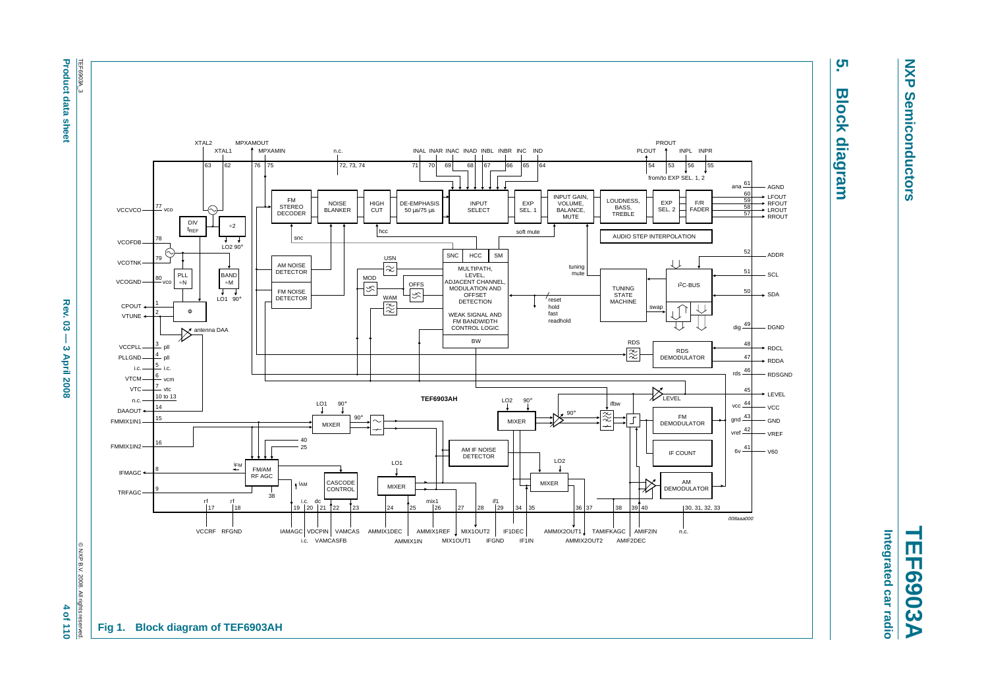**Product data i** sheet

**Product data sheet Appel Rev. 03 — 3 April 2008 — 3 April 2008 4 of 120** - 4 of 110 Rev. ဥ္လ  $\overline{1}$ ယ **April 2008** 

 $\rightarrow$  $-0f110$ 



# <u>ូ</u> **5. Block diagram Block diagram**

**NXP Semiconductors**

**Semiconductors** 

**NXP** 

**TEF6903A** Integrated car radio **Integrated car radio**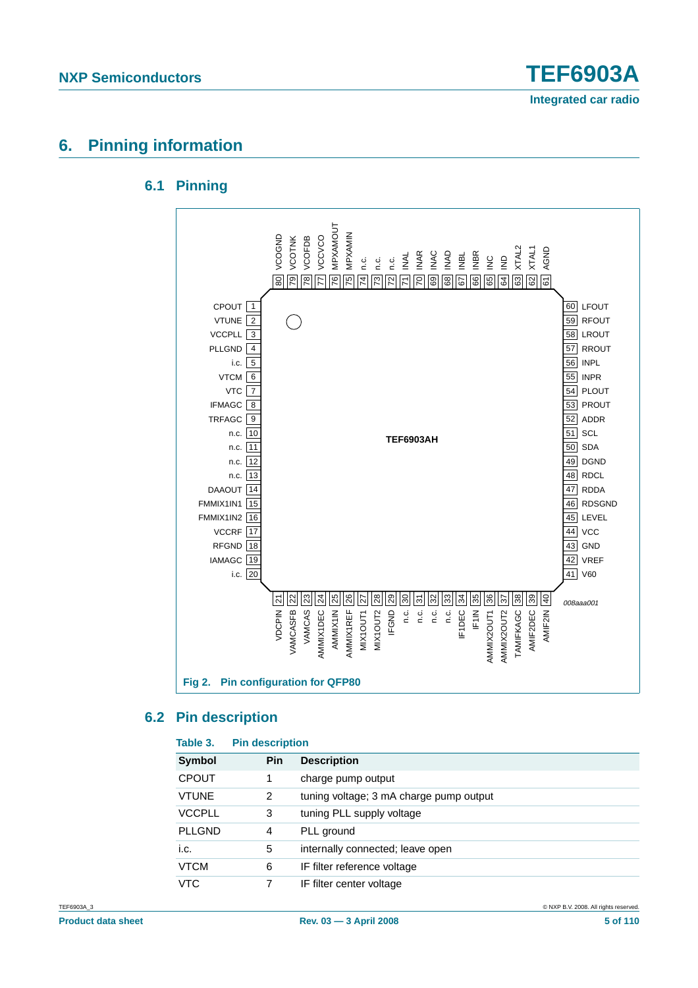

#### **6. Pinning information**

#### **6.1 Pinning**



#### **6.2 Pin description**

| Table 3.      | <b>Pin description</b> |                                         |  |
|---------------|------------------------|-----------------------------------------|--|
| Symbol        | <b>Pin</b>             | <b>Description</b>                      |  |
| <b>CPOUT</b>  |                        | charge pump output                      |  |
| <b>VTUNE</b>  | 2                      | tuning voltage; 3 mA charge pump output |  |
| <b>VCCPLL</b> | 3                      | tuning PLL supply voltage               |  |
| <b>PLLGND</b> | 4                      | PLL ground                              |  |
| i.c.          | 5                      | internally connected; leave open        |  |
| <b>VTCM</b>   | 6                      | IF filter reference voltage             |  |
| <b>VTC</b>    |                        | IF filter center voltage                |  |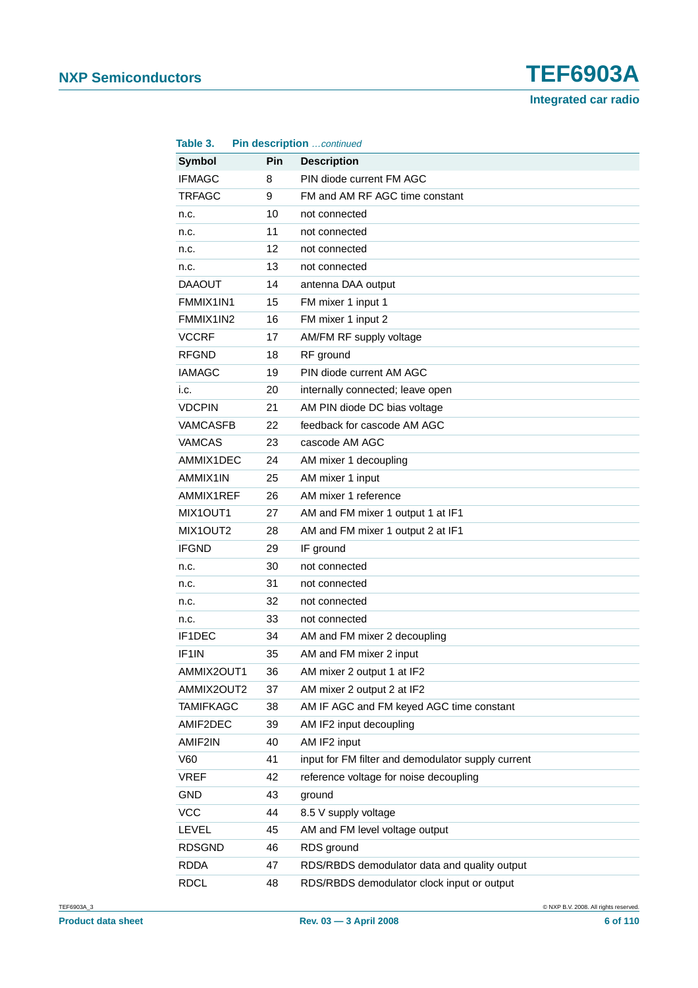| Table 3.           |     | Pin description continued                          |
|--------------------|-----|----------------------------------------------------|
| <b>Symbol</b>      | Pin | <b>Description</b>                                 |
| <b>IFMAGC</b>      | 8   | PIN diode current FM AGC                           |
| <b>TRFAGC</b>      | 9   | FM and AM RF AGC time constant                     |
| n.c.               | 10  | not connected                                      |
| n.c.               | 11  | not connected                                      |
| n.c.               | 12  | not connected                                      |
| n.c.               | 13  | not connected                                      |
| <b>DAAOUT</b>      | 14  | antenna DAA output                                 |
| FMMIX1IN1          | 15  | FM mixer 1 input 1                                 |
| FMMIX1IN2          | 16  | FM mixer 1 input 2                                 |
| <b>VCCRF</b>       | 17  | AM/FM RF supply voltage                            |
| <b>RFGND</b>       | 18  | RF ground                                          |
| IAMAGC             | 19  | PIN diode current AM AGC                           |
| i.c.               | 20  | internally connected; leave open                   |
| <b>VDCPIN</b>      | 21  | AM PIN diode DC bias voltage                       |
| <b>VAMCASFB</b>    | 22  | feedback for cascode AM AGC                        |
| <b>VAMCAS</b>      | 23  | cascode AM AGC                                     |
| AMMIX1DEC          | 24  | AM mixer 1 decoupling                              |
| AMMIX1IN           | 25  | AM mixer 1 input                                   |
| AMMIX1REF          | 26  | AM mixer 1 reference                               |
| MIX1OUT1           | 27  | AM and FM mixer 1 output 1 at IF1                  |
| MIX1OUT2           | 28  | AM and FM mixer 1 output 2 at IF1                  |
| <b>IFGND</b>       | 29  | IF ground                                          |
| n.c.               | 30  | not connected                                      |
| n.c.               | 31  | not connected                                      |
| n.c.               | 32  | not connected                                      |
| n.c.               | 33  | not connected                                      |
| IF1DEC             | 34  | AM and FM mixer 2 decoupling                       |
| IF <sub>1</sub> IN | 35  | AM and FM mixer 2 input                            |
| AMMIX2OUT1         | 36  | AM mixer 2 output 1 at IF2                         |
| AMMIX2OUT2         | 37  | AM mixer 2 output 2 at IF2                         |
| <b>TAMIFKAGC</b>   | 38  | AM IF AGC and FM keyed AGC time constant           |
| AMIF2DEC           | 39  | AM IF2 input decoupling                            |
| AMIF2IN            | 40  | AM IF2 input                                       |
| V60                | 41  | input for FM filter and demodulator supply current |
| <b>VREF</b>        | 42  | reference voltage for noise decoupling             |
| <b>GND</b>         | 43  | ground                                             |
| <b>VCC</b>         | 44  | 8.5 V supply voltage                               |
| <b>LEVEL</b>       | 45  | AM and FM level voltage output                     |
| <b>RDSGND</b>      | 46  | RDS ground                                         |
| <b>RDDA</b>        | 47  | RDS/RBDS demodulator data and quality output       |
| <b>RDCL</b>        | 48  | RDS/RBDS demodulator clock input or output         |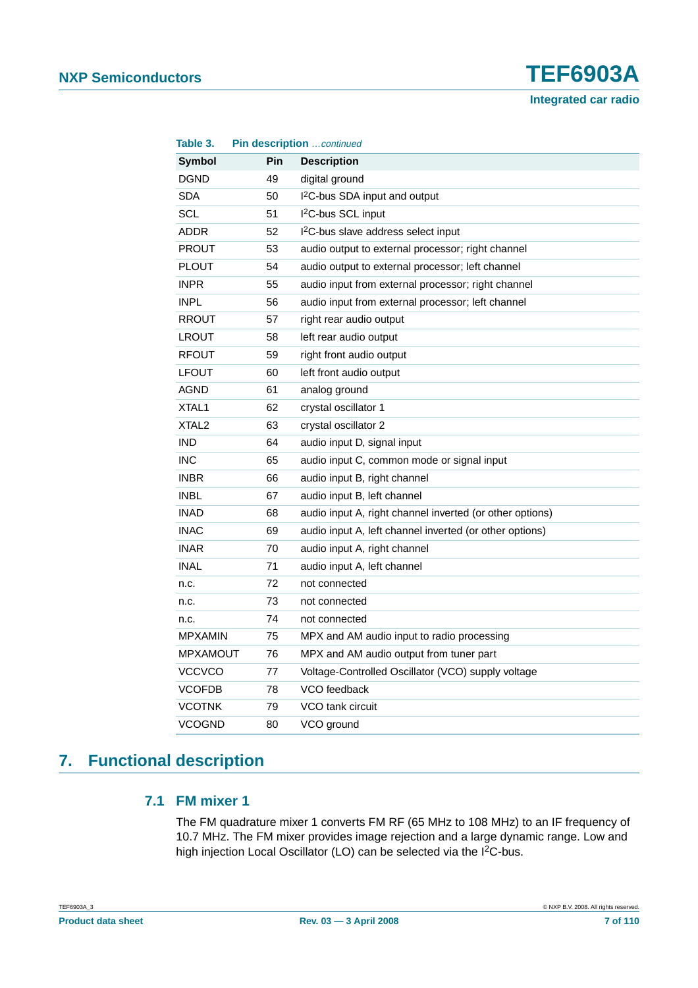**Integrated car radio**

|                       | Pin description  continued                               |  |  |
|-----------------------|----------------------------------------------------------|--|--|
| Pin                   | <b>Description</b>                                       |  |  |
| 49                    | digital ground                                           |  |  |
| 50                    | I <sup>2</sup> C-bus SDA input and output                |  |  |
| 51                    | I <sup>2</sup> C-bus SCL input                           |  |  |
| 52                    | I <sup>2</sup> C-bus slave address select input          |  |  |
| 53                    | audio output to external processor; right channel        |  |  |
| 54                    | audio output to external processor; left channel         |  |  |
| 55                    | audio input from external processor; right channel       |  |  |
| 56                    | audio input from external processor; left channel        |  |  |
| 57                    | right rear audio output                                  |  |  |
| 58                    | left rear audio output                                   |  |  |
| 59                    | right front audio output                                 |  |  |
| 60                    | left front audio output                                  |  |  |
| 61                    | analog ground                                            |  |  |
| 62                    | crystal oscillator 1                                     |  |  |
| 63                    | crystal oscillator 2                                     |  |  |
| 64                    | audio input D, signal input                              |  |  |
| 65                    | audio input C, common mode or signal input               |  |  |
| 66                    | audio input B, right channel                             |  |  |
| 67                    | audio input B, left channel                              |  |  |
| 68                    | audio input A, right channel inverted (or other options) |  |  |
| 69                    | audio input A, left channel inverted (or other options)  |  |  |
| 70                    | audio input A, right channel                             |  |  |
| 71                    | audio input A, left channel                              |  |  |
| 72                    | not connected                                            |  |  |
| 73                    | not connected                                            |  |  |
| 74                    | not connected                                            |  |  |
| 75                    | MPX and AM audio input to radio processing               |  |  |
| <b>MPXAMOUT</b><br>76 | MPX and AM audio output from tuner part                  |  |  |
| 77                    | Voltage-Controlled Oscillator (VCO) supply voltage       |  |  |
| 78                    | VCO feedback                                             |  |  |
| 79                    | VCO tank circuit                                         |  |  |
| 80                    | VCO ground                                               |  |  |
|                       |                                                          |  |  |

### **7. Functional description**

#### **7.1 FM mixer 1**

The FM quadrature mixer 1 converts FM RF (65 MHz to 108 MHz) to an IF frequency of 10.7 MHz. The FM mixer provides image rejection and a large dynamic range. Low and high injection Local Oscillator (LO) can be selected via the I<sup>2</sup>C-bus.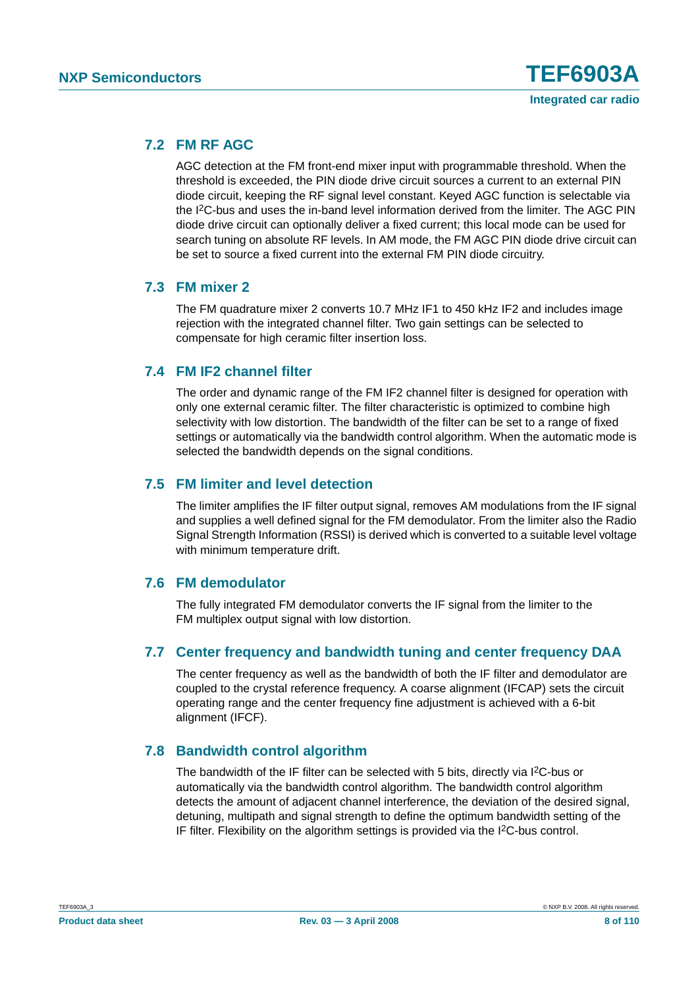#### **7.2 FM RF AGC**

AGC detection at the FM front-end mixer input with programmable threshold. When the threshold is exceeded, the PIN diode drive circuit sources a current to an external PIN diode circuit, keeping the RF signal level constant. Keyed AGC function is selectable via the I2C-bus and uses the in-band level information derived from the limiter. The AGC PIN diode drive circuit can optionally deliver a fixed current; this local mode can be used for search tuning on absolute RF levels. In AM mode, the FM AGC PIN diode drive circuit can be set to source a fixed current into the external FM PIN diode circuitry.

#### **7.3 FM mixer 2**

The FM quadrature mixer 2 converts 10.7 MHz IF1 to 450 kHz IF2 and includes image rejection with the integrated channel filter. Two gain settings can be selected to compensate for high ceramic filter insertion loss.

#### **7.4 FM IF2 channel filter**

The order and dynamic range of the FM IF2 channel filter is designed for operation with only one external ceramic filter. The filter characteristic is optimized to combine high selectivity with low distortion. The bandwidth of the filter can be set to a range of fixed settings or automatically via the bandwidth control algorithm. When the automatic mode is selected the bandwidth depends on the signal conditions.

#### **7.5 FM limiter and level detection**

The limiter amplifies the IF filter output signal, removes AM modulations from the IF signal and supplies a well defined signal for the FM demodulator. From the limiter also the Radio Signal Strength Information (RSSI) is derived which is converted to a suitable level voltage with minimum temperature drift.

#### **7.6 FM demodulator**

The fully integrated FM demodulator converts the IF signal from the limiter to the FM multiplex output signal with low distortion.

#### **7.7 Center frequency and bandwidth tuning and center frequency DAA**

The center frequency as well as the bandwidth of both the IF filter and demodulator are coupled to the crystal reference frequency. A coarse alignment (IFCAP) sets the circuit operating range and the center frequency fine adjustment is achieved with a 6-bit alignment (IFCF).

#### **7.8 Bandwidth control algorithm**

The bandwidth of the IF filter can be selected with 5 bits, directly via I<sup>2</sup>C-bus or automatically via the bandwidth control algorithm. The bandwidth control algorithm detects the amount of adjacent channel interference, the deviation of the desired signal, detuning, multipath and signal strength to define the optimum bandwidth setting of the IF filter. Flexibility on the algorithm settings is provided via the I2C-bus control.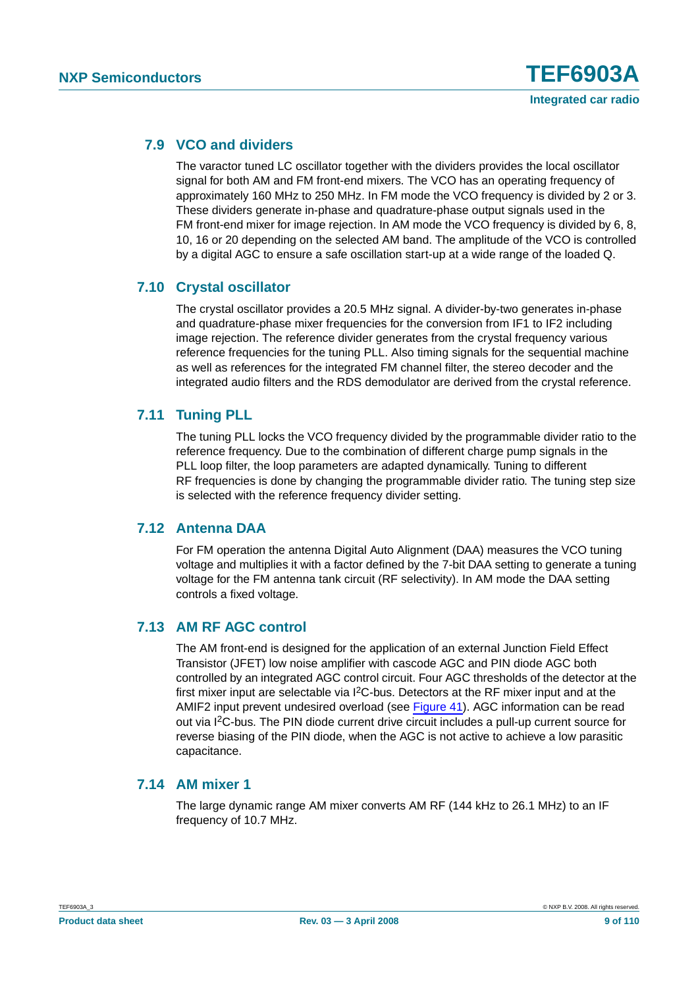#### **7.9 VCO and dividers**

The varactor tuned LC oscillator together with the dividers provides the local oscillator signal for both AM and FM front-end mixers. The VCO has an operating frequency of approximately 160 MHz to 250 MHz. In FM mode the VCO frequency is divided by 2 or 3. These dividers generate in-phase and quadrature-phase output signals used in the FM front-end mixer for image rejection. In AM mode the VCO frequency is divided by 6, 8, 10, 16 or 20 depending on the selected AM band. The amplitude of the VCO is controlled by a digital AGC to ensure a safe oscillation start-up at a wide range of the loaded Q.

#### **7.10 Crystal oscillator**

The crystal oscillator provides a 20.5 MHz signal. A divider-by-two generates in-phase and quadrature-phase mixer frequencies for the conversion from IF1 to IF2 including image rejection. The reference divider generates from the crystal frequency various reference frequencies for the tuning PLL. Also timing signals for the sequential machine as well as references for the integrated FM channel filter, the stereo decoder and the integrated audio filters and the RDS demodulator are derived from the crystal reference.

#### **7.11 Tuning PLL**

The tuning PLL locks the VCO frequency divided by the programmable divider ratio to the reference frequency. Due to the combination of different charge pump signals in the PLL loop filter, the loop parameters are adapted dynamically. Tuning to different RF frequencies is done by changing the programmable divider ratio. The tuning step size is selected with the reference frequency divider setting.

#### **7.12 Antenna DAA**

For FM operation the antenna Digital Auto Alignment (DAA) measures the VCO tuning voltage and multiplies it with a factor defined by the 7-bit DAA setting to generate a tuning voltage for the FM antenna tank circuit (RF selectivity). In AM mode the DAA setting controls a fixed voltage.

#### **7.13 AM RF AGC control**

The AM front-end is designed for the application of an external Junction Field Effect Transistor (JFET) low noise amplifier with cascode AGC and PIN diode AGC both controlled by an integrated AGC control circuit. Four AGC thresholds of the detector at the first mixer input are selectable via  $1<sup>2</sup>C$ -bus. Detectors at the RF mixer input and at the AMIF2 input prevent undesired overload (see [Figure](#page-86-0) 41). AGC information can be read out via I2C-bus. The PIN diode current drive circuit includes a pull-up current source for reverse biasing of the PIN diode, when the AGC is not active to achieve a low parasitic capacitance.

#### **7.14 AM mixer 1**

The large dynamic range AM mixer converts AM RF (144 kHz to 26.1 MHz) to an IF frequency of 10.7 MHz.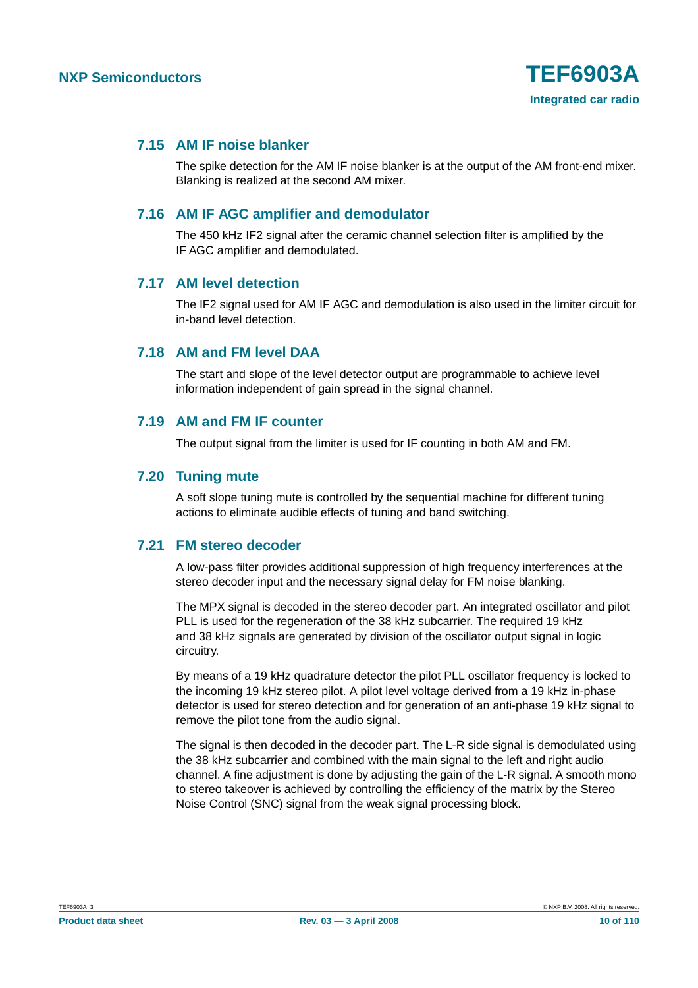#### **7.15 AM IF noise blanker**

The spike detection for the AM IF noise blanker is at the output of the AM front-end mixer. Blanking is realized at the second AM mixer.

#### **7.16 AM IF AGC amplifier and demodulator**

The 450 kHz IF2 signal after the ceramic channel selection filter is amplified by the IF AGC amplifier and demodulated.

#### **7.17 AM level detection**

The IF2 signal used for AM IF AGC and demodulation is also used in the limiter circuit for in-band level detection.

#### **7.18 AM and FM level DAA**

The start and slope of the level detector output are programmable to achieve level information independent of gain spread in the signal channel.

#### **7.19 AM and FM IF counter**

The output signal from the limiter is used for IF counting in both AM and FM.

#### **7.20 Tuning mute**

A soft slope tuning mute is controlled by the sequential machine for different tuning actions to eliminate audible effects of tuning and band switching.

#### **7.21 FM stereo decoder**

A low-pass filter provides additional suppression of high frequency interferences at the stereo decoder input and the necessary signal delay for FM noise blanking.

The MPX signal is decoded in the stereo decoder part. An integrated oscillator and pilot PLL is used for the regeneration of the 38 kHz subcarrier. The required 19 kHz and 38 kHz signals are generated by division of the oscillator output signal in logic circuitry.

By means of a 19 kHz quadrature detector the pilot PLL oscillator frequency is locked to the incoming 19 kHz stereo pilot. A pilot level voltage derived from a 19 kHz in-phase detector is used for stereo detection and for generation of an anti-phase 19 kHz signal to remove the pilot tone from the audio signal.

The signal is then decoded in the decoder part. The L-R side signal is demodulated using the 38 kHz subcarrier and combined with the main signal to the left and right audio channel. A fine adjustment is done by adjusting the gain of the L-R signal. A smooth mono to stereo takeover is achieved by controlling the efficiency of the matrix by the Stereo Noise Control (SNC) signal from the weak signal processing block.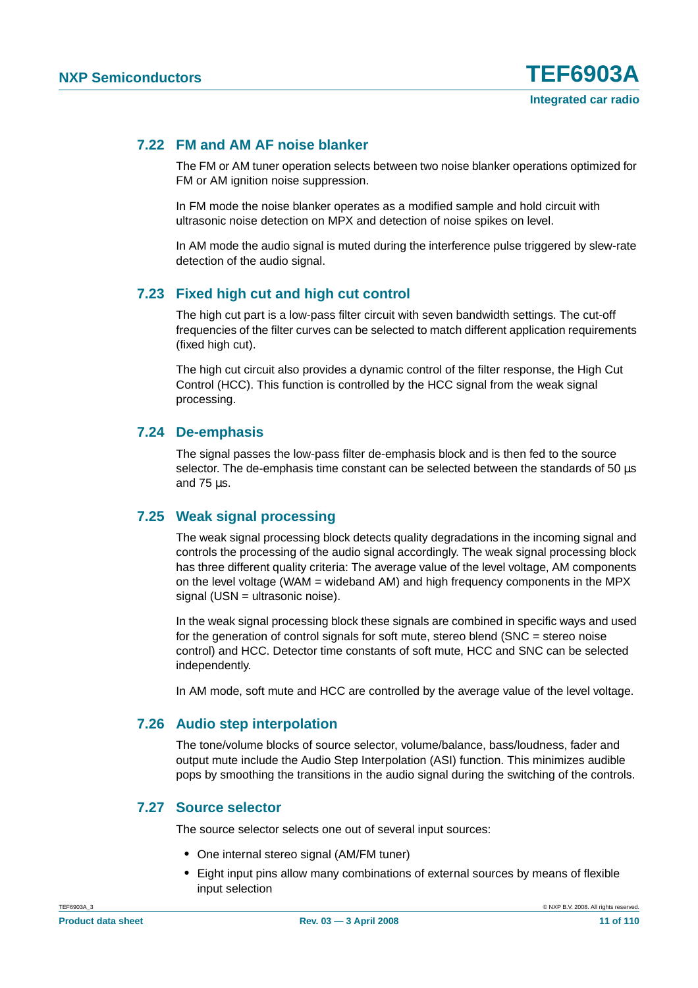#### **7.22 FM and AM AF noise blanker**

The FM or AM tuner operation selects between two noise blanker operations optimized for FM or AM ignition noise suppression.

In FM mode the noise blanker operates as a modified sample and hold circuit with ultrasonic noise detection on MPX and detection of noise spikes on level.

In AM mode the audio signal is muted during the interference pulse triggered by slew-rate detection of the audio signal.

#### **7.23 Fixed high cut and high cut control**

The high cut part is a low-pass filter circuit with seven bandwidth settings. The cut-off frequencies of the filter curves can be selected to match different application requirements (fixed high cut).

The high cut circuit also provides a dynamic control of the filter response, the High Cut Control (HCC). This function is controlled by the HCC signal from the weak signal processing.

#### **7.24 De-emphasis**

The signal passes the low-pass filter de-emphasis block and is then fed to the source selector. The de-emphasis time constant can be selected between the standards of 50 us and 75 µs.

#### **7.25 Weak signal processing**

The weak signal processing block detects quality degradations in the incoming signal and controls the processing of the audio signal accordingly. The weak signal processing block has three different quality criteria: The average value of the level voltage, AM components on the level voltage (WAM = wideband AM) and high frequency components in the MPX signal (USN = ultrasonic noise).

In the weak signal processing block these signals are combined in specific ways and used for the generation of control signals for soft mute, stereo blend (SNC = stereo noise control) and HCC. Detector time constants of soft mute, HCC and SNC can be selected independently.

In AM mode, soft mute and HCC are controlled by the average value of the level voltage.

#### **7.26 Audio step interpolation**

The tone/volume blocks of source selector, volume/balance, bass/loudness, fader and output mute include the Audio Step Interpolation (ASI) function. This minimizes audible pops by smoothing the transitions in the audio signal during the switching of the controls.

#### **7.27 Source selector**

The source selector selects one out of several input sources:

- **•** One internal stereo signal (AM/FM tuner)
- **•** Eight input pins allow many combinations of external sources by means of flexible input selection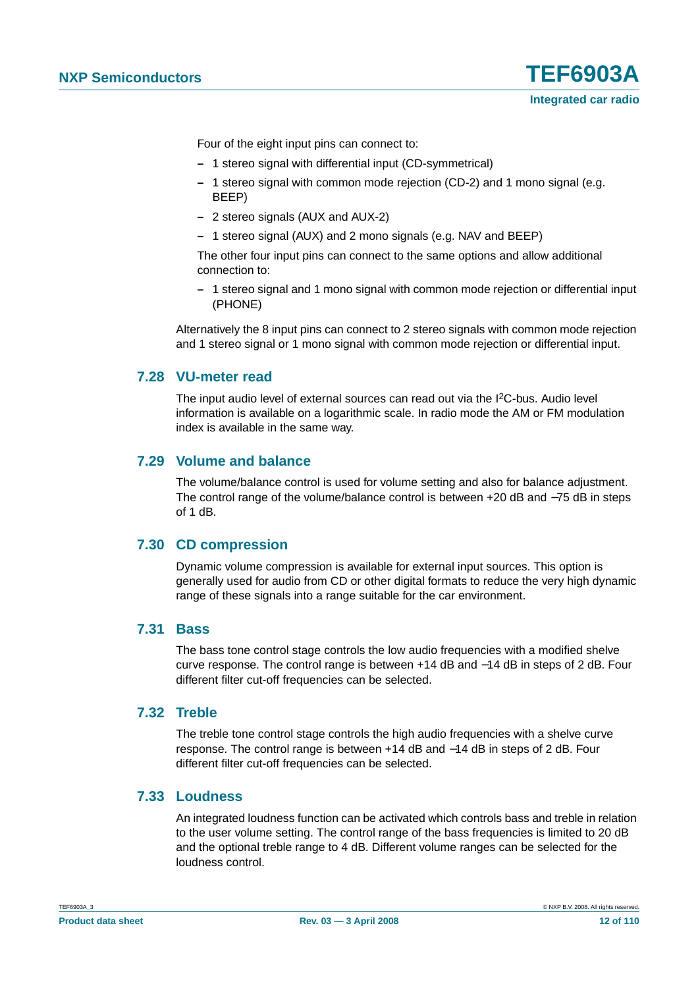Four of the eight input pins can connect to:

- **–** 1 stereo signal with differential input (CD-symmetrical)
- **–** 1 stereo signal with common mode rejection (CD-2) and 1 mono signal (e.g. BEEP)
- **–** 2 stereo signals (AUX and AUX-2)
- **–** 1 stereo signal (AUX) and 2 mono signals (e.g. NAV and BEEP)

The other four input pins can connect to the same options and allow additional connection to:

**–** 1 stereo signal and 1 mono signal with common mode rejection or differential input (PHONE)

Alternatively the 8 input pins can connect to 2 stereo signals with common mode rejection and 1 stereo signal or 1 mono signal with common mode rejection or differential input.

#### **7.28 VU-meter read**

The input audio level of external sources can read out via the I2C-bus. Audio level information is available on a logarithmic scale. In radio mode the AM or FM modulation index is available in the same way.

#### **7.29 Volume and balance**

The volume/balance control is used for volume setting and also for balance adjustment. The control range of the volume/balance control is between +20 dB and −75 dB in steps of 1 dB.

#### **7.30 CD compression**

Dynamic volume compression is available for external input sources. This option is generally used for audio from CD or other digital formats to reduce the very high dynamic range of these signals into a range suitable for the car environment.

#### **7.31 Bass**

The bass tone control stage controls the low audio frequencies with a modified shelve curve response. The control range is between +14 dB and −14 dB in steps of 2 dB. Four different filter cut-off frequencies can be selected.

#### **7.32 Treble**

The treble tone control stage controls the high audio frequencies with a shelve curve response. The control range is between +14 dB and −14 dB in steps of 2 dB. Four different filter cut-off frequencies can be selected.

#### **7.33 Loudness**

An integrated loudness function can be activated which controls bass and treble in relation to the user volume setting. The control range of the bass frequencies is limited to 20 dB and the optional treble range to 4 dB. Different volume ranges can be selected for the loudness control.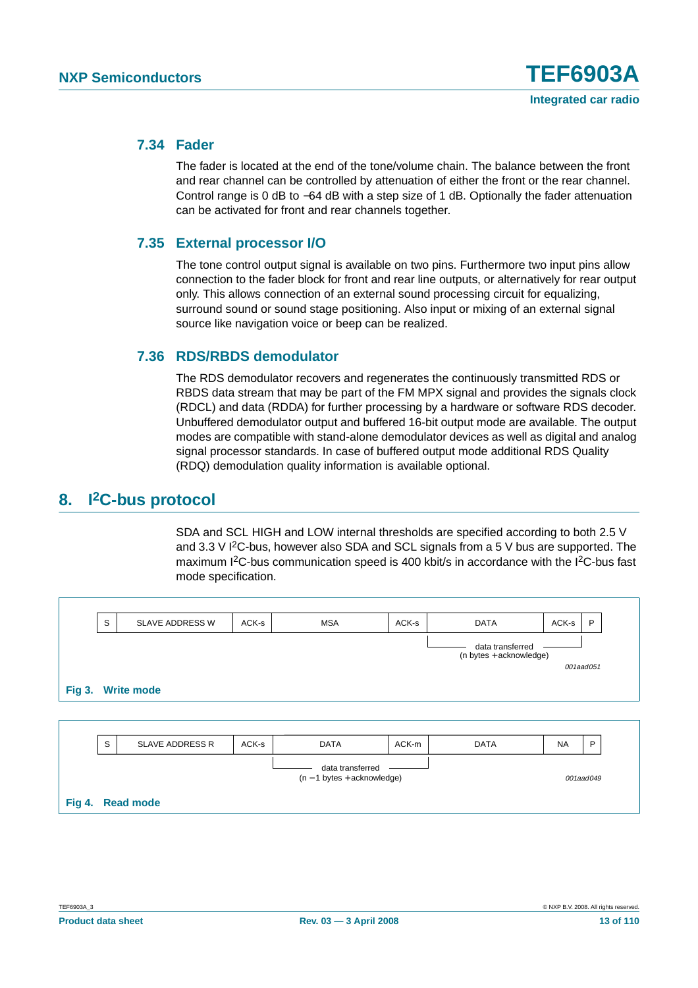#### **7.34 Fader**

The fader is located at the end of the tone/volume chain. The balance between the front and rear channel can be controlled by attenuation of either the front or the rear channel. Control range is 0 dB to −64 dB with a step size of 1 dB. Optionally the fader attenuation can be activated for front and rear channels together.

#### **7.35 External processor I/O**

The tone control output signal is available on two pins. Furthermore two input pins allow connection to the fader block for front and rear line outputs, or alternatively for rear output only. This allows connection of an external sound processing circuit for equalizing, surround sound or sound stage positioning. Also input or mixing of an external signal source like navigation voice or beep can be realized.

#### **7.36 RDS/RBDS demodulator**

The RDS demodulator recovers and regenerates the continuously transmitted RDS or RBDS data stream that may be part of the FM MPX signal and provides the signals clock (RDCL) and data (RDDA) for further processing by a hardware or software RDS decoder. Unbuffered demodulator output and buffered 16-bit output mode are available. The output modes are compatible with stand-alone demodulator devices as well as digital and analog signal processor standards. In case of buffered output mode additional RDS Quality (RDQ) demodulation quality information is available optional.

#### **8. I2C-bus protocol**

SDA and SCL HIGH and LOW internal thresholds are specified according to both 2.5 V and 3.3 V  $12C$ -bus, however also SDA and SCL signals from a 5 V bus are supported. The maximum I<sup>2</sup>C-bus communication speed is 400 kbit/s in accordance with the I<sup>2</sup>C-bus fast mode specification.

| S | SLAVE ADDRESS W        | ACK-s             | <b>MSA</b>                                         | ACK-s | <b>DATA</b>      | ACK-s     | P                         |
|---|------------------------|-------------------|----------------------------------------------------|-------|------------------|-----------|---------------------------|
|   |                        |                   |                                                    |       | data transferred |           | 001aad051                 |
|   |                        |                   |                                                    |       |                  |           |                           |
|   |                        |                   |                                                    |       |                  |           |                           |
| S | <b>SLAVE ADDRESS R</b> | ACK-s             | <b>DATA</b>                                        | ACK-m | <b>DATA</b>      | <b>NA</b> | P                         |
|   |                        |                   | data transferred<br>$(n - 1)$ bytes + acknowledge) |       |                  |           | 001aad049                 |
|   |                        | Fig 3. Write mode |                                                    |       |                  |           | $(n bytes + acknowledge)$ |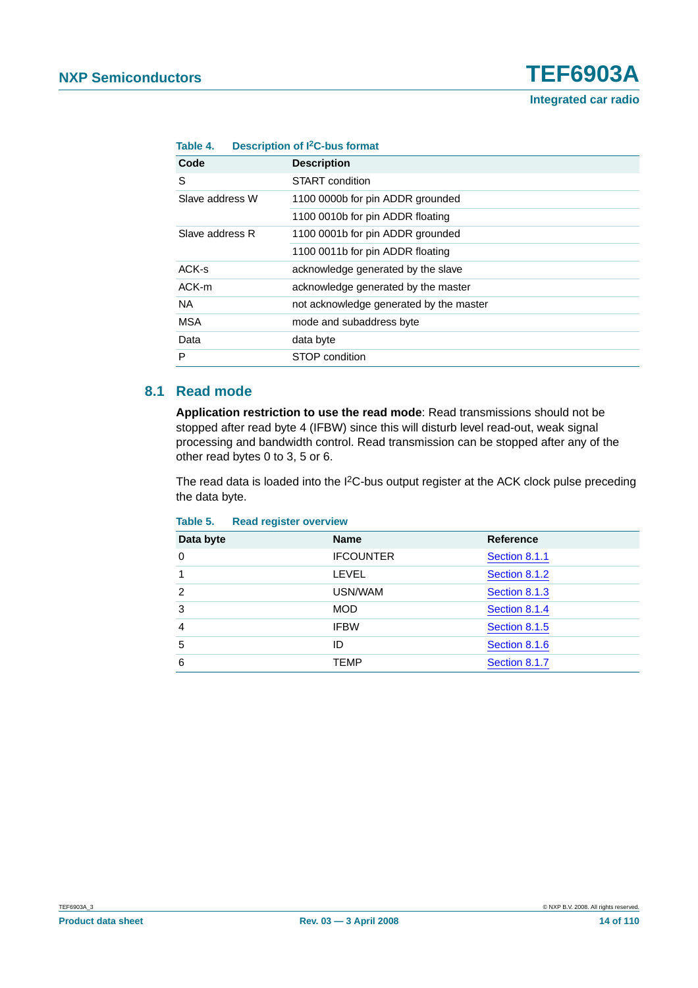| <b>Integrated car radio</b> |  |  |
|-----------------------------|--|--|
|-----------------------------|--|--|

| Table 4.        | <b>Description of I<sup>2</sup>C-bus format</b> |  |  |  |
|-----------------|-------------------------------------------------|--|--|--|
| Code            | <b>Description</b>                              |  |  |  |
| S               | START condition                                 |  |  |  |
| Slave address W | 1100 0000b for pin ADDR grounded                |  |  |  |
|                 | 1100 0010b for pin ADDR floating                |  |  |  |
| Slave address R | 1100 0001b for pin ADDR grounded                |  |  |  |
|                 | 1100 0011b for pin ADDR floating                |  |  |  |
| ACK-s           | acknowledge generated by the slave              |  |  |  |
| ACK-m           | acknowledge generated by the master             |  |  |  |
| NA.             | not acknowledge generated by the master         |  |  |  |
| <b>MSA</b>      | mode and subaddress byte                        |  |  |  |
| Data            | data byte                                       |  |  |  |
| P               | STOP condition                                  |  |  |  |

#### **8.1 Read mode**

**Application restriction to use the read mode**: Read transmissions should not be stopped after read byte 4 (IFBW) since this will disturb level read-out, weak signal processing and bandwidth control. Read transmission can be stopped after any of the other read bytes 0 to 3, 5 or 6.

The read data is loaded into the I<sup>2</sup>C-bus output register at the ACK clock pulse preceding the data byte.

| Data byte     | <b>Name</b>      | <b>Reference</b> |
|---------------|------------------|------------------|
| $\Omega$      | <b>IFCOUNTER</b> | Section 8.1.1    |
|               | LEVEL            | Section 8.1.2    |
| $\mathcal{P}$ | USN/WAM          | Section 8.1.3    |
| 3             | <b>MOD</b>       | Section 8.1.4    |
| 4             | <b>IFBW</b>      | Section 8.1.5    |
| 5             | ID               | Section 8.1.6    |
| 6             | <b>TEMP</b>      | Section 8.1.7    |

#### **Table 5. Read register overview**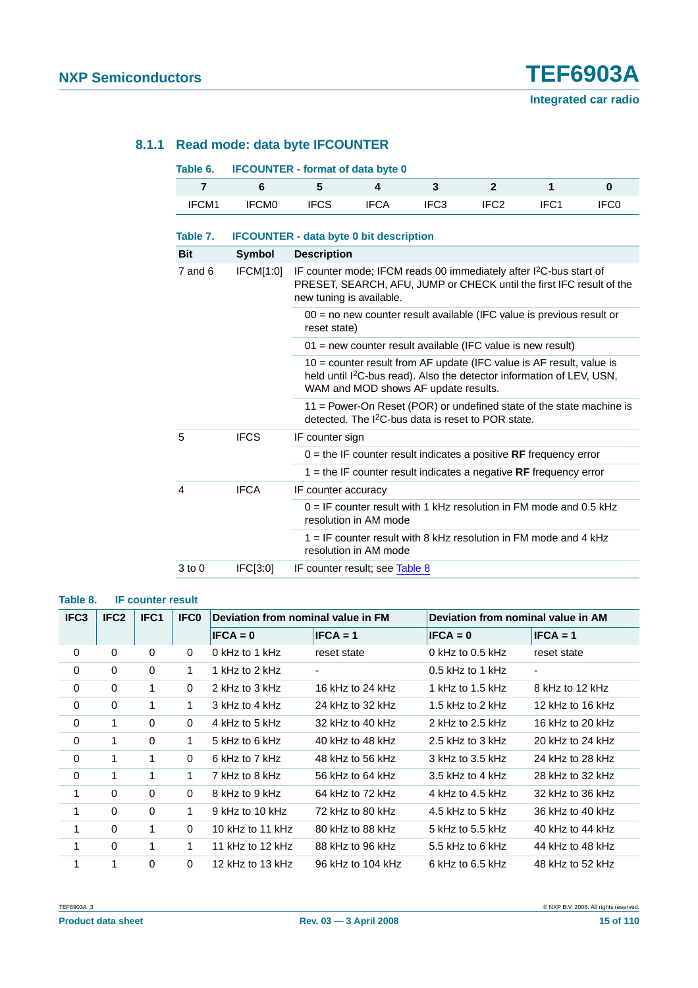#### <span id="page-14-0"></span>**8.1.1 Read mode: data byte IFCOUNTER**

| Table 6. | <b>IFCOUNTER - format of data byte 0</b> |             |             |                  |                  |      |
|----------|------------------------------------------|-------------|-------------|------------------|------------------|------|
|          |                                          |             |             |                  |                  |      |
| IFCM1    | <b>IFCMO</b>                             | <b>IFCS</b> | <b>IFCA</b> | IFC <sub>3</sub> | IFC <sub>2</sub> | IFC0 |

| Table 7.                | <b>IFCOUNTER - data byte 0 bit description</b> |                                                                                                                                                                                                   |  |  |
|-------------------------|------------------------------------------------|---------------------------------------------------------------------------------------------------------------------------------------------------------------------------------------------------|--|--|
| <b>Bit</b>              | Symbol                                         | <b>Description</b>                                                                                                                                                                                |  |  |
| $7$ and $6$             | IFCM[1:0]                                      | IF counter mode; IFCM reads 00 immediately after I <sup>2</sup> C-bus start of<br>PRESET, SEARCH, AFU, JUMP or CHECK until the first IFC result of the<br>new tuning is available.                |  |  |
|                         |                                                | $00 =$ no new counter result available (IFC value is previous result or<br>reset state)                                                                                                           |  |  |
|                         |                                                | $01$ = new counter result available (IFC value is new result)                                                                                                                                     |  |  |
|                         |                                                | 10 = counter result from AF update (IFC value is AF result, value is<br>held until I <sup>2</sup> C-bus read). Also the detector information of LEV, USN,<br>WAM and MOD shows AF update results. |  |  |
|                         |                                                | 11 = Power-On Reset (POR) or undefined state of the state machine is<br>detected. The I <sup>2</sup> C-bus data is reset to POR state.                                                            |  |  |
| 5                       | <b>IFCS</b>                                    | IF counter sign                                                                                                                                                                                   |  |  |
|                         |                                                | $0 =$ the IF counter result indicates a positive RF frequency error                                                                                                                               |  |  |
|                         |                                                | 1 = the IF counter result indicates a negative $RF$ frequency error                                                                                                                               |  |  |
| $\overline{\mathbf{4}}$ | <b>IFCA</b>                                    | IF counter accuracy                                                                                                                                                                               |  |  |
|                         |                                                | $0 =$ IF counter result with 1 kHz resolution in FM mode and 0.5 kHz<br>resolution in AM mode                                                                                                     |  |  |
|                         |                                                | $1 =$ IF counter result with 8 kHz resolution in FM mode and 4 kHz<br>resolution in AM mode                                                                                                       |  |  |
| 3 to 0                  | FC[3:0]                                        | IF counter result; see Table 8                                                                                                                                                                    |  |  |

#### <span id="page-14-1"></span>**Table 8. IF counter result**

| IFC <sub>3</sub> | IFC <sub>2</sub><br>IFC <sub>1</sub> |          | <b>IFCO</b> | Deviation from nominal value in FM |                   | Deviation from nominal value in AM |                   |
|------------------|--------------------------------------|----------|-------------|------------------------------------|-------------------|------------------------------------|-------------------|
|                  |                                      |          |             | $IFCA = 0$                         | $IFCA = 1$        | $IFCA = 0$                         | $IFCA = 1$        |
| 0                | 0                                    | $\Omega$ | $\Omega$    | 0 kHz to 1 kHz                     | reset state       | $0$ kHz to 0.5 kHz                 | reset state       |
| 0                | 0                                    | 0        | 1.          | 1 kHz to 2 kHz                     |                   | $0.5$ kHz to 1 kHz                 | ۰.                |
| 0                | 0                                    | 1        | $\Omega$    | 2 kHz to 3 kHz                     | 16 kHz to 24 kHz  | 1 kHz to 1.5 kHz                   | $8$ kHz to 12 kHz |
| 0                | 0                                    | 1        | 1           | 3 kHz to 4 kHz                     | 24 kHz to 32 kHz  | 1.5 kHz to 2 kHz                   | 12 kHz to 16 kHz  |
| 0                | 1                                    | $\Omega$ | $\Omega$    | 4 kHz to 5 kHz                     | 32 kHz to 40 kHz  | 2 kHz to $2.5$ kHz                 | 16 kHz to 20 kHz  |
| 0                | 1                                    | 0        | 1           | 5 kHz to 6 kHz                     | 40 kHz to 48 kHz  | 2.5 kHz to $3$ kHz                 | 20 kHz to 24 kHz  |
| 0                | 1                                    | 1        | $\Omega$    | 6 kHz to 7 kHz                     | 48 kHz to 56 kHz  | 3 kHz to 3.5 kHz                   | 24 kHz to 28 kHz  |
| 0                | 1                                    | 1        | 1           | 7 kHz to 8 kHz                     | 56 kHz to 64 kHz  | $3.5$ kHz to 4 kHz                 | 28 kHz to 32 kHz  |
| 1                | $\Omega$                             | $\Omega$ | $\Omega$    | 8 kHz to 9 kHz                     | 64 kHz to 72 kHz  | 4 kHz to 4.5 kHz                   | 32 kHz to 36 kHz  |
| 1                | 0                                    | 0        | 1           | 9 kHz to 10 kHz                    | 72 kHz to 80 kHz  | 4.5 kHz to 5 kHz                   | 36 kHz to 40 kHz  |
| 1                | $\Omega$                             | 1        | $\Omega$    | 10 kHz to 11 kHz                   | 80 kHz to 88 kHz  | 5 kHz to 5.5 kHz                   | 40 kHz to 44 kHz  |
| 1                | 0                                    | 1        | 1           | 11 kHz to 12 kHz                   | 88 kHz to 96 kHz  | 5.5 kHz to 6 kHz                   | 44 kHz to 48 kHz  |
| 1                | 1                                    | $\Omega$ | $\Omega$    | 12 kHz to 13 kHz                   | 96 kHz to 104 kHz | $6$ kHz to $6.5$ kHz               | 48 kHz to 52 kHz  |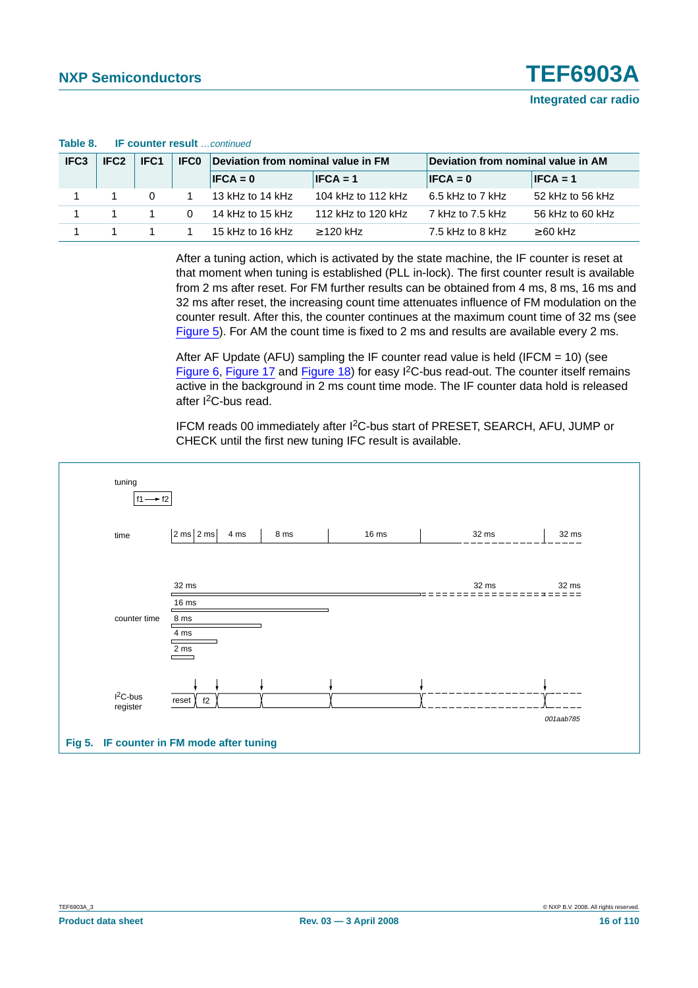| IFC <sub>3</sub> | IFC <sub>2</sub> | IFC <sub>1</sub> | <b>IFC0</b> | Deviation from nominal value in FM |                    | Deviation from nominal value in AM |                  |  |  |
|------------------|------------------|------------------|-------------|------------------------------------|--------------------|------------------------------------|------------------|--|--|
|                  |                  |                  |             | $IFCA = 0$                         | $IFCA = 1$         | $IFCA = 0$                         | $IFCA = 1$       |  |  |
|                  |                  | $\Omega$         |             | 13 kHz to 14 kHz                   | 104 kHz to 112 kHz | 6.5 kHz to 7 kHz                   | 52 kHz to 56 kHz |  |  |
|                  |                  |                  | $\Omega$    | 14 kHz to 15 kHz                   | 112 kHz to 120 kHz | 7 kHz to 7.5 kHz                   | 56 kHz to 60 kHz |  |  |
|                  |                  |                  |             | 15 kHz to 16 kHz                   | $>$ 120 kHz        | 7.5 kHz to 8 kHz                   | $\geq 60$ kHz    |  |  |

#### **Table 8. IF counter result** …continued

After a tuning action, which is activated by the state machine, the IF counter is reset at that moment when tuning is established (PLL in-lock). The first counter result is available from 2 ms after reset. For FM further results can be obtained from 4 ms, 8 ms, 16 ms and 32 ms after reset, the increasing count time attenuates influence of FM modulation on the counter result. After this, the counter continues at the maximum count time of 32 ms (see [Figure](#page-15-0) 5). For AM the count time is fixed to 2 ms and results are available every 2 ms.

After AF Update (AFU) sampling the IF counter read value is held (IFCM = 10) (see [Figure](#page-16-1) 6, [Figure](#page-31-0) 17 and [Figure](#page-31-1) 18) for easy I2C-bus read-out. The counter itself remains active in the background in 2 ms count time mode. The IF counter data hold is released after I<sup>2</sup>C-bus read.

IFCM reads 00 immediately after I2C-bus start of PRESET, SEARCH, AFU, JUMP or CHECK until the first new tuning IFC result is available.

<span id="page-15-0"></span>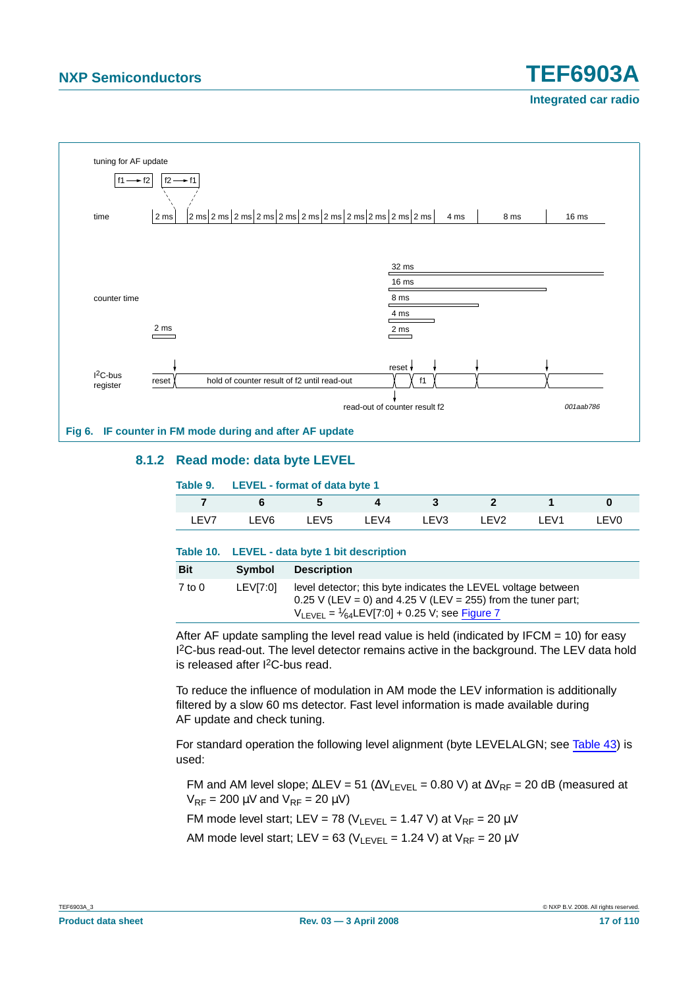**Integrated car radio**



#### <span id="page-16-1"></span><span id="page-16-0"></span>**8.1.2 Read mode: data byte LEVEL**

|       | Table 9. LEVEL - format of data byte 1 |                  |      |      |                  |       |       |  |
|-------|----------------------------------------|------------------|------|------|------------------|-------|-------|--|
|       | 'n                                     | b.               |      |      |                  |       |       |  |
| I FV7 | I EV6                                  | LEV <sub>5</sub> | LEV4 | LEV3 | LEV <sub>2</sub> | I FV1 | I EVO |  |
|       |                                        |                  |      |      |                  |       |       |  |

#### **Table 10. LEVEL - data byte 1 bit description**

| <b>Bit</b> | <b>Symbol</b> | <b>Description</b>                                                                                                                                                                                   |
|------------|---------------|------------------------------------------------------------------------------------------------------------------------------------------------------------------------------------------------------|
| 7 to 0     | LEVI7:01      | level detector; this byte indicates the LEVEL voltage between<br>$0.25$ V (LEV = 0) and 4.25 V (LEV = 255) from the tuner part;<br>$V_{\text{IFVFI}} = \frac{1}{64}$ LEV[7:0] + 0.25 V; see Figure 7 |

After AF update sampling the level read value is held (indicated by IFCM  $= 10$ ) for easy <sup>2</sup>C-bus read-out. The level detector remains active in the background. The LEV data hold is released after I2C-bus read.

To reduce the influence of modulation in AM mode the LEV information is additionally filtered by a slow 60 ms detector. Fast level information is made available during AF update and check tuning.

For standard operation the following level alignment (byte LEVELALGN; see [Table](#page-40-0) 43) is used:

FM and AM level slope;  $\Delta$ LEV = 51 ( $\Delta V_{\text{LEVEL}}$  = 0.80 V) at  $\Delta V_{\text{RF}}$  = 20 dB (measured at  $V_{RF}$  = 200  $\mu$ V and  $V_{RF}$  = 20  $\mu$ V)

FM mode level start; LEV = 78 ( $V_{\text{I FVFI}}$  = 1.47 V) at  $V_{\text{RF}}$  = 20  $\mu$ V

AM mode level start; LEV = 63 ( $V_{\text{LEVEL}}$  = 1.24 V) at  $V_{\text{RF}}$  = 20  $\mu$ V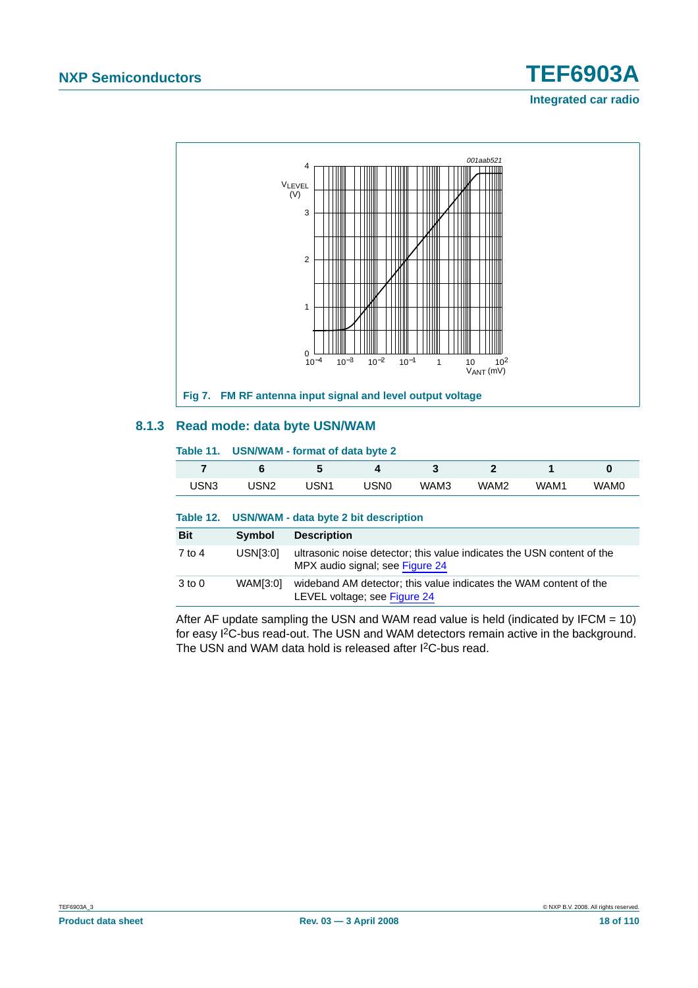

#### <span id="page-17-1"></span><span id="page-17-0"></span>**8.1.3 Read mode: data byte USN/WAM**

#### **Table 11. USN/WAM - format of data byte 2 7 6 5 4 3 2 1 0** USN3 USN2 USN1 USN0 WAM3 WAM2 WAM1 WAM0 **Table 12. USN/WAM - data byte 2 bit description Bit Symbol Description** 7 to 4 USN[3:0] ultrasonic noise detector; this value indicates the USN content of the MPX audio signal; see [Figure](#page-44-0) 24 3 to 0 WAM[3:0] wideband AM detector; this value indicates the WAM content of the LEVEL voltage; see [Figure](#page-44-0) 24

After AF update sampling the USN and WAM read value is held (indicated by IFCM  $= 10$ ) for easy I2C-bus read-out. The USN and WAM detectors remain active in the background. The USN and WAM data hold is released after I<sup>2</sup>C-bus read.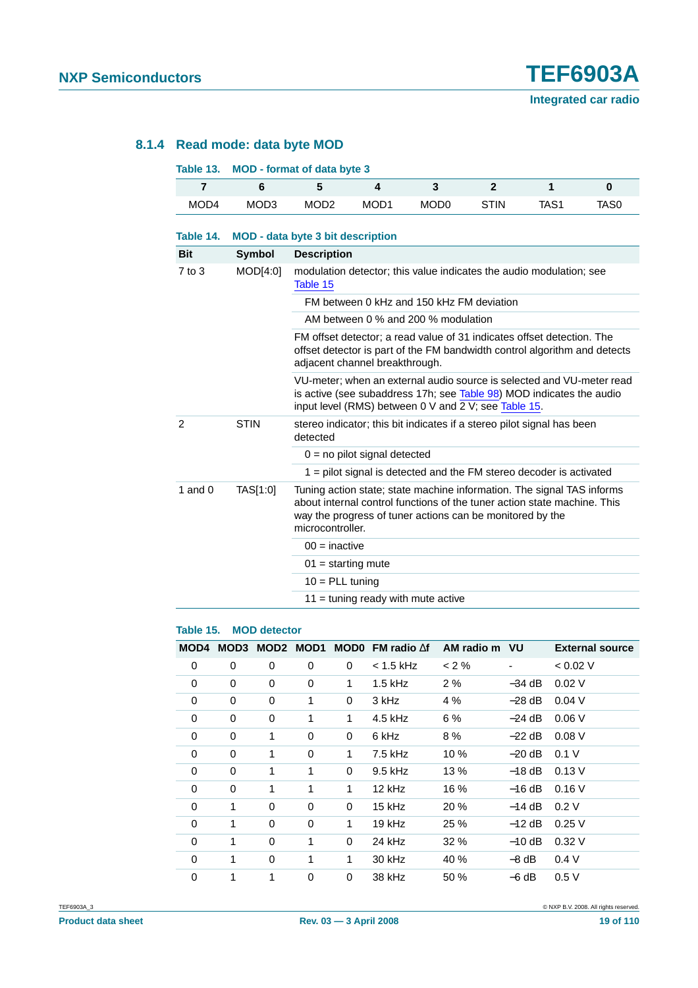#### <span id="page-18-0"></span>**8.1.4 Read mode: data byte MOD**

| Table 13.      |                  | <b>MOD</b> - format of data byte 3                                                                                                                                                                    |                  |                                                                                                                                                                                                                 |                |                  |          |  |  |  |
|----------------|------------------|-------------------------------------------------------------------------------------------------------------------------------------------------------------------------------------------------------|------------------|-----------------------------------------------------------------------------------------------------------------------------------------------------------------------------------------------------------------|----------------|------------------|----------|--|--|--|
| $\overline{7}$ | 6                | 5                                                                                                                                                                                                     | 4                | 3                                                                                                                                                                                                               | $\overline{2}$ | 1                | $\bf{0}$ |  |  |  |
| MOD4           | MOD <sub>3</sub> | MOD <sub>2</sub>                                                                                                                                                                                      | MOD <sub>1</sub> | MOD <sub>0</sub>                                                                                                                                                                                                | <b>STIN</b>    | TAS <sub>1</sub> | TAS0     |  |  |  |
| Table 14.      |                  | <b>MOD</b> - data byte 3 bit description                                                                                                                                                              |                  |                                                                                                                                                                                                                 |                |                  |          |  |  |  |
| <b>Bit</b>     | <b>Symbol</b>    | <b>Description</b>                                                                                                                                                                                    |                  |                                                                                                                                                                                                                 |                |                  |          |  |  |  |
| $7$ to $3$     | MOD[4:0]         | Table 15                                                                                                                                                                                              |                  | modulation detector; this value indicates the audio modulation; see                                                                                                                                             |                |                  |          |  |  |  |
|                |                  |                                                                                                                                                                                                       |                  | FM between 0 kHz and 150 kHz FM deviation                                                                                                                                                                       |                |                  |          |  |  |  |
|                |                  |                                                                                                                                                                                                       |                  | AM between 0 % and 200 % modulation                                                                                                                                                                             |                |                  |          |  |  |  |
|                |                  | FM offset detector; a read value of 31 indicates offset detection. The<br>offset detector is part of the FM bandwidth control algorithm and detects<br>adjacent channel breakthrough.                 |                  |                                                                                                                                                                                                                 |                |                  |          |  |  |  |
|                |                  | VU-meter; when an external audio source is selected and VU-meter read<br>is active (see subaddress 17h; see Table 98) MOD indicates the audio<br>input level (RMS) between 0 V and 2 V; see Table 15. |                  |                                                                                                                                                                                                                 |                |                  |          |  |  |  |
| $\overline{2}$ | <b>STIN</b>      | stereo indicator; this bit indicates if a stereo pilot signal has been<br>detected                                                                                                                    |                  |                                                                                                                                                                                                                 |                |                  |          |  |  |  |
|                |                  | $0 = no$ pilot signal detected                                                                                                                                                                        |                  |                                                                                                                                                                                                                 |                |                  |          |  |  |  |
|                |                  |                                                                                                                                                                                                       |                  | $1$ = pilot signal is detected and the FM stereo decoder is activated                                                                                                                                           |                |                  |          |  |  |  |
| 1 and $0$      | TAS[1:0]         | microcontroller.                                                                                                                                                                                      |                  | Tuning action state; state machine information. The signal TAS informs<br>about internal control functions of the tuner action state machine. This<br>way the progress of tuner actions can be monitored by the |                |                  |          |  |  |  |
|                |                  |                                                                                                                                                                                                       | $00 =$ inactive  |                                                                                                                                                                                                                 |                |                  |          |  |  |  |
|                |                  | $01 =$ starting mute                                                                                                                                                                                  |                  |                                                                                                                                                                                                                 |                |                  |          |  |  |  |
|                |                  | $10 = PLL$ tuning                                                                                                                                                                                     |                  |                                                                                                                                                                                                                 |                |                  |          |  |  |  |
|                |                  |                                                                                                                                                                                                       |                  | $11 =$ tuning ready with mute active                                                                                                                                                                            |                |                  |          |  |  |  |

#### <span id="page-18-1"></span>**Table 15. MOD detector**

| MOD4        |          | MOD3 MOD2 MOD1 |          |          | MOD0 FM radio $\Delta f$ AM radio m VU |         |          | <b>External source</b> |
|-------------|----------|----------------|----------|----------|----------------------------------------|---------|----------|------------------------|
| 0           | 0        | 0              | 0        | 0        | $<$ 1.5 kHz                            | $<$ 2 % |          | < 0.02 V               |
| 0           | 0        | 0              | 0        | 1        | $1.5$ kHz                              | 2%      | $-34$ dB | 0.02V                  |
| $\Omega$    | 0        | 0              | 1        | 0        | 3 kHz                                  | 4 %     | $-28$ dB | 0.04V                  |
| 0           | 0        | 0              | 1        | 1        | 4.5 kHz                                | 6 %     | $-24$ dB | 0.06V                  |
| $\Omega$    | 0        | 1              | 0        | 0        | 6 kHz                                  | 8 %     | $-22$ dB | 0.08V                  |
| $\Omega$    | 0        | 1              | 0        | 1        | 7.5 kHz                                | 10 %    | $-20$ dB | 0.1 V                  |
| $\Omega$    | $\Omega$ | 1              | 1        | $\Omega$ | 9.5 kHz                                | 13 %    | $-18$ dB | $0.13$ V               |
| $\Omega$    | 0        | 1              | 1        | 1        | 12 kHz                                 | 16 %    | $-16$ dB | 0.16V                  |
| 0           | 1        | 0              | 0        | 0        | 15 kHz                                 | 20 %    | $-14$ dB | 0.2V                   |
| $\Omega$    | 1        | $\Omega$       | $\Omega$ | 1        | 19 kHz                                 | 25 %    | $-12$ dB | 0.25V                  |
| $\Omega$    | 1        | $\Omega$       | 1        | $\Omega$ | 24 kHz                                 | 32%     | $-10$ dB | 0.32V                  |
| $\Omega$    | 1        | 0              | 1        | 1        | 30 kHz                                 | 40 %    | –8 dB    | 0.4V                   |
| $\mathbf 0$ | 1        | 1              | 0        | 0        | 38 kHz                                 | 50 %    | $-6$ dB  | 0.5V                   |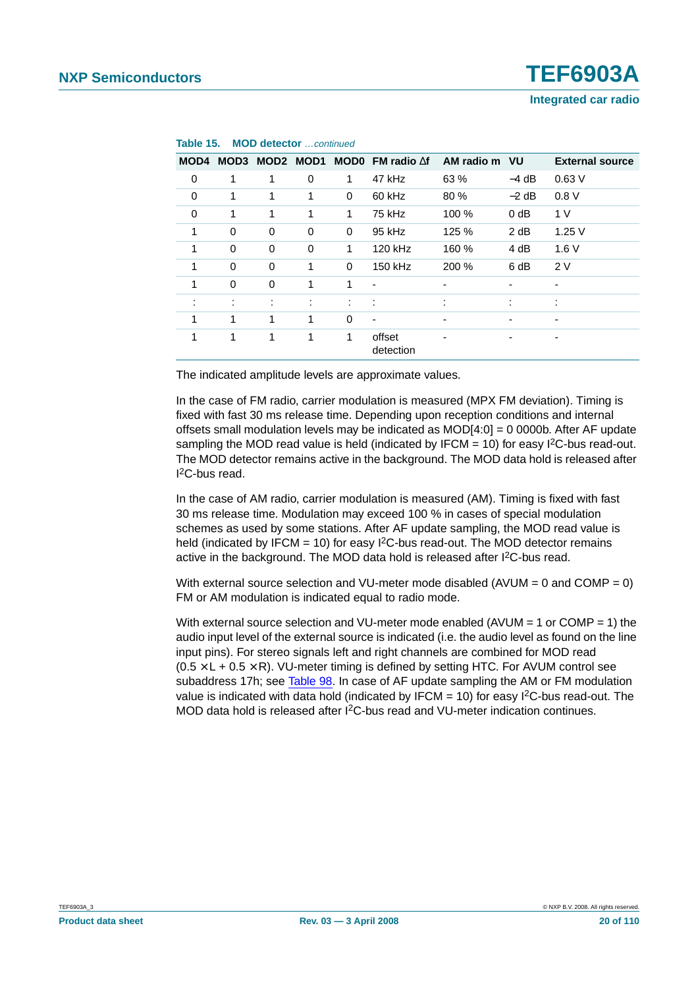**Integrated car radio**

| MOD4 | MOD3                 |                     | MOD2 MOD1         |          | <b>MOD0</b> FM radio $\Delta f$ | AM radio m VU  |         | <b>External source</b> |
|------|----------------------|---------------------|-------------------|----------|---------------------------------|----------------|---------|------------------------|
| 0    | 1                    | 1                   | 0                 | 1        | 47 kHz                          | 63 %           | $-4$ dB | 0.63V                  |
| 0    | 1                    | 1                   | 1                 | 0        | 60 kHz                          | 80 %           | $-2$ dB | 0.8V                   |
| 0    | 1                    | 1                   | 1                 | 1        | 75 kHz                          | 100 %          | $0$ dB  | 1 V                    |
| 1    | 0                    | $\mathbf 0$         | 0                 | 0        | 95 kHz                          | 125 %          | 2 dB    | 1.25V                  |
| 1    | 0                    | 0                   | 0                 | 1        | 120 kHz                         | 160 %          | 4 dB    | 1.6V                   |
| 1    | 0                    | $\mathbf 0$         | 1                 | $\Omega$ | 150 kHz                         | 200 %          | 6 dB    | 2V                     |
| 1    | 0                    | $\mathbf 0$         | 1                 | 1        | $\overline{a}$                  | -              |         | ٠                      |
|      | $\bullet$<br>$\cdot$ | ٠<br>$\blacksquare$ | ٠<br>$\mathbf{r}$ | ÷        | ÷                               | $\blacksquare$ | ٠       | ٠<br>٠.                |
| 1    | 1                    | 1                   | 1                 | $\Omega$ | $\overline{\phantom{a}}$        |                |         | ٠                      |
| 1    | 1                    | 1                   | 1                 | 1        | offset<br>detection             |                |         | -                      |

#### **Table 15. MOD detector** continued

The indicated amplitude levels are approximate values.

In the case of FM radio, carrier modulation is measured (MPX FM deviation). Timing is fixed with fast 30 ms release time. Depending upon reception conditions and internal offsets small modulation levels may be indicated as  $MOD[4:0] = 0$  0000b. After AF update sampling the MOD read value is held (indicated by IFCM  $=$  10) for easy I<sup>2</sup>C-bus read-out. The MOD detector remains active in the background. The MOD data hold is released after I 2C-bus read.

In the case of AM radio, carrier modulation is measured (AM). Timing is fixed with fast 30 ms release time. Modulation may exceed 100 % in cases of special modulation schemes as used by some stations. After AF update sampling, the MOD read value is held (indicated by IFCM = 10) for easy  $1<sup>2</sup>C$ -bus read-out. The MOD detector remains active in the background. The MOD data hold is released after I<sup>2</sup>C-bus read.

With external source selection and VU-meter mode disabled (AVUM =  $0$  and COMP =  $0$ ) FM or AM modulation is indicated equal to radio mode.

With external source selection and VU-meter mode enabled (AVUM = 1 or COMP = 1) the audio input level of the external source is indicated (i.e. the audio level as found on the line input pins). For stereo signals left and right channels are combined for MOD read  $(0.5 \times L + 0.5 \times R)$ . VU-meter timing is defined by setting HTC. For AVUM control see subaddress 17h; see [Table](#page-71-0) 98. In case of AF update sampling the AM or FM modulation value is indicated with data hold (indicated by IFCM = 10) for easy I<sup>2</sup>C-bus read-out. The MOD data hold is released after I2C-bus read and VU-meter indication continues.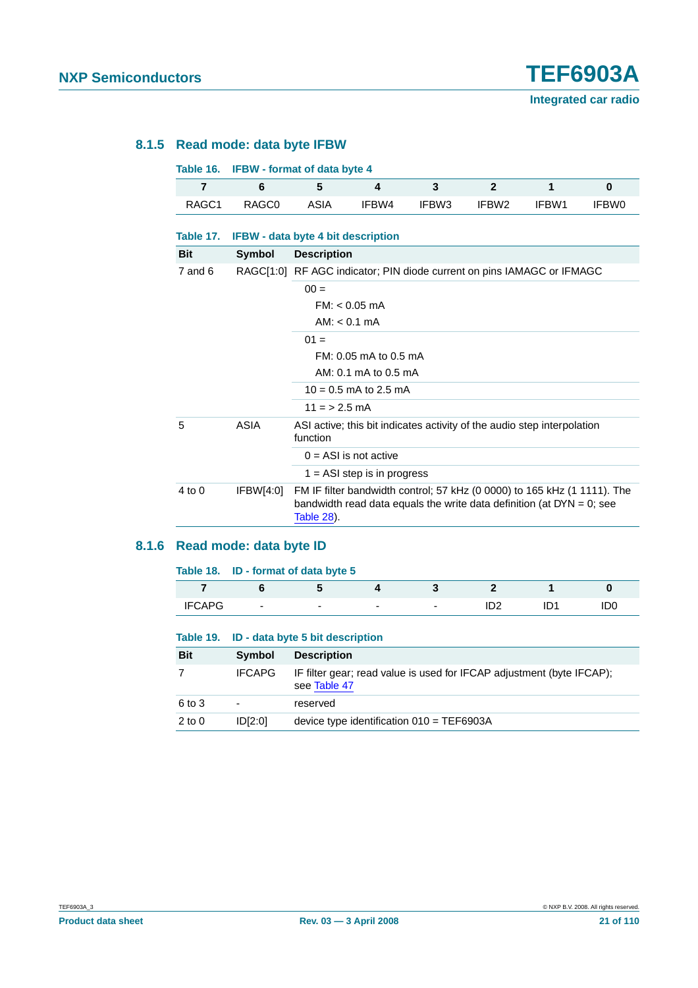#### <span id="page-20-0"></span>**8.1.5 Read mode: data byte IFBW**

| Table 16.   |                                           | <b>IFBW - format of data byte 4</b> |                                                                                                                                                      |       |                   |       |              |  |  |  |
|-------------|-------------------------------------------|-------------------------------------|------------------------------------------------------------------------------------------------------------------------------------------------------|-------|-------------------|-------|--------------|--|--|--|
| 7           | 6                                         | 5                                   | 4                                                                                                                                                    | 3     | $\overline{2}$    | 1     | $\bf{0}$     |  |  |  |
| RAGC1       | RAGC <sub>0</sub>                         | ASIA                                | IFBW4                                                                                                                                                | IFBW3 | IFBW <sub>2</sub> | IFBW1 | <b>IFBW0</b> |  |  |  |
| Table 17.   | <b>IFBW</b> - data byte 4 bit description |                                     |                                                                                                                                                      |       |                   |       |              |  |  |  |
| <b>Bit</b>  | Symbol                                    | <b>Description</b>                  |                                                                                                                                                      |       |                   |       |              |  |  |  |
| $7$ and $6$ |                                           |                                     | RAGC[1:0] RF AGC indicator; PIN diode current on pins IAMAGC or IFMAGC                                                                               |       |                   |       |              |  |  |  |
|             |                                           | $00 =$                              |                                                                                                                                                      |       |                   |       |              |  |  |  |
|             |                                           |                                     | $FM: < 0.05 \text{ mA}$                                                                                                                              |       |                   |       |              |  |  |  |
|             |                                           |                                     | $AM: < 0.1 \text{ mA}$                                                                                                                               |       |                   |       |              |  |  |  |
|             |                                           | $01 =$                              |                                                                                                                                                      |       |                   |       |              |  |  |  |
|             |                                           |                                     | FM: 0.05 mA to 0.5 mA                                                                                                                                |       |                   |       |              |  |  |  |
|             |                                           | AM: 0.1 mA to 0.5 mA                |                                                                                                                                                      |       |                   |       |              |  |  |  |
|             |                                           | $10 = 0.5$ mA to 2.5 mA             |                                                                                                                                                      |       |                   |       |              |  |  |  |
|             |                                           | $11 = 2.5$ mA                       |                                                                                                                                                      |       |                   |       |              |  |  |  |
| 5           | <b>ASIA</b>                               | function                            | ASI active; this bit indicates activity of the audio step interpolation                                                                              |       |                   |       |              |  |  |  |
|             |                                           |                                     | $0 = ASI$ is not active                                                                                                                              |       |                   |       |              |  |  |  |
|             |                                           |                                     | $1 = ASI$ step is in progress                                                                                                                        |       |                   |       |              |  |  |  |
| 4 to 0      | IFBW[4:0]                                 | Table 28).                          | FM IF filter bandwidth control; 57 kHz (0 0000) to 165 kHz (1 1111). The<br>bandwidth read data equals the write data definition (at $DYN = 0$ ; see |       |                   |       |              |  |  |  |

#### <span id="page-20-1"></span>**8.1.6 Read mode: data byte ID**

|               | Table 18. ID - format of data byte 5 |                          |                          |   |  |     |
|---------------|--------------------------------------|--------------------------|--------------------------|---|--|-----|
|               |                                      |                          |                          |   |  |     |
| <b>IFCAPG</b> | $\blacksquare$                       | $\overline{\phantom{a}}$ | $\overline{\phantom{0}}$ | - |  | IDO |

|            | Table 19. ID - data byte 5 bit description |                                                                                       |  |  |  |  |  |
|------------|--------------------------------------------|---------------------------------------------------------------------------------------|--|--|--|--|--|
| <b>Bit</b> | <b>Symbol</b>                              | <b>Description</b>                                                                    |  |  |  |  |  |
|            | <b>IFCAPG</b>                              | IF filter gear; read value is used for IFCAP adjustment (byte IFCAP);<br>see Table 47 |  |  |  |  |  |
| 6 to 3     |                                            | reserved                                                                              |  |  |  |  |  |
| $2$ to $0$ | ID[2:0]                                    | device type identification $010 = TEF6903A$                                           |  |  |  |  |  |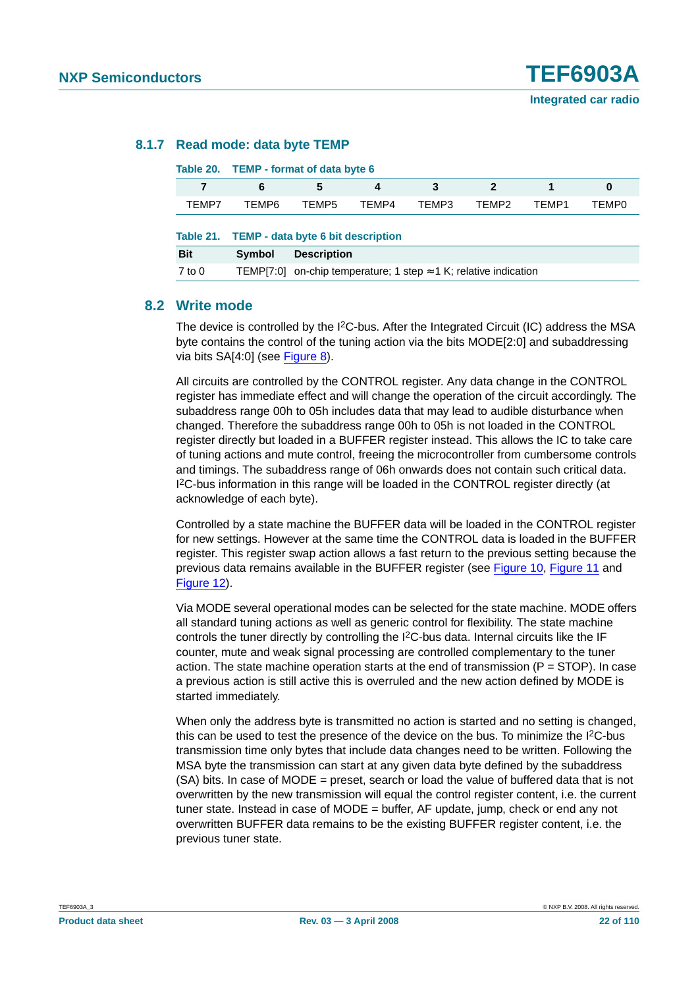#### <span id="page-21-0"></span>**8.1.7 Read mode: data byte TEMP**

### **Table 20. TEMP - format of data byte 6 7 6 5 4 3 2 1 0** TEMP7 TEMP6 TEMP5 TEMP4 TEMP3 TEMP2 TEMP1 TEMP0 **Table 21. TEMP - data byte 6 bit description Bit Symbol Description** 7 to 0 TEMP[7:0] on-chip temperature; 1 step ≈ 1 K; relative indication

#### **8.2 Write mode**

The device is controlled by the I<sup>2</sup>C-bus. After the Integrated Circuit (IC) address the MSA byte contains the control of the tuning action via the bits MODE[2:0] and subaddressing via bits SA[4:0] (see [Figure](#page-23-0) 8).

All circuits are controlled by the CONTROL register. Any data change in the CONTROL register has immediate effect and will change the operation of the circuit accordingly. The subaddress range 00h to 05h includes data that may lead to audible disturbance when changed. Therefore the subaddress range 00h to 05h is not loaded in the CONTROL register directly but loaded in a BUFFER register instead. This allows the IC to take care of tuning actions and mute control, freeing the microcontroller from cumbersome controls and timings. The subaddress range of 06h onwards does not contain such critical data. I 2C-bus information in this range will be loaded in the CONTROL register directly (at acknowledge of each byte).

Controlled by a state machine the BUFFER data will be loaded in the CONTROL register for new settings. However at the same time the CONTROL data is loaded in the BUFFER register. This register swap action allows a fast return to the previous setting because the previous data remains available in the BUFFER register (see [Figure](#page-25-0) 10, [Figure](#page-26-0) 11 and [Figure](#page-27-0) 12).

Via MODE several operational modes can be selected for the state machine. MODE offers all standard tuning actions as well as generic control for flexibility. The state machine controls the tuner directly by controlling the I<sup>2</sup>C-bus data. Internal circuits like the IF counter, mute and weak signal processing are controlled complementary to the tuner action. The state machine operation starts at the end of transmission ( $P = STOP$ ). In case a previous action is still active this is overruled and the new action defined by MODE is started immediately.

When only the address byte is transmitted no action is started and no setting is changed, this can be used to test the presence of the device on the bus. To minimize the I2C-bus transmission time only bytes that include data changes need to be written. Following the MSA byte the transmission can start at any given data byte defined by the subaddress (SA) bits. In case of MODE = preset, search or load the value of buffered data that is not overwritten by the new transmission will equal the control register content, i.e. the current tuner state. Instead in case of MODE = buffer, AF update, jump, check or end any not overwritten BUFFER data remains to be the existing BUFFER register content, i.e. the previous tuner state.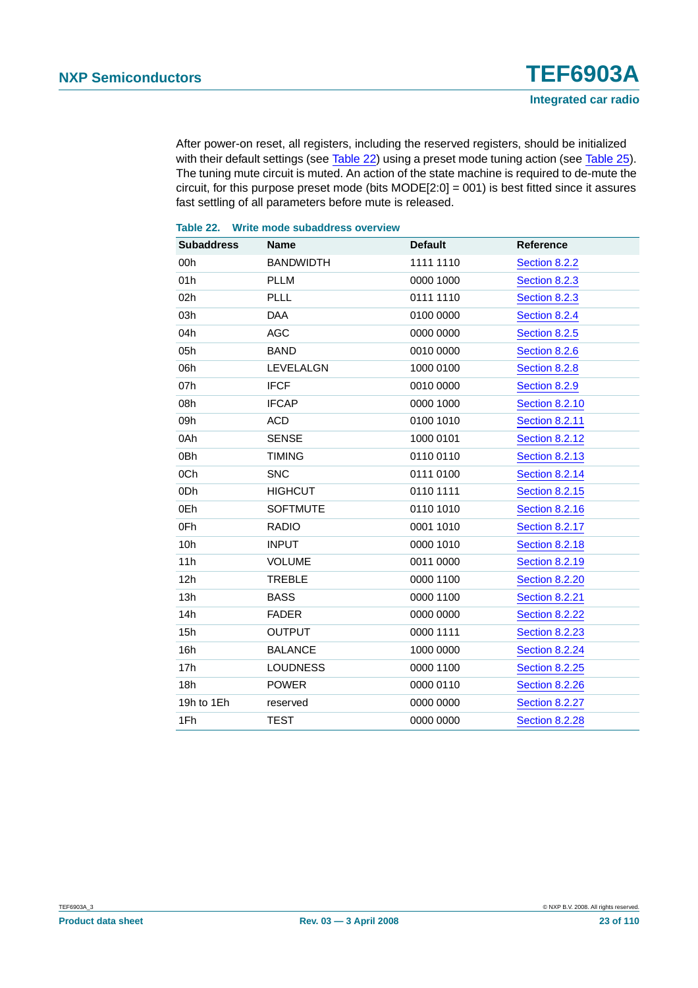After power-on reset, all registers, including the reserved registers, should be initialized with their default settings (see [Table](#page-28-0) 22) using a preset mode tuning action (see Table 25). The tuning mute circuit is muted. An action of the state machine is required to de-mute the circuit, for this purpose preset mode (bits MODE[2:0] = 001) is best fitted since it assures fast settling of all parameters before mute is released.

#### <span id="page-22-0"></span>**Table 22. Write mode subaddress overview Subaddress Name Default Reference** 00h BANDWIDTH 1111 1110 [Section](#page-34-0) 8.2.2 01h PLLM 0000 1000 [Section](#page-36-0) 8.2.3 02h PLLL 0111 1110 [Section](#page-36-0) 8.2.3 03h DAA 0100 0000 [Section](#page-36-1) 8.2.4 04h AGC 0000 0000 [Section](#page-37-0) 8.2.5 05h BAND 0010 0000 [Section](#page-38-0) 8.2.6 06h LEVELALGN 1000 0100 [Section](#page-40-1) 8.2.8 07h IFCF 0010 0000 [Section](#page-40-2) 8.2.9 08h IFCAP 0000 1000 [Section](#page-41-1) 8.2.10 09h ACD 0100 1010 [Section](#page-42-0) 8.2.11 0Ah SENSE 1000 0101 [Section](#page-43-0) 8.2.12 0Bh TIMING 0110 0110 [Section](#page-44-1) 8.2.13 0Ch SNC 0111 0100 [Section](#page-46-0) 8.2.14 0Dh HIGHCUT 0110 1111 [Section](#page-47-0) 8.2.15 0Eh SOFTMUTE 0110 1010 [Section](#page-50-0) 8.2.16 0Fh RADIO 0001 1010 [Section](#page-54-0) 8.2.17 10h INPUT 0000 1010 [Section](#page-56-0) 8.2.18 11h VOLUME 0011 0000 [Section](#page-58-0) 8.2.19 12h TREBLE 0000 1100 [Section](#page-65-0) 8.2.20 13h BASS 0000 1100 [Section](#page-66-0) 8.2.21 14h FADER 0000 0000 [Section](#page-68-0) 8.2.22 15h OUTPUT 0000 1111 [Section](#page-69-0) 8.2.23 16h BALANCE 1000 0000 [Section](#page-70-0) 8.2.24 17h LOUDNESS 0000 1100 [Section](#page-71-1) 8.2.25 18h POWER 0000 0110 [Section](#page-73-0) 8.2.26

19h to 1Eh reserved 0000 0000 0000 [Section](#page-73-1) 8.2.27 1Fh TEST 0000 0000 [Section](#page-74-0) 8.2.28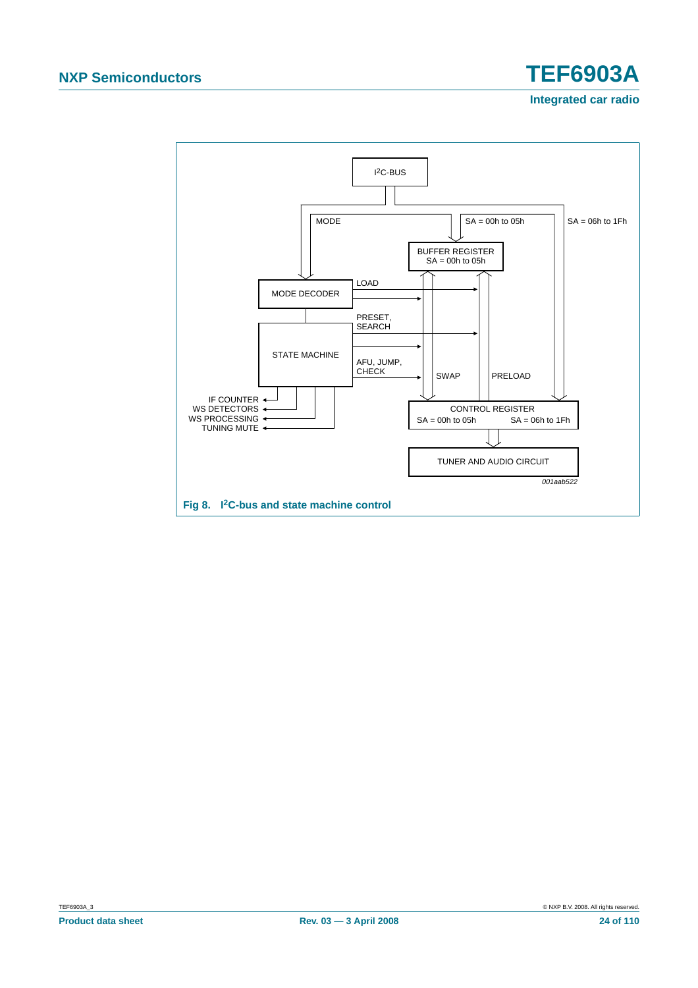<span id="page-23-0"></span>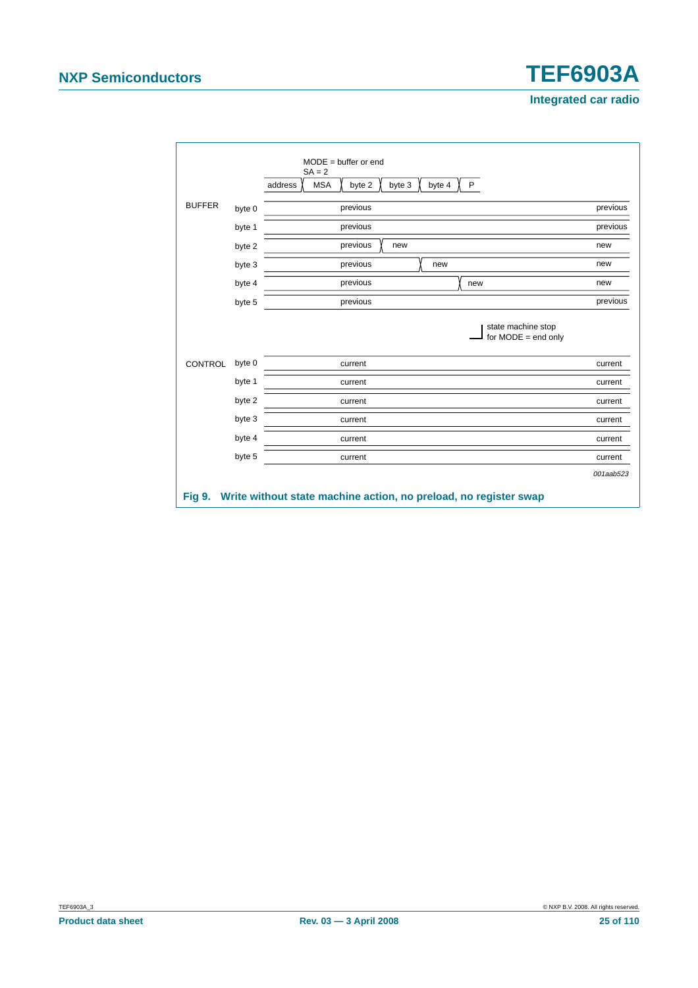<span id="page-24-0"></span>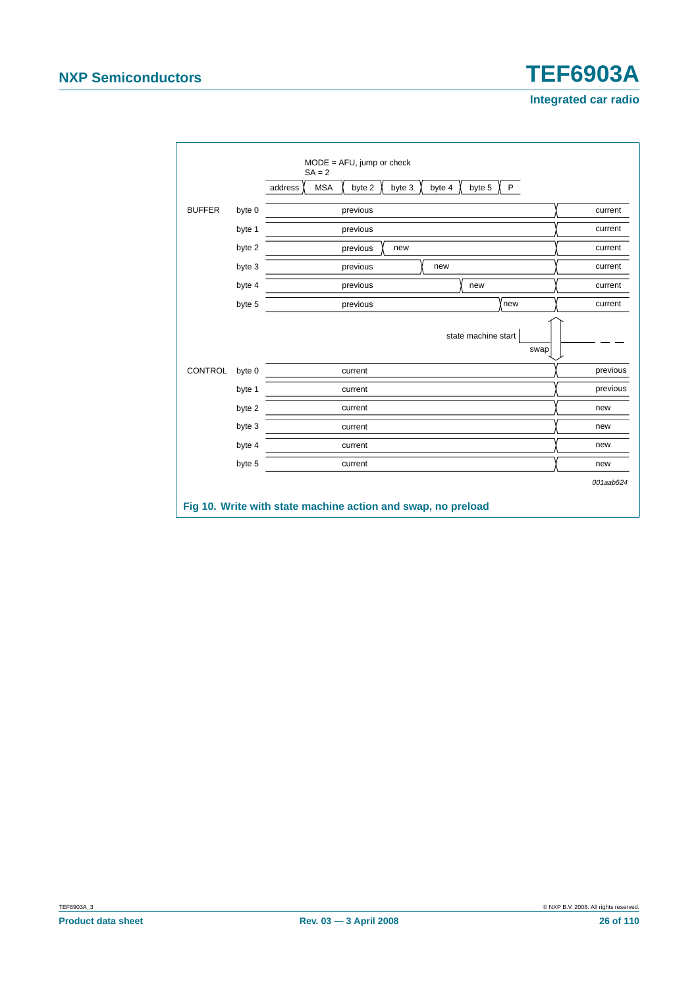<span id="page-25-0"></span>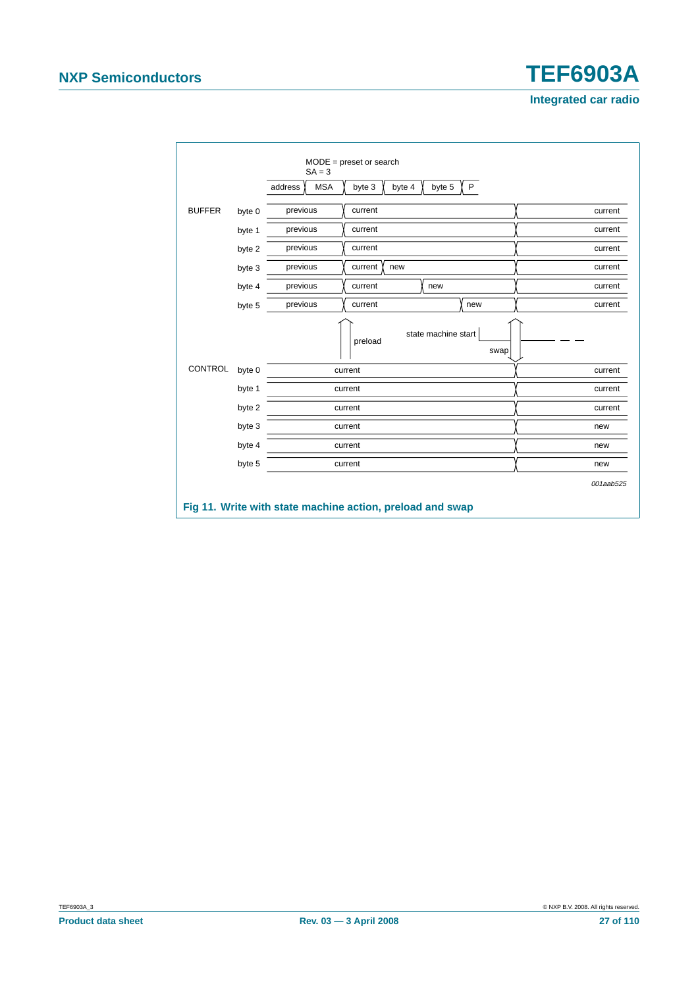<span id="page-26-0"></span>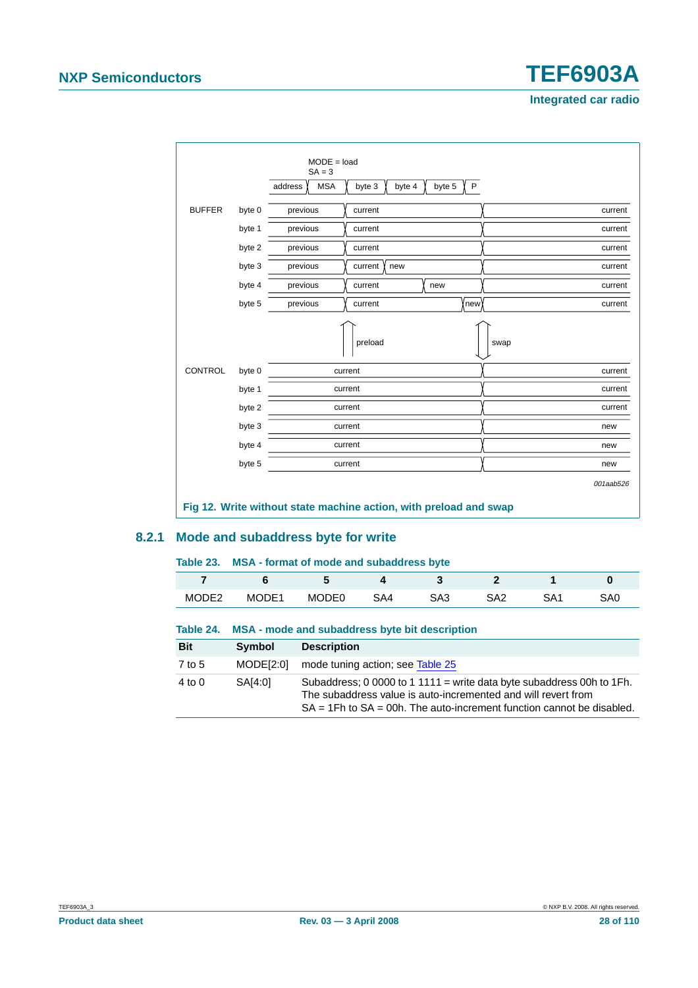

#### <span id="page-27-0"></span>**8.2.1 Mode and subaddress byte for write**

#### **Table 23. MSA - format of mode and subaddress byte**

|                   |       |       |     | . . |     |     |     |
|-------------------|-------|-------|-----|-----|-----|-----|-----|
|                   |       |       |     |     |     |     |     |
| MODE <sub>2</sub> | MODE1 | MODE0 | SA4 | SA3 | SA2 | SA1 | SA0 |

#### **Table 24. MSA - mode and subaddress byte bit description**

| <b>Bit</b> | Symbol    | <b>Description</b>                                                                                                                                                                                                   |
|------------|-----------|----------------------------------------------------------------------------------------------------------------------------------------------------------------------------------------------------------------------|
| 7 to 5     | MODEI2:01 | mode tuning action; see Table 25                                                                                                                                                                                     |
| $4$ to $0$ | SA[4:0]   | Subaddress; 0 0000 to 1 1111 = write data byte subaddress 00h to 1Fh.<br>The subaddress value is auto-incremented and will revert from<br>$SA = 1Fh$ to $SA = 00h$ . The auto-increment function cannot be disabled. |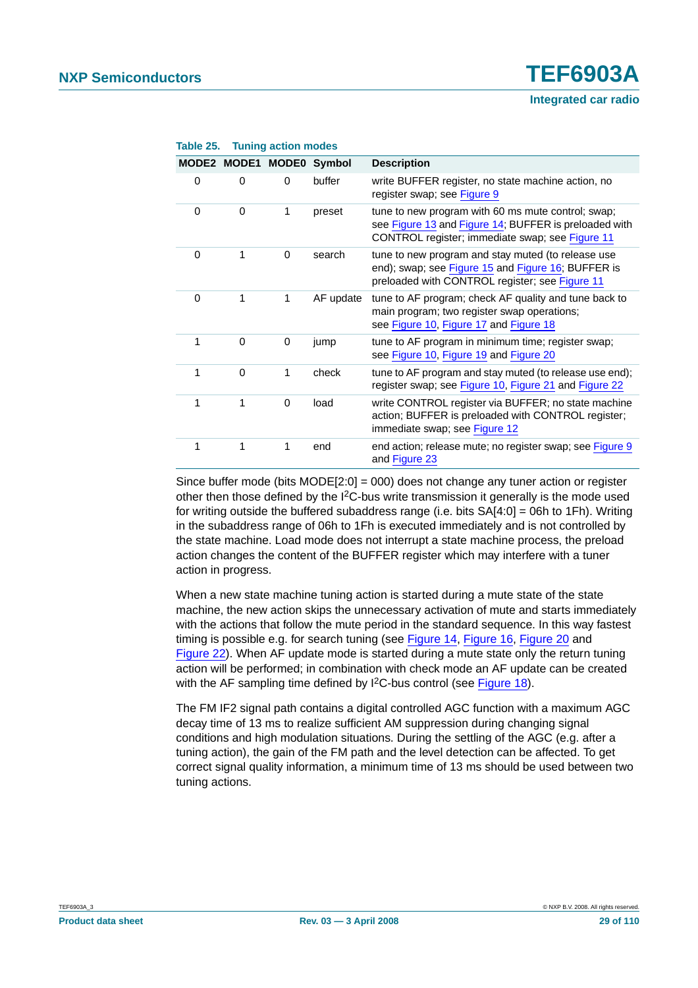|          | MODE2 MODE1 MODE0 |          | Symbol    | <b>Description</b>                                                                                                                                             |
|----------|-------------------|----------|-----------|----------------------------------------------------------------------------------------------------------------------------------------------------------------|
| 0        | $\Omega$          | $\Omega$ | buffer    | write BUFFER register, no state machine action, no<br>register swap; see Figure 9                                                                              |
| 0        | 0                 | 1        | preset    | tune to new program with 60 ms mute control; swap;<br>see Figure 13 and Figure 14; BUFFER is preloaded with<br>CONTROL register; immediate swap; see Figure 11 |
| 0        | 1                 | $\Omega$ | search    | tune to new program and stay muted (to release use<br>end); swap; see Figure 15 and Figure 16; BUFFER is<br>preloaded with CONTROL register; see Figure 11     |
| $\Omega$ | 1                 | 1        | AF update | tune to AF program; check AF quality and tune back to<br>main program; two register swap operations;<br>see Figure 10, Figure 17 and Figure 18                 |
| 1        | $\Omega$          | $\Omega$ | jump      | tune to AF program in minimum time; register swap;<br>see Figure 10, Figure 19 and Figure 20                                                                   |
| 1        | $\Omega$          | 1        | check     | tune to AF program and stay muted (to release use end);<br>register swap; see Figure 10, Figure 21 and Figure 22                                               |
| 1        | 1                 | $\Omega$ | load      | write CONTROL register via BUFFER; no state machine<br>action; BUFFER is preloaded with CONTROL register;<br>immediate swap; see Figure 12                     |
| 1        | 1                 | 1        | end       | end action; release mute; no register swap; see Figure 9<br>and Figure 23                                                                                      |

#### <span id="page-28-0"></span>**Table 25. Tuning action modes**

Since buffer mode (bits MODE[2:0] = 000) does not change any tuner action or register other then those defined by the I<sup>2</sup>C-bus write transmission it generally is the mode used for writing outside the buffered subaddress range (i.e. bits SA[4:0] = 06h to 1Fh). Writing in the subaddress range of 06h to 1Fh is executed immediately and is not controlled by the state machine. Load mode does not interrupt a state machine process, the preload action changes the content of the BUFFER register which may interfere with a tuner action in progress.

When a new state machine tuning action is started during a mute state of the state machine, the new action skips the unnecessary activation of mute and starts immediately with the actions that follow the mute period in the standard sequence. In this way fastest timing is possible e.g. for search tuning (see [Figure](#page-29-1) 14, [Figure](#page-30-1) 16, [Figure](#page-32-1) 20 and [Figure](#page-33-1) 22). When AF update mode is started during a mute state only the return tuning action will be performed; in combination with check mode an AF update can be created with the AF sampling time defined by I<sup>2</sup>C-bus control (see [Figure](#page-31-1) 18).

The FM IF2 signal path contains a digital controlled AGC function with a maximum AGC decay time of 13 ms to realize sufficient AM suppression during changing signal conditions and high modulation situations. During the settling of the AGC (e.g. after a tuning action), the gain of the FM path and the level detection can be affected. To get correct signal quality information, a minimum time of 13 ms should be used between two tuning actions.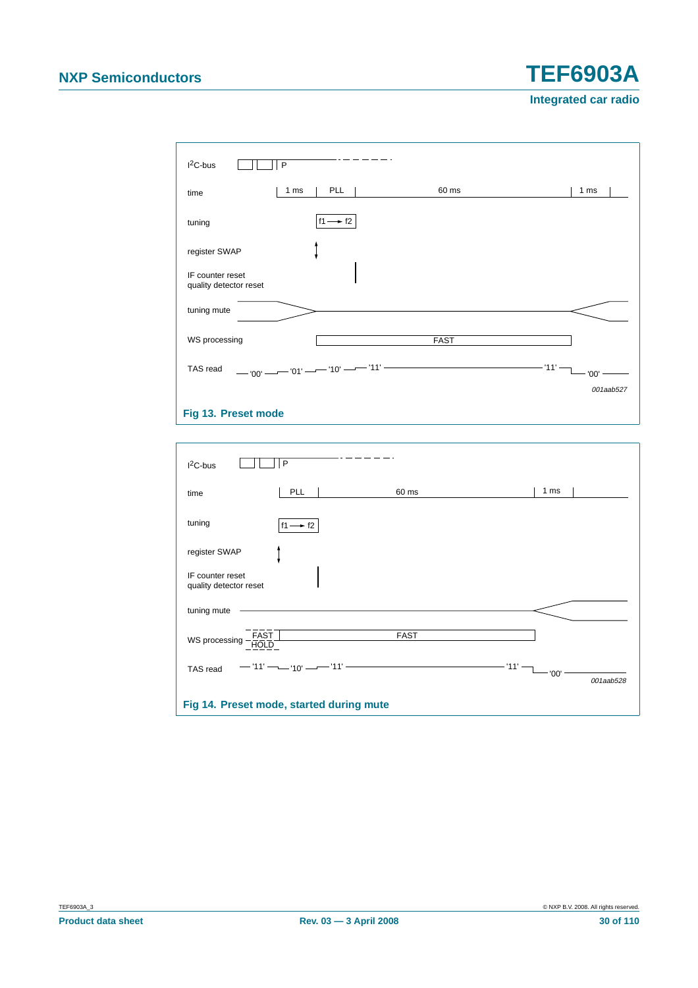| $12C-bus$                                  | P                                 |             |                 |
|--------------------------------------------|-----------------------------------|-------------|-----------------|
| time                                       | PLL<br>1 ms                       | 60 ms       | 1 <sub>ms</sub> |
| tuning                                     | $f1 \rightarrow f2$               |             |                 |
| register SWAP                              |                                   |             |                 |
| IF counter reset<br>quality detector reset |                                   |             |                 |
| tuning mute                                |                                   |             |                 |
| WS processing                              |                                   | <b>FAST</b> |                 |
| TAS read                                   | — '00' — — '01' — — '10' — — '11' |             | '11'<br>'00'    |
|                                            |                                   |             | 001aab527       |
| Fig 13. Preset mode                        |                                   |             |                 |

<span id="page-29-1"></span><span id="page-29-0"></span>

| $I2C-bus$                                  | P                                        |                                                                                      |                   |
|--------------------------------------------|------------------------------------------|--------------------------------------------------------------------------------------|-------------------|
| time                                       | PLL                                      | 60 ms                                                                                | 1 ms              |
| tuning                                     | $f1 \rightarrow f2$                      |                                                                                      |                   |
| register SWAP                              |                                          |                                                                                      |                   |
| IF counter reset<br>quality detector reset |                                          |                                                                                      |                   |
| tuning mute                                |                                          |                                                                                      |                   |
| FAST<br>HOLD<br>WS processing              |                                          | <b>FAST</b>                                                                          |                   |
| TAS read                                   | $-11'$ - $-10'$ - $-11'$                 | the control of the control of the control of the control of the control of<br>- '11' | '00'<br>001aab528 |
|                                            | Fig 14. Preset mode, started during mute |                                                                                      |                   |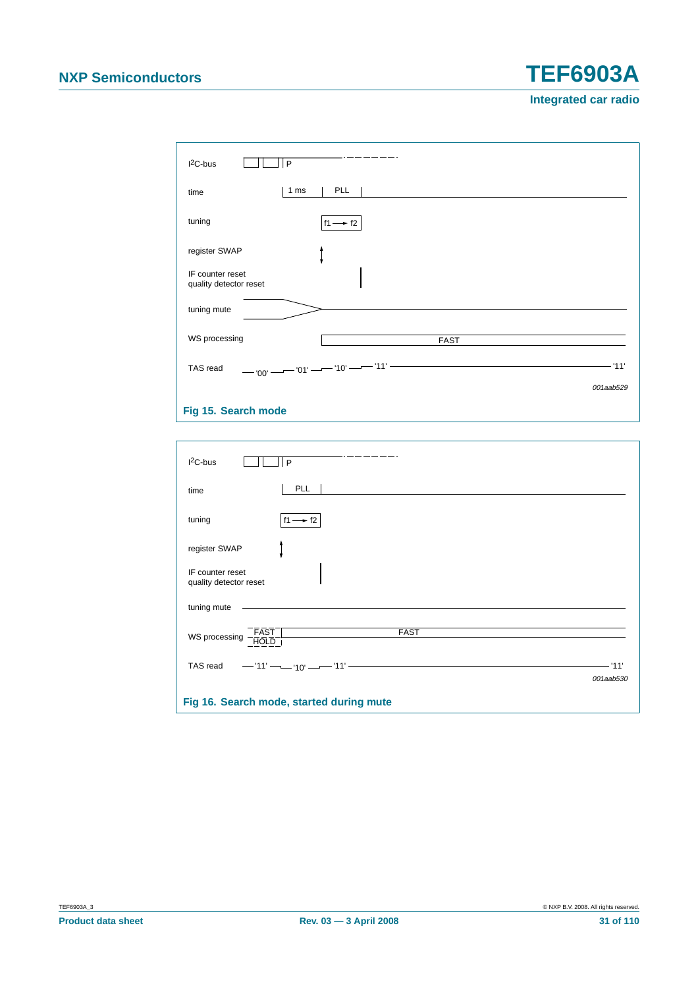| $I2C-bus$<br>P                             |                                                                                              |           |
|--------------------------------------------|----------------------------------------------------------------------------------------------|-----------|
| 1 ms<br>time                               | PLL                                                                                          |           |
| tuning                                     | $f1 \rightarrow f2$                                                                          |           |
| register SWAP                              |                                                                                              |           |
| IF counter reset<br>quality detector reset |                                                                                              |           |
| tuning mute                                |                                                                                              |           |
| WS processing                              | <b>FAST</b>                                                                                  |           |
| TAS read                                   | — '00' —— '01' —— '10' —— '11'<br><u> 1989 - Johann Barn, amerikansk politiker (d. 1989)</u> | '11'      |
|                                            |                                                                                              | 001aab529 |
| Fig 15. Search mode                        |                                                                                              |           |

<span id="page-30-1"></span><span id="page-30-0"></span>

| $12C$ -bus<br>P                                |                    |
|------------------------------------------------|--------------------|
| PLL<br>time                                    |                    |
| tuning<br>$f1 \rightarrow f2$                  |                    |
| register SWAP                                  |                    |
| IF counter reset<br>quality detector reset     |                    |
| tuning mute                                    |                    |
| FAST<br>HOLD<br><b>FAST</b><br>WS processing - |                    |
| TAS read<br>$-11'$ - $-10'$ - $-11'$ -         | $-11$<br>001aab530 |
| Fig 16. Search mode, started during mute       |                    |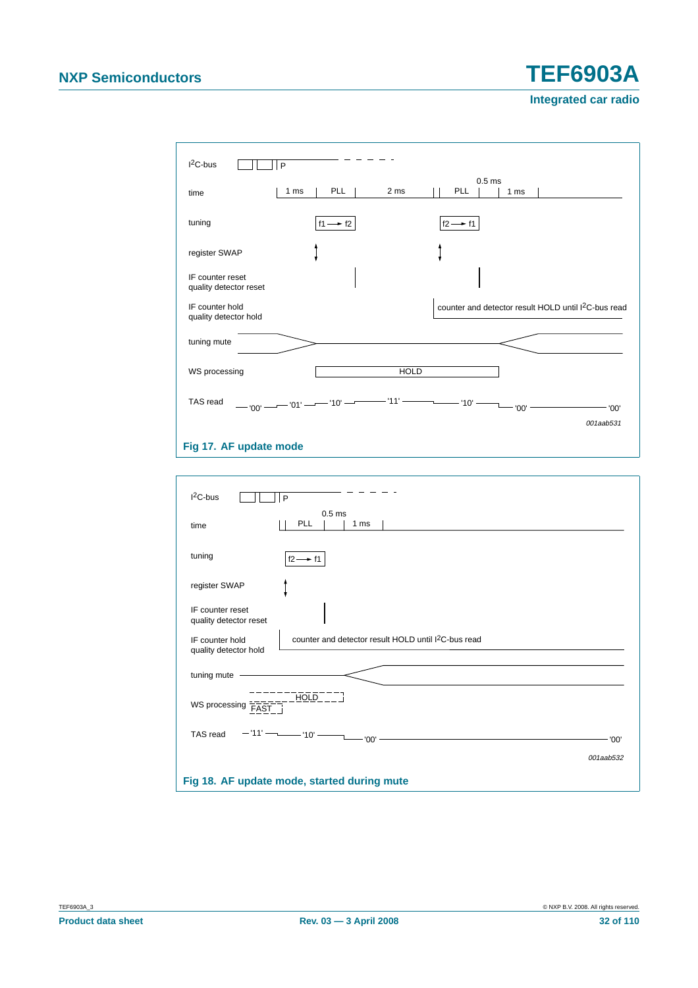**Integrated car radio**



#### <span id="page-31-0"></span>**Fig 17. AF update mode**

<span id="page-31-1"></span>

| $I2C-bus$<br>P                                                                                               |           |
|--------------------------------------------------------------------------------------------------------------|-----------|
| 0.5 <sub>ms</sub><br>PLL<br>1 <sub>ms</sub><br>time                                                          |           |
| tuning<br>$f2 \rightarrow f1$                                                                                |           |
| register SWAP                                                                                                |           |
| IF counter reset<br>quality detector reset                                                                   |           |
| counter and detector result HOLD until I <sup>2</sup> C-bus read<br>IF counter hold<br>quality detector hold |           |
| tuning mute                                                                                                  |           |
| HOLD<br>WS processing<br><b>FAST</b>                                                                         |           |
| $-11'$ - $  -10'$ -<br>TAS read<br>- '00'                                                                    | '00'      |
|                                                                                                              | 001aab532 |
| Fig 18. AF update mode, started during mute                                                                  |           |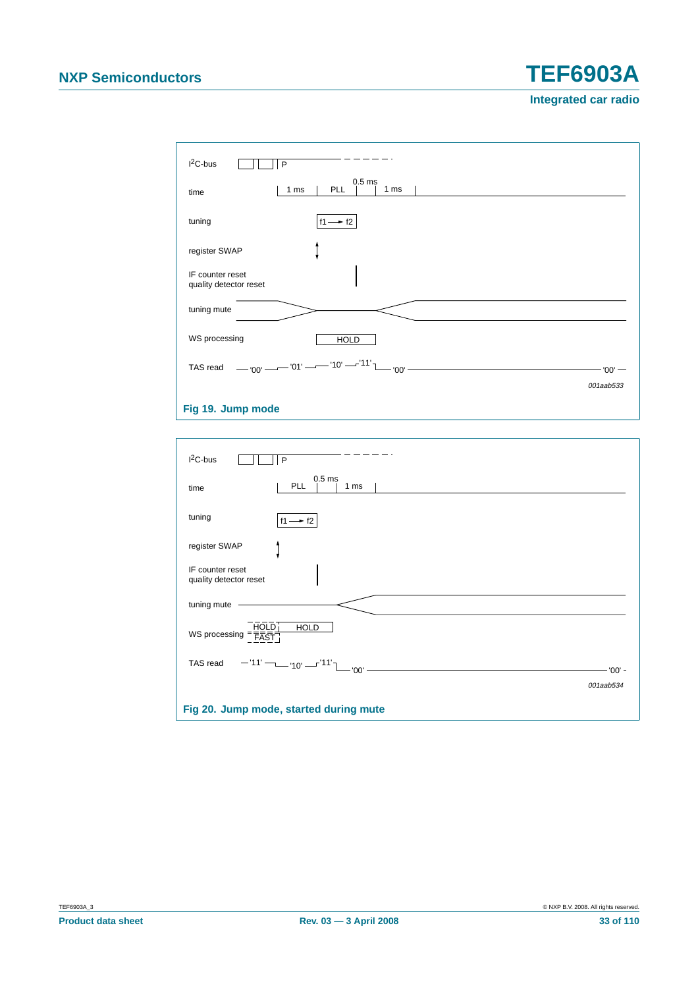**Integrated car radio**

| $12C-bus$<br>P                             |                                                 |           |
|--------------------------------------------|-------------------------------------------------|-----------|
| time                                       | 0.5 <sub>ms</sub><br>PLL<br>1 ms<br>1 ms        |           |
| tuning                                     | $f1 \rightarrow f2$                             |           |
| register SWAP                              |                                                 |           |
| IF counter reset<br>quality detector reset |                                                 |           |
| tuning mute                                |                                                 |           |
| WS processing                              | <b>HOLD</b>                                     |           |
| TAS read                                   | -00' --- $-$ '01' --- '10' --- '11' $\sim$ '00' | $'00'$ —  |
|                                            |                                                 | 001aab533 |
| Fig 19. Jump mode                          |                                                 |           |

<span id="page-32-0"></span>**I** 

<span id="page-32-1"></span>

| $12C$ -bus<br>P                                                         |           |
|-------------------------------------------------------------------------|-----------|
| 0.5 <sub>ms</sub><br>PLL<br>1 ms<br>time                                |           |
| tuning<br>$f1 \rightarrow f2$                                           |           |
| register SWAP                                                           |           |
| IF counter reset<br>quality detector reset                              |           |
| tuning mute                                                             |           |
| WS processing $=\frac{\overline{HOLD}}{\overline{FAST}}$<br><b>HOLD</b> |           |
| TAS read $-11'$ - $-10'$ - $-11'$ - $-10'$ - $-11'$ - $-100'$ -         | - '00' -  |
|                                                                         | 001aab534 |
| Fig 20. Jump mode, started during mute                                  |           |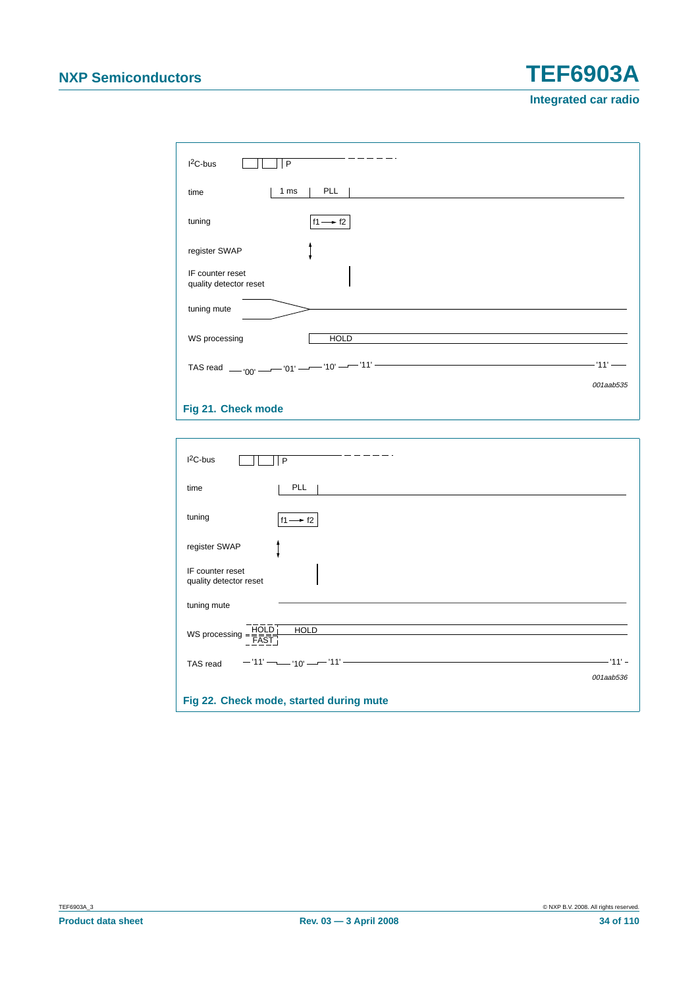**Integrated car radio**

| $I2C-bus$<br>P                             |                                                                                                          |           |
|--------------------------------------------|----------------------------------------------------------------------------------------------------------|-----------|
| 1 ms<br>time                               | PLL                                                                                                      |           |
| tuning                                     | $f1 \rightarrow f2$                                                                                      |           |
| register SWAP                              |                                                                                                          |           |
| IF counter reset<br>quality detector reset |                                                                                                          |           |
| tuning mute                                |                                                                                                          |           |
| WS processing                              | <b>HOLD</b>                                                                                              |           |
|                                            | TAS read $_{\text{O0'}}$ - $\frac{10!}{10!}$ - $\frac{10!}{10!}$ - $\frac{11!}{10!}$ - $\frac{11!}{10!}$ | $-11'$    |
|                                            |                                                                                                          | 001aab535 |

#### <span id="page-33-0"></span>**Fig 21. Check mode**

<span id="page-33-1"></span>

| $12C$ -bus<br>P                                                                                        |                       |
|--------------------------------------------------------------------------------------------------------|-----------------------|
| PLL<br>time                                                                                            |                       |
| tuning<br>$f1 \rightarrow f2$                                                                          |                       |
| register SWAP                                                                                          |                       |
| IF counter reset<br>quality detector reset                                                             |                       |
| tuning mute                                                                                            |                       |
| WS processing $=\frac{\overline{HOLD}}{\overline{FAST}}$<br><b>HOLD</b>                                |                       |
| <u> 1989 - Johann Barn, amerikansk politiker (d. 1989)</u><br>$-11'$ $  -10'$ $  -11'$ $-$<br>TAS read | — '11' –<br>001aab536 |
| Fig 22. Check mode, started during mute                                                                |                       |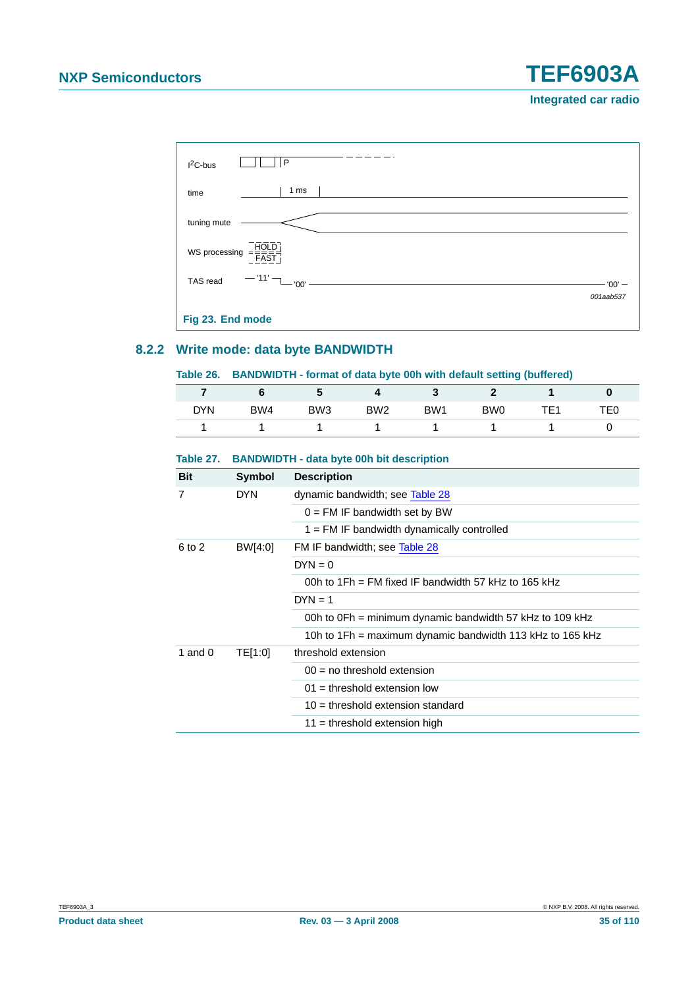#### **Integrated car radio**



#### <span id="page-34-1"></span><span id="page-34-0"></span>**8.2.2 Write mode: data byte BANDWIDTH**

#### **Table 26. BANDWIDTH - format of data byte 00h with default setting (buffered)**

|            |     |                 |                 | w               |                 |                 |                 |
|------------|-----|-----------------|-----------------|-----------------|-----------------|-----------------|-----------------|
| <b>DYN</b> | BW4 | BW <sub>3</sub> | BW <sub>2</sub> | BW <sub>1</sub> | BW <sub>0</sub> | TF <sub>1</sub> | TE <sub>0</sub> |
|            |     |                 |                 |                 |                 |                 |                 |

#### **Bit Symbol Description** 7 DYN dynamic bandwidth; see [Table](#page-35-0) 28  $0 = FM$  IF bandwidth set by BW  $1 = FM$  IF bandwidth dynamically controlled 6 to 2 BW[4:0] FM IF bandwidth; see [Table](#page-35-0) 28  $DYN = 0$ 00h to 1Fh = FM fixed IF bandwidth 57 kHz to 165 kHz  $DYN = 1$ 00h to 0Fh = minimum dynamic bandwidth 57 kHz to 109 kHz 10h to 1Fh = maximum dynamic bandwidth 113 kHz to 165 kHz 1 and 0 TE[1:0] threshold extension  $00 =$  no threshold extension  $01 =$  threshold extension low 10 = threshold extension standard  $11 =$  threshold extension high

#### **Table 27. BANDWIDTH - data byte 00h bit description**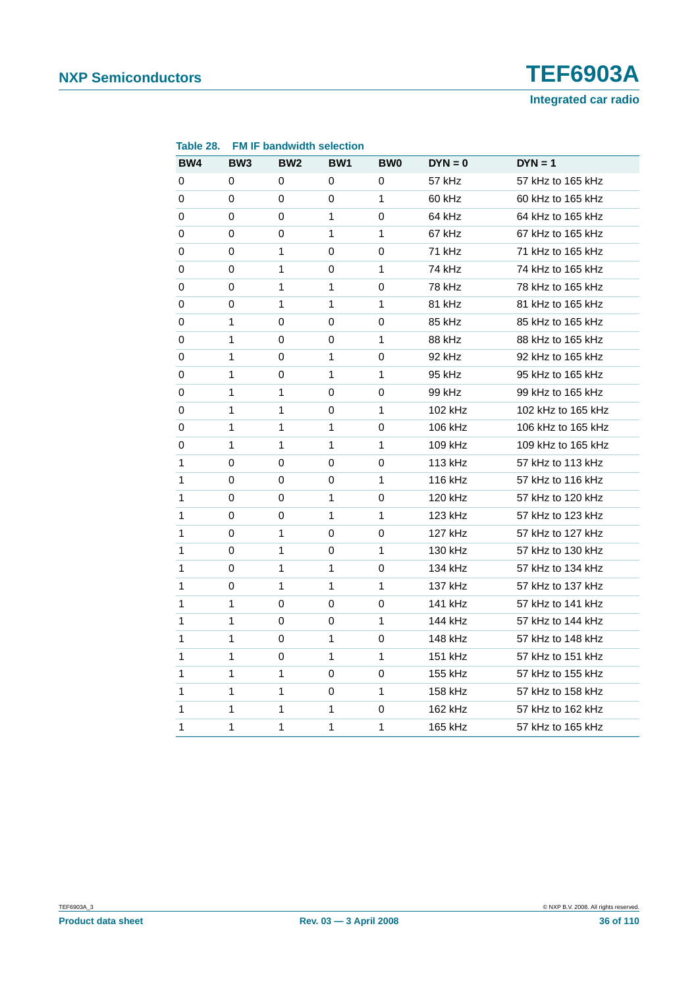<span id="page-35-0"></span>

| BW4 | BW <sub>3</sub> | BW <sub>2</sub> | BW1 | <b>BW0</b>   | $DYN = 0$ | $DYN = 1$          |
|-----|-----------------|-----------------|-----|--------------|-----------|--------------------|
| 0   | 0               | 0               | 0   | 0            | 57 kHz    | 57 kHz to 165 kHz  |
| 0   | 0               | 0               | 0   | $\mathbf{1}$ | 60 kHz    | 60 kHz to 165 kHz  |
| 0   | 0               | 0               | 1   | 0            | 64 kHz    | 64 kHz to 165 kHz  |
| 0   | 0               | 0               | 1   | 1            | 67 kHz    | 67 kHz to 165 kHz  |
| 0   | 0               | 1               | 0   | 0            | 71 kHz    | 71 kHz to 165 kHz  |
| 0   | 0               | 1               | 0   | 1            | 74 kHz    | 74 kHz to 165 kHz  |
| 0   | 0               | 1               | 1   | 0            | 78 kHz    | 78 kHz to 165 kHz  |
| 0   | 0               | 1               | 1   | 1            | 81 kHz    | 81 kHz to 165 kHz  |
| 0   | 1               | 0               | 0   | 0            | 85 kHz    | 85 kHz to 165 kHz  |
| 0   | 1               | 0               | 0   | 1            | 88 kHz    | 88 kHz to 165 kHz  |
| 0   | 1               | 0               | 1   | 0            | 92 kHz    | 92 kHz to 165 kHz  |
| 0   | 1               | 0               | 1   | 1            | 95 kHz    | 95 kHz to 165 kHz  |
| 0   | 1               | 1               | 0   | 0            | 99 kHz    | 99 kHz to 165 kHz  |
| 0   | 1               | 1               | 0   | 1            | 102 kHz   | 102 kHz to 165 kHz |
| 0   | 1               | 1               | 1   | 0            | 106 kHz   | 106 kHz to 165 kHz |
| 0   | 1               | 1               | 1   | $\mathbf{1}$ | 109 kHz   | 109 kHz to 165 kHz |
| 1   | $\Omega$        | $\Omega$        | 0   | 0            | 113 kHz   | 57 kHz to 113 kHz  |
| 1   | 0               | 0               | 0   | 1            | 116 kHz   | 57 kHz to 116 kHz  |
| 1   | 0               | 0               | 1   | 0            | 120 kHz   | 57 kHz to 120 kHz  |
| 1   | 0               | 0               | 1   | $\mathbf{1}$ | 123 kHz   | 57 kHz to 123 kHz  |
| 1   | 0               | 1               | 0   | 0            | 127 kHz   | 57 kHz to 127 kHz  |
| 1   | 0               | 1               | 0   | 1            | 130 kHz   | 57 kHz to 130 kHz  |
| 1   | 0               | 1               | 1   | 0            | 134 kHz   | 57 kHz to 134 kHz  |
| 1   | 0               | 1               | 1   | $\mathbf{1}$ | 137 kHz   | 57 kHz to 137 kHz  |
| 1   | 1               | 0               | 0   | 0            | 141 kHz   | 57 kHz to 141 kHz  |
| 1   | 1               | 0               | 0   | 1            | 144 kHz   | 57 kHz to 144 kHz  |
| 1   | 1               | 0               | 1   | 0            | 148 kHz   | 57 kHz to 148 kHz  |
| 1   | 1               | $\Omega$        | 1   | 1            | 151 kHz   | 57 kHz to 151 kHz  |
| 1   | 1               | 1               | 0   | 0            | 155 kHz   | 57 kHz to 155 kHz  |
| 1   | 1               | 1               | 0   | 1            | 158 kHz   | 57 kHz to 158 kHz  |
| 1   | 1               | 1               | 1   | 0            | 162 kHz   | 57 kHz to 162 kHz  |
| 1   | 1               | 1               | 1   | 1            | 165 kHz   | 57 kHz to 165 kHz  |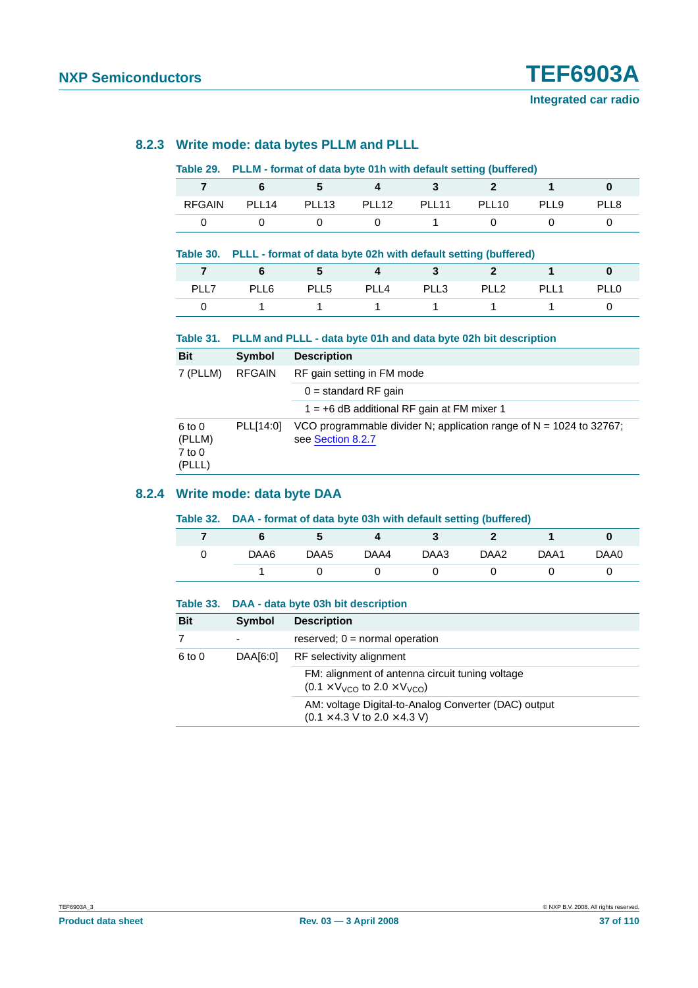#### **8.2.3 Write mode: data bytes PLLM and PLLL**

#### **Table 29. PLLM - format of data byte 01h with default setting (buffered)**

| <b>RFGAIN</b> | PLL <sub>14</sub> | PLL <sub>13</sub> | PLL <sub>12</sub> | PI 11 | PLL <sub>10</sub> | PLL9 | PI I 8 |
|---------------|-------------------|-------------------|-------------------|-------|-------------------|------|--------|
|               |                   |                   |                   |       |                   |      |        |

#### **Table 30. PLLL - format of data byte 02h with default setting (buffered)**

| 7 6 5 4 3 2 1 |      |                |  |      |  |
|---------------|------|----------------|--|------|--|
| PLL6          | PLL5 | PLL4 PLL3 PLL2 |  | PLL1 |  |
|               |      | 1 1 1 1 1      |  |      |  |

#### **Table 31. PLLM and PLLL - data byte 01h and data byte 02h bit description**

| <b>Bit</b>                             | <b>Symbol</b> | <b>Description</b>                                                                         |  |  |  |
|----------------------------------------|---------------|--------------------------------------------------------------------------------------------|--|--|--|
| 7 (PLLM)                               | <b>RFGAIN</b> | RF gain setting in FM mode                                                                 |  |  |  |
|                                        |               | $0 =$ standard RF gain                                                                     |  |  |  |
|                                        |               | $1 = +6$ dB additional RF gain at FM mixer 1                                               |  |  |  |
| 6 to 0<br>(PLLM)<br>$7$ to 0<br>(PLLL) | PLL[14:0]     | VCO programmable divider N; application range of $N = 1024$ to 32767;<br>see Section 8.2.7 |  |  |  |

#### **8.2.4 Write mode: data byte DAA**

#### **Table 32. DAA - format of data byte 03h with default setting (buffered)**

|      |      |      |      | ____ | __   |      |
|------|------|------|------|------|------|------|
|      | b.   | 4    |      | 2    |      |      |
| DAA6 | DAA5 | DAA4 | DAA3 | DAA2 | DAA1 | DAA0 |
|      |      |      |      |      |      |      |

#### **Table 33. DAA - data byte 03h bit description**

| <b>Bit</b> | Symbol   | <b>Description</b>                                                                                                |  |  |
|------------|----------|-------------------------------------------------------------------------------------------------------------------|--|--|
|            | -        | reserved; $0 = normal operation$                                                                                  |  |  |
| 6 to 0     | DAA[6:0] | RF selectivity alignment                                                                                          |  |  |
|            |          | FM: alignment of antenna circuit tuning voltage<br>$(0.1 \times V_{VCO}$ to $2.0 \times V_{VCO}$ )                |  |  |
|            |          | AM: voltage Digital-to-Analog Converter (DAC) output<br>$(0.1 \times 4.3 \text{ V to } 2.0 \times 4.3 \text{ V})$ |  |  |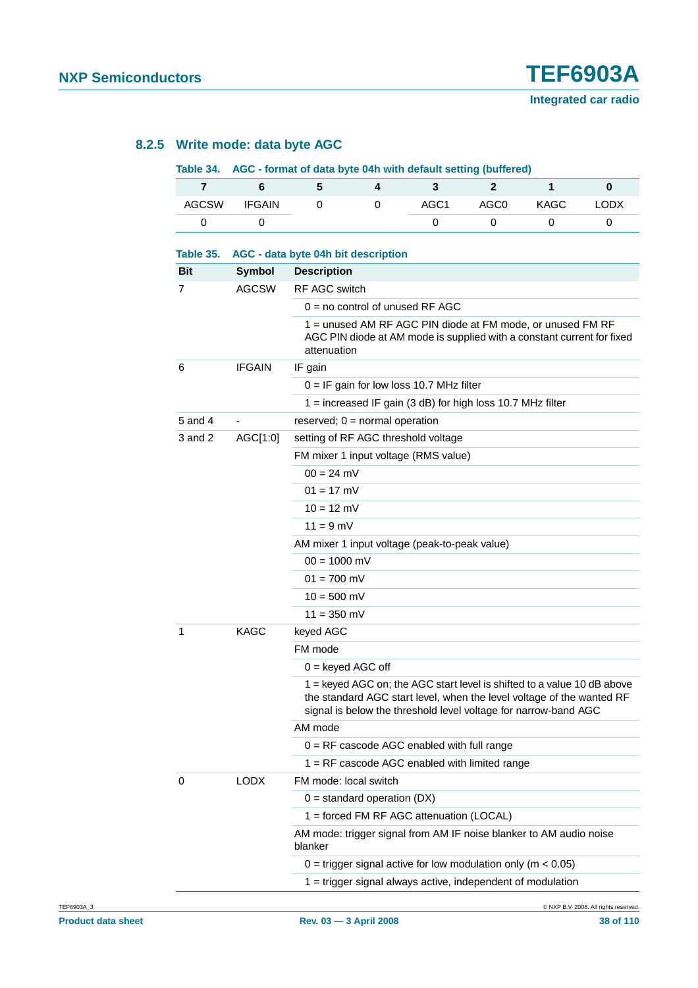#### **8.2.5 Write mode: data byte AGC**

#### **Table 34. AGC - format of data byte 04h with default setting (buffered)**

| AGCSW | <b>IFGAIN</b> | $\overline{0}$ | $\overline{0}$ | AGC1 |              | AGC0 KAGC | <b>LODX</b> |
|-------|---------------|----------------|----------------|------|--------------|-----------|-------------|
|       |               |                |                |      | $\mathbf{U}$ |           |             |

| Table 35.   |               | AGC - data byte 04h bit description                                                                                                                                                                                 |  |  |  |
|-------------|---------------|---------------------------------------------------------------------------------------------------------------------------------------------------------------------------------------------------------------------|--|--|--|
| Bit         | Symbol        | <b>Description</b>                                                                                                                                                                                                  |  |  |  |
| 7           | <b>AGCSW</b>  | <b>RF AGC switch</b>                                                                                                                                                                                                |  |  |  |
|             |               | $0 =$ no control of unused RF AGC                                                                                                                                                                                   |  |  |  |
|             |               | 1 = unused AM RF AGC PIN diode at FM mode, or unused FM RF<br>AGC PIN diode at AM mode is supplied with a constant current for fixed<br>attenuation                                                                 |  |  |  |
| 6           | <b>IFGAIN</b> | IF gain                                                                                                                                                                                                             |  |  |  |
|             |               | $0 = IF$ gain for low loss 10.7 MHz filter                                                                                                                                                                          |  |  |  |
|             |               | $1 =$ increased IF gain (3 dB) for high loss 10.7 MHz filter                                                                                                                                                        |  |  |  |
| $5$ and $4$ |               | reserved; $0 = normal operation$                                                                                                                                                                                    |  |  |  |
| 3 and 2     | AGC[1:0]      | setting of RF AGC threshold voltage                                                                                                                                                                                 |  |  |  |
|             |               | FM mixer 1 input voltage (RMS value)                                                                                                                                                                                |  |  |  |
|             |               | $00 = 24$ mV                                                                                                                                                                                                        |  |  |  |
|             |               | $01 = 17$ mV                                                                                                                                                                                                        |  |  |  |
|             |               | $10 = 12$ mV                                                                                                                                                                                                        |  |  |  |
|             |               | $11 = 9$ mV                                                                                                                                                                                                         |  |  |  |
|             |               | AM mixer 1 input voltage (peak-to-peak value)                                                                                                                                                                       |  |  |  |
|             |               | $00 = 1000$ mV                                                                                                                                                                                                      |  |  |  |
|             |               | $01 = 700$ mV                                                                                                                                                                                                       |  |  |  |
|             |               | $10 = 500$ mV                                                                                                                                                                                                       |  |  |  |
|             |               | $11 = 350$ mV                                                                                                                                                                                                       |  |  |  |
| 1           | <b>KAGC</b>   | keyed AGC                                                                                                                                                                                                           |  |  |  |
|             |               | FM mode                                                                                                                                                                                                             |  |  |  |
|             |               | $0 =$ keyed AGC off                                                                                                                                                                                                 |  |  |  |
|             |               | 1 = keyed AGC on; the AGC start level is shifted to a value 10 dB above<br>the standard AGC start level, when the level voltage of the wanted RF<br>signal is below the threshold level voltage for narrow-band AGC |  |  |  |
|             |               | AM mode                                                                                                                                                                                                             |  |  |  |
|             |               | $0 = RF$ cascode AGC enabled with full range                                                                                                                                                                        |  |  |  |
|             |               | 1 = RF cascode AGC enabled with limited range                                                                                                                                                                       |  |  |  |
| 0           | <b>LODX</b>   | FM mode: local switch                                                                                                                                                                                               |  |  |  |
|             |               | $0 =$ standard operation (DX)                                                                                                                                                                                       |  |  |  |
|             |               | 1 = forced FM RF AGC attenuation (LOCAL)                                                                                                                                                                            |  |  |  |
|             |               | AM mode: trigger signal from AM IF noise blanker to AM audio noise<br>blanker                                                                                                                                       |  |  |  |
|             |               | $0 =$ trigger signal active for low modulation only (m < 0.05)                                                                                                                                                      |  |  |  |
|             |               | 1 = trigger signal always active, independent of modulation                                                                                                                                                         |  |  |  |
|             |               |                                                                                                                                                                                                                     |  |  |  |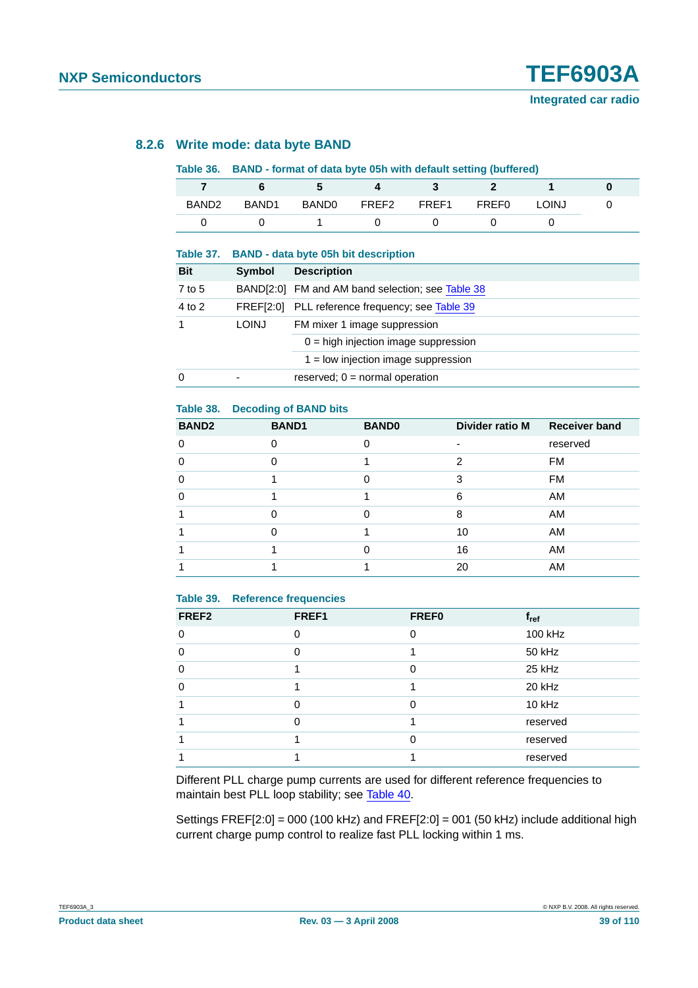### **8.2.6 Write mode: data byte BAND**

#### **Table 36. BAND - format of data byte 05h with default setting (buffered)**

| BAND <sub>2</sub> | BAND <sub>1</sub> | <b>BAND0</b> | FREF2 FREF1 | <b>FREF0</b> | LOINJ |  |
|-------------------|-------------------|--------------|-------------|--------------|-------|--|
|                   |                   |              |             |              |       |  |

#### **Table 37. BAND - data byte 05h bit description**

| <b>Bit</b> | Symbol       | <b>Description</b>                               |
|------------|--------------|--------------------------------------------------|
| 7 to 5     |              | BAND[2:0] FM and AM band selection; see Table 38 |
| 4 to 2     |              | FREF[2:0] PLL reference frequency; see Table 39  |
|            | <b>LOINJ</b> | FM mixer 1 image suppression                     |
|            |              | $0 =$ high injection image suppression           |
|            |              | $1 =$ low injection image suppression            |
| $\Omega$   |              | reserved; $0 = normal operation$                 |

#### <span id="page-38-0"></span>**Table 38. Decoding of BAND bits**

| <b>BAND2</b> | <b>BAND1</b> | <b>BAND0</b> | Divider ratio M | <b>Receiver band</b> |
|--------------|--------------|--------------|-----------------|----------------------|
| ∩            |              | $\Omega$     |                 | reserved             |
| ∩            |              |              | 2               | FM                   |
| ∩            |              |              | 3               | <b>FM</b>            |
| ∩            |              |              | 6               | AM                   |
|              |              |              | 8               | AM                   |
|              |              |              | 10              | AM                   |
|              |              |              | 16              | AM                   |
|              |              |              | 20              | AM                   |

#### <span id="page-38-1"></span>**Table 39. Reference frequencies**

| FREF <sub>2</sub> | FREF1    | <b>FREF0</b> | $f_{ref}$ |
|-------------------|----------|--------------|-----------|
| $\Omega$          | $\Omega$ | ∩            | 100 kHz   |
| $\Omega$          |          |              | 50 kHz    |
| $\Omega$          |          |              | 25 kHz    |
| ∩                 |          |              | 20 kHz    |
|                   |          |              | 10 kHz    |
|                   |          |              | reserved  |
|                   |          |              | reserved  |
|                   |          |              | reserved  |

Different PLL charge pump currents are used for different reference frequencies to maintain best PLL loop stability; see [Table](#page-39-1) 40.

Settings  $FREF[2:0] = 000$  (100 kHz) and  $FREF[2:0] = 001$  (50 kHz) include additional high current charge pump control to realize fast PLL locking within 1 ms.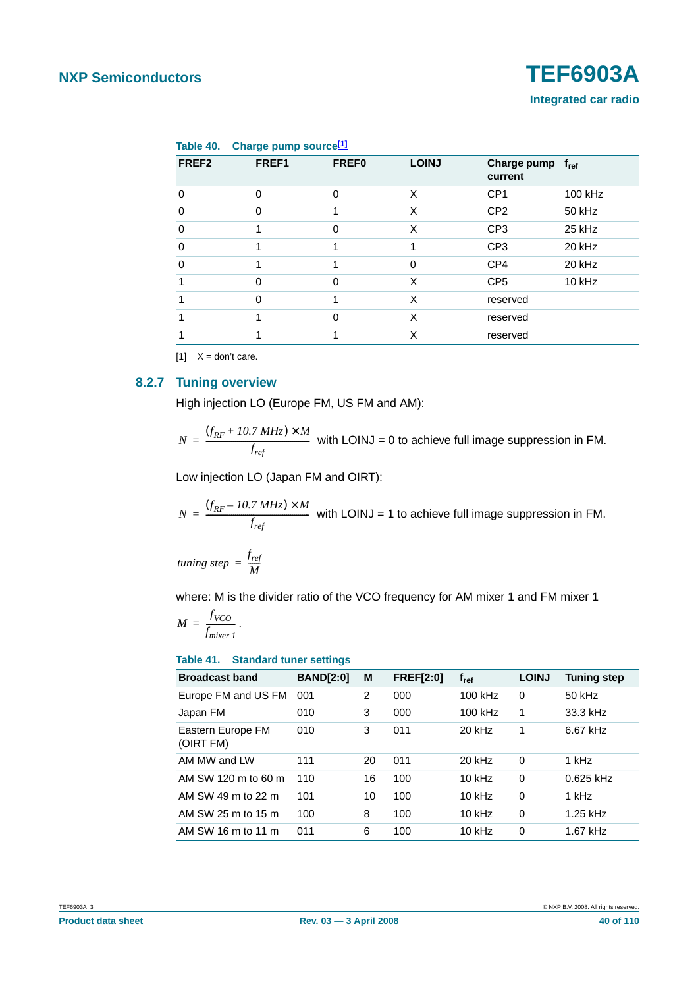<span id="page-39-1"></span>

|                   | Table 40. Charge pump source <sup>[1]</sup> |              |              |                        |               |
|-------------------|---------------------------------------------|--------------|--------------|------------------------|---------------|
| FREF <sub>2</sub> | FREF1                                       | <b>FREF0</b> | <b>LOINJ</b> | Charge pump<br>current | $f_{\rm ref}$ |
| $\Omega$          | $\Omega$                                    | $\Omega$     | X            | CP <sub>1</sub>        | 100 kHz       |
| 0                 | $\Omega$                                    |              | X            | CP <sub>2</sub>        | 50 kHz        |
| 0                 |                                             | 0            | X            | CP <sub>3</sub>        | 25 kHz        |
| $\Omega$          |                                             |              |              | CP <sub>3</sub>        | 20 kHz        |
| 0                 |                                             |              | 0            | CP4                    | 20 kHz        |
|                   | $\Omega$                                    | 0            | X            | CP <sub>5</sub>        | $10$ kHz      |
|                   | $\Omega$                                    |              | X            | reserved               |               |
|                   |                                             | 0            | X            | reserved               |               |
|                   |                                             |              | X            | reserved               |               |

<span id="page-39-2"></span> $[11 \t X =$  don't care.

#### <span id="page-39-0"></span>**8.2.7 Tuning overview**

High injection LO (Europe FM, US FM and AM):

 $N = \frac{(f_{RF} + 10.7 \text{ MHz}) \times M}{f}$  with LOINJ = 0 to achieve full image suppression in FM.  $=\frac{6}{f_{ref}}$ 

Low injection LO (Japan FM and OIRT):

 $N = \frac{(f_{RF} - 10.7 \text{ MHz}) \times M}{f}$  with LOINJ = 1 to achieve full image suppression in FM.  $=\frac{6}{f_{ref}}$ 

*tuning step*  $=$   $\frac{f_{ref}}{M}$ 

where: M is the divider ratio of the VCO frequency for AM mixer 1 and FM mixer 1

$$
M = \frac{f_{VCO}}{f_{mixer1}}.
$$

**Table 41. Standard tuner settings**

| <b>Broadcast band</b>          | <b>BAND[2:0]</b> | M  | <b>FREF[2:0]</b> | $f_{ref}$ | <b>LOINJ</b> | <b>Tuning step</b> |
|--------------------------------|------------------|----|------------------|-----------|--------------|--------------------|
| Europe FM and US FM            | 001              | 2  | 000              | 100 kHz   | 0            | 50 kHz             |
| Japan FM                       | 010              | 3  | 000              | 100 kHz   | 1            | 33.3 kHz           |
| Eastern Europe FM<br>(OIRT FM) | 010              | 3  | 011              | $20$ kHz  | 1            | 6.67 kHz           |
| AM MW and I W                  | 111              | 20 | 011              | 20 kHz    | 0            | 1 kHz              |
| AM SW 120 m to 60 m            | 110              | 16 | 100              | $10$ kHz  | $\Omega$     | $0.625$ kHz        |
| AM SW 49 m to 22 m             | 101              | 10 | 100              | $10$ kHz  | $\Omega$     | 1 kHz              |
| AM SW 25 m to 15 m             | 100              | 8  | 100              | $10$ kHz  | $\Omega$     | 1.25 kHz           |
| AM SW 16 m to 11 m             | 011              | 6  | 100              | $10$ kHz  | 0            | 1.67 kHz           |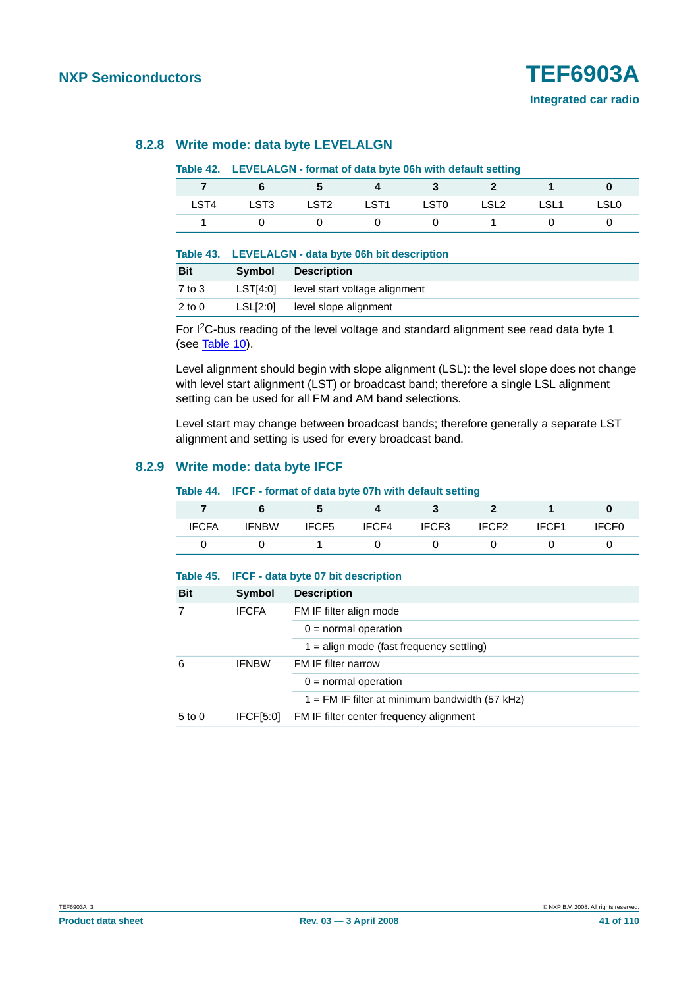#### **8.2.8 Write mode: data byte LEVELALGN**

#### **Table 42. LEVELALGN - format of data byte 06h with default setting**

|      |  | 7 6 5 4 3 2 1 0               |  |      |
|------|--|-------------------------------|--|------|
| LST4 |  | LST3 LST2 LST1 LST0 LSL2 LSL1 |  | LSL0 |
|      |  | 0 0 0 0 1 0                   |  |      |

#### **Table 43. LEVELALGN - data byte 06h bit description**

| <b>Bit</b> | Symbol   | <b>Description</b>            |
|------------|----------|-------------------------------|
| $7$ to $3$ | LST[4:0] | level start voltage alignment |
| $2$ to 0   | LSL[2:0] | level slope alignment         |

For I2C-bus reading of the level voltage and standard alignment see read data byte 1 (see [Table](#page-16-0) 10).

Level alignment should begin with slope alignment (LSL): the level slope does not change with level start alignment (LST) or broadcast band; therefore a single LSL alignment setting can be used for all FM and AM band selections.

Level start may change between broadcast bands; therefore generally a separate LST alignment and setting is used for every broadcast band.

#### **8.2.9 Write mode: data byte IFCF**

#### **Table 44. IFCF - format of data byte 07h with default setting**

| <b>IFCFA</b> | <b>IFNBW</b> | IFCF5 | IFCF4 | IFCF3 | IFCF <sub>2</sub> | IFCF1 | IFCF <sub>0</sub> |
|--------------|--------------|-------|-------|-------|-------------------|-------|-------------------|
|              |              |       |       |       |                   |       |                   |

| Table 45.  |                  | <b>IFCF</b> - data byte 07 bit description       |  |  |  |  |
|------------|------------------|--------------------------------------------------|--|--|--|--|
| <b>Bit</b> | Symbol           | <b>Description</b>                               |  |  |  |  |
|            | <b>IFCFA</b>     | FM IF filter align mode                          |  |  |  |  |
|            |                  | $0 =$ normal operation                           |  |  |  |  |
|            |                  | $1 =$ align mode (fast frequency settling)       |  |  |  |  |
| 6          | <b>IFNBW</b>     | FM IF filter narrow                              |  |  |  |  |
|            |                  | $0 = normal operation$                           |  |  |  |  |
|            |                  | $1 = FM$ IF filter at minimum bandwidth (57 kHz) |  |  |  |  |
| $5$ to $0$ | <b>IFCF[5:0]</b> | FM IF filter center frequency alignment          |  |  |  |  |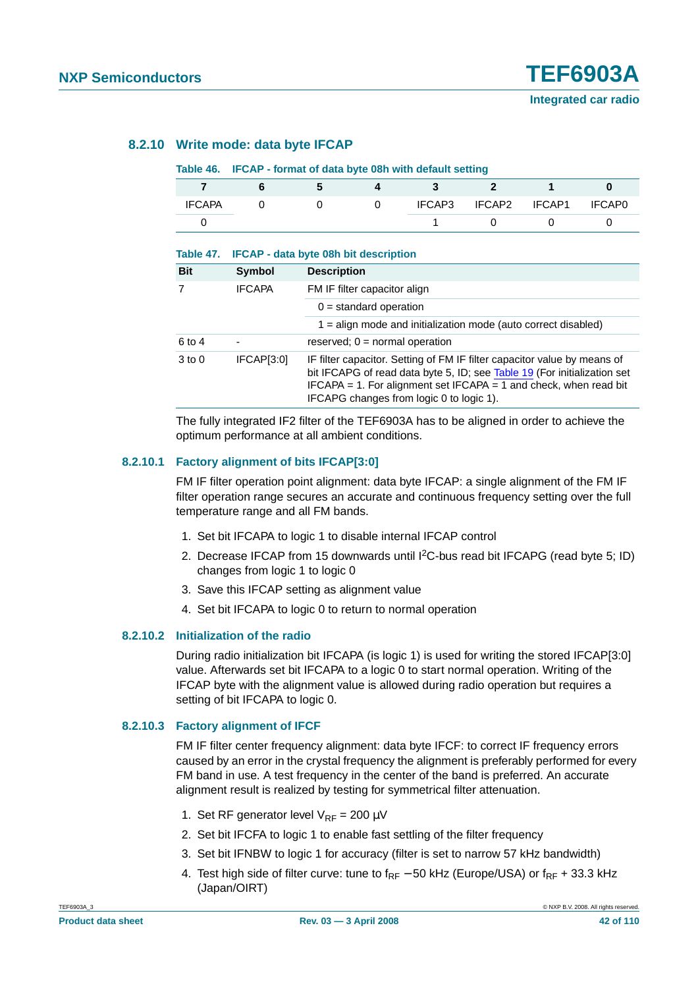#### **8.2.10 Write mode: data byte IFCAP**

#### **Table 46. IFCAP - format of data byte 08h with default setting**

**Table 47. IFCAP - data byte 08h bit description**

| IFCAPA |  | IFCAP3 | IFCAP2 IFCAP1 | IFCAP0 |
|--------|--|--------|---------------|--------|
|        |  |        |               |        |

|               | $1000 \div 11$ $11 \div 11$ and $1000 \div 1001$ bit description                                                                                                                                                                                                      |
|---------------|-----------------------------------------------------------------------------------------------------------------------------------------------------------------------------------------------------------------------------------------------------------------------|
| Symbol        | <b>Description</b>                                                                                                                                                                                                                                                    |
| <b>IFCAPA</b> | FM IF filter capacitor align                                                                                                                                                                                                                                          |
|               | $0 =$ standard operation                                                                                                                                                                                                                                              |
|               | $1 =$ align mode and initialization mode (auto correct disabled)                                                                                                                                                                                                      |
| ۰             | reserved; $0 = normal operation$                                                                                                                                                                                                                                      |
| IFCAP[3:0]    | IF filter capacitor. Setting of FM IF filter capacitor value by means of<br>bit IFCAPG of read data byte 5, ID; see Table 19 (For initialization set<br>IFCAPA = 1. For alignment set IFCAPA = 1 and check, when read bit<br>IFCAPG changes from logic 0 to logic 1). |
|               |                                                                                                                                                                                                                                                                       |

The fully integrated IF2 filter of the TEF6903A has to be aligned in order to achieve the optimum performance at all ambient conditions.

#### **8.2.10.1 Factory alignment of bits IFCAP[3:0]**

FM IF filter operation point alignment: data byte IFCAP: a single alignment of the FM IF filter operation range secures an accurate and continuous frequency setting over the full temperature range and all FM bands.

- 1. Set bit IFCAPA to logic 1 to disable internal IFCAP control
- 2. Decrease IFCAP from 15 downwards until  ${}^{12}$ C-bus read bit IFCAPG (read byte 5; ID) changes from logic 1 to logic 0
- 3. Save this IFCAP setting as alignment value
- 4. Set bit IFCAPA to logic 0 to return to normal operation

#### **8.2.10.2 Initialization of the radio**

During radio initialization bit IFCAPA (is logic 1) is used for writing the stored IFCAP[3:0] value. Afterwards set bit IFCAPA to a logic 0 to start normal operation. Writing of the IFCAP byte with the alignment value is allowed during radio operation but requires a setting of bit IFCAPA to logic 0.

#### **8.2.10.3 Factory alignment of IFCF**

FM IF filter center frequency alignment: data byte IFCF: to correct IF frequency errors caused by an error in the crystal frequency the alignment is preferably performed for every FM band in use. A test frequency in the center of the band is preferred. An accurate alignment result is realized by testing for symmetrical filter attenuation.

- 1. Set RF generator level  $V_{RF} = 200 \mu V$
- 2. Set bit IFCFA to logic 1 to enable fast settling of the filter frequency
- 3. Set bit IFNBW to logic 1 for accuracy (filter is set to narrow 57 kHz bandwidth)
- 4. Test high side of filter curve: tune to  $f_{RF}$  50 kHz (Europe/USA) or  $f_{RF}$  + 33.3 kHz (Japan/OIRT)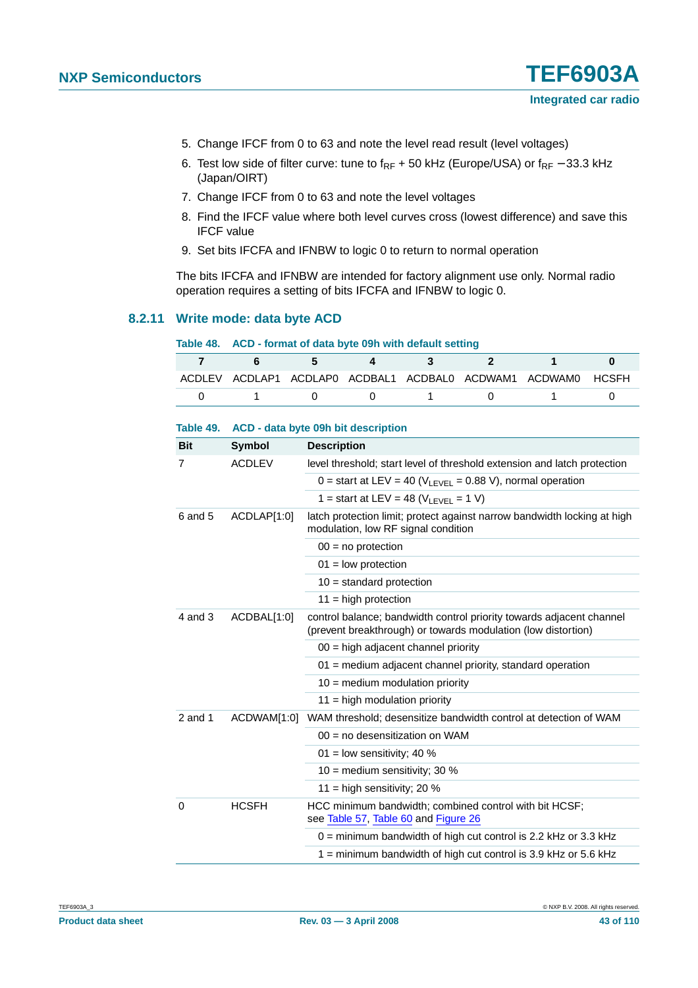- 5. Change IFCF from 0 to 63 and note the level read result (level voltages)
- 6. Test low side of filter curve: tune to  $f_{RF}$  + 50 kHz (Europe/USA) or  $f_{RF}$  33.3 kHz (Japan/OIRT)
- 7. Change IFCF from 0 to 63 and note the level voltages
- 8. Find the IFCF value where both level curves cross (lowest difference) and save this IFCF value
- 9. Set bits IFCFA and IFNBW to logic 0 to return to normal operation

The bits IFCFA and IFNBW are intended for factory alignment use only. Normal radio operation requires a setting of bits IFCFA and IFNBW to logic 0.

#### **8.2.11 Write mode: data byte ACD**

| Table 48. ACD - format of data byte 09h with default setting |  |  |  |                                                           |                                                              |  |  |
|--------------------------------------------------------------|--|--|--|-----------------------------------------------------------|--------------------------------------------------------------|--|--|
|                                                              |  |  |  | 6 5 4 3 2                                                 | <b>Service State</b>                                         |  |  |
|                                                              |  |  |  |                                                           | ACDLEV ACDLAP1 ACDLAP0 ACDBAL1 ACDBAL0 ACDWAM1 ACDWAM0 HCSFH |  |  |
|                                                              |  |  |  | $0 \qquad 1 \qquad 0 \qquad 0 \qquad 1 \qquad 0 \qquad 1$ |                                                              |  |  |

| <b>Bit</b>  | Symbol        | <b>Description</b>                                                                                                                    |
|-------------|---------------|---------------------------------------------------------------------------------------------------------------------------------------|
| 7           | <b>ACDLEV</b> | level threshold; start level of threshold extension and latch protection                                                              |
|             |               | 0 = start at LEV = 40 ( $V_{\text{LEVEL}}$ = 0.88 V), normal operation                                                                |
|             |               | 1 = start at LEV = 48 ( $V_{\text{LEVEL}}$ = 1 V)                                                                                     |
| 6 and 5     | ACDLAP[1:0]   | latch protection limit; protect against narrow bandwidth locking at high<br>modulation, low RF signal condition                       |
|             |               | $00 = no$ protection                                                                                                                  |
|             |               | $01 =$ low protection                                                                                                                 |
|             |               | $10 =$ standard protection                                                                                                            |
|             |               | $11 = high$ protection                                                                                                                |
| $4$ and $3$ | ACDBAL[1:0]   | control balance; bandwidth control priority towards adjacent channel<br>(prevent breakthrough) or towards modulation (low distortion) |
|             |               | $00 =$ high adjacent channel priority                                                                                                 |
|             |               | 01 = medium adjacent channel priority, standard operation                                                                             |
|             |               | $10 = \text{medium modulation priority}$                                                                                              |
|             |               | $11$ = high modulation priority                                                                                                       |
| 2 and 1     | ACDWAM[1:0]   | WAM threshold; desensitize bandwidth control at detection of WAM                                                                      |
|             |               | $00 = no$ desensitization on WAM                                                                                                      |
|             |               | 01 = low sensitivity; 40 $%$                                                                                                          |
|             |               | 10 = medium sensitivity; 30 $%$                                                                                                       |
|             |               | 11 = high sensitivity; 20 $%$                                                                                                         |
| $\Omega$    | <b>HCSFH</b>  | HCC minimum bandwidth; combined control with bit HCSF;<br>see Table 57, Table 60 and Figure 26                                        |
|             |               | $0 =$ minimum bandwidth of high cut control is 2.2 kHz or 3.3 kHz                                                                     |
|             |               | $1 =$ minimum bandwidth of high cut control is 3.9 kHz or 5.6 kHz                                                                     |

#### <span id="page-42-0"></span>**Table 49. ACD - data byte 09h bit description**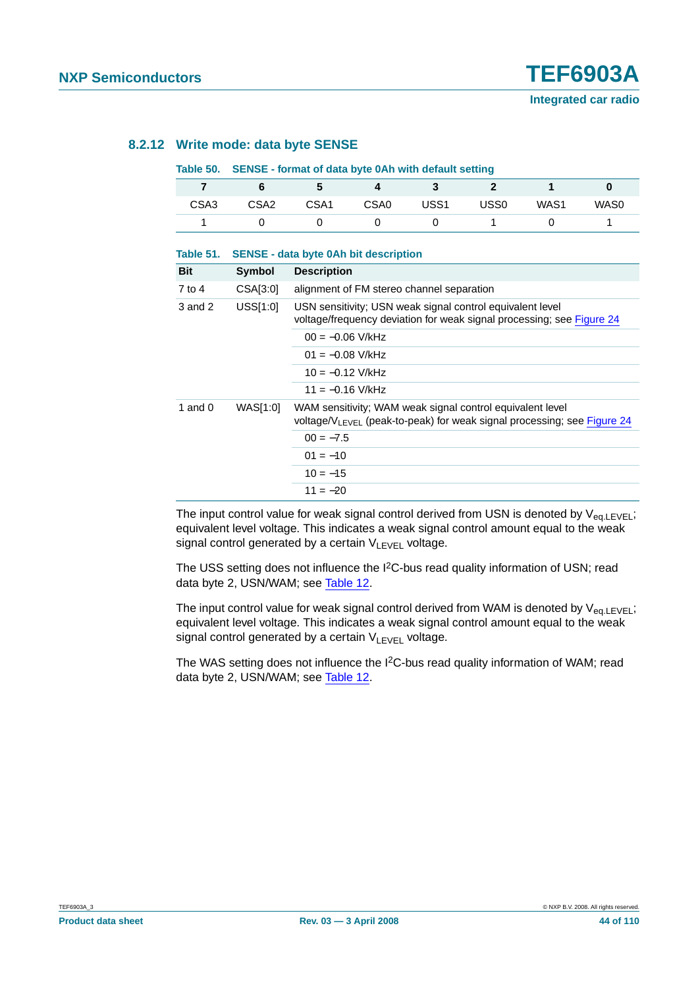### **8.2.12 Write mode: data byte SENSE**

#### **Table 50. SENSE - format of data byte 0Ah with default setting**

| CSA <sub>3</sub> | CSA <sub>2</sub> | CSA <sub>1</sub> | CSA <sub>0</sub> | USS1 | USS0 | WAS1 | WAS0 |
|------------------|------------------|------------------|------------------|------|------|------|------|
|                  |                  |                  |                  |      |      |      |      |

| Table 51. |          | <b>SENSE - data byte 0Ah bit description</b>                                                                                                     |
|-----------|----------|--------------------------------------------------------------------------------------------------------------------------------------------------|
| Bit       | Symbol   | <b>Description</b>                                                                                                                               |
| 7 to 4    | CSA[3:0] | alignment of FM stereo channel separation                                                                                                        |
| 3 and 2   | USSI1:0  | USN sensitivity; USN weak signal control equivalent level<br>voltage/frequency deviation for weak signal processing; see Figure 24               |
|           |          | $00 = -0.06$ V/kHz                                                                                                                               |
|           |          | $01 = -0.08$ V/kHz                                                                                                                               |
|           |          | $10 = -0.12$ V/kHz                                                                                                                               |
|           |          | $11 = -0.16$ V/kHz                                                                                                                               |
| 1 and $0$ | WAS[1:0] | WAM sensitivity; WAM weak signal control equivalent level<br>voltage/V <sub>LEVEL</sub> (peak-to-peak) for weak signal processing; see Figure 24 |
|           |          | $00 = -7.5$                                                                                                                                      |
|           |          | $01 = -10$                                                                                                                                       |
|           |          | $10 = -15$                                                                                                                                       |
|           |          | $11 = -20$                                                                                                                                       |

The input control value for weak signal control derived from USN is denoted by  $V_{eq,LEVEL}$ ; equivalent level voltage. This indicates a weak signal control amount equal to the weak signal control generated by a certain VLEVEL voltage.

The USS setting does not influence the I<sup>2</sup>C-bus read quality information of USN; read data byte 2, USN/WAM; see [Table](#page-17-0) 12.

The input control value for weak signal control derived from WAM is denoted by  $V_{eq.LEVEL}$ ; equivalent level voltage. This indicates a weak signal control amount equal to the weak signal control generated by a certain  $V_{L F V F L}$  voltage.

The WAS setting does not influence the I<sup>2</sup>C-bus read quality information of WAM; read data byte 2, USN/WAM; see [Table](#page-17-0) 12.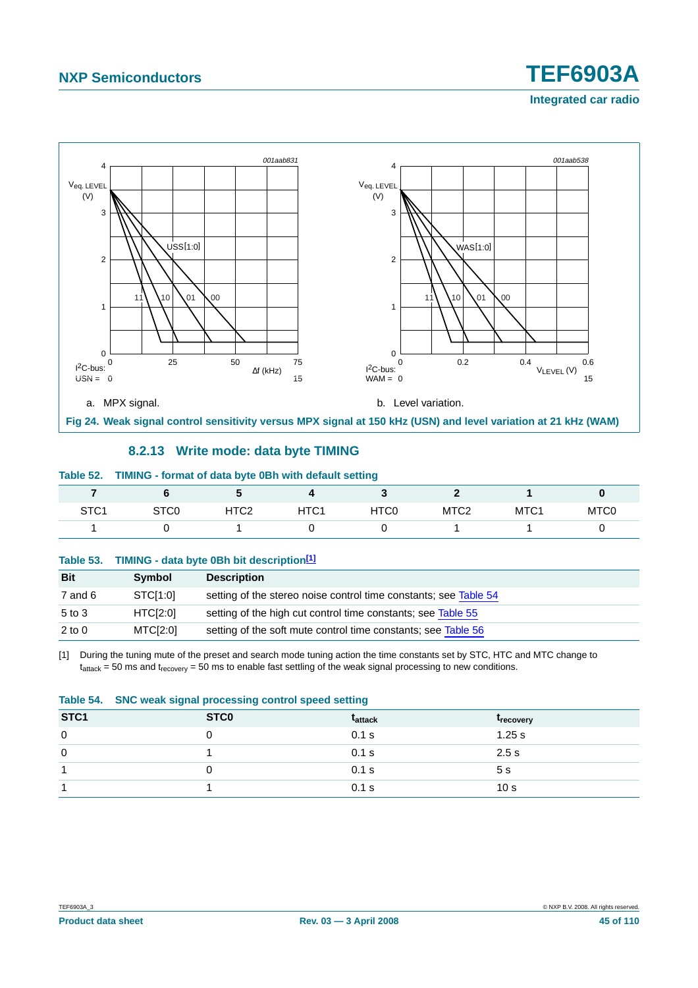

#### **8.2.13 Write mode: data byte TIMING**

#### <span id="page-44-0"></span>**Table 52. TIMING - format of data byte 0Bh with default setting**

|                  |                  |                  |                  | . .  |                  |      |                  |
|------------------|------------------|------------------|------------------|------|------------------|------|------------------|
| STC <sub>1</sub> | STC <sub>0</sub> | HTC <sub>2</sub> | HTC <sub>1</sub> | HTC0 | MTC <sub>2</sub> | MTC1 | MTC <sub>0</sub> |
|                  |                  |                  |                  |      |                  |      |                  |

#### **Table 53. TIMING - data byte 0Bh bit description[\[1\]](#page-44-1)**

| <b>Bit</b> | Symbol               | <b>Description</b>                                               |
|------------|----------------------|------------------------------------------------------------------|
| 7 and 6    | STCI <sub>1:01</sub> | setting of the stereo noise control time constants; see Table 54 |
| $5$ to $3$ | HTCI2:01             | setting of the high cut control time constants; see Table 55     |
| $2$ to $0$ | MTCI[2:0]            | setting of the soft mute control time constants; see Table 56    |

<span id="page-44-1"></span>[1] During the tuning mute of the preset and search mode tuning action the time constants set by STC, HTC and MTC change to  $t_{attack} = 50$  ms and  $t_{recovery} = 50$  ms to enable fast settling of the weak signal processing to new conditions.

<span id="page-44-2"></span>

|                  | Table 54. SNC weak signal processing control speed setting |                |                         |  |  |  |
|------------------|------------------------------------------------------------|----------------|-------------------------|--|--|--|
| STC <sub>1</sub> | ST <sub>C</sub> <sub>0</sub>                               | <b>Tattack</b> | <b><i>Frecovery</i></b> |  |  |  |
| $\mathbf{0}$     |                                                            | $0.1$ s        | 1.25 s                  |  |  |  |
| 0                |                                                            | 0.1 s          | 2.5s                    |  |  |  |
|                  |                                                            | 0.1 s          | 5 <sub>s</sub>          |  |  |  |
|                  |                                                            | $0.1$ s        | 10 <sub>s</sub>         |  |  |  |

**Integrated car radio**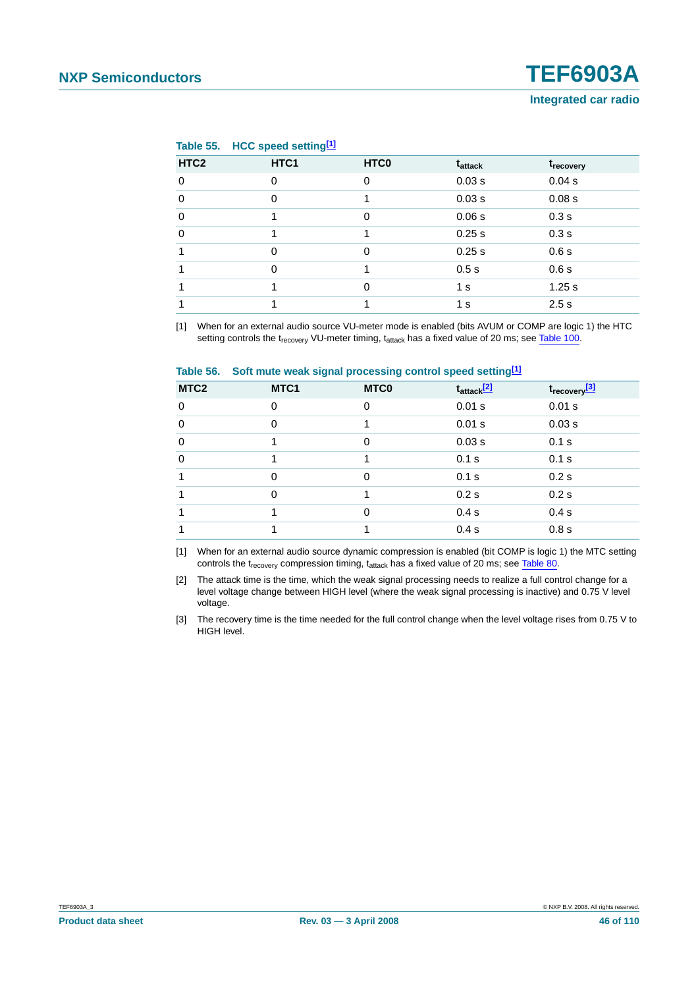#### <span id="page-45-0"></span>**Table 55. HCC speed settin[g\[1\]](#page-45-2)**

| HTC <sub>2</sub> | HTC1     | HTC <sub>0</sub> | t <sub>attack</sub> | t <sub>recovery</sub> |
|------------------|----------|------------------|---------------------|-----------------------|
| $\mathbf 0$      | $\Omega$ | 0                | 0.03 s              | 0.04 s                |
| 0                | 0        |                  | 0.03 s              | 0.08 s                |
| $\mathbf 0$      |          | $\Omega$         | 0.06 s              | 0.3s                  |
| $\Omega$         |          |                  | 0.25 s              | 0.3s                  |
|                  | $\Omega$ | $\Omega$         | 0.25 s              | 0.6s                  |
|                  | $\Omega$ |                  | 0.5s                | 0.6s                  |
|                  |          | 0                | 1 <sub>s</sub>      | 1.25 s                |
|                  |          |                  | 1 s                 | 2.5s                  |

<span id="page-45-2"></span>[1] When for an external audio source VU-meter mode is enabled (bits AVUM or COMP are logic 1) the HTC setting controls the t<sub>recovery</sub> VU-meter timing, t<sub>attack</sub> has a fixed value of 20 ms; see [Table](#page-71-0) 100.

<span id="page-45-1"></span>

| Table 56. | Soft mute weak signal processing control speed setting <sup>[1]</sup> |  |  |
|-----------|-----------------------------------------------------------------------|--|--|
|-----------|-----------------------------------------------------------------------|--|--|

| MTC <sub>2</sub> | MTC1     | <b>MTCO</b> | $t_{\text{attack}}$ <sup>[2]</sup> | t <sub>recovery</sub> <sup>[3]</sup> |
|------------------|----------|-------------|------------------------------------|--------------------------------------|
| $\mathbf 0$      | $\Omega$ | 0           | 0.01 s                             | 0.01 s                               |
| $\mathbf 0$      | $\Omega$ | 1           | 0.01 s                             | 0.03 s                               |
| $\mathbf 0$      |          | 0           | 0.03 s                             | 0.1 s                                |
| $\mathbf 0$      |          | 1           | 0.1 s                              | 0.1 s                                |
| 1                | $\Omega$ | 0           | 0.1 s                              | 0.2s                                 |
|                  | $\Omega$ |             | 0.2s                               | 0.2s                                 |
|                  |          | 0           | 0.4 s                              | 0.4 s                                |
|                  |          |             | 0.4 s                              | 0.8 s                                |
|                  |          |             |                                    |                                      |

<span id="page-45-3"></span>[1] When for an external audio source dynamic compression is enabled (bit COMP is logic 1) the MTC setting controls the t<sub>recovery</sub> compression timing,  $t_{attack}$  has a fixed value of 20 ms; see [Table](#page-59-0) 80.

<span id="page-45-4"></span>[2] The attack time is the time, which the weak signal processing needs to realize a full control change for a level voltage change between HIGH level (where the weak signal processing is inactive) and 0.75 V level voltage.

<span id="page-45-5"></span>[3] The recovery time is the time needed for the full control change when the level voltage rises from 0.75 V to HIGH level.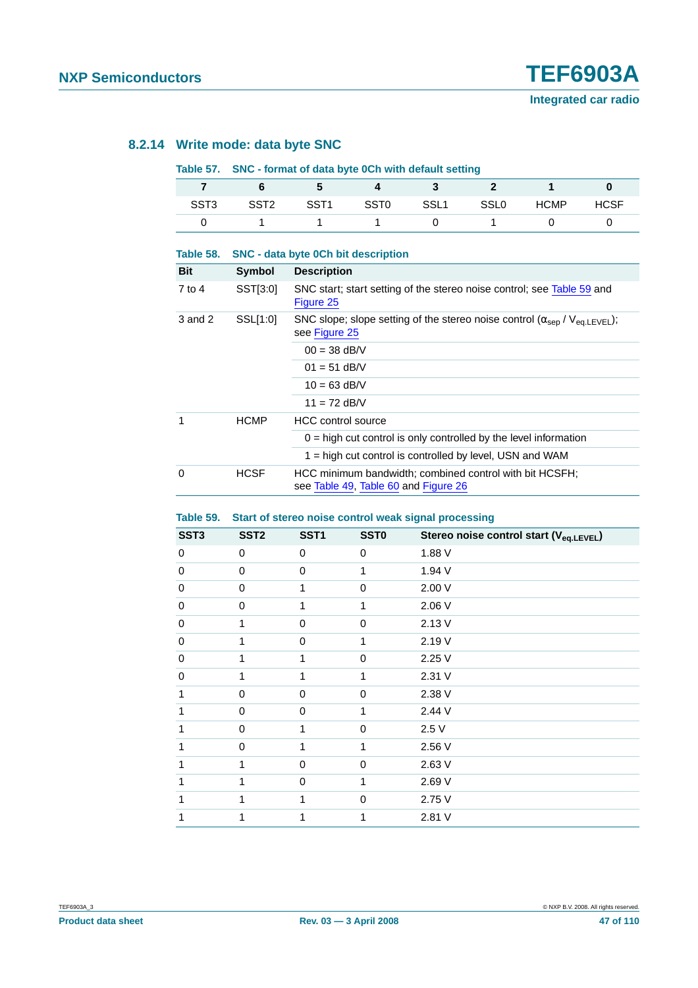#### **8.2.14 Write mode: data byte SNC**

#### <span id="page-46-0"></span>**Table 57. SNC - format of data byte 0Ch with default setting**

| SST3 | SST <sub>2</sub> | SST1 | SST0 | SSL1 | SSLO | <b>HCMP</b> | <b>HCSF</b> |
|------|------------------|------|------|------|------|-------------|-------------|
|      |                  |      |      |      |      |             |             |

| Table 58.           |               | <b>SNC - data byte 0Ch bit description</b>                                                                               |  |  |  |  |
|---------------------|---------------|--------------------------------------------------------------------------------------------------------------------------|--|--|--|--|
| Bit                 | <b>Symbol</b> | <b>Description</b>                                                                                                       |  |  |  |  |
| 7 to 4              | SST[3:0]      | SNC start; start setting of the stereo noise control; see Table 59 and<br>Figure 25                                      |  |  |  |  |
| SSL[1:0]<br>3 and 2 |               | SNC slope; slope setting of the stereo noise control ( $\alpha_{\text{sep}}$ / $V_{\text{ea,LEVEL}}$ );<br>see Figure 25 |  |  |  |  |
|                     |               | $00 = 38$ dB/V                                                                                                           |  |  |  |  |
|                     |               | $01 = 51$ dB/V                                                                                                           |  |  |  |  |
|                     |               | $10 = 63$ dB/V                                                                                                           |  |  |  |  |
|                     |               | $11 = 72$ dB/V                                                                                                           |  |  |  |  |
| 1                   | <b>HCMP</b>   | <b>HCC</b> control source                                                                                                |  |  |  |  |
|                     |               | $0 =$ high cut control is only controlled by the level information                                                       |  |  |  |  |
|                     |               | 1 = high cut control is controlled by level, USN and WAM                                                                 |  |  |  |  |
| $\Omega$            | <b>HCSF</b>   | HCC minimum bandwidth; combined control with bit HCSFH;<br>see Table 49, Table 60 and Figure 26                          |  |  |  |  |

#### <span id="page-46-1"></span>**Table 59. Start of stereo noise control weak signal processing**

| SST <sub>3</sub> | SST <sub>2</sub> | SST <sub>1</sub> | <b>SST0</b> | Stereo noise control start (V <sub>eq.LEVEL</sub> ) |
|------------------|------------------|------------------|-------------|-----------------------------------------------------|
| 0                | $\Omega$         | $\Omega$         | $\Omega$    | 1.88 V                                              |
| 0                | 0                | 0                | 1           | 1.94 V                                              |
| 0                | 0                | 1                | 0           | 2.00 V                                              |
| 0                | 0                | 1                | 1           | 2.06 V                                              |
| 0                | 1                | $\Omega$         | $\mathbf 0$ | 2.13V                                               |
| 0                | 1                | $\Omega$         | 1           | 2.19 V                                              |
| 0                |                  | 1                | $\mathbf 0$ | 2.25 V                                              |
| 0                |                  | 1                | 1           | 2.31 V                                              |
| 1                | $\mathbf 0$      | 0                | 0           | 2.38 V                                              |
| 1                | $\mathbf 0$      | $\Omega$         | 1           | 2.44 V                                              |
| 1                | $\Omega$         | 1                | $\mathbf 0$ | 2.5V                                                |
|                  | $\Omega$         | 1                | 1           | 2.56 V                                              |
|                  |                  | $\Omega$         | $\mathbf 0$ | 2.63 V                                              |
| 1                |                  | 0                | 1           | 2.69 V                                              |
| 1                | 1                | 1                | $\mathbf 0$ | 2.75 V                                              |
|                  |                  | 1                | 1           | 2.81 V                                              |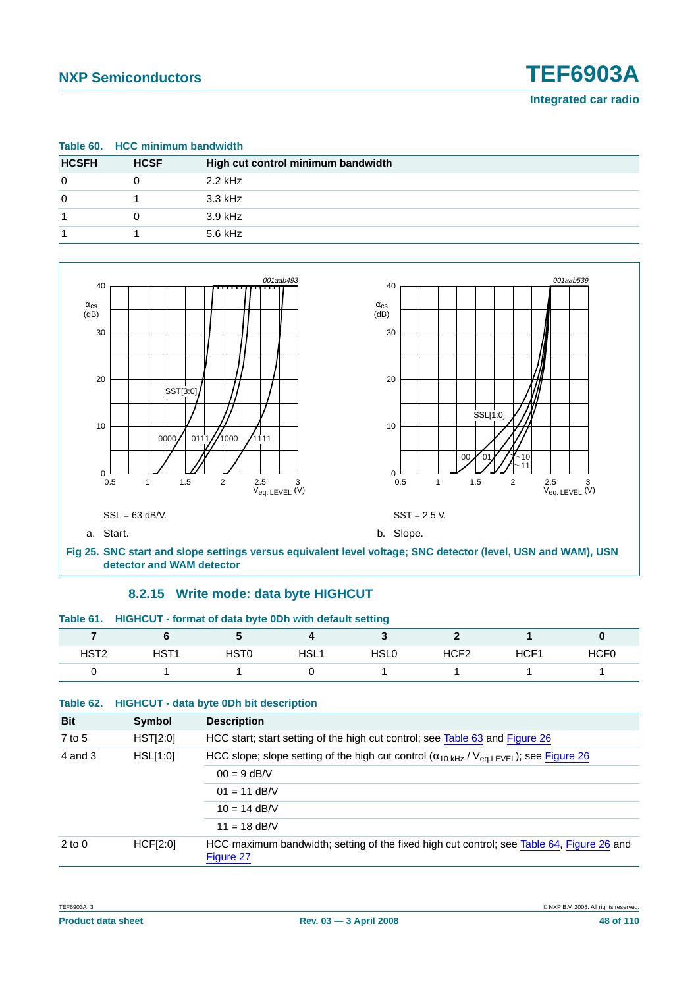<span id="page-47-0"></span>

|              |             | Table 60. HCC minimum bandwidth    |  |  |  |  |
|--------------|-------------|------------------------------------|--|--|--|--|
| <b>HCSFH</b> | <b>HCSF</b> | High cut control minimum bandwidth |  |  |  |  |
| $\Omega$     | 0           | $2.2$ kHz                          |  |  |  |  |
| $\Omega$     |             | 3.3 kHz                            |  |  |  |  |
|              | 0           | $3.9$ kHz                          |  |  |  |  |
|              |             | 5.6 kHz                            |  |  |  |  |



### **8.2.15 Write mode: data byte HIGHCUT**

<span id="page-47-1"></span>

| Table 61. HIGHCUT - format of data byte 0Dh with default setting |      |      |      |                  |      |                  |
|------------------------------------------------------------------|------|------|------|------------------|------|------------------|
|                                                                  |      |      |      |                  |      |                  |
| HST1                                                             | HST0 | HSL1 | HSL0 | HCF <sub>2</sub> | HCF1 | HCF <sub>0</sub> |
|                                                                  |      |      |      |                  |      |                  |

| Table 62. |  | <b>HIGHCUT - data byte 0Dh bit description</b> |  |
|-----------|--|------------------------------------------------|--|
|-----------|--|------------------------------------------------|--|

| <b>Bit</b>          | Symbol          | <b>Description</b>                                                                                                 |  |  |
|---------------------|-----------------|--------------------------------------------------------------------------------------------------------------------|--|--|
| 7 to 5              | HST[2:0]        | HCC start; start setting of the high cut control; see Table 63 and Figure 26                                       |  |  |
| 4 and 3<br>HSL[1:0] |                 | HCC slope; slope setting of the high cut control $(\alpha_{10 \text{ kHz}} / V_{\text{ea.LEVEL}})$ ; see Figure 26 |  |  |
|                     |                 | $00 = 9$ dB/V                                                                                                      |  |  |
|                     |                 | $01 = 11$ dB/V                                                                                                     |  |  |
|                     |                 | $10 = 14$ dB/V                                                                                                     |  |  |
|                     |                 | $11 = 18$ dB/V                                                                                                     |  |  |
| $2$ to $0$          | <b>HCF[2:0]</b> | HCC maximum bandwidth; setting of the fixed high cut control; see Table 64, Figure 26 and<br>Figure 27             |  |  |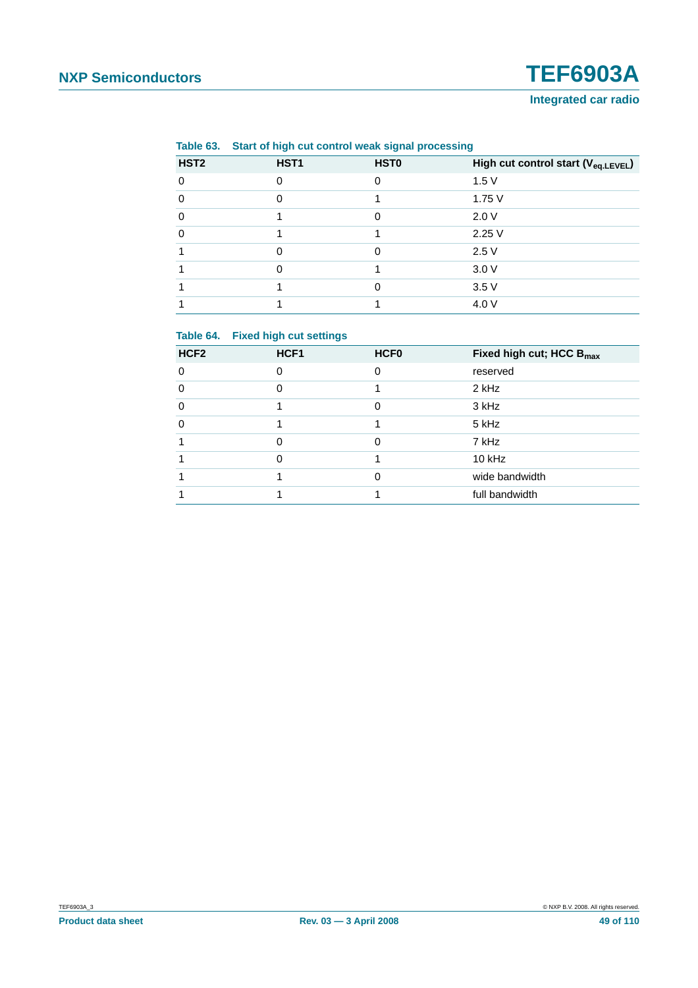#### **Integrated car radio**

|                  | Table 63. Start of high cut control weak signal processing |             |                                                 |
|------------------|------------------------------------------------------------|-------------|-------------------------------------------------|
| HST <sub>2</sub> | HST <sub>1</sub>                                           | <b>HST0</b> | High cut control start (V <sub>eq.LEVEL</sub> ) |
| ∩                |                                                            |             | 1.5V                                            |
|                  |                                                            |             | 1.75V                                           |
| 0                |                                                            |             | 2.0V                                            |
|                  |                                                            |             | 2.25V                                           |
|                  |                                                            |             | 2.5V                                            |
|                  |                                                            |             | 3.0V                                            |
|                  |                                                            |             | 3.5V                                            |
|                  |                                                            |             | 4.0 V                                           |

<span id="page-48-0"></span>**Table 63. Start of high cut control weak signal processing**

#### <span id="page-48-1"></span>**Table 64. Fixed high cut settings**

| HCF <sub>2</sub> | HCF <sub>1</sub> | <b>HCF0</b> | Fixed high cut; HCC B <sub>max</sub> |
|------------------|------------------|-------------|--------------------------------------|
| $\Omega$         | 0                | 0           | reserved                             |
| $\Omega$         |                  |             | 2 kHz                                |
| $\Omega$         |                  | 0           | 3 kHz                                |
| $\Omega$         |                  |             | 5 kHz                                |
|                  | O                | $\Omega$    | 7 kHz                                |
|                  | በ                |             | $10$ kHz                             |
|                  |                  | ი           | wide bandwidth                       |
|                  |                  |             | full bandwidth                       |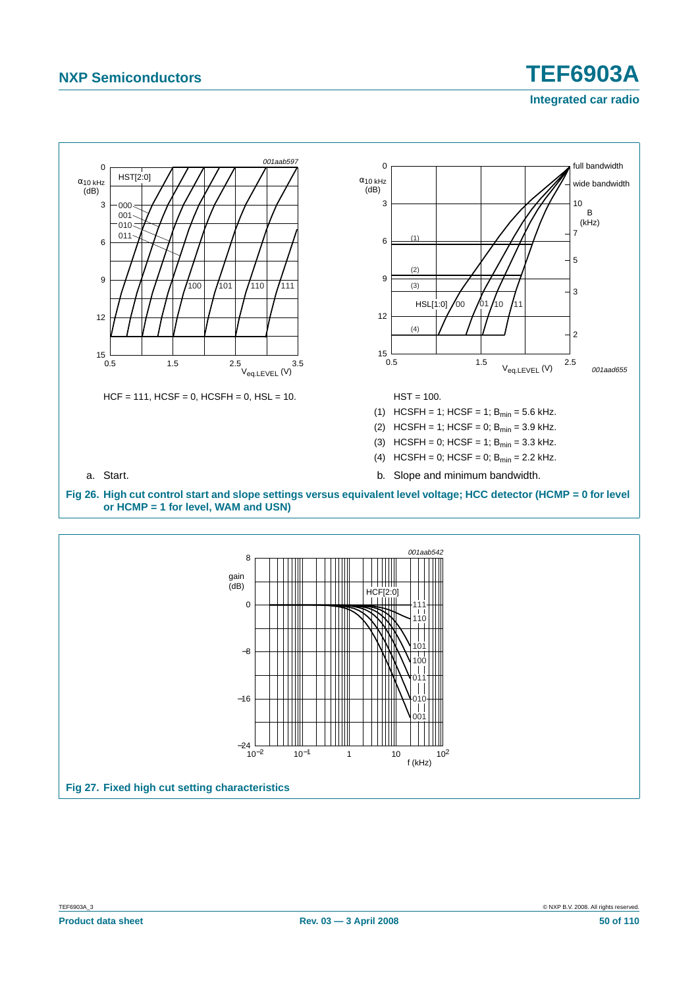## **NXP Semiconductors TEF6903A Integrated car radio**



<span id="page-49-1"></span>**Fig 27. Fixed high cut setting characteristics**

<span id="page-49-0"></span>−16

–24 –<br>10<sup>–2</sup>

 $10^{-2}$  10<sup>-1</sup> 1 10 10<sup>2</sup>

f (kHz)

011 010 001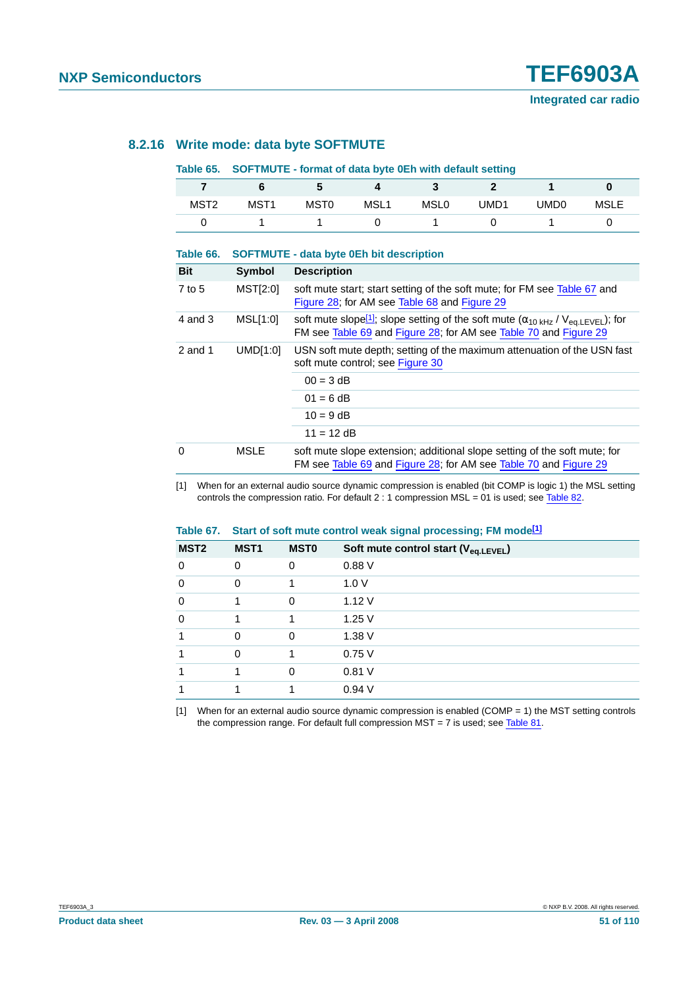#### **8.2.16 Write mode: data byte SOFTMUTE**

#### **Table 65. SOFTMUTE - format of data byte 0Eh with default setting**

| MST <sub>2</sub> | MST <sub>1</sub> | MST <sub>0</sub> | MSL <sub>1</sub> | MSL <sub>0</sub> | UMD1 | UMD0 | <b>MSLE</b> |
|------------------|------------------|------------------|------------------|------------------|------|------|-------------|
|                  |                  |                  |                  |                  |      |      |             |

| Table 66.  |          | <b>SOFTMUTE - data byte 0Eh bit description</b>                                                                                                                                       |  |  |
|------------|----------|---------------------------------------------------------------------------------------------------------------------------------------------------------------------------------------|--|--|
| <b>Bit</b> | Symbol   | <b>Description</b>                                                                                                                                                                    |  |  |
| $7$ to 5   | MST[2:0] | soft mute start; start setting of the soft mute; for FM see Table 67 and<br>Figure 28; for AM see Table 68 and Figure 29                                                              |  |  |
| 4 and 3    | MSL[1:0] | soft mute slope <sup>[1]</sup> ; slope setting of the soft mute $(\alpha_{10 \text{ kHz}} / V_{eq, LEVEL})$ ; for<br>FM see Table 69 and Figure 28; for AM see Table 70 and Figure 29 |  |  |
| 2 and 1    | UMDI1:0  | USN soft mute depth; setting of the maximum attenuation of the USN fast<br>soft mute control; see Figure 30                                                                           |  |  |
|            |          | $00 = 3$ dB                                                                                                                                                                           |  |  |
|            |          | $01 = 6 dB$                                                                                                                                                                           |  |  |
|            |          | $10 = 9$ dB                                                                                                                                                                           |  |  |
|            |          | $11 = 12$ dB                                                                                                                                                                          |  |  |
| $\Omega$   | MSLE     | soft mute slope extension; additional slope setting of the soft mute; for<br>FM see Table 69 and Figure 28; for AM see Table 70 and Figure 29                                         |  |  |

<span id="page-50-1"></span>[1] When for an external audio source dynamic compression is enabled (bit COMP is logic 1) the MSL setting controls the compression ratio. For default 2 : 1 compression MSL = 01 is used; see [Table](#page-59-1) 82.

#### <span id="page-50-0"></span>**Table 67. Start of soft mute control weak signal processing; FM mode[\[1\]](#page-50-2)**

| MST <sub>2</sub> | MST <sub>1</sub> | <b>MSTO</b> | Soft mute control start (V <sub>eq.LEVEL</sub> ) |
|------------------|------------------|-------------|--------------------------------------------------|
| 0                | $\Omega$         | 0           | 0.88V                                            |
| $\mathbf 0$      | $\Omega$         |             | 1.0V                                             |
| $\mathbf 0$      |                  | 0           | 1.12V                                            |
| $\mathbf 0$      |                  |             | 1.25V                                            |
| 1                | $\Omega$         | $\Omega$    | 1.38V                                            |
|                  | $\Omega$         |             | 0.75V                                            |
|                  |                  | $\Omega$    | 0.81V                                            |
|                  |                  |             | 0.94V                                            |

<span id="page-50-2"></span>[1] When for an external audio source dynamic compression is enabled (COMP = 1) the MST setting controls the compression range. For default full compression MST = 7 is used; see [Table](#page-59-2) 81.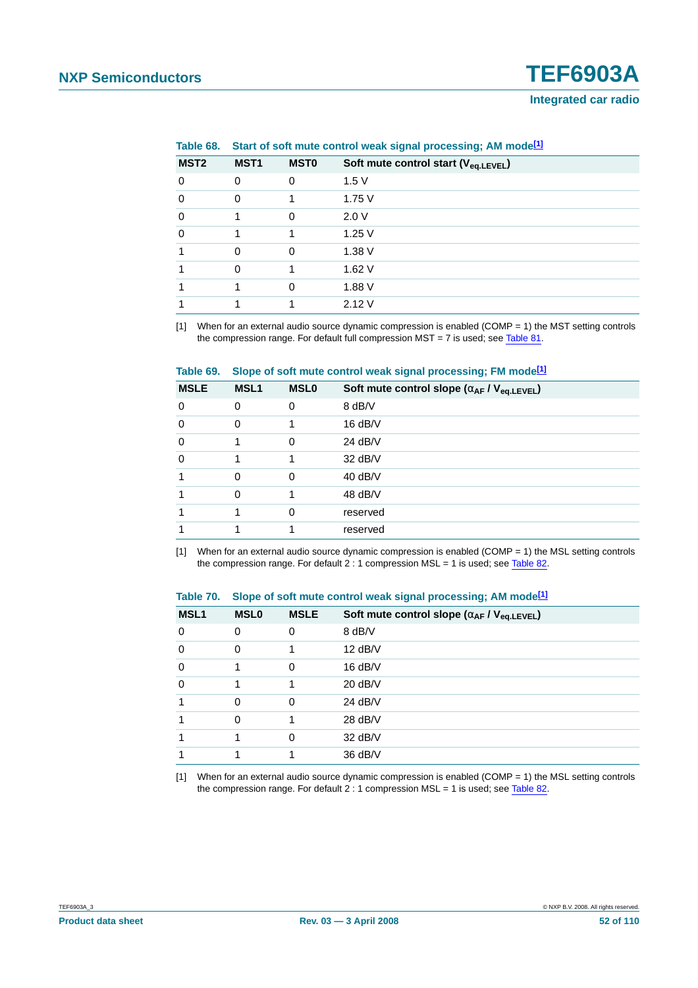<span id="page-51-0"></span>**Table 68. Start of soft mute control weak signal processing; AM mode[\[1\]](#page-51-3)**

| MST <sub>2</sub> | MST <sub>1</sub> | <b>MSTO</b> | Soft mute control start (V <sub>eq.LEVEL</sub> ) |
|------------------|------------------|-------------|--------------------------------------------------|
| $\Omega$         | $\Omega$         | $\Omega$    | 1.5V                                             |
| $\Omega$         | 0                |             | 1.75 V                                           |
| 0                | 1                | 0           | 2.0V                                             |
| $\Omega$         |                  |             | 1.25V                                            |
|                  | 0                | 0           | 1.38 V                                           |
|                  | $\Omega$         |             | 1.62V                                            |
|                  |                  | $\Omega$    | 1.88 V                                           |
|                  |                  |             | 2.12V                                            |

<span id="page-51-3"></span>[1] When for an external audio source dynamic compression is enabled (COMP = 1) the MST setting controls the compression range. For default full compression MST = 7 is used; see [Table](#page-59-2) 81.

<span id="page-51-1"></span>

|  |  |  |  | Table 69. Slope of soft mute control weak signal processing; FM mode <sup>[1]</sup> |
|--|--|--|--|-------------------------------------------------------------------------------------|
|--|--|--|--|-------------------------------------------------------------------------------------|

| <b>MSLE</b> | <b>MSL1</b> | <b>MSLO</b> | Soft mute control slope $(\alpha_{AF} / V_{eq, LEVEL})$ |
|-------------|-------------|-------------|---------------------------------------------------------|
| $\mathbf 0$ | $\Omega$    | 0           | 8 dB/V                                                  |
| $\mathbf 0$ | $\Omega$    | 1           | 16 dB/V                                                 |
| $\mathbf 0$ | 1           | 0           | 24 $dB/V$                                               |
| $\mathbf 0$ | 1           | 1           | $32$ dB/V                                               |
| 1           | $\Omega$    | 0           | $40$ dB/V                                               |
| 1           | $\Omega$    | 1           | 48 dB/V                                                 |
| 1           |             | 0           | reserved                                                |
| 1           |             | 1           | reserved                                                |

<span id="page-51-4"></span>[1] When for an external audio source dynamic compression is enabled (COMP = 1) the MSL setting controls the compression range. For default 2 : 1 compression MSL = 1 is used; see [Table](#page-59-1) 82.

<span id="page-51-2"></span>

|  | Table 70. Slope of soft mute control weak signal processing; AM mode <sup>[1]</sup> |
|--|-------------------------------------------------------------------------------------|
|  |                                                                                     |

| <b>MSL1</b> | <b>MSLO</b> | <b>MSLE</b> | Soft mute control slope $(\alpha_{AF}/V_{eq, LEVEL})$ |
|-------------|-------------|-------------|-------------------------------------------------------|
| 0           | 0           | 0           | 8 dB/V                                                |
| $\mathbf 0$ | $\Omega$    |             | $12$ dB/V                                             |
| $\mathbf 0$ |             | 0           | $16$ dB/V                                             |
| $\mathbf 0$ |             | 1           | $20$ dB/V                                             |
| 1           | $\Omega$    | 0           | $24$ dB/V                                             |
|             | 0           |             | 28 dB/V                                               |
|             |             | 0           | 32 dB/V                                               |
|             |             |             | 36 dB/V                                               |

<span id="page-51-5"></span>[1] When for an external audio source dynamic compression is enabled (COMP = 1) the MSL setting controls the compression range. For default  $2:1$  compression MSL = 1 is used; see [Table](#page-59-1) 82.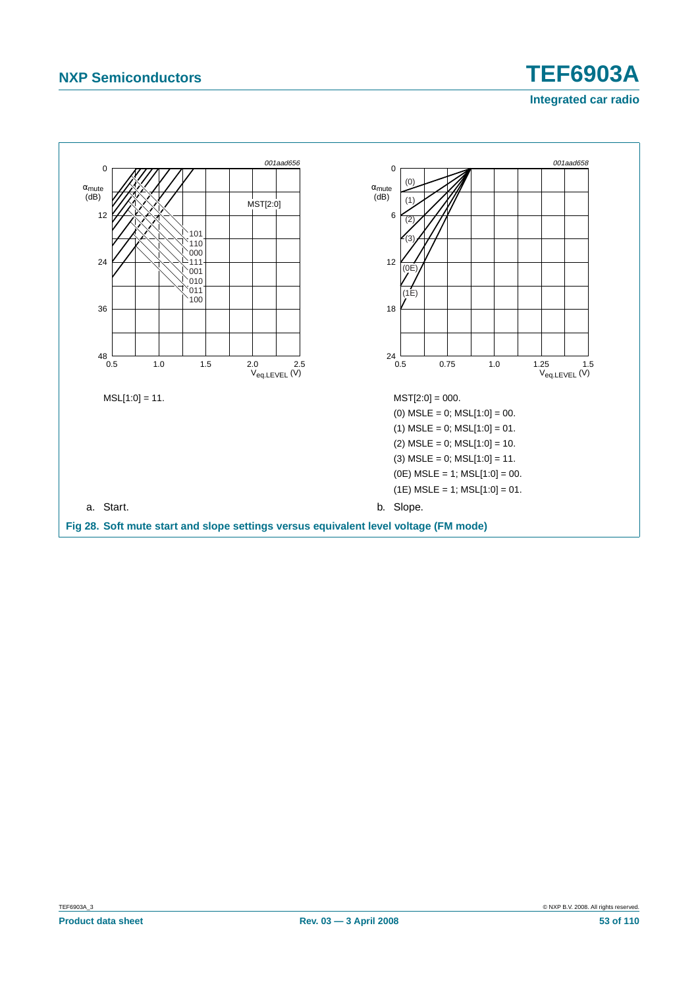## **NXP Semiconductors TEF6903A Integrated car radio**

<span id="page-52-0"></span>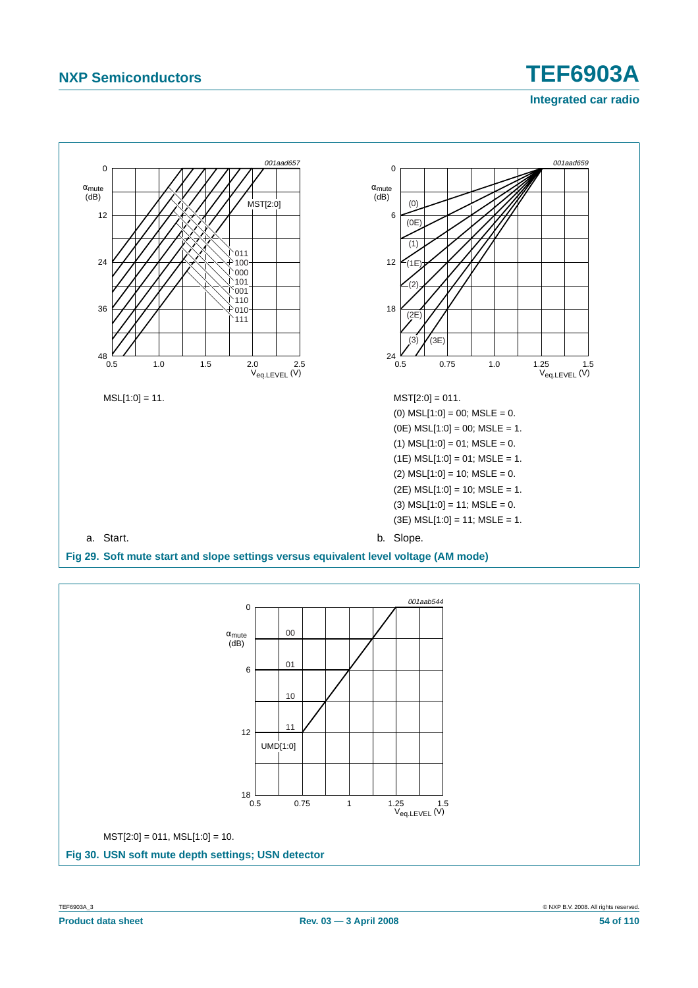## **NXP Semiconductors TEF6903A Integrated car radio**



<span id="page-53-1"></span><span id="page-53-0"></span>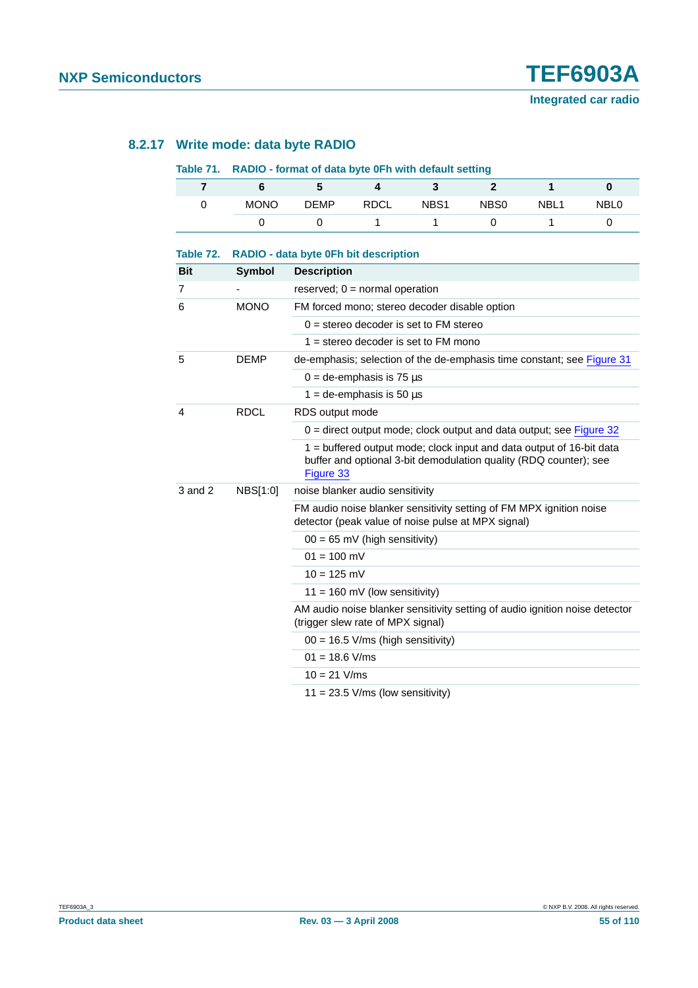#### **8.2.17 Write mode: data byte RADIO**

#### **Table 71. RADIO - format of data byte 0Fh with default setting**

| <b>MONO</b> | <b>DEMP</b> | RDCL | NBS <sub>1</sub> | NB <sub>S0</sub> | NBL <sub>1</sub> | NBL <sub>0</sub> |
|-------------|-------------|------|------------------|------------------|------------------|------------------|
|             |             |      |                  |                  |                  |                  |

| Table 72.               |               | RADIO - data byte 0Fh bit description                                                                                                                  |  |  |  |
|-------------------------|---------------|--------------------------------------------------------------------------------------------------------------------------------------------------------|--|--|--|
| <b>Bit</b>              | <b>Symbol</b> | <b>Description</b>                                                                                                                                     |  |  |  |
| 7                       |               | reserved; $0 = normal operation$                                                                                                                       |  |  |  |
| 6                       | <b>MONO</b>   | FM forced mono; stereo decoder disable option                                                                                                          |  |  |  |
|                         |               | $0 =$ stereo decoder is set to FM stereo                                                                                                               |  |  |  |
|                         |               | $1 =$ stereo decoder is set to FM mono                                                                                                                 |  |  |  |
| 5                       | <b>DEMP</b>   | de-emphasis; selection of the de-emphasis time constant; see Figure 31                                                                                 |  |  |  |
|                         |               | $0 =$ de-emphasis is 75 $\mu$ s                                                                                                                        |  |  |  |
|                         |               | $1 =$ de-emphasis is 50 $\mu$ s                                                                                                                        |  |  |  |
| $\overline{\mathbf{4}}$ | <b>RDCL</b>   | RDS output mode                                                                                                                                        |  |  |  |
|                         |               | $0 =$ direct output mode; clock output and data output; see Figure 32                                                                                  |  |  |  |
|                         |               | 1 = buffered output mode; clock input and data output of 16-bit data<br>buffer and optional 3-bit demodulation quality (RDQ counter); see<br>Figure 33 |  |  |  |
| 3 and 2                 | NBS[1:0]      | noise blanker audio sensitivity                                                                                                                        |  |  |  |
|                         |               | FM audio noise blanker sensitivity setting of FM MPX ignition noise<br>detector (peak value of noise pulse at MPX signal)                              |  |  |  |
|                         |               | $00 = 65$ mV (high sensitivity)                                                                                                                        |  |  |  |
|                         |               | $01 = 100$ mV                                                                                                                                          |  |  |  |
|                         |               | $10 = 125$ mV                                                                                                                                          |  |  |  |
|                         |               | $11 = 160$ mV (low sensitivity)                                                                                                                        |  |  |  |
|                         |               | AM audio noise blanker sensitivity setting of audio ignition noise detector<br>(trigger slew rate of MPX signal)                                       |  |  |  |
|                         |               | $00 = 16.5$ V/ms (high sensitivity)                                                                                                                    |  |  |  |
|                         |               | $01 = 18.6$ V/ms                                                                                                                                       |  |  |  |
|                         |               | $10 = 21$ V/ms                                                                                                                                         |  |  |  |
|                         |               | $11 = 23.5$ V/ms (low sensitivity)                                                                                                                     |  |  |  |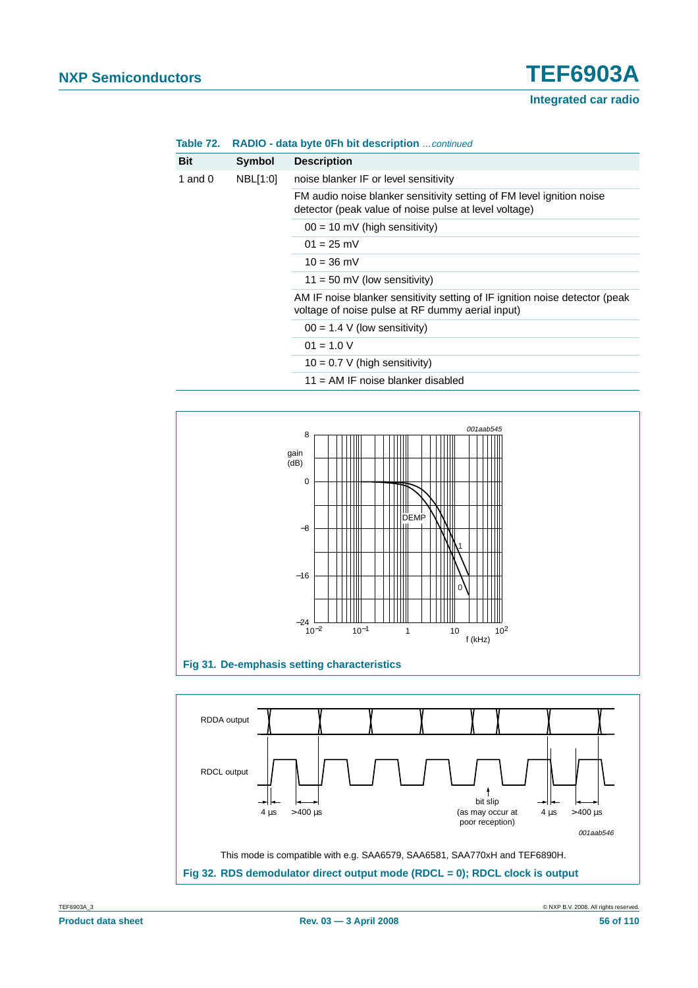| <b>Table 72.</b> RADIO - data byte 0Fh bit description continued |  |  |
|------------------------------------------------------------------|--|--|
|------------------------------------------------------------------|--|--|

| <b>Bit</b> | Symbol       | <b>Description</b>                                                                                                              |
|------------|--------------|---------------------------------------------------------------------------------------------------------------------------------|
| 1 and 0    | NBL[1:0]     | noise blanker IF or level sensitivity                                                                                           |
|            |              | FM audio noise blanker sensitivity setting of FM level ignition noise<br>detector (peak value of noise pulse at level voltage)  |
|            |              | $00 = 10$ mV (high sensitivity)                                                                                                 |
|            | $01 = 25$ mV |                                                                                                                                 |
|            |              | $10 = 36$ mV                                                                                                                    |
|            |              | $11 = 50$ mV (low sensitivity)                                                                                                  |
|            |              | AM IF noise blanker sensitivity setting of IF ignition noise detector (peak<br>voltage of noise pulse at RF dummy aerial input) |
|            |              | $00 = 1.4$ V (low sensitivity)                                                                                                  |
|            |              | $01 = 1.0 V$                                                                                                                    |
|            |              | $10 = 0.7 V$ (high sensitivity)                                                                                                 |

11 = AM IF noise blanker disabled



<span id="page-55-1"></span><span id="page-55-0"></span>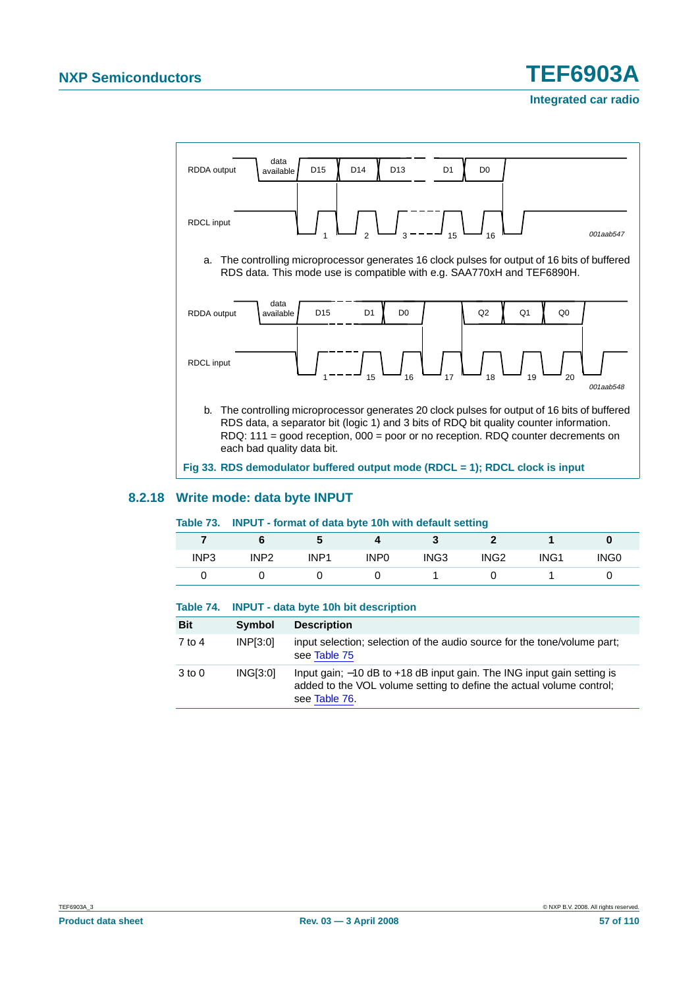

#### <span id="page-56-0"></span>**8.2.18 Write mode: data byte INPUT**

#### **Table 73. INPUT - format of data byte 10h with default setting**

|                  |                  |                  |                  |                  | $\sim$           |                  |                  |
|------------------|------------------|------------------|------------------|------------------|------------------|------------------|------------------|
|                  |                  |                  |                  |                  |                  |                  |                  |
| INP <sub>3</sub> | INP <sub>2</sub> | INP <sub>1</sub> | INP <sub>0</sub> | ING <sub>3</sub> | ING <sub>2</sub> | ING <sub>1</sub> | ING <sub>0</sub> |
|                  |                  |                  |                  |                  |                  |                  |                  |

#### **Table 74. INPUT - data byte 10h bit description**

| <b>Bit</b> | Symbol          | <b>Description</b>                                                                                                                                              |
|------------|-----------------|-----------------------------------------------------------------------------------------------------------------------------------------------------------------|
| 7 to 4     | INP[3:0]        | input selection; selection of the audio source for the tone/volume part;<br>see Table 75                                                                        |
| $3$ to $0$ | <b>ING[3:0]</b> | Input gain; -10 dB to +18 dB input gain. The ING input gain setting is<br>added to the VOL volume setting to define the actual volume control;<br>see Table 76. |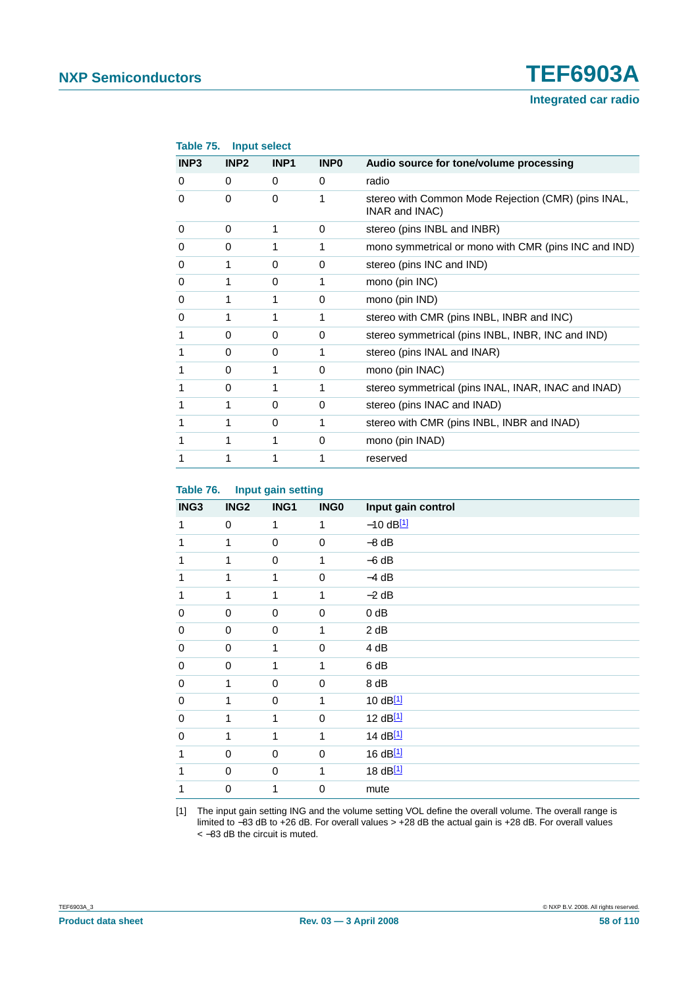#### **Integrated car radio**

<span id="page-57-0"></span>

| Table 75.        | <b>Input select</b> |                  |             |                                                                       |
|------------------|---------------------|------------------|-------------|-----------------------------------------------------------------------|
| INP <sub>3</sub> | INP <sub>2</sub>    | INP <sub>1</sub> | <b>INPO</b> | Audio source for tone/volume processing                               |
| 0                | 0                   | 0                | 0           | radio                                                                 |
| 0                | $\Omega$            | $\Omega$         | 1           | stereo with Common Mode Rejection (CMR) (pins INAL,<br>INAR and INAC) |
| 0                | $\Omega$            | 1                | $\Omega$    | stereo (pins INBL and INBR)                                           |
| 0                | 0                   | 1                | 1           | mono symmetrical or mono with CMR (pins INC and IND)                  |
| 0                | 1                   | 0                | $\Omega$    | stereo (pins INC and IND)                                             |
| 0                |                     | 0                |             | mono (pin INC)                                                        |
| 0                | 1                   | 1                | $\Omega$    | mono (pin IND)                                                        |
| 0                | 1                   | 1                | 1           | stereo with CMR (pins INBL, INBR and INC)                             |
|                  | 0                   | 0                | 0           | stereo symmetrical (pins INBL, INBR, INC and IND)                     |
|                  | 0                   | 0                | 1           | stereo (pins INAL and INAR)                                           |
|                  | 0                   | 1                | 0           | mono (pin INAC)                                                       |
|                  | 0                   | 1                | 1           | stereo symmetrical (pins INAL, INAR, INAC and INAD)                   |
|                  | 1                   | 0                | 0           | stereo (pins INAC and INAD)                                           |
|                  | 1                   | 0                | 1           | stereo with CMR (pins INBL, INBR and INAD)                            |
|                  |                     | 1                | 0           | mono (pin INAD)                                                       |
|                  |                     |                  |             | reserved                                                              |
|                  |                     |                  |             |                                                                       |

#### <span id="page-57-1"></span>**Table 76. Input gain setting**

|      |                  | pa. ga oog  |             |                    |
|------|------------------|-------------|-------------|--------------------|
| ING3 | ING <sub>2</sub> | ING1        | <b>INGO</b> | Input gain control |
| 1    | $\mathbf 0$      | 1           | 1           | $-10$ dB $11$      |
| 1    | 1                | $\mathbf 0$ | $\pmb{0}$   | $-8$ dB            |
| 1    | 1                | 0           | 1           | $-6 dB$            |
| 1    | 1                | 1           | $\mathbf 0$ | $-4 dB$            |
| 1    | 1                | 1           | 1           | $-2$ dB            |
| 0    | $\pmb{0}$        | 0           | $\mathbf 0$ | $0$ dB             |
| 0    | $\pmb{0}$        | 0           | 1           | 2 dB               |
| 0    | $\pmb{0}$        | 1           | $\mathbf 0$ | 4 dB               |
| 0    | $\mathbf 0$      | 1           | 1           | 6 dB               |
| 0    | 1                | $\mathbf 0$ | $\mathbf 0$ | 8 dB               |
| 0    | 1                | 0           | 1           | 10 dB[1]           |
| 0    | 1                | 1           | $\mathbf 0$ | 12 dB[1]           |
| 0    | 1                | 1           | 1           | 14 dB[1]           |
| 1    | $\pmb{0}$        | 0           | $\pmb{0}$   | 16 dB[1]           |
| 1    | $\mathbf 0$      | 0           | 1           | 18 dB[1]           |
| 1    | 0                | 1           | $\pmb{0}$   | mute               |

<span id="page-57-2"></span>[1] The input gain setting ING and the volume setting VOL define the overall volume. The overall range is limited to −83 dB to +26 dB. For overall values > +28 dB the actual gain is +28 dB. For overall values < −83 dB the circuit is muted.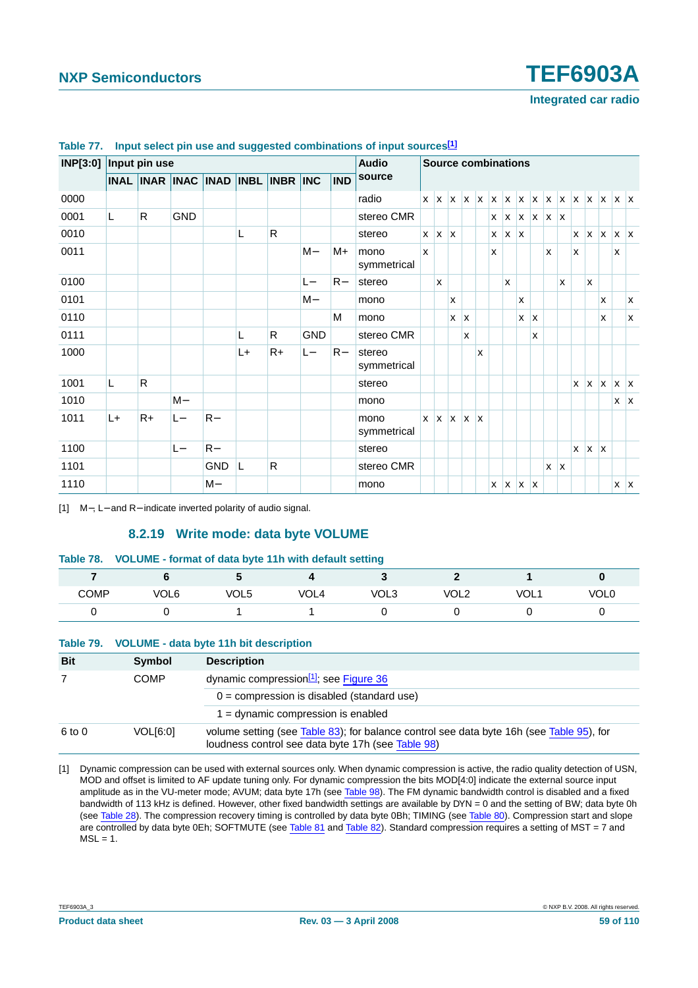| INP[3:0] Input pin use |    |                                   |            |            |    |              |            |            | <b>Audio</b>          |              |                                 |   |         |   | <b>Source combinations</b> |              |              |                     |   |            |              |              |                                                                                                                       |                         |            |
|------------------------|----|-----------------------------------|------------|------------|----|--------------|------------|------------|-----------------------|--------------|---------------------------------|---|---------|---|----------------------------|--------------|--------------|---------------------|---|------------|--------------|--------------|-----------------------------------------------------------------------------------------------------------------------|-------------------------|------------|
|                        |    | INAL INAR INAC INAD INBL INBR INC |            |            |    |              |            | <b>IND</b> | source                |              |                                 |   |         |   |                            |              |              |                     |   |            |              |              |                                                                                                                       |                         |            |
| 0000                   |    |                                   |            |            |    |              |            |            | radio                 |              |                                 |   |         |   |                            |              |              |                     |   |            |              |              | $x$   $x$   $x$   $x$   $x$   $x$   $x$   $x$   $x$   $x$   $x$   $x$   $x$   $x$   $x$   $x$   $x$   $x$   $x$   $x$ |                         |            |
| 0001                   | L. | R.                                | <b>GND</b> |            |    |              |            |            | stereo CMR            |              |                                 |   |         |   |                            |              |              | $X$ $X$ $X$ $X$ $X$ |   |            |              |              |                                                                                                                       |                         |            |
| 0010                   |    |                                   |            |            | L  | $\mathsf{R}$ |            |            | stereo                |              | $x \mid x \mid x$               |   |         |   |                            | $X$ $X$ $X$  |              |                     |   |            | <b>x</b>     | $X$ $X$      |                                                                                                                       | $\mathsf{X} \mathsf{X}$ |            |
| 0011                   |    |                                   |            |            |    |              | M-         | M+         | mono<br>symmetrical   | $\mathsf{x}$ |                                 |   |         |   | X                          |              |              |                     | x |            | $\mathsf{x}$ |              |                                                                                                                       | x                       |            |
| 0100                   |    |                                   |            |            |    |              | $L-$       | $R-$       | stereo                |              | X                               |   |         |   |                            | $\mathsf{x}$ |              |                     |   | X          |              | $\mathsf{x}$ |                                                                                                                       |                         |            |
| 0101                   |    |                                   |            |            |    |              | $M -$      |            | mono                  |              |                                 | X |         |   |                            |              | $\mathsf{x}$ |                     |   |            |              |              | X                                                                                                                     |                         | <b>X</b>   |
| 0110                   |    |                                   |            |            |    |              |            | м          | mono                  |              |                                 |   | $X$ $X$ |   |                            |              | X            | X                   |   |            |              |              | X                                                                                                                     |                         | <b>X</b>   |
| 0111                   |    |                                   |            |            | L  | R            | <b>GND</b> |            | stereo CMR            |              |                                 |   | X       |   |                            |              |              | X                   |   |            |              |              |                                                                                                                       |                         |            |
| 1000                   |    |                                   |            |            | L+ | $R+$         | $L -$      | $R-$       | stereo<br>symmetrical |              |                                 |   |         | X |                            |              |              |                     |   |            |              |              |                                                                                                                       |                         |            |
| 1001                   | L. | R                                 |            |            |    |              |            |            | stereo                |              |                                 |   |         |   |                            |              |              |                     |   |            | $\mathsf{x}$ | $x \mid x$   |                                                                                                                       | $x \mid x$              |            |
| 1010                   |    |                                   | $M -$      |            |    |              |            |            | mono                  |              |                                 |   |         |   |                            |              |              |                     |   |            |              |              |                                                                                                                       |                         | $X \mid X$ |
| 1011                   | L+ | $R+$                              | L-         | $R-$       |    |              |            |            | mono<br>symmetrical   |              | $x \mid x \mid x \mid x \mid x$ |   |         |   |                            |              |              |                     |   |            |              |              |                                                                                                                       |                         |            |
| 1100                   |    |                                   | $L -$      | $R-$       |    |              |            |            | stereo                |              |                                 |   |         |   |                            |              |              |                     |   |            | $\mathbf{x}$ | $x \mid x$   |                                                                                                                       |                         |            |
| 1101                   |    |                                   |            | <b>GND</b> | L  | R            |            |            | stereo CMR            |              |                                 |   |         |   |                            |              |              |                     |   | $x \mid x$ |              |              |                                                                                                                       |                         |            |
| 1110                   |    |                                   |            | M-         |    |              |            |            | mono                  |              |                                 |   |         |   |                            | $X$ $X$ $X$  |              |                     |   |            |              |              |                                                                                                                       | $X$ $X$                 |            |

#### **Table 77. Input select pin use and suggested combinations of input sources[\[1\]](#page-58-0)**

<span id="page-58-0"></span>[1] M−, L− and R− indicate inverted polarity of audio signal.

#### **8.2.19 Write mode: data byte VOLUME**

#### **Table 78. VOLUME - format of data byte 11h with default setting**

| COMP | VOL6 | VOL5 | VOI 4<br>$\sim$ $\sim$ $\sim$ | VOL3 | פ וח <i>ו</i><br>, <u>. .</u> | VOL<br>ັບ∟ | <b>VOL0</b> |
|------|------|------|-------------------------------|------|-------------------------------|------------|-------------|
|      |      |      |                               |      |                               |            |             |

|            |             | Table 79. VOLUME - data byte 11h bit description                                                                                              |
|------------|-------------|-----------------------------------------------------------------------------------------------------------------------------------------------|
| <b>Bit</b> | Symbol      | <b>Description</b>                                                                                                                            |
|            | <b>COMP</b> | dynamic compression <sup>[1]</sup> ; see Figure 36                                                                                            |
|            |             | $0 =$ compression is disabled (standard use)                                                                                                  |
|            |             | $1 =$ dynamic compression is enabled                                                                                                          |
| 6 to 0     | VOL[6:0]    | volume setting (see Table 83); for balance control see data byte 16h (see Table 95), for<br>loudness control see data byte 17h (see Table 98) |

<span id="page-58-1"></span>[1] Dynamic compression can be used with external sources only. When dynamic compression is active, the radio quality detection of USN, MOD and offset is limited to AF update tuning only. For dynamic compression the bits MOD[4:0] indicate the external source input amplitude as in the VU-meter mode; AVUM; data byte 17h (see [Table](#page-71-1) 98). The FM dynamic bandwidth control is disabled and a fixed bandwidth of 113 kHz is defined. However, other fixed bandwidth settings are available by DYN = 0 and the setting of BW; data byte 0h (see [Table](#page-35-0) 28). The compression recovery timing is controlled by data byte 0Bh; TIMING (see [Table](#page-59-0) 80). Compression start and slope are controlled by data byte 0Eh; SOFTMUTE (see [Table](#page-59-2) 81 and [Table](#page-59-1) 82). Standard compression requires a setting of MST = 7 and  $MSI = 1$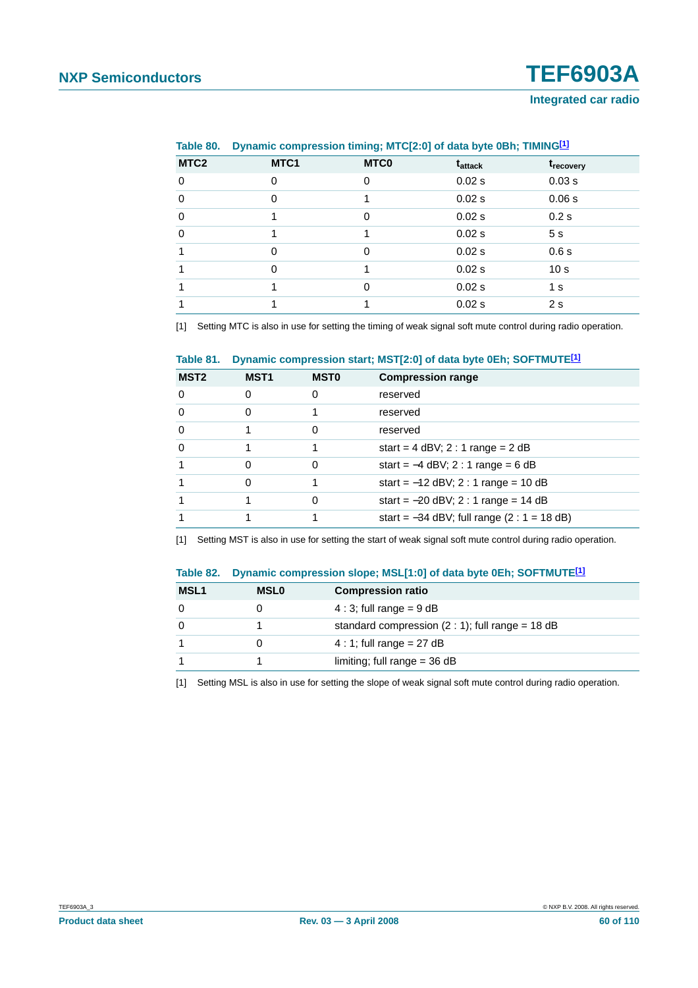#### **Integrated car radio**

|                  | $\frac{1}{2}$ |             |                     |                       |  |
|------------------|---------------|-------------|---------------------|-----------------------|--|
| MTC <sub>2</sub> | MTC1          | <b>MTCO</b> | t <sub>attack</sub> | t <sub>recovery</sub> |  |
| $\Omega$         | 0             | 0           | 0.02 s              | 0.03 s                |  |
| $\Omega$         | 0             |             | $0.02$ s            | 0.06 s                |  |
| $\Omega$         |               | 0           | 0.02 s              | 0.2 s                 |  |
| $\Omega$         |               |             | 0.02 s              | 5 <sub>s</sub>        |  |
|                  | 0             | 0           | 0.02 s              | 0.6s                  |  |
|                  | 0             |             | 0.02 s              | 10 <sub>s</sub>       |  |
|                  |               | 0           | 0.02 s              | 1 <sub>s</sub>        |  |
|                  |               |             | 0.02 s              | 2 <sub>s</sub>        |  |
|                  |               |             |                     |                       |  |

<span id="page-59-0"></span>**Table 80. Dynamic compression timing; MTC[2:0] of data byte 0Bh; TIMIN[G\[1\]](#page-59-3)**

<span id="page-59-3"></span>[1] Setting MTC is also in use for setting the timing of weak signal soft mute control during radio operation.

#### <span id="page-59-2"></span>**Table 81. Dynamic compression start; MST[2:0] of data byte 0Eh; SOFTMUTE[\[1\]](#page-59-4)**

| MST <sub>2</sub> | <b>MST1</b> | <b>MSTO</b> | <b>Compression range</b>                      |
|------------------|-------------|-------------|-----------------------------------------------|
| $\Omega$         | 0           | Ω           | reserved                                      |
| $\Omega$         | O           |             | reserved                                      |
| $\Omega$         |             |             | reserved                                      |
| $\Omega$         |             |             | start = $4$ dBV; $2:1$ range = $2$ dB         |
|                  |             |             | start = $-4$ dBV; 2 : 1 range = 6 dB          |
|                  |             |             | start = $-12$ dBV; 2 : 1 range = 10 dB        |
| 1                |             | Ω           | start = $-20$ dBV; 2 : 1 range = 14 dB        |
|                  |             |             | start = $-34$ dBV; full range (2 : 1 = 18 dB) |

<span id="page-59-4"></span>[1] Setting MST is also in use for setting the start of weak signal soft mute control during radio operation.

#### <span id="page-59-1"></span>**Table 82. Dynamic compression slope; MSL[1:0] of data byte 0Eh; SOFTMUTE[\[1\]](#page-59-5)**

| <b>MSL1</b> | <b>MSLO</b> | <b>Compression ratio</b>                          |
|-------------|-------------|---------------------------------------------------|
| 0           |             | $4:3$ ; full range = 9 dB                         |
| $\Omega$    |             | standard compression $(2:1)$ ; full range = 18 dB |
|             |             | $4:1$ ; full range = 27 dB                        |
|             |             | limiting; full range $=$ 36 dB                    |

<span id="page-59-5"></span>[1] Setting MSL is also in use for setting the slope of weak signal soft mute control during radio operation.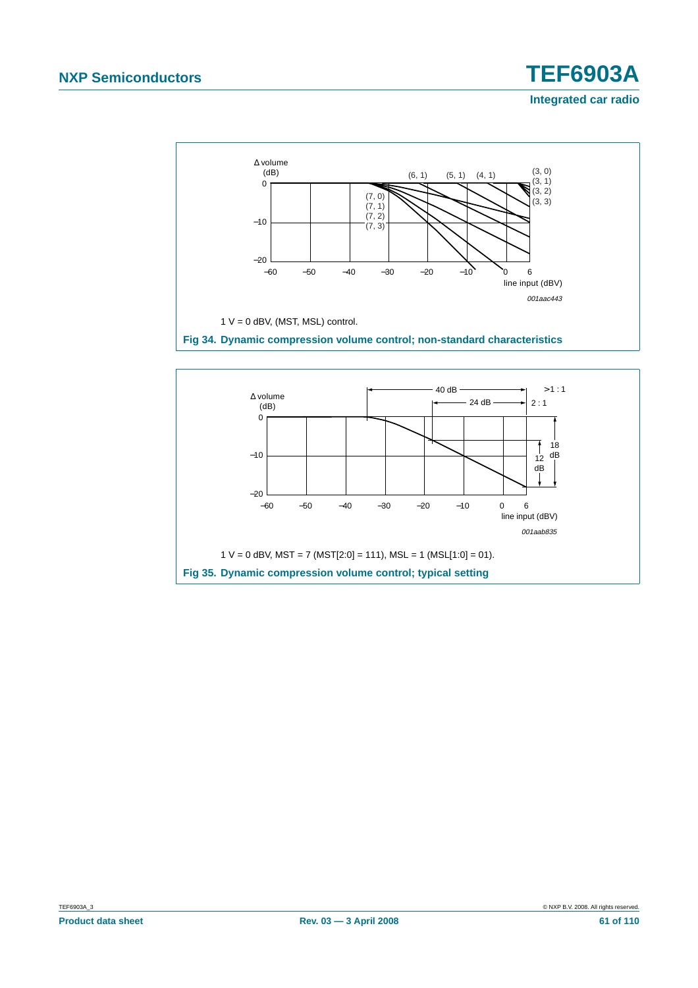#### **Integrated car radio**



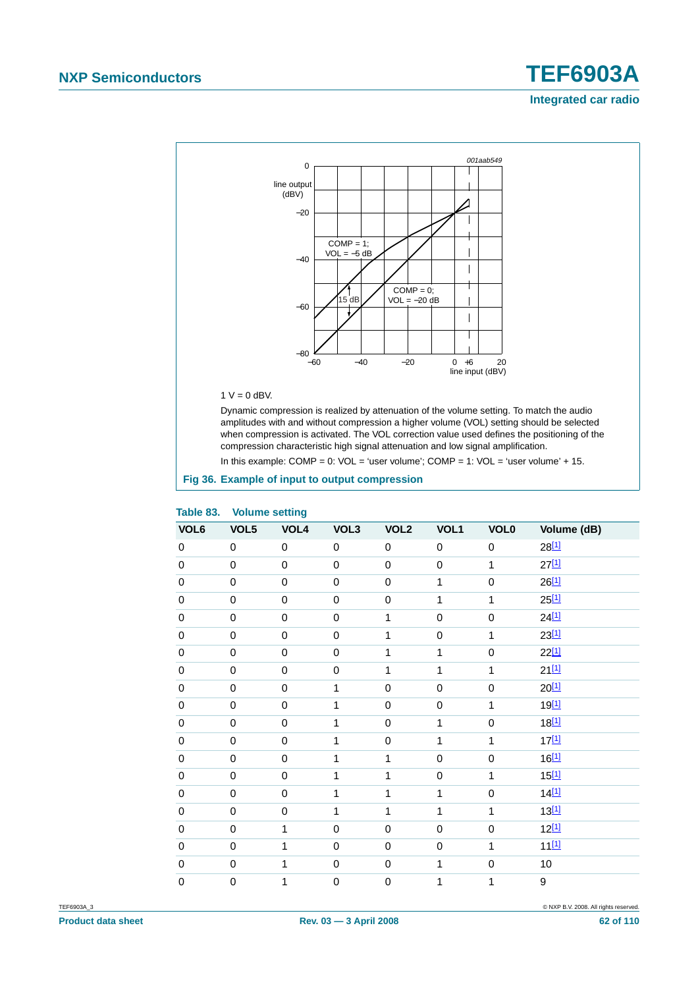## **NXP Semiconductors TEF6903A Integrated car radio**



#### $1 V = 0$  dBV.

Dynamic compression is realized by attenuation of the volume setting. To match the audio amplitudes with and without compression a higher volume (VOL) setting should be selected when compression is activated. The VOL correction value used defines the positioning of the compression characteristic high signal attenuation and low signal amplification.

In this example:  $COMP = 0$ :  $VOL = 'user volume'; COMP = 1: VOL = 'user volume' + 15$ .

#### <span id="page-61-0"></span>**Fig 36. Example of input to output compression**

| Table op.        | <b>volume setting</b> |             |              |                  |             |             |             |
|------------------|-----------------------|-------------|--------------|------------------|-------------|-------------|-------------|
| VOL <sub>6</sub> | VOL5                  | VOL4        | VOL3         | VOL <sub>2</sub> | VOL1        | <b>VOL0</b> | Volume (dB) |
| $\mathbf 0$      | $\mathbf 0$           | $\pmb{0}$   | $\mathbf 0$  | $\pmb{0}$        | $\mathbf 0$ | $\mathbf 0$ | $28^{[1]}$  |
| $\mathbf 0$      | $\pmb{0}$             | $\pmb{0}$   | $\mathbf 0$  | $\mathbf 0$      | $\mathbf 0$ | 1           | $27^{[1]}$  |
| $\mathbf 0$      | $\mathbf 0$           | $\mathbf 0$ | $\mathbf 0$  | $\mathbf 0$      | 1           | $\mathbf 0$ | $26^{[1]}$  |
| $\pmb{0}$        | $\boldsymbol{0}$      | $\mathbf 0$ | $\mathbf 0$  | $\pmb{0}$        | 1           | 1           | $25^{[1]}$  |
| $\mathbf 0$      | $\mathbf 0$           | $\mathbf 0$ | $\mathbf 0$  | $\mathbf 1$      | $\mathbf 0$ | $\mathbf 0$ | $24^{[1]}$  |
| $\mathbf 0$      | $\mathbf 0$           | $\mathbf 0$ | $\mathbf 0$  | 1                | 0           | 1           | $23^{[1]}$  |
| $\mathbf 0$      | $\mathbf 0$           | $\mathbf 0$ | $\mathbf 0$  | $\mathbf 1$      | 1           | $\mathbf 0$ | $22^{[1]}$  |
| $\pmb{0}$        | $\mathbf 0$           | $\mathbf 0$ | $\mathbf 0$  | 1                | 1           | 1           | $21^{[1]}$  |
| $\mathbf 0$      | $\mathbf 0$           | $\pmb{0}$   | 1            | $\mathbf 0$      | $\mathbf 0$ | $\mathbf 0$ | $20^{[1]}$  |
| $\pmb{0}$        | $\mathbf 0$           | $\pmb{0}$   | $\mathbf{1}$ | $\mathbf 0$      | $\mathbf 0$ | 1           | $19^{[1]}$  |
| $\mathbf 0$      | $\mathbf 0$           | $\mathbf 0$ | $\mathbf{1}$ | $\mathbf 0$      | 1           | $\mathbf 0$ | $18^{[1]}$  |
| $\mathbf 0$      | $\mathbf 0$           | $\mathbf 0$ | $\mathbf{1}$ | $\mathbf 0$      | 1           | 1           | $17^{[1]}$  |
| $\mathbf 0$      | $\mathbf 0$           | $\mathbf 0$ | 1            | $\mathbf 1$      | $\mathbf 0$ | $\mathbf 0$ | $16^{[1]}$  |
| $\mathbf 0$      | $\pmb{0}$             | $\mathbf 0$ | $\mathbf{1}$ | 1                | $\mathbf 0$ | 1           | $15^{[1]}$  |
| $\mathbf 0$      | $\mathbf 0$           | $\mathbf 0$ | $\mathbf{1}$ | $\mathbf{1}$     | 1           | $\mathbf 0$ | 14[1]       |
| $\mathbf 0$      | $\pmb{0}$             | $\pmb{0}$   | $\mathbf{1}$ | 1                | 1           | 1           | $13^{[1]}$  |
| $\mathbf 0$      | $\mathbf 0$           | 1           | $\mathbf 0$  | $\pmb{0}$        | $\pmb{0}$   | $\mathbf 0$ | $12^{[1]}$  |
| $\mathbf 0$      | $\mathbf 0$           | 1           | $\mbox{O}$   | $\mathbf 0$      | $\mathbf 0$ | 1           | 1111        |
| $\mathbf 0$      | $\pmb{0}$             | 1           | $\mathbf 0$  | $\mathbf 0$      | 1           | $\mathbf 0$ | 10          |
| $\mathbf 0$      | $\mathbf 0$           | 1           | $\mathsf 0$  | $\mathbf 0$      | 1           | 1           | 9           |

#### <span id="page-61-1"></span>**Table 83. Volume setting**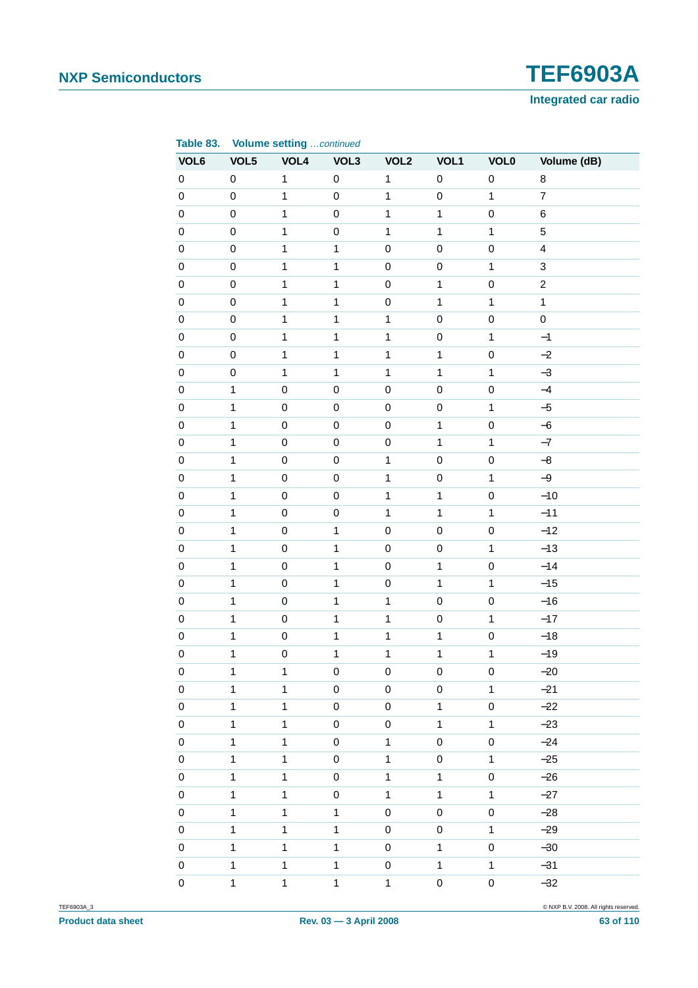

| Table 83.   |              | <b>Volume setting continued</b> |                  |                  |                     |              |                         |
|-------------|--------------|---------------------------------|------------------|------------------|---------------------|--------------|-------------------------|
| VOL6        | VOL5         | VOL4                            | VOL3             | VOL <sub>2</sub> | VOL1                | <b>VOL0</b>  | Volume (dB)             |
| $\pmb{0}$   | $\mathbf 0$  | $\mathbf 1$                     | $\pmb{0}$        | $\mathbf{1}$     | $\pmb{0}$           | $\mathbf 0$  | 8                       |
| $\mathbf 0$ | $\mathbf 0$  | $\mathbf 1$                     | $\pmb{0}$        | $\mathbf{1}$     | $\mathsf 0$         | $\mathbf 1$  | $\boldsymbol{7}$        |
| $\mathbf 0$ | $\mathbf 0$  | $\mathbf 1$                     | $\mathbf 0$      | $\mathbf{1}$     | $\mathbf{1}$        | $\mathbf 0$  | 6                       |
| $\pmb{0}$   | $\mathbf 0$  | $\mathbf{1}$                    | $\mathbf 0$      | $\mathbf{1}$     | $\mathbf{1}$        | $\mathbf{1}$ | 5                       |
| $\pmb{0}$   | $\mathbf 0$  | $\mathbf 1$                     | $\mathbf{1}$     | $\mathsf 0$      | $\mathbf 0$         | $\mathbf 0$  | $\overline{\mathbf{4}}$ |
| $\pmb{0}$   | $\pmb{0}$    | $\mathbf{1}$                    | $\mathbf{1}$     | $\mathbf 0$      | $\mathbf 0$         | $\mathbf{1}$ | $\mathbf{3}$            |
| $\mathbf 0$ | $\mathbf 0$  | $\mathbf{1}$                    | $\mathbf{1}$     | $\mathbf 0$      | $\mathbf{1}$        | $\mathbf 0$  | $\overline{c}$          |
| $\pmb{0}$   | $\mathbf 0$  | $\mathbf{1}$                    | $\mathbf{1}$     | $\mathbf 0$      | $\mathbf{1}$        | $\mathbf{1}$ | $\mathbf{1}$            |
| $\pmb{0}$   | $\mathbf 0$  | $\mathbf 1$                     | $\mathbf{1}$     | $\mathbf{1}$     | $\mathbf 0$         | $\mathbf 0$  | $\mathbf 0$             |
| $\pmb{0}$   | $\pmb{0}$    | $\mathbf{1}$                    | $\mathbf{1}$     | $\mathbf{1}$     | $\mathbf 0$         | $\mathbf{1}$ | $-1$                    |
| $\mathbf 0$ | $\mathbf 0$  | $\mathbf{1}$                    | $\mathbf{1}$     | $\mathbf{1}$     | $\mathbf{1}$        | $\mathbf 0$  | $-2$                    |
| $\pmb{0}$   | $\pmb{0}$    | $\mathbf{1}$                    | $\mathbf{1}$     | $\mathbf{1}$     | $\mathbf{1}$        | $\mathbf{1}$ | $-3$                    |
| $\pmb{0}$   | $\mathbf 1$  | $\mathbf 0$                     | $\mathbf 0$      | $\mathbf 0$      | $\mathbf 0$         | $\mathbf 0$  | $-4$                    |
| $\pmb{0}$   | $\mathbf{1}$ | $\mathbf 0$                     | $\mathbf 0$      | $\pmb{0}$        | $\mathsf 0$         | $\mathbf{1}$ | $-5$                    |
| $\mathbf 0$ | $\mathbf{1}$ | $\mathbf 0$                     | $\mathbf 0$      | $\mathbf 0$      | $\mathbf{1}$        | $\mathbf 0$  | $-6$                    |
| $\pmb{0}$   | $\mathbf 1$  | $\mathbf 0$                     | $\mathbf 0$      | $\mathbf 0$      | $\mathbf{1}$        | $\mathbf{1}$ | $-7$                    |
| $\pmb{0}$   | $\mathbf{1}$ | $\mathbf 0$                     | $\pmb{0}$        | $\mathbf{1}$     | $\mathbf 0$         | 0            | $-8$                    |
| $\pmb{0}$   | $\mathbf{1}$ | $\mathbf 0$                     | $\mathbf 0$      | $\mathbf{1}$     | $\mathsf 0$         | $\mathbf{1}$ | $-9$                    |
| $\mathbf 0$ | $\mathbf{1}$ | $\mathbf 0$                     | $\mathbf 0$      | $\mathbf{1}$     | $\mathbf{1}$        | $\mathbf 0$  | $-10$                   |
| $\pmb{0}$   | $\mathbf 1$  | $\mathbf 0$                     | $\mathbf 0$      | $\mathbf{1}$     | $\mathbf{1}$        | $\mathbf{1}$ | $-11$                   |
| $\pmb{0}$   | $\mathbf{1}$ | $\mathbf 0$                     | $\mathbf{1}$     | $\mathbf 0$      | $\mathbf 0$         | 0            | $-12$                   |
| $\pmb{0}$   | $\mathbf{1}$ | $\mathbf 0$                     | $\mathbf{1}$     | $\mathbf 0$      | $\mathsf{O}\xspace$ | $\mathbf{1}$ | $-13$                   |
| $\mathbf 0$ | $\mathbf 1$  | $\mathbf 0$                     | $\mathbf{1}$     | $\mathbf 0$      | $\mathbf{1}$        | 0            | $-14$                   |
| $\pmb{0}$   | $\mathbf 1$  | $\mathbf 0$                     | $\mathbf{1}$     | $\mathbf 0$      | $\mathbf{1}$        | $\mathbf{1}$ | $-15$                   |
| $\pmb{0}$   | $\mathbf{1}$ | $\mathbf 0$                     | $\mathbf{1}$     | $\mathbf{1}$     | $\mathbf 0$         | 0            | $-16$                   |
| $\pmb{0}$   | $\mathbf 1$  | $\mathbf 0$                     | $\mathbf{1}$     | $\mathbf{1}$     | $\mathbf 0$         | $\mathbf{1}$ | $-17$                   |
| $\pmb{0}$   | $\mathbf{1}$ | $\mathbf 0$                     | 1                | $\mathbf{1}$     | $\mathbf{1}$        | 0            | $-18$                   |
| $\pmb{0}$   | $\mathbf{1}$ | $\mathsf{O}\xspace$             | $\mathbf 1$      | $\mathbf{1}$     | $\mathbf{1}$        | $\mathbf{1}$ | $-19$                   |
| $\pmb{0}$   | 1            | $\mathbf{1}$                    | $\mathbf 0$      | $\mathbf 0$      | $\mathbf 0$         | 0            | $-20$                   |
| $\pmb{0}$   | $\mathbf{1}$ | 1                               | $\mathbf 0$      | $\pmb{0}$        | 0                   | $\mathbf{1}$ | $-21$                   |
| $\pmb{0}$   | 1            | 1                               | $\pmb{0}$        | $\pmb{0}$        | $\mathbf{1}$        | 0            | $-22$                   |
| $\pmb{0}$   | $\mathbf{1}$ | $\mathbf 1$                     | $\pmb{0}$        | $\pmb{0}$        | $\mathbf{1}$        | $\mathbf{1}$ | $-23$                   |
| $\pmb{0}$   | $\mathbf{1}$ | $\mathbf{1}$                    | $\boldsymbol{0}$ | $\mathbf{1}$     | $\pmb{0}$           | 0            | $-24$                   |
| $\pmb{0}$   | $\mathbf{1}$ | $\mathbf{1}$                    | $\boldsymbol{0}$ | $\mathbf{1}$     | $\pmb{0}$           | $\mathbf{1}$ | $-25$                   |
| $\pmb{0}$   | 1            | $\mathbf{1}$                    | $\boldsymbol{0}$ | $\mathbf{1}$     | $\mathbf{1}$        | 0            | $-26$                   |
| $\pmb{0}$   | $\mathbf{1}$ | $\mathbf 1$                     | $\pmb{0}$        | $\mathbf{1}$     | $\mathbf{1}$        | $\mathbf{1}$ | $-27$                   |
| $\pmb{0}$   | $\mathbf{1}$ | $\mathbf{1}$                    | $\mathbf{1}$     | $\mathsf 0$      | 0                   | 0            | $-28$                   |
| $\pmb{0}$   | $\mathbf{1}$ | $\mathbf{1}$                    | $\mathbf{1}$     | $\pmb{0}$        | $\pmb{0}$           | $\mathbf{1}$ | $-29$                   |
| $\pmb{0}$   | 1            | $\mathbf{1}$                    | 1                | $\pmb{0}$        | $\mathbf{1}$        | 0            | $-30$                   |
| $\pmb{0}$   | $\mathbf{1}$ | $\mathbf 1$                     | $\mathbf{1}$     | $\pmb{0}$        | $\mathbf{1}$        | $\mathbf{1}$ | $-31$                   |
| $\pmb{0}$   | $\mathbf{1}$ | $\mathbf 1$                     | $\mathbf{1}$     | $\mathbf{1}$     | 0                   | 0            | $-32$                   |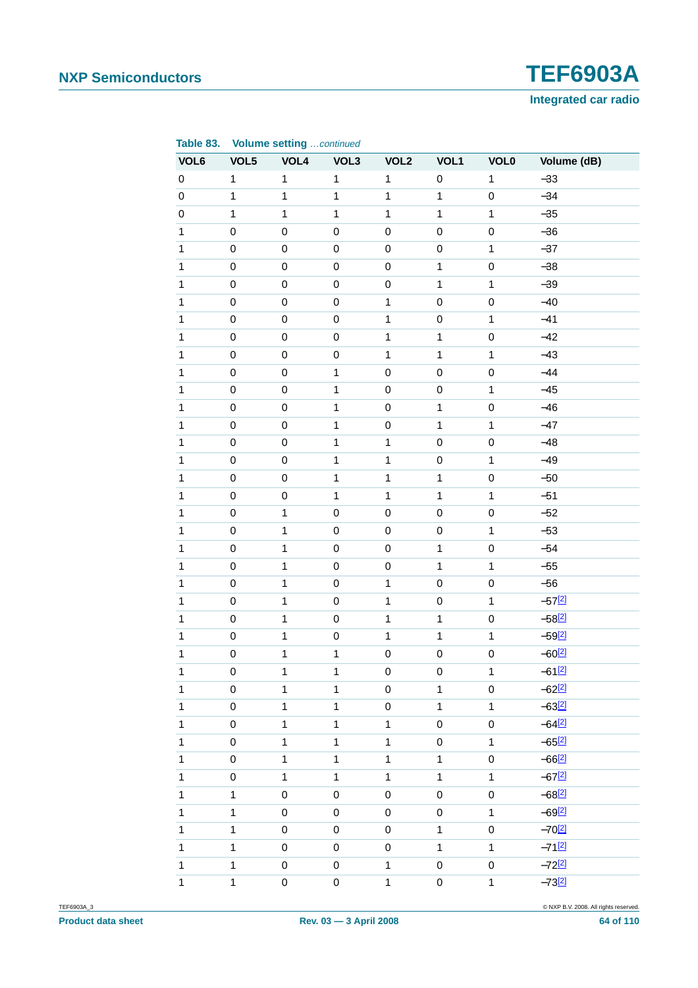

| Table 83.    |                     | <b>Volume setting continued</b> |              |                  |              |              |                      |
|--------------|---------------------|---------------------------------|--------------|------------------|--------------|--------------|----------------------|
| VOL6         | VOL5                | VOL4                            | VOL3         | VOL <sub>2</sub> | VOL1         | <b>VOL0</b>  | Volume (dB)          |
| $\pmb{0}$    | $\mathbf{1}$        | $\mathbf{1}$                    | $\mathbf{1}$ | $\mathbf{1}$     | $\pmb{0}$    | $\mathbf{1}$ | $-33$                |
| $\pmb{0}$    | $\mathbf{1}$        | $\mathbf{1}$                    | $\mathbf{1}$ | $\mathbf{1}$     | $\mathbf{1}$ | $\mathsf 0$  | $-34$                |
| $\pmb{0}$    | $\mathbf{1}$        | $\mathbf{1}$                    | $\mathbf{1}$ | $\mathbf{1}$     | $\mathbf{1}$ | $\mathbf{1}$ | $-35$                |
| $\mathbf{1}$ | $\mathbf 0$         | $\mathsf 0$                     | $\mathbf 0$  | $\mathbf 0$      | $\pmb{0}$    | $\mathsf 0$  | $-36$                |
| $\mathbf{1}$ | $\mathbf 0$         | $\mathsf 0$                     | $\mathbf 0$  | $\mathbf 0$      | $\pmb{0}$    | $\mathbf{1}$ | $-37$                |
| $\mathbf{1}$ | $\mathbf 0$         | $\mathsf 0$                     | $\mathbf 0$  | $\pmb{0}$        | $\mathbf{1}$ | $\pmb{0}$    | $-38$                |
| $\mathbf{1}$ | $\mathbf 0$         | $\mathbf 0$                     | $\mathbf 0$  | $\mathbf 0$      | $\mathbf{1}$ | $\mathbf{1}$ | $-39$                |
| $\mathbf{1}$ | $\mathbf 0$         | $\mathsf 0$                     | $\mathbf 0$  | $\mathbf{1}$     | $\pmb{0}$    | $\mathsf 0$  | $-40$                |
| $\mathbf{1}$ | $\mathbf 0$         | $\pmb{0}$                       | $\mathbf 0$  | $\mathbf 1$      | $\pmb{0}$    | $\mathbf{1}$ | $-41$                |
| $\mathbf{1}$ | $\mathbf 0$         | $\pmb{0}$                       | $\mathbf 0$  | $\mathbf{1}$     | $\mathbf{1}$ | $\pmb{0}$    | $-42$                |
| $\mathbf{1}$ | $\mathbf 0$         | $\pmb{0}$                       | $\mathbf 0$  | $\mathbf{1}$     | $\mathbf{1}$ | $\mathbf{1}$ | $-43$                |
| $\mathbf{1}$ | $\mathbf 0$         | $\pmb{0}$                       | $\mathbf{1}$ | $\mathbf 0$      | $\pmb{0}$    | $\pmb{0}$    | $-44$                |
| $\mathbf{1}$ | $\mathbf 0$         | $\pmb{0}$                       | $\mathbf{1}$ | $\mathbf 0$      | $\pmb{0}$    | $\mathbf{1}$ | $-45$                |
| $\mathbf{1}$ | $\mathbf 0$         | $\pmb{0}$                       | $\mathbf{1}$ | $\pmb{0}$        | $\mathbf{1}$ | $\pmb{0}$    | $-46$                |
| $\mathbf{1}$ | $\mathbf 0$         | $\pmb{0}$                       | $\mathbf{1}$ | $\mathbf 0$      | $\mathbf{1}$ | $\mathbf{1}$ | $-47$                |
| $\mathbf{1}$ | $\mathbf 0$         | $\pmb{0}$                       | $\mathbf{1}$ | $\mathbf{1}$     | $\pmb{0}$    | $\pmb{0}$    | $-48$                |
| $\mathbf{1}$ | $\mathbf 0$         | $\pmb{0}$                       | $\mathbf{1}$ | $\mathbf 1$      | $\pmb{0}$    | $\mathbf{1}$ | $-49$                |
| $\mathbf{1}$ | $\mathbf 0$         | $\pmb{0}$                       | $\mathbf{1}$ | $\mathbf{1}$     | $\mathbf{1}$ | $\pmb{0}$    | $-50$                |
| $\mathbf{1}$ | $\mathbf 0$         | $\mathbf 0$                     | $\mathbf{1}$ | $\mathbf{1}$     | $\mathbf{1}$ | $\mathbf{1}$ | $-51$                |
| $\mathbf{1}$ | $\mathbf 0$         | $\mathbf 1$                     | $\mathbf 0$  | $\mathbf 0$      | $\pmb{0}$    | $\pmb{0}$    | $-52$                |
| $\mathbf{1}$ | $\mathbf 0$         | $\mathbf 1$                     | $\mathbf 0$  | $\mathbf 0$      | $\pmb{0}$    | $\mathbf{1}$ | $-53$                |
| $\mathbf{1}$ | $\mathbf 0$         | $\mathbf{1}$                    | $\mathbf 0$  | $\pmb{0}$        | $\mathbf{1}$ | $\pmb{0}$    | $-54$                |
| $\mathbf{1}$ | $\mathbf 0$         | $\mathbf{1}$                    | $\mathbf 0$  | $\mathbf 0$      | $\mathbf{1}$ | $\mathbf{1}$ | $-55$                |
| $\mathbf{1}$ | $\mathbf 0$         | $\mathbf 1$                     | $\mathbf 0$  | $\mathbf{1}$     | $\pmb{0}$    | $\mathsf 0$  | $-56$                |
| $\mathbf{1}$ | $\mathbf 0$         | $\mathbf 1$                     | $\mathbf 0$  | $\mathbf{1}$     | $\pmb{0}$    | $\mathbf{1}$ | $-57[2]$             |
| $\mathbf{1}$ | $\mathbf 0$         | $\mathbf{1}$                    | $\mathbf 0$  | $\mathbf{1}$     | $\mathbf{1}$ | $\pmb{0}$    | $-58[2]$             |
| $\mathbf{1}$ | $\mathbf 0$         | $\mathbf{1}$                    | $\mathsf 0$  | $\mathbf{1}$     | $\mathbf{1}$ | $\mathbf{1}$ | $-59[2]$             |
| $\mathbf{1}$ | $\pmb{0}$           | $\mathbf 1$                     | $\mathbf{1}$ | $\pmb{0}$        | $\mathbf 0$  | $\mathsf 0$  | $-60^{[2]}$          |
| $\mathbf{1}$ | $\mathsf 0$         | 1                               | $\mathbf{1}$ | $\mathbf 0$      | $\pmb{0}$    | 1            | $-61$ [2]            |
| $\mathbf{1}$ | $\mathsf{O}\xspace$ | $\mathbf{1}$                    | $\mathbf{1}$ | $\mathsf 0$      | $\mathbf{1}$ | $\pmb{0}$    | $-62^{[2]}$          |
| $\mathbf{1}$ | $\mathsf{O}\xspace$ | $\mathbf{1}$                    | $\mathbf{1}$ | $\pmb{0}$        | $\mathbf{1}$ | $\mathbf{1}$ | $-63[2]$             |
| $\mathbf{1}$ | $\pmb{0}$           | $\mathbf 1$                     | $\mathbf{1}$ | $\mathbf{1}$     | $\pmb{0}$    | 0            | $-64$ <sup>[2]</sup> |
| $\mathbf{1}$ | $\mathsf 0$         | $\mathbf{1}$                    | $\mathbf{1}$ | $\mathbf{1}$     | $\mathbf 0$  | $\mathbf{1}$ | $-65[2]$             |
| $\mathbf{1}$ | $\pmb{0}$           | $\mathbf{1}$                    | $\mathbf{1}$ | $\mathbf{1}$     | $\mathbf{1}$ | $\pmb{0}$    | $-66$ <sup>[2]</sup> |
| $\mathbf{1}$ | $\pmb{0}$           | $\mathbf{1}$                    | $\mathbf{1}$ | $\mathbf{1}$     | $\mathbf{1}$ | $\mathbf{1}$ | $-67$ <sup>[2]</sup> |
| $\mathbf{1}$ | $\mathbf{1}$        | $\mathsf 0$                     | $\pmb{0}$    | $\pmb{0}$        | $\pmb{0}$    | 0            | $-68$ <sup>[2]</sup> |
| $\mathbf{1}$ | $\mathbf{1}$        | $\mathsf 0$                     | $\mathsf 0$  | $\mathsf 0$      | $\mathbf 0$  | $\mathbf{1}$ | $-69^{[2]}$          |
| $\mathbf{1}$ | $\mathbf{1}$        | $\mathsf 0$                     | $\pmb{0}$    | $\pmb{0}$        | $\mathbf{1}$ | $\pmb{0}$    | $-70^{[2]}$          |
| $\mathbf{1}$ | $\mathbf{1}$        | $\pmb{0}$                       | $\pmb{0}$    | $\pmb{0}$        | $\mathbf{1}$ | $\mathbf{1}$ | $-71$ [2]            |
| $\mathbf{1}$ | $\mathbf{1}$        | $\mathsf 0$                     | $\pmb{0}$    | $\mathbf{1}$     | $\pmb{0}$    | 0            | $-72^{[2]}$          |
| $\mathbf{1}$ | $\mathbf{1}$        | $\mathsf 0$                     | $\mathbf 0$  | $\mathbf 1$      | $\mathbf 0$  | $\mathbf{1}$ | $-73[2]$             |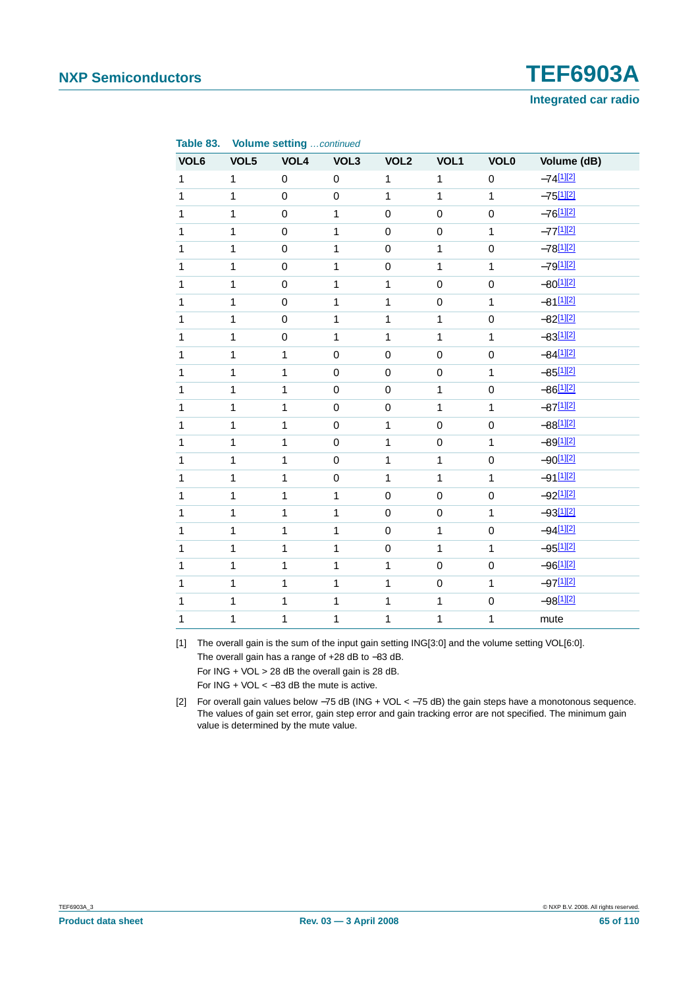

| Table 83.    |              | <b>Volume setting continued</b> |                |                  |              |                     |                         |
|--------------|--------------|---------------------------------|----------------|------------------|--------------|---------------------|-------------------------|
| VOL6         | VOL5         | VOL4                            | VOL3           | VOL <sub>2</sub> | VOL1         | <b>VOL0</b>         | Volume (dB)             |
| $\mathbf{1}$ | $\mathbf{1}$ | $\mathbf 0$                     | $\pmb{0}$      | $\mathbf{1}$     | $\mathbf{1}$ | $\mathbf 0$         | $-74$ [1][2]            |
| $\mathbf{1}$ | $\mathbf{1}$ | $\mathsf 0$                     | $\mathsf 0$    | $\mathbf{1}$     | $\mathbf{1}$ | $\overline{1}$      | $-75^{[1][2]}$          |
| $\mathbf{1}$ | $\mathbf{1}$ | $\mathsf 0$                     | $\mathbf{1}$   | $\mathsf 0$      | $\mathbf 0$  | $\mathbf 0$         | $-76^{[1][2]}$          |
| $\mathbf{1}$ | $\mathbf{1}$ | $\mathbf 0$                     | $\mathbf{1}$   | $\mathbf 0$      | 0            | $\mathbf{1}$        | $-77^{[1][2]}$          |
| $\mathbf{1}$ | $\mathbf{1}$ | $\mathsf 0$                     | $\mathbf{1}$   | $\mathsf 0$      | $\mathbf{1}$ | $\mathsf 0$         | $-78^{[1][2]}$          |
| $\mathbf{1}$ | $\mathbf{1}$ | $\mathbf 0$                     | $\mathbf{1}$   | $\mathsf 0$      | $\mathbf{1}$ | $\mathbf{1}$        | $-79^{[1][2]}$          |
| $\mathbf{1}$ | $\mathbf{1}$ | $\mathbf 0$                     | $\mathbf{1}$   | $\mathbf{1}$     | $\mathsf 0$  | $\mathbf 0$         | $-80^{[1][2]}$          |
| $\mathbf{1}$ | $\mathbf{1}$ | $\mathsf 0$                     | $\overline{1}$ | $\mathbf{1}$     | $\mathsf 0$  | $\mathbf{1}$        | $-81$ <sup>[1][2]</sup> |
| $\mathbf{1}$ | $\mathbf{1}$ | $\mathsf 0$                     | $\mathbf{1}$   | $\mathbf{1}$     | $\mathbf{1}$ | $\mathbf 0$         | $-82^{[1][2]}$          |
| $\mathbf{1}$ | $\mathbf{1}$ | $\mathbf 0$                     | $\mathbf{1}$   | $\mathbf{1}$     | $\mathbf{1}$ | $\overline{1}$      | $-83^{[1][2]}$          |
| $\mathbf{1}$ | $\mathbf{1}$ | $\mathbf 1$                     | $\mathbf 0$    | $\mathbf 0$      | $\mathbf 0$  | $\mathbf 0$         | $-84$ <sup>[1][2]</sup> |
| $\mathbf{1}$ | $\mathbf{1}$ | $\mathbf 1$                     | $\mathbf 0$    | $\mathbf 0$      | $\mathsf 0$  | $\mathbf{1}$        | $-85^{[1][2]}$          |
| $\mathbf{1}$ | $\mathbf{1}$ | $\overline{1}$                  | $\mathbf 0$    | $\mathsf 0$      | $\mathbf{1}$ | $\mathsf 0$         | $-86[1][2]$             |
| $\mathbf{1}$ | $\mathbf{1}$ | $\mathbf 1$                     | $\mathbf 0$    | $\mathbf 0$      | $\mathbf{1}$ | $\mathbf{1}$        | $-87^{[1][2]}$          |
| $\mathbf{1}$ | $\mathbf{1}$ | $\mathbf{1}$                    | $\mathsf 0$    | $\mathbf{1}$     | $\mathsf 0$  | $\mathsf{O}\xspace$ | $-88^{[1][2]}$          |
| $\mathbf{1}$ | $\mathbf{1}$ | $\mathbf{1}$                    | $\mathsf 0$    | $\mathbf{1}$     | $\mathsf 0$  | $\mathbf{1}$        | $-89^{[1][2]}$          |
| $\mathbf{1}$ | $\mathbf{1}$ | $\mathbf{1}$                    | $\mathbf 0$    | $\mathbf{1}$     | $\mathbf{1}$ | $\mathbf 0$         | $-90^{[1][2]}$          |
| $\mathbf{1}$ | $\mathbf{1}$ | $\mathbf{1}$                    | $\mathsf 0$    | $\mathbf{1}$     | $\mathbf{1}$ | $\overline{1}$      | $-91$ <sup>[1][2]</sup> |
| $\mathbf{1}$ | $\mathbf{1}$ | $\mathbf{1}$                    | $\mathbf{1}$   | $\mathbf 0$      | $\mathsf 0$  | $\mathbf 0$         | $-92^{[1][2]}$          |
| $\mathbf{1}$ | $\mathbf{1}$ | $\mathbf{1}$                    | $\mathbf{1}$   | $\pmb{0}$        | $\mathbf 0$  | $\mathbf{1}$        | $-93^{[1][2]}$          |
| $\mathbf{1}$ | $\mathbf{1}$ | $\mathbf 1$                     | $\mathbf{1}$   | $\mathbf 0$      | $\mathbf{1}$ | $\pmb{0}$           | $-94$ <sup>[1][2]</sup> |
| $\mathbf{1}$ | $\mathbf{1}$ | $\mathbf 1$                     | $\mathbf{1}$   | $\mathbf 0$      | $\mathbf{1}$ | $\mathbf{1}$        | $-95^{[1][2]}$          |
| $\mathbf{1}$ | $\mathbf{1}$ | $\mathbf 1$                     | $\mathbf{1}$   | $\mathbf 1$      | $\mathbf 0$  | $\mathbf 0$         | $-96[1][2]$             |
| $\mathbf{1}$ | $\mathbf{1}$ | $\overline{1}$                  | $\overline{1}$ | $\mathbf{1}$     | $\mathsf 0$  | $\mathbf{1}$        | $-97^{[1][2]}$          |
| $\mathbf{1}$ | $\mathbf{1}$ | $\mathbf 1$                     | $\mathbf{1}$   | $\mathbf 1$      | $\mathbf{1}$ | $\mathsf 0$         | $-98[1][2]$             |
| $\mathbf{1}$ | $\mathbf{1}$ | 1                               | $\mathbf 1$    | 1                | $\mathbf{1}$ | 1                   | mute                    |

<span id="page-64-0"></span>[1] The overall gain is the sum of the input gain setting ING[3:0] and the volume setting VOL[6:0]. The overall gain has a range of +28 dB to −83 dB. For ING + VOL > 28 dB the overall gain is 28 dB. For  $ING + VOL < -83$  dB the mute is active.

<span id="page-64-1"></span>[2] For overall gain values below −75 dB (ING + VOL < −75 dB) the gain steps have a monotonous sequence. The values of gain set error, gain step error and gain tracking error are not specified. The minimum gain value is determined by the mute value.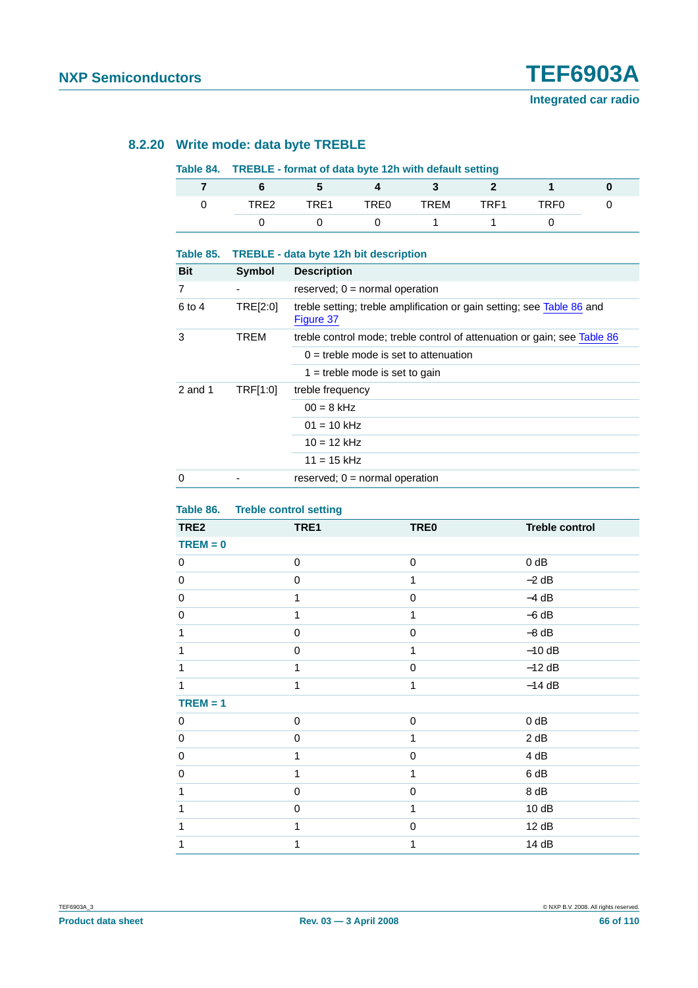#### **8.2.20 Write mode: data byte TREBLE**

#### **Table 84. TREBLE - format of data byte 12h with default setting**

| TRE <sub>2</sub> | TRF1 | TRE <sub>0</sub> | TREM | TRF1 | TRF <sub>0</sub> |  |
|------------------|------|------------------|------|------|------------------|--|
|                  |      |                  |      |      |                  |  |

| Table 85.  |          | TREBLE - data byte 12h bit description                                              |
|------------|----------|-------------------------------------------------------------------------------------|
| <b>Bit</b> | Symbol   | <b>Description</b>                                                                  |
| 7          |          | reserved; $0 = normal operation$                                                    |
| 6 to 4     | TRE[2:0] | treble setting; treble amplification or gain setting; see Table 86 and<br>Figure 37 |
| 3          | TREM     | treble control mode; treble control of attenuation or gain; see Table 86            |
|            |          | $0 =$ treble mode is set to attenuation                                             |
|            |          | $1 =$ treble mode is set to gain                                                    |
| 2 and 1    | TRF[1:0] | treble frequency                                                                    |
|            |          | $00 = 8$ kHz                                                                        |
|            |          | $01 = 10$ kHz                                                                       |
|            |          | $10 = 12$ kHz                                                                       |
|            |          | $11 = 15$ kHz                                                                       |
| $\Omega$   |          | reserved; $0 = normal operation$                                                    |

#### <span id="page-65-0"></span>**Table 86. Treble control setting**

| TRE2       | $\tilde{\phantom{a}}$<br>TRE1 | <b>TRE0</b>  | <b>Treble control</b> |
|------------|-------------------------------|--------------|-----------------------|
| $TREM = 0$ |                               |              |                       |
| 0          | $\,0\,$                       | $\pmb{0}$    | $0$ dB                |
| $\pmb{0}$  | 0                             | 1            | $-2$ dB               |
| $\pmb{0}$  | $\mathbf{1}$                  | $\mathbf 0$  | $-4 dB$               |
| $\pmb{0}$  | 1                             | 1            | $-6 dB$               |
| 1          | $\mathbf 0$                   | $\mathbf 0$  | $-8$ dB               |
| 1          | $\mathbf 0$                   | 1            | $-10$ dB              |
| 1          | 1                             | $\mathbf 0$  | $-12$ dB              |
| 1          | 1                             | $\mathbf{1}$ | $-14$ dB              |
| $TREM = 1$ |                               |              |                       |
| 0          | 0                             | $\pmb{0}$    | $0$ dB                |
| 0          | 0                             | 1            | 2 dB                  |
| $\pmb{0}$  | 1                             | $\mathbf 0$  | 4 dB                  |
| 0          | 1                             | 1            | 6 dB                  |
| 1          | 0                             | $\mathbf 0$  | 8 dB                  |
| 1          | 0                             | 1            | 10dB                  |
| 1          | 1                             | $\mathbf 0$  | 12 dB                 |
| 1          | 1                             | 1            | 14 dB                 |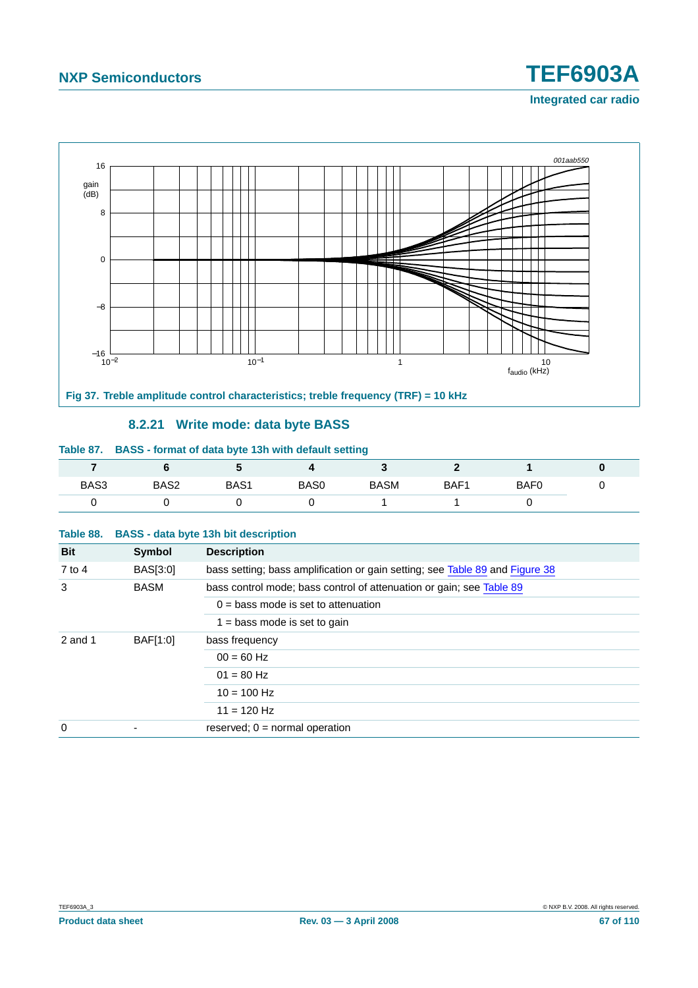# **Integrated car radio**



#### **8.2.21 Write mode: data byte BASS**

#### <span id="page-66-0"></span>**Table 87. BASS - format of data byte 13h with default setting**

|      |      |                  |      |             |      |                  | υ |
|------|------|------------------|------|-------------|------|------------------|---|
| BAS3 | BAS2 | BAS <sub>1</sub> | BAS0 | <b>BASM</b> | BAF1 | BAF <sub>0</sub> | ັ |
|      |      |                  |      |             |      |                  |   |

#### **Table 88. BASS - data byte 13h bit description**

| <b>Bit</b> | Symbol      | <b>Description</b>                                                           |
|------------|-------------|------------------------------------------------------------------------------|
| 7 to 4     | BAS[3:0]    | bass setting; bass amplification or gain setting; see Table 89 and Figure 38 |
| 3          | <b>BASM</b> | bass control mode; bass control of attenuation or gain; see Table 89         |
|            |             | $0 =$ bass mode is set to attenuation                                        |
|            |             | $1 =$ bass mode is set to gain                                               |
| $2$ and 1  | BAF[1:0]    | bass frequency                                                               |
|            |             | $00 = 60$ Hz                                                                 |
|            |             | $01 = 80$ Hz                                                                 |
|            |             | $10 = 100$ Hz                                                                |
|            |             | $11 = 120$ Hz                                                                |
| 0          |             | reserved; $0 = normal operation$                                             |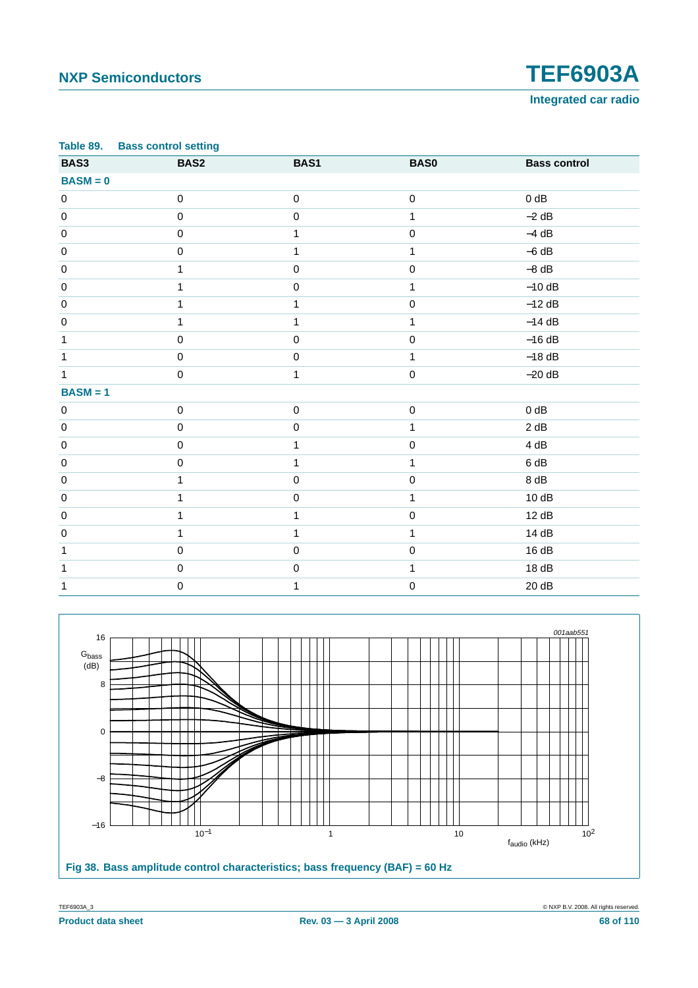**Integrated car radio**

<span id="page-67-0"></span>

|              | Table 89. Bass control setting |              |              |                     |
|--------------|--------------------------------|--------------|--------------|---------------------|
| BAS3         | BAS2                           | BAS1         | <b>BAS0</b>  | <b>Bass control</b> |
| $BASM = 0$   |                                |              |              |                     |
| $\pmb{0}$    | $\mathbf 0$                    | $\mathbf 0$  | $\mathbf 0$  | $0$ dB              |
| $\pmb{0}$    | $\mathbf 0$                    | $\mathbf 0$  | $\mathbf{1}$ | $-2$ dB             |
| $\pmb{0}$    | $\mathbf 0$                    | $\mathbf{1}$ | $\pmb{0}$    | $-4$ dB             |
| $\pmb{0}$    | $\mathbf 0$                    | $\mathbf{1}$ | 1            | $-6 dB$             |
| $\pmb{0}$    | 1                              | $\pmb{0}$    | $\mathbf 0$  | $-8$ dB             |
| $\pmb{0}$    | $\mathbf{1}$                   | $\mathbf 0$  | $\mathbf{1}$ | $-10$ dB            |
| $\pmb{0}$    | 1                              | 1            | $\mathbf 0$  | $-12$ dB            |
| $\pmb{0}$    | $\mathbf{1}$                   | $\mathbf{1}$ | $\mathbf{1}$ | $-14$ dB            |
| $\mathbf{1}$ | $\mathsf 0$                    | $\mathbf 0$  | $\mathbf 0$  | $-16 dB$            |
| $\mathbf{1}$ | $\mathbf 0$                    | $\mathbf 0$  | $\mathbf{1}$ | $-18$ dB            |
| $\mathbf{1}$ | 0                              | 1            | $\mathbf 0$  | $-20$ dB            |
| $BASM = 1$   |                                |              |              |                     |
| $\pmb{0}$    | $\pmb{0}$                      | $\pmb{0}$    | $\pmb{0}$    | $0$ dB              |
| $\pmb{0}$    | $\pmb{0}$                      | $\pmb{0}$    | 1            | 2 dB                |
| $\mathbf 0$  | $\pmb{0}$                      | 1            | $\mathbf 0$  | 4 dB                |
| $\pmb{0}$    | $\mathbf 0$                    | 1            | $\mathbf{1}$ | 6 dB                |
| $\pmb{0}$    | $\mathbf{1}$                   | $\mathbf 0$  | $\mathsf 0$  | 8 dB                |
| $\pmb{0}$    | 1                              | $\pmb{0}$    | 1            | 10dB                |
| $\pmb{0}$    | 1                              | $\mathbf{1}$ | $\mathbf 0$  | 12 dB               |
| $\pmb{0}$    | 1                              | 1            | $\mathbf{1}$ | 14 dB               |
| 1            | $\mathsf 0$                    | $\mathbf 0$  | $\mathbf 0$  | 16dB                |
| 1            | $\mathbf 0$                    | $\mathbf 0$  | 1            | 18dB                |
| 1            | 0                              | 1            | $\mathbf 0$  | 20dB                |



<span id="page-67-1"></span>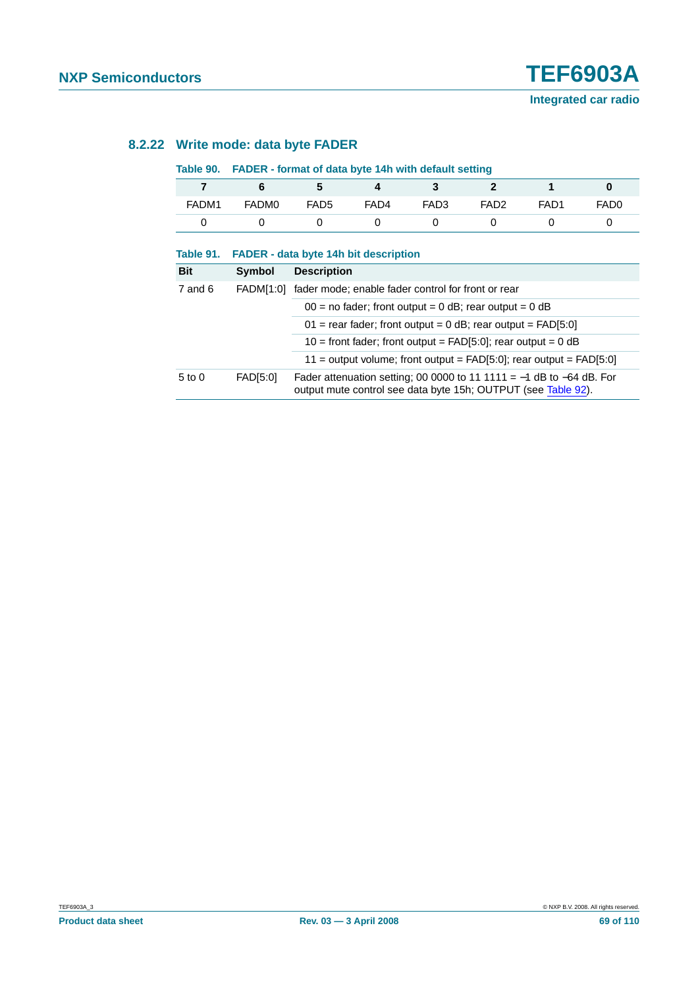### **8.2.22 Write mode: data byte FADER**

#### **Table 90. FADER - format of data byte 14h with default setting**

| 7          | 6                | 5                | 4                                                  | 3                                                                                                                                         | $\mathbf{2}$     | 1                | 0                |  |  |  |
|------------|------------------|------------------|----------------------------------------------------|-------------------------------------------------------------------------------------------------------------------------------------------|------------------|------------------|------------------|--|--|--|
| FADM1      | FADM0            | FAD <sub>5</sub> | FAD4                                               | FAD3                                                                                                                                      | FAD <sub>2</sub> | FAD <sub>1</sub> | FAD <sub>0</sub> |  |  |  |
| 0          | 0                | 0                | 0                                                  | 0                                                                                                                                         | 0                | 0                | 0                |  |  |  |
| Table 91.  |                  |                  | <b>FADER</b> - data byte 14h bit description       |                                                                                                                                           |                  |                  |                  |  |  |  |
| <b>Bit</b> | <b>Symbol</b>    |                  | <b>Description</b>                                 |                                                                                                                                           |                  |                  |                  |  |  |  |
| 7 and 6    | <b>FADM[1:0]</b> |                  | fader mode; enable fader control for front or rear |                                                                                                                                           |                  |                  |                  |  |  |  |
|            |                  |                  |                                                    | $00 =$ no fader; front output = 0 dB; rear output = 0 dB                                                                                  |                  |                  |                  |  |  |  |
|            |                  |                  |                                                    | $01$ = rear fader; front output = 0 dB; rear output = FAD[5:0]                                                                            |                  |                  |                  |  |  |  |
|            |                  |                  |                                                    | $10 =$ front fader; front output = FAD[5:0]; rear output = 0 dB                                                                           |                  |                  |                  |  |  |  |
|            |                  |                  |                                                    | $11 =$ output volume; front output = FAD[5:0]; rear output = FAD[5:0]                                                                     |                  |                  |                  |  |  |  |
| $5$ to $0$ | FAD[5:0]         |                  |                                                    | Fader attenuation setting; 00 0000 to 11 1111 = $-1$ dB to $-64$ dB. For<br>output mute control see data byte 15h; OUTPUT (see Table 92). |                  |                  |                  |  |  |  |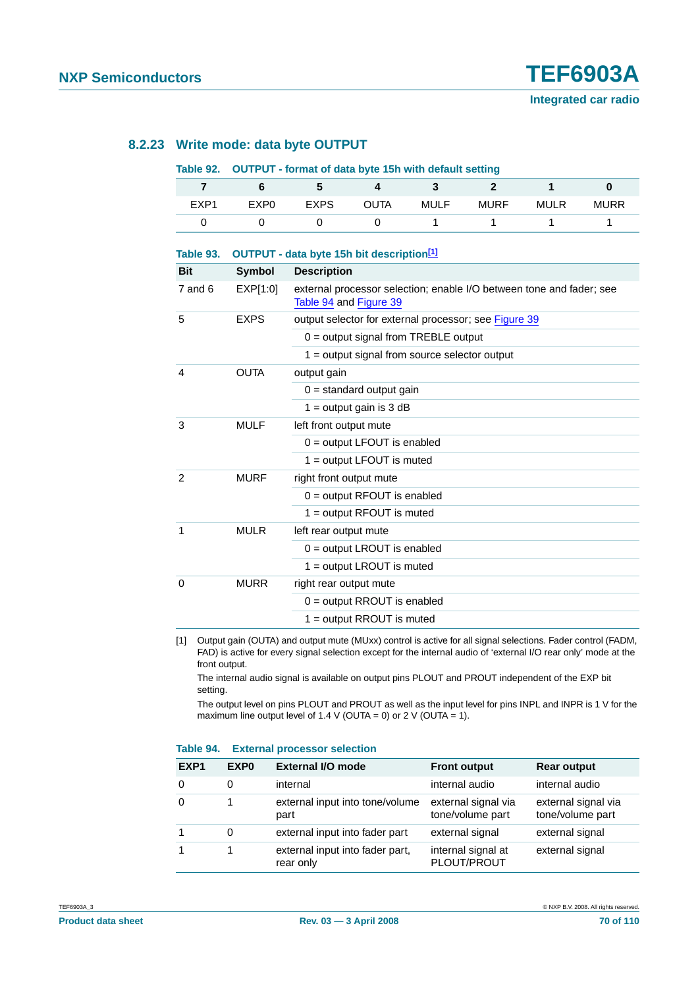#### **8.2.23 Write mode: data byte OUTPUT**

#### <span id="page-69-0"></span>**Table 92. OUTPUT - format of data byte 15h with default setting**

| EXP1 | EXP <sub>0</sub> | <b>EXPS</b> | <b>OUTA</b> | MULF | <b>MURF</b> | <b>MULR</b> | <b>MURR</b> |
|------|------------------|-------------|-------------|------|-------------|-------------|-------------|
|      |                  |             |             |      |             |             |             |

| Table 93.  | OUTPUT - data byte 15h bit description <sup>[1]</sup> |                                                                                                |  |  |  |  |
|------------|-------------------------------------------------------|------------------------------------------------------------------------------------------------|--|--|--|--|
| <b>Bit</b> | <b>Symbol</b>                                         | <b>Description</b>                                                                             |  |  |  |  |
| 7 and 6    | EXP[1:0]                                              | external processor selection; enable I/O between tone and fader; see<br>Table 94 and Figure 39 |  |  |  |  |
| 5          | <b>EXPS</b>                                           | output selector for external processor; see Figure 39                                          |  |  |  |  |
|            |                                                       | $0 =$ output signal from TREBLE output                                                         |  |  |  |  |
|            |                                                       | $1 =$ output signal from source selector output                                                |  |  |  |  |
| 4          | <b>OUTA</b>                                           | output gain                                                                                    |  |  |  |  |
|            |                                                       | $0 =$ standard output gain                                                                     |  |  |  |  |
|            |                                                       | $1 =$ output gain is 3 dB                                                                      |  |  |  |  |
| 3          | <b>MULF</b>                                           | left front output mute                                                                         |  |  |  |  |
|            |                                                       | $0 =$ output LFOUT is enabled                                                                  |  |  |  |  |
|            |                                                       | $1 =$ output LFOUT is muted                                                                    |  |  |  |  |
| 2          | <b>MURF</b>                                           | right front output mute                                                                        |  |  |  |  |
|            |                                                       | $0 =$ output RFOUT is enabled                                                                  |  |  |  |  |
|            |                                                       | $1 =$ output RFOUT is muted                                                                    |  |  |  |  |
| 1          | <b>MULR</b>                                           | left rear output mute                                                                          |  |  |  |  |
|            |                                                       | $0 =$ output LROUT is enabled                                                                  |  |  |  |  |
|            |                                                       | $1 =$ output LROUT is muted                                                                    |  |  |  |  |
| $\Omega$   | <b>MURR</b>                                           | right rear output mute                                                                         |  |  |  |  |
|            |                                                       | $0 =$ output RROUT is enabled                                                                  |  |  |  |  |
|            |                                                       | $1 =$ output RROUT is muted                                                                    |  |  |  |  |

<span id="page-69-1"></span>[1] Output gain (OUTA) and output mute (MUxx) control is active for all signal selections. Fader control (FADM, FAD) is active for every signal selection except for the internal audio of 'external I/O rear only' mode at the front output.

The internal audio signal is available on output pins PLOUT and PROUT independent of the EXP bit setting.

The output level on pins PLOUT and PROUT as well as the input level for pins INPL and INPR is 1 V for the maximum line output level of 1.4 V (OUTA = 0) or 2 V (OUTA = 1).

#### <span id="page-69-2"></span>**Table 94. External processor selection**

| EXP <sub>1</sub> | EXP <sub>0</sub> | <b>External I/O mode</b>                     | <b>Front output</b>                     | <b>Rear output</b>                      |
|------------------|------------------|----------------------------------------------|-----------------------------------------|-----------------------------------------|
| 0                | $\Omega$         | internal                                     | internal audio                          | internal audio                          |
| 0                |                  | external input into tone/volume<br>part      | external signal via<br>tone/volume part | external signal via<br>tone/volume part |
|                  | 0                | external input into fader part               | external signal                         | external signal                         |
|                  |                  | external input into fader part,<br>rear only | internal signal at<br>PLOUT/PROUT       | external signal                         |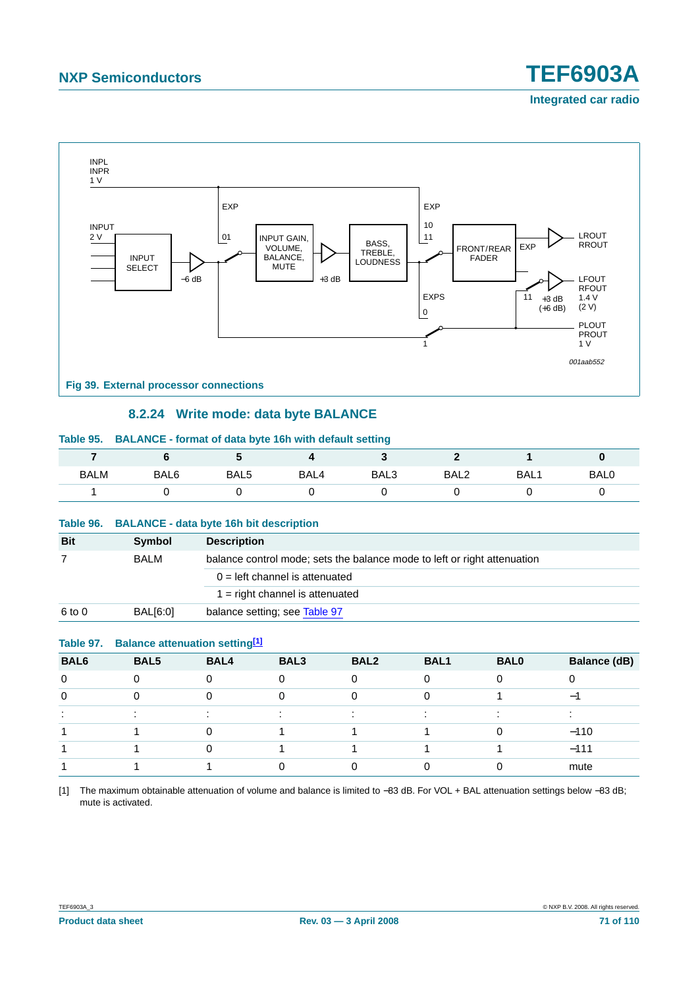## **Integrated car radio**



#### **8.2.24 Write mode: data byte BALANCE**

<span id="page-70-1"></span><span id="page-70-0"></span>

|             | Table 95. BALANCE - format of data byte 16h with default setting |                  |      |      |                  |                  |      |  |
|-------------|------------------------------------------------------------------|------------------|------|------|------------------|------------------|------|--|
|             |                                                                  |                  |      |      |                  |                  |      |  |
| <b>BALM</b> | BAL6                                                             | BAL <sub>5</sub> | BAL4 | BAL3 | BAL <sub>2</sub> | BAL <sub>1</sub> | BAL0 |  |
|             |                                                                  |                  |      |      |                  |                  |      |  |
|             |                                                                  |                  |      |      |                  |                  |      |  |

#### **Table 96. BALANCE - data byte 16h bit description**

| <b>Bit</b> | Symbol      | <b>Description</b>                                                       |
|------------|-------------|--------------------------------------------------------------------------|
|            | <b>BALM</b> | balance control mode; sets the balance mode to left or right attenuation |
|            |             | $0 =$ left channel is attenuated                                         |
|            |             | $1 =$ right channel is attenuated                                        |
| 6 to 0     | BAL[6:0]    | balance setting; see Table 97                                            |

#### <span id="page-70-2"></span>**Table 97. Balance attenuation setting[\[1\]](#page-70-3)**

| BAL6     | BAL5 | BAL4 | BAL3 | BAL <sub>2</sub> | <b>BAL1</b> | <b>BAL0</b> | <b>Balance (dB)</b>      |
|----------|------|------|------|------------------|-------------|-------------|--------------------------|
| $\Omega$ |      |      |      |                  |             | O           |                          |
| 0        |      |      |      |                  |             |             | $\overline{\phantom{0}}$ |
|          |      |      |      |                  |             |             |                          |
|          |      |      |      |                  |             |             | $-110$                   |
|          |      |      |      |                  |             |             | $-111$                   |
|          |      |      |      |                  |             |             | mute                     |

<span id="page-70-3"></span>[1] The maximum obtainable attenuation of volume and balance is limited to −83 dB. For VOL + BAL attenuation settings below −83 dB; mute is activated.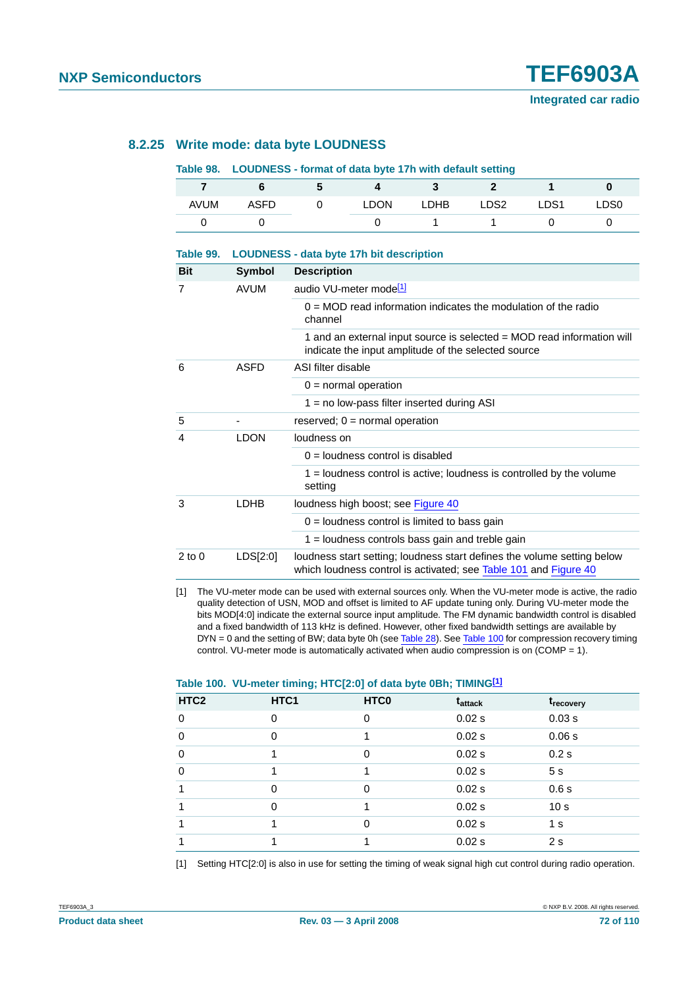#### **8.2.25 Write mode: data byte LOUDNESS**

#### <span id="page-71-1"></span>**Table 98. LOUDNESS - format of data byte 17h with default setting**

**Table 99. LOUDNESS - data byte 17h bit description**

| <b>AVUM</b> | <b>ASFD</b> | <b>LDON</b> | <b>LDHB</b> | LDS <sub>2</sub> | LDS <sub>1</sub> | LDS0 |
|-------------|-------------|-------------|-------------|------------------|------------------|------|
|             |             |             |             |                  |                  |      |

| <b>Bit</b> | Symbol      | <b>Description</b>                                                                                                                          |
|------------|-------------|---------------------------------------------------------------------------------------------------------------------------------------------|
| 7          | <b>AVUM</b> | audio VU-meter mode <sup>[1]</sup>                                                                                                          |
|            |             | $0 = \text{MOD}$ read information indicates the modulation of the radio<br>channel                                                          |
|            |             | 1 and an external input source is selected = MOD read information will<br>indicate the input amplitude of the selected source               |
| 6          | <b>ASFD</b> | ASI filter disable                                                                                                                          |
|            |             | $0 =$ normal operation                                                                                                                      |
|            |             | $1 = no$ low-pass filter inserted during ASI                                                                                                |
| 5          |             | reserved; $0 = normal operation$                                                                                                            |
| 4          | <b>LDON</b> | loudness on                                                                                                                                 |
|            |             | $0 =$ loudness control is disabled                                                                                                          |
|            |             | $1 =$ loudness control is active; loudness is controlled by the volume<br>setting                                                           |
| 3          | LDHB        | loudness high boost; see Figure 40                                                                                                          |
|            |             | $0 =$ loudness control is limited to bass gain                                                                                              |
|            |             | $1 =$ loudness controls bass gain and treble gain                                                                                           |
| $2$ to $0$ | LDS[2:0]    | loudness start setting; loudness start defines the volume setting below<br>which loudness control is activated; see Table 101 and Figure 40 |
|            |             |                                                                                                                                             |

<span id="page-71-2"></span>[1] The VU-meter mode can be used with external sources only. When the VU-meter mode is active, the radio quality detection of USN, MOD and offset is limited to AF update tuning only. During VU-meter mode the bits MOD[4:0] indicate the external source input amplitude. The FM dynamic bandwidth control is disabled and a fixed bandwidth of 113 kHz is defined. However, other fixed bandwidth settings are available by DYN = 0 and the setting of BW; data byte 0h (see [Table](#page-71-0) 28). See Table 100 for compression recovery timing control. VU-meter mode is automatically activated when audio compression is on  $(COMP = 1)$ .

#### <span id="page-71-0"></span>**Table 100. VU-meter timing; HTC[2:0] of data byte 0Bh; TIMING[\[1\]](#page-71-3)**

| HTC <sub>2</sub> | HTC1     | HTC <sub>0</sub> | t <sub>attack</sub> | t <sub>recovery</sub> |
|------------------|----------|------------------|---------------------|-----------------------|
| $\mathbf 0$      | 0        | $\Omega$         | 0.02 s              | 0.03 s                |
| $\mathbf 0$      | $\Omega$ |                  | 0.02 s              | 0.06 s                |
| $\mathbf 0$      |          | $\Omega$         | 0.02 s              | 0.2s                  |
| $\mathbf 0$      |          |                  | 0.02 s              | 5 <sub>s</sub>        |
| 1                | $\Omega$ | $\Omega$         | 0.02 s              | 0.6s                  |
| 1                | 0        |                  | 0.02 s              | 10 <sub>s</sub>       |
| 1                |          | $\Omega$         | 0.02 s              | 1 <sub>s</sub>        |
| 1                |          |                  | 0.02 s              | 2 <sub>s</sub>        |

<span id="page-71-3"></span>[1] Setting HTC[2:0] is also in use for setting the timing of weak signal high cut control during radio operation.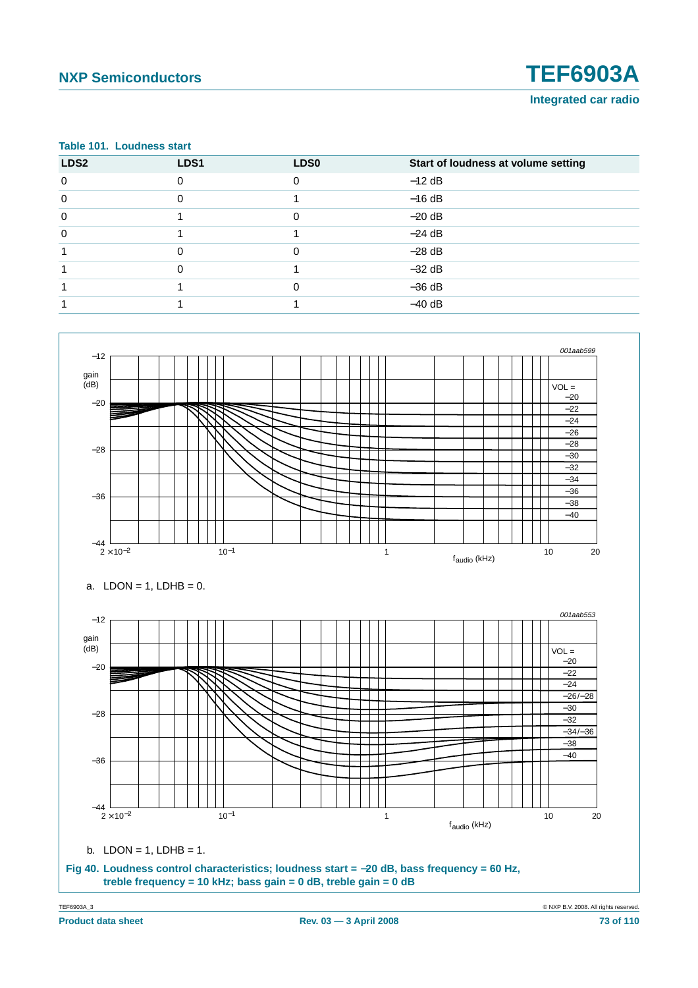# **NXP Semiconductors TEF6903A**

**Integrated car radio**

#### <span id="page-72-0"></span>**Table 101. Loudness start**

| LDS <sub>2</sub> | LDS1     | LDS <sub>0</sub> | Start of loudness at volume setting |
|------------------|----------|------------------|-------------------------------------|
| $\mathbf 0$      | $\Omega$ | $\Omega$         | $-12$ dB                            |
| $\mathbf 0$      | U        |                  | $-16$ dB                            |
| 0                |          | 0                | $-20$ dB                            |
| 0                |          |                  | $-24$ dB                            |
|                  | O        | 0                | $-28$ dB                            |
|                  | O        |                  | $-32$ dB                            |
|                  |          | $\Omega$         | $-36$ dB                            |
|                  |          |                  | $-40$ dB                            |

<span id="page-72-1"></span>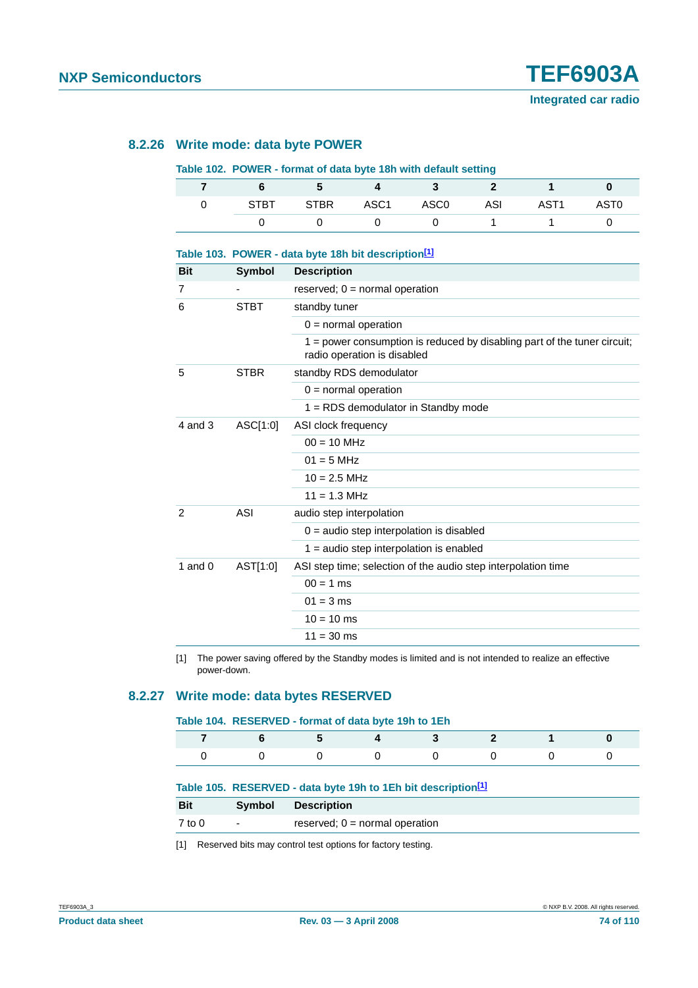#### **8.2.26 Write mode: data byte POWER**

#### **Table 102. POWER - format of data byte 18h with default setting**

|      | $\mathbf{D}$ |                |     |      |                  |
|------|--------------|----------------|-----|------|------------------|
| STBT |              | STBR ASC1 ASC0 | ASI | AST1 | AST <sub>0</sub> |
|      |              |                |     |      |                  |

| Table 103. POWER - data byte 18h bit description <sup>[1]</sup> |               |                                                                                                         |  |  |
|-----------------------------------------------------------------|---------------|---------------------------------------------------------------------------------------------------------|--|--|
| <b>Bit</b>                                                      | <b>Symbol</b> | <b>Description</b>                                                                                      |  |  |
| 7                                                               |               | reserved; $0 = normal operation$                                                                        |  |  |
| 6                                                               | <b>STBT</b>   | standby tuner                                                                                           |  |  |
|                                                                 |               | $0 =$ normal operation                                                                                  |  |  |
|                                                                 |               | 1 = power consumption is reduced by disabling part of the tuner circuit;<br>radio operation is disabled |  |  |
| 5                                                               | <b>STBR</b>   | standby RDS demodulator                                                                                 |  |  |
|                                                                 |               | $0 =$ normal operation                                                                                  |  |  |
|                                                                 |               | 1 = RDS demodulator in Standby mode                                                                     |  |  |
| $4$ and $3$                                                     | ASC[1:0]      | ASI clock frequency                                                                                     |  |  |
|                                                                 |               | $00 = 10$ MHz                                                                                           |  |  |
|                                                                 |               | $01 = 5$ MHz                                                                                            |  |  |
|                                                                 |               | $10 = 2.5$ MHz                                                                                          |  |  |
|                                                                 |               | $11 = 1.3$ MHz                                                                                          |  |  |
| $\overline{2}$                                                  | ASI           | audio step interpolation                                                                                |  |  |
|                                                                 |               | $0 =$ audio step interpolation is disabled                                                              |  |  |
|                                                                 |               | $1 =$ audio step interpolation is enabled                                                               |  |  |
| 1 and $0$                                                       | AST[1:0]      | ASI step time; selection of the audio step interpolation time                                           |  |  |
|                                                                 |               | $00 = 1$ ms                                                                                             |  |  |
|                                                                 |               | $01 = 3$ ms                                                                                             |  |  |
|                                                                 |               | $10 = 10$ ms                                                                                            |  |  |
|                                                                 |               | $11 = 30$ ms                                                                                            |  |  |

<span id="page-73-0"></span>[1] The power saving offered by the Standby modes is limited and is not intended to realize an effective power-down.

#### **8.2.27 Write mode: data bytes RESERVED**

#### **Table 104. RESERVED - format of data byte 19h to 1Eh**

|  |  | 7 6 5 4 3 2 1 0 |  |
|--|--|-----------------|--|
|  |  |                 |  |

#### **Table 105. RESERVED - data byte 19h to 1Eh bit descriptio[n\[1\]](#page-73-1)**

| <b>Bit</b> | Symbol                   | <b>Description</b>               |
|------------|--------------------------|----------------------------------|
| 7 to 0     | $\overline{\phantom{a}}$ | reserved; $0 =$ normal operation |

<span id="page-73-1"></span>[1] Reserved bits may control test options for factory testing.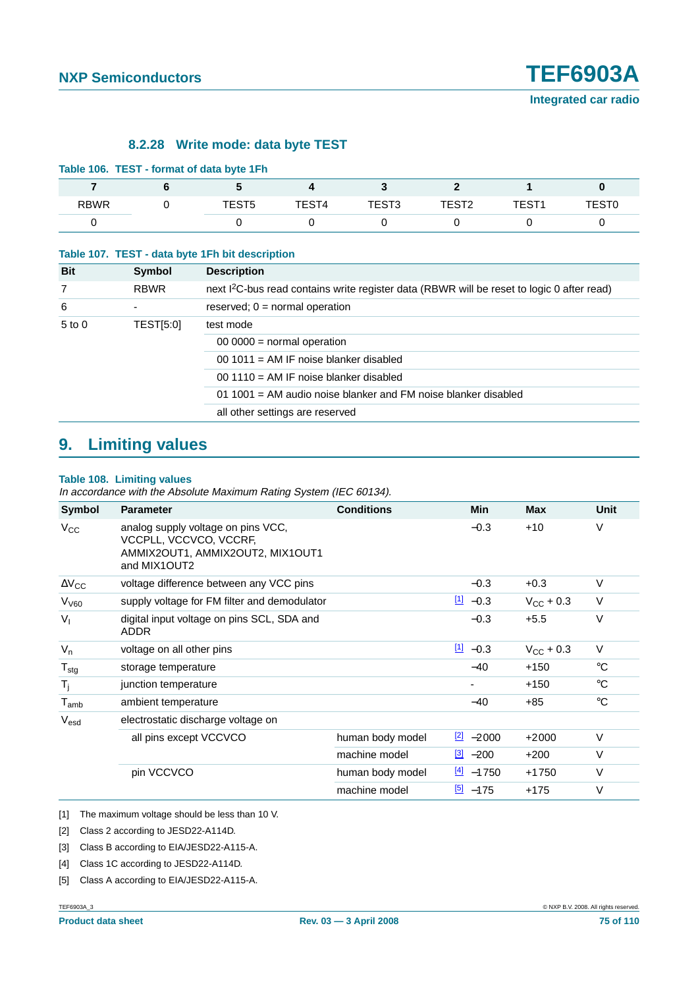### **8.2.28 Write mode: data byte TEST**

| Table 106. TEST - format of data byte 1Fh |       |       |       |       |       |        |
|-------------------------------------------|-------|-------|-------|-------|-------|--------|
|                                           |       |       |       |       |       |        |
| <b>RBWR</b>                               | TEST5 | TEST4 | TEST3 | TEST2 | TEST1 | TEST0. |
|                                           |       |       |       |       |       |        |

#### <span id="page-74-5"></span>**Table 107. TEST - data byte 1Fh bit description**

| <b>Bit</b> | Symbol      | <b>Description</b>                                                                                     |
|------------|-------------|--------------------------------------------------------------------------------------------------------|
| 7          | <b>RBWR</b> | next I <sup>2</sup> C-bus read contains write register data (RBWR will be reset to logic 0 after read) |
| 6          |             | reserved; $0 = normal operation$                                                                       |
| $5$ to $0$ | TEST[5:0]   | test mode                                                                                              |
|            |             | $00000$ = normal operation                                                                             |
|            |             | 00 1011 = AM IF noise blanker disabled                                                                 |
|            |             | $00,1110$ = AM IF noise blanker disabled                                                               |
|            |             | $011001$ = AM audio noise blanker and FM noise blanker disabled                                        |
|            |             | all other settings are reserved                                                                        |

# **9. Limiting values**

#### **Table 108. Limiting values**

In accordance with the Absolute Maximum Rating System (IEC 60134).

| Symbol                      | <b>Parameter</b>                                                                                                 | <b>Conditions</b> | <b>Min</b>              | <b>Max</b>         | Unit        |
|-----------------------------|------------------------------------------------------------------------------------------------------------------|-------------------|-------------------------|--------------------|-------------|
| $V_{\rm CC}$                | analog supply voltage on pins VCC,<br>VCCPLL, VCCVCO, VCCRF,<br>AMMIX2OUT1, AMMIX2OUT2, MIX1OUT1<br>and MIX1OUT2 |                   | $-0.3$                  | $+10$              | $\vee$      |
| $\Delta V_{CC}$             | voltage difference between any VCC pins                                                                          |                   | $-0.3$                  | $+0.3$             | $\vee$      |
| V <sub>V60</sub>            | supply voltage for FM filter and demodulator                                                                     |                   | $11 - 0.3$              | $V_{\rm CC}$ + 0.3 | $\vee$      |
| $V_{I}$                     | digital input voltage on pins SCL, SDA and<br>ADDR.                                                              |                   | $-0.3$                  | $+5.5$             | $\vee$      |
| $V_n$                       | voltage on all other pins                                                                                        |                   | $11 - 0.3$              | $V_{\rm CC}$ + 0.3 | $\vee$      |
| $T_{\text{stg}}$            | storage temperature                                                                                              |                   | $-40$                   | $+150$             | $^{\circ}C$ |
| $T_{\rm i}$                 | junction temperature                                                                                             |                   |                         | $+150$             | $^{\circ}C$ |
| $\mathsf{T}_{\mathsf{amb}}$ | ambient temperature                                                                                              |                   | $-40$                   | $+85$              | $^{\circ}C$ |
| V <sub>esd</sub>            | electrostatic discharge voltage on                                                                               |                   |                         |                    |             |
|                             | all pins except VCCVCO                                                                                           | human body model  | $\frac{2}{2}$ -2000     | $+2000$            | $\vee$      |
|                             |                                                                                                                  | machine model     | $\frac{3}{2}$ -200      | $+200$             | $\vee$      |
|                             | pin VCCVCO                                                                                                       | human body model  | $\frac{[4]}{[2]}$ -1750 | $+1750$            | $\vee$      |
|                             |                                                                                                                  | machine model     | $\frac{[5]}{2}$ -175    | +175               | V           |

<span id="page-74-0"></span>[1] The maximum voltage should be less than 10 V.

<span id="page-74-1"></span>[2] Class 2 according to JESD22-A114D.

<span id="page-74-2"></span>[3] Class B according to EIA/JESD22-A115-A.

- <span id="page-74-3"></span>[4] Class 1C according to JESD22-A114D.
- <span id="page-74-4"></span>[5] Class A according to EIA/JESD22-A115-A.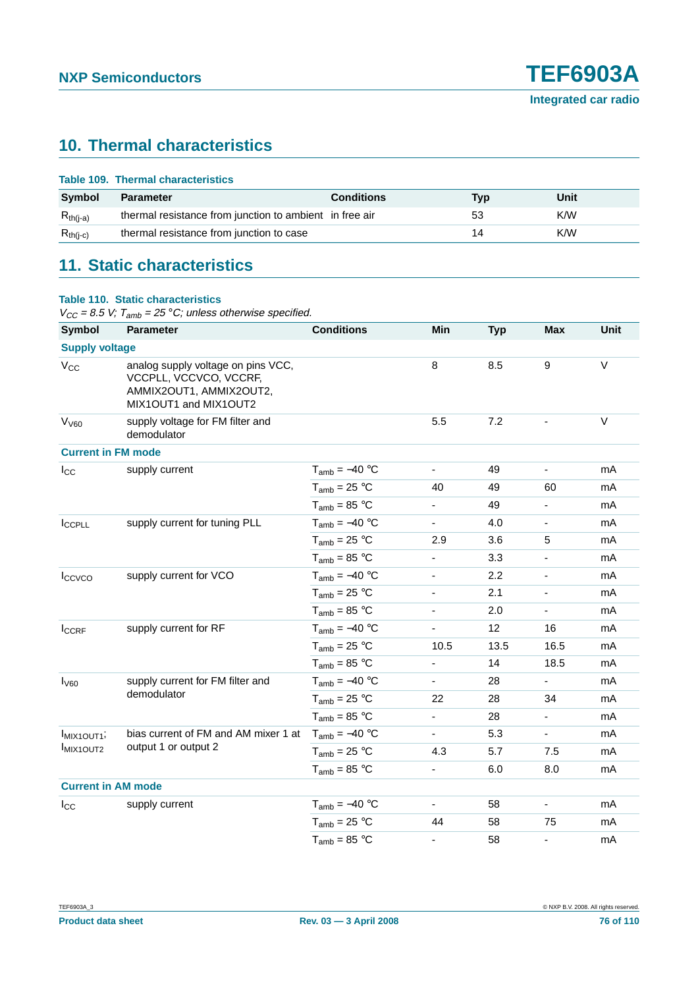# **10. Thermal characteristics**

|               | Table 109. Thermal characteristics                      |                   |     |      |
|---------------|---------------------------------------------------------|-------------------|-----|------|
| <b>Symbol</b> | <b>Parameter</b>                                        | <b>Conditions</b> | Tvp | Unit |
| $R_{th(i-a)}$ | thermal resistance from junction to ambient in free air |                   | 53  | K/W  |
| $R_{th(j-c)}$ | thermal resistance from junction to case                |                   | 14  | K/W  |
|               |                                                         |                   |     |      |

# **11. Static characteristics**

#### **Table 110. Static characteristics**

 $V_{CC}$  = 8.5 V;  $T_{amb}$  = 25 °C; unless otherwise specified.

| Symbol                              | <b>Parameter</b>                                                                                                 | <b>Conditions</b>  | Min                      | <b>Typ</b> | <b>Max</b>               | Unit   |
|-------------------------------------|------------------------------------------------------------------------------------------------------------------|--------------------|--------------------------|------------|--------------------------|--------|
| <b>Supply voltage</b>               |                                                                                                                  |                    |                          |            |                          |        |
| $V_{CC}$                            | analog supply voltage on pins VCC,<br>VCCPLL, VCCVCO, VCCRF,<br>AMMIX2OUT1, AMMIX2OUT2,<br>MIX1OUT1 and MIX1OUT2 |                    | 8                        | 8.5        | 9                        | $\vee$ |
| V <sub>V60</sub>                    | supply voltage for FM filter and<br>demodulator                                                                  |                    | 5.5                      | 7.2        |                          | $\vee$ |
| <b>Current in FM mode</b>           |                                                                                                                  |                    |                          |            |                          |        |
| $I_{\rm CC}$                        | supply current                                                                                                   | $T_{amb} = -40 °C$ | $\blacksquare$           | 49         | $\overline{\phantom{a}}$ | mA     |
|                                     |                                                                                                                  | $T_{amb} = 25 °C$  | 40                       | 49         | 60                       | mA     |
|                                     |                                                                                                                  | $T_{amb} = 85 °C$  | ÷,                       | 49         | $\overline{\phantom{a}}$ | mA     |
| I <sub>CCPLL</sub>                  | supply current for tuning PLL                                                                                    | $T_{amb} = -40 °C$ | ÷.                       | 4.0        | $\blacksquare$           | mA     |
|                                     |                                                                                                                  | $T_{amb}$ = 25 °C  | 2.9                      | 3.6        | 5                        | mA     |
|                                     |                                                                                                                  | $T_{amb} = 85 °C$  | ÷.                       | 3.3        | $\frac{1}{2}$            | mA     |
| Iccvco                              | supply current for VCO                                                                                           | $T_{amb} = -40 °C$ | $\blacksquare$           | 2.2        | $\overline{\phantom{a}}$ | mA     |
|                                     |                                                                                                                  | $T_{amb} = 25 °C$  | $\frac{1}{2}$            | 2.1        | $\blacksquare$           | mA     |
|                                     |                                                                                                                  | $T_{amb} = 85 °C$  | $\overline{\phantom{a}}$ | 2.0        | $\blacksquare$           | mA     |
| ICCRF                               | supply current for RF                                                                                            | $T_{amb} = -40 °C$ | ۰                        | 12         | 16                       | mA     |
|                                     |                                                                                                                  | $T_{amb}$ = 25 °C  | 10.5                     | 13.5       | 16.5                     | mA     |
|                                     |                                                                                                                  | $T_{amb} = 85 °C$  | $\blacksquare$           | 14         | 18.5                     | mA     |
| I <sub>V60</sub>                    | supply current for FM filter and                                                                                 | $T_{amb} = -40 °C$ | $\blacksquare$           | 28         |                          | mA     |
|                                     | demodulator                                                                                                      | $T_{amb}$ = 25 °C  | 22                       | 28         | 34                       | mA     |
|                                     |                                                                                                                  | $T_{amb} = 85 °C$  | $\blacksquare$           | 28         | $\blacksquare$           | mA     |
| MIX <sub>1</sub> OUT <sub>1</sub> ; | bias current of FM and AM mixer 1 at                                                                             | $T_{amb} = -40 °C$ | $\blacksquare$           | 5.3        | $\blacksquare$           | mA     |
| MIX <sub>1</sub> OUT <sub>2</sub>   | output 1 or output 2                                                                                             | $T_{amb}$ = 25 °C  | 4.3                      | 5.7        | 7.5                      | mA     |
|                                     |                                                                                                                  | $T_{amb} = 85 °C$  | $\blacksquare$           | 6.0        | 8.0                      | mA     |
| <b>Current in AM mode</b>           |                                                                                                                  |                    |                          |            |                          |        |
| $I_{\rm CC}$                        | supply current                                                                                                   | $T_{amb} = -40 °C$ | $\overline{\phantom{a}}$ | 58         | $\blacksquare$           | mA     |
|                                     |                                                                                                                  | $T_{amb} = 25 °C$  | 44                       | 58         | 75                       | mA     |
|                                     |                                                                                                                  | $T_{amb} = 85 °C$  | $\overline{\phantom{0}}$ | 58         | $\overline{\phantom{a}}$ | mA     |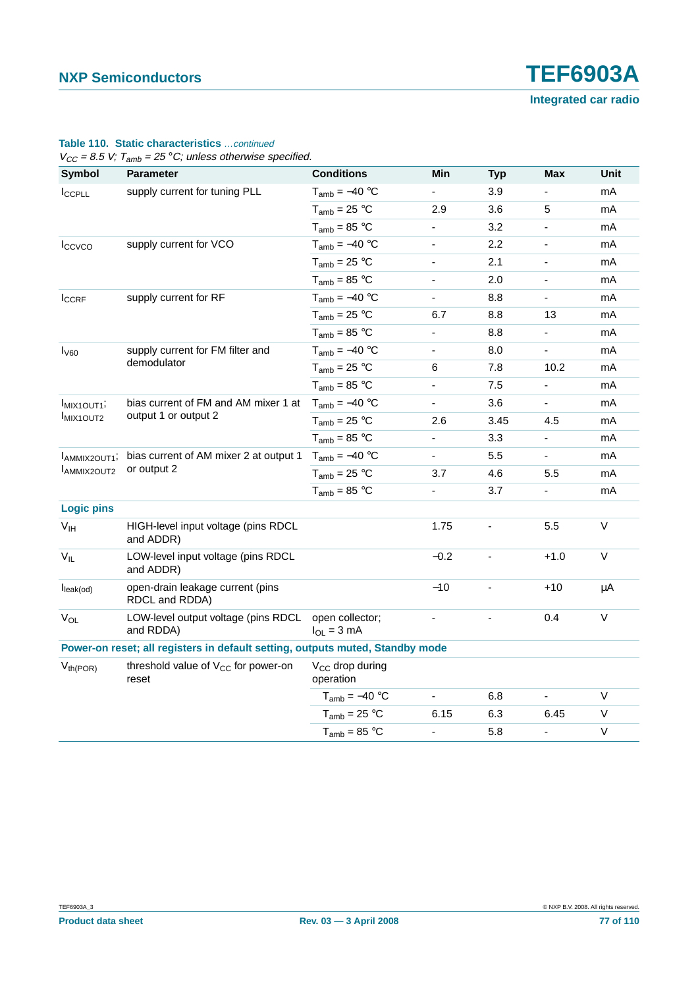|  | <b>Table 110. Static characteristics</b> continued |  |
|--|----------------------------------------------------|--|
|  |                                                    |  |

 $V_{CC}$  = 8.5 V;  $T_{amb}$  = 25 °C; unless otherwise specified.

| <b>Symbol</b>           | <b>Parameter</b>                                                              | <b>Conditions</b>                        | Min                      | <b>Typ</b> | <b>Max</b>     | Unit   |
|-------------------------|-------------------------------------------------------------------------------|------------------------------------------|--------------------------|------------|----------------|--------|
| I <sub>CCPLL</sub>      | supply current for tuning PLL                                                 | $T_{amb} = -40 °C$                       |                          | 3.9        |                | mA     |
|                         |                                                                               | $T_{amb} = 25 °C$                        | 2.9                      | 3.6        | 5              | mA     |
|                         |                                                                               | $T_{amb} = 85 °C$                        | $\blacksquare$           | 3.2        | ä,             | mA     |
| Iccvco                  | supply current for VCO                                                        | $T_{amb} = -40 °C$                       | $\blacksquare$           | 2.2        | $\blacksquare$ | mA     |
|                         |                                                                               | $T_{amb} = 25 °C$                        | -                        | 2.1        |                | mA     |
|                         |                                                                               | $T_{amb} = 85 °C$                        | $\blacksquare$           | 2.0        | L,             | mA     |
| I <sub>CCRF</sub>       | supply current for RF                                                         | $T_{amb} = -40 °C$                       | $\blacksquare$           | 8.8        | ä,             | mA     |
|                         |                                                                               | $T_{amb}$ = 25 °C                        | 6.7                      | 8.8        | 13             | mA     |
|                         |                                                                               | $T_{amb} = 85 °C$                        | $\overline{\phantom{0}}$ | 8.8        | -              | mA     |
| $I_{\rm V60}$           | supply current for FM filter and                                              | $T_{amb} = -40 °C$                       | $\blacksquare$           | 8.0        | Ξ.             | mA     |
|                         | demodulator                                                                   | $T_{amb}$ = 25 °C                        | 6                        | 7.8        | 10.2           | mA     |
|                         |                                                                               | $T_{amb} = 85 °C$                        | ÷,                       | 7.5        |                | mA     |
| MIX1OUT1;               | bias current of FM and AM mixer 1 at<br>output 1 or output 2                  | $T_{amb} = -40 °C$                       | $\blacksquare$           | 3.6        | ÷,             | mA     |
| <b>IMIX1OUT2</b>        |                                                                               | $T_{amb} = 25 °C$                        | 2.6                      | 3.45       | 4.5            | mA     |
|                         |                                                                               | $T_{amb}$ = 85 °C                        | $\blacksquare$           | 3.3        | ÷,             | mA     |
| AMMIX2OUT1 <sup>;</sup> | bias current of AM mixer 2 at output 1<br>or output 2                         | $T_{amb} = -40 °C$                       | $\blacksquare$           | 5.5        | Ξ.             | mA     |
| AMMIX2OUT2              |                                                                               | $T_{amb} = 25 °C$                        | 3.7                      | 4.6        | 5.5            | mA     |
|                         |                                                                               | $T_{amb} = 85 °C$                        | $\blacksquare$           | 3.7        | ۳              | mA     |
| <b>Logic pins</b>       |                                                                               |                                          |                          |            |                |        |
| V <sub>IH</sub>         | HIGH-level input voltage (pins RDCL<br>and ADDR)                              |                                          | 1.75                     |            | 5.5            | $\vee$ |
| $V_{IL}$                | LOW-level input voltage (pins RDCL<br>and ADDR)                               |                                          | $-0.2$                   |            | $+1.0$         | $\vee$ |
| $I_{\text{leak}(od)}$   | open-drain leakage current (pins<br>RDCL and RDDA)                            |                                          | $-10$                    |            | +10            | μA     |
| $V_{OL}$                | LOW-level output voltage (pins RDCL<br>and RDDA)                              | open collector;<br>$I_{OL} = 3$ mA       |                          |            | 0.4            | $\vee$ |
|                         | Power-on reset; all registers in default setting, outputs muted, Standby mode |                                          |                          |            |                |        |
| $V_{th(POR)}$           | threshold value of V <sub>CC</sub> for power-on<br>reset                      | V <sub>CC</sub> drop during<br>operation |                          |            |                |        |
|                         |                                                                               | $T_{amb} = -40 °C$                       | $\blacksquare$           | 6.8        | $\blacksquare$ | V      |
|                         |                                                                               | $T_{amb} = 25 °C$                        | 6.15                     | 6.3        | 6.45           | V      |
|                         |                                                                               | $T_{amb} = 85 °C$                        | $\blacksquare$           | 5.8        | L,             | $\vee$ |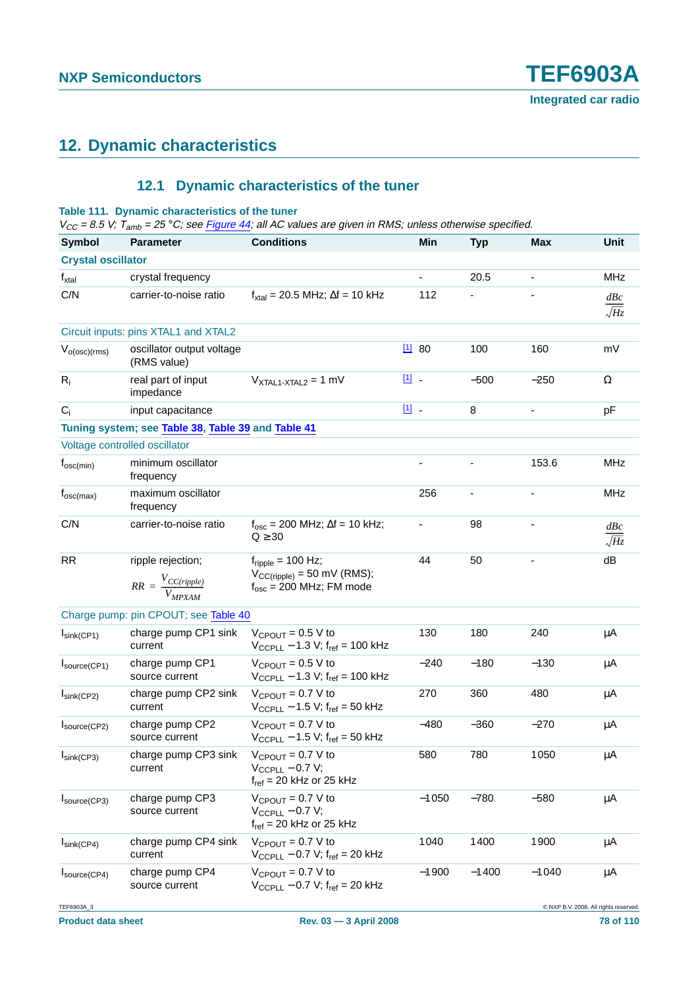# **12. Dynamic characteristics**

# **12.1 Dynamic characteristics of the tuner**

#### **Table 111. Dynamic characteristics of the tuner**

 $V_{CC}$  = 8.5 V; T<sub>amb</sub> = 25 °C; see [Figure](#page-101-0) 44; all AC values are given in RMS; unless otherwise specified.

| <b>Symbol</b>                   | <b>Parameter</b>                                             | <b>Conditions</b>                                                                                    |             | Min                          | <b>Typ</b> | <b>Max</b>                            | Unit                          |
|---------------------------------|--------------------------------------------------------------|------------------------------------------------------------------------------------------------------|-------------|------------------------------|------------|---------------------------------------|-------------------------------|
| <b>Crystal oscillator</b>       |                                                              |                                                                                                      |             |                              |            |                                       |                               |
| $f_{xtal}$                      | crystal frequency                                            |                                                                                                      |             | $\qquad \qquad \blacksquare$ | 20.5       |                                       | <b>MHz</b>                    |
| C/N                             | carrier-to-noise ratio                                       | $f_{\text{xtal}}$ = 20.5 MHz; $\Delta f$ = 10 kHz                                                    |             | 112                          |            |                                       | dBc<br>$\overline{\sqrt{Hz}}$ |
|                                 | Circuit inputs: pins XTAL1 and XTAL2                         |                                                                                                      |             |                              |            |                                       |                               |
| $V_{o(osc)(rms)}$               | oscillator output voltage<br>(RMS value)                     |                                                                                                      |             | 1180                         | 100        | 160                                   | mV                            |
| $R_i$                           | real part of input<br>impedance                              | $V_{XTAL1-XTAL2} = 1$ mV                                                                             | $\boxed{1}$ |                              | $-500$     | $-250$                                | $\Omega$                      |
| $C_i$                           | input capacitance                                            |                                                                                                      | 凹.          |                              | 8          |                                       | pF                            |
|                                 | Tuning system; see Table 38, Table 39 and Table 41           |                                                                                                      |             |                              |            |                                       |                               |
|                                 | Voltage controlled oscillator                                |                                                                                                      |             |                              |            |                                       |                               |
| $f_{\rm osc(min)}$              | minimum oscillator<br>frequency                              |                                                                                                      |             | $\overline{\phantom{0}}$     |            | 153.6                                 | <b>MHz</b>                    |
| $f_{\rm osc(max)}$              | maximum oscillator<br>frequency                              |                                                                                                      |             | 256                          |            |                                       | <b>MHz</b>                    |
| C/N                             | carrier-to-noise ratio                                       | $f_{\rm osc}$ = 200 MHz; $\Delta f$ = 10 kHz;<br>$Q \geq 30$                                         |             | $\qquad \qquad \blacksquare$ | 98         |                                       | dBc<br>$\sqrt{Hz}$            |
| <b>RR</b>                       | ripple rejection;<br>$RR = \frac{V_{CC(ripple)}}{V_{MPXAM}}$ | $f_{\text{ripole}}$ = 100 Hz;<br>$V_{CC(ripple)} = 50$ mV (RMS);<br>$f_{\rm osc}$ = 200 MHz; FM mode |             | 44                           | 50         |                                       | dB                            |
|                                 | Charge pump: pin CPOUT; see Table 40                         |                                                                                                      |             |                              |            |                                       |                               |
| $I_{\text{sink}(CP1)}$          | charge pump CP1 sink<br>current                              | $V_{CPOUT} = 0.5 V to$<br>$V_{CCPLL}$ – 1.3 V; $f_{ref}$ = 100 kHz                                   |             | 130                          | 180        | 240                                   | $\mu$ A                       |
| $I_{\text{source}(\text{CP1})}$ | charge pump CP1<br>source current                            | $V_{CPOUT} = 0.5 V to$<br>$V_{CCPLL}$ – 1.3 V; $f_{ref}$ = 100 kHz                                   |             | $-240$                       | $-180$     | $-130$                                | $\mu$ A                       |
| $I_{\text{sink}(CP2)}$          | charge pump CP2 sink<br>current                              | $V_{CPOUT} = 0.7 V to$<br>$V_{CCPLL} - 1.5 V$ ; f <sub>ref</sub> = 50 kHz                            |             | 270                          | 360        | 480                                   | $\mu$ A                       |
| $I_{\text{source}(\text{CP2})}$ | charge pump CP2<br>source current                            | $V_{CPOUT} = 0.7 V to$<br>$V_{CCPLL}$ – 1.5 V; $f_{ref}$ = 50 kHz                                    |             | $-480$                       | $-360$     | $-270$                                | $\mu$ A                       |
| $I_{\text{sink}(CP3)}$          | charge pump CP3 sink<br>current                              | $V_{CPOUT} = 0.7 V to$<br>$V_{CCPLL} - 0.7 V;$<br>$f_{ref}$ = 20 kHz or 25 kHz                       |             | 580                          | 780        | 1050                                  | $\mu$ A                       |
| $I_{\text{source(CP3)}}$        | charge pump CP3<br>source current                            | $V_{CPOUT} = 0.7 V to$<br>$V_{CCPLL}$ - 0.7 V;<br>$f_{ref}$ = 20 kHz or 25 kHz                       |             | $-1050$                      | $-780$     | $-580$                                | μA                            |
| $I_{\text{sink}(CP4)}$          | charge pump CP4 sink<br>current                              | $V_{CPOUT} = 0.7 V to$<br>$V_{CCPLL}$ - 0.7 V; $f_{ref}$ = 20 kHz                                    |             | 1040                         | 1400       | 1900                                  | μA                            |
| $I_{\text{source}(\text{CP4})}$ | charge pump CP4<br>source current                            | $V_{CPOUT} = 0.7 V to$<br>$V_{CCPLL} - 0.7 V$ ; f <sub>ref</sub> = 20 kHz                            |             | $-1900$                      | $-1400$    | $-1040$                               | μA                            |
| TEF6903A_3                      |                                                              |                                                                                                      |             |                              |            | C NXP B.V. 2008. All rights reserved. |                               |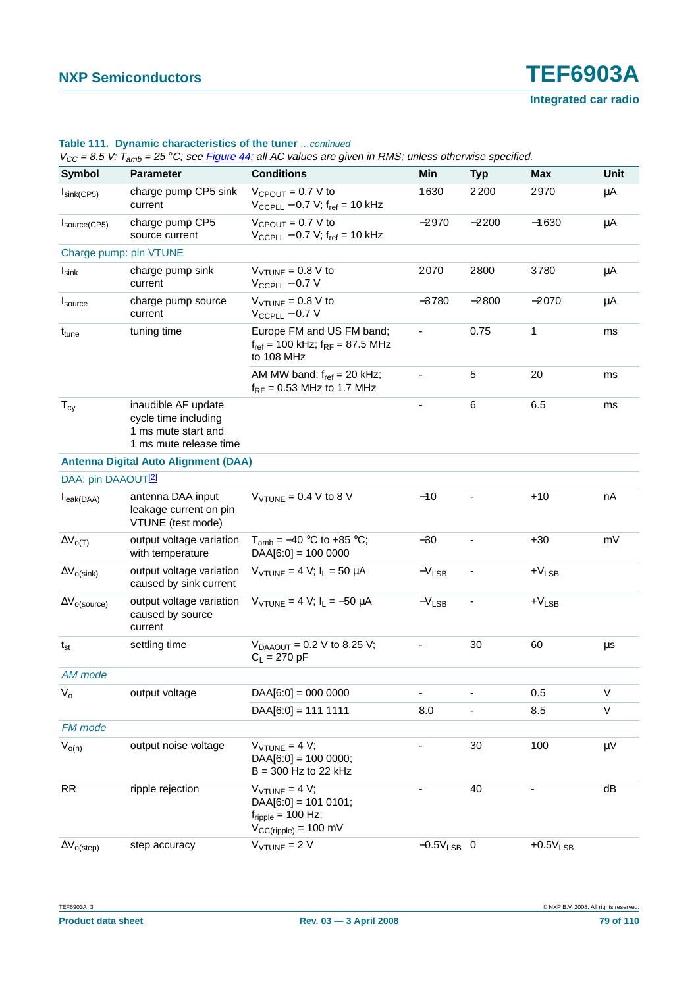| <b>Symbol</b>                  | <b>Parameter</b>                                                                             | <b>Conditions</b>                                                                                                   | Min                          | <b>Typ</b> | Max        | <b>Unit</b> |
|--------------------------------|----------------------------------------------------------------------------------------------|---------------------------------------------------------------------------------------------------------------------|------------------------------|------------|------------|-------------|
| $I_{\text{sink}(CP5)}$         | charge pump CP5 sink<br>current                                                              | $V_{CPOUT} = 0.7 V to$<br>$V_{CCPLL}$ – 0.7 V; $f_{ref}$ = 10 kHz                                                   | 1630                         | 2200       | 2970       | μA          |
| Isource(CP5)                   | charge pump CP5<br>source current                                                            | $V_{CPOUT} = 0.7 V to$<br>$V_{CCPLL}$ – 0.7 V; $f_{ref}$ = 10 kHz                                                   | $-2970$                      | $-2200$    | $-1630$    | μA          |
|                                | Charge pump: pin VTUNE                                                                       |                                                                                                                     |                              |            |            |             |
| $I_{\textsf{sink}}$            | charge pump sink<br>current                                                                  | $V_{\text{VTUNE}} = 0.8 \text{ V}$ to<br>$V_{CCPLL}$ – 0.7 V                                                        | 2070                         | 2800       | 3780       | μA          |
| $I_{\text{source}}$            | charge pump source<br>current                                                                | $V_{VTUNE} = 0.8 V to$<br>$V_{CCPLL}$ - 0.7 V                                                                       | $-3780$                      | $-2800$    | $-2070$    | μA          |
| t <sub>tune</sub>              | tuning time                                                                                  | Europe FM and US FM band;<br>$f_{ref}$ = 100 kHz; $f_{RF}$ = 87.5 MHz<br>to 108 MHz                                 | ٠                            | 0.75       | 1          | ms          |
|                                |                                                                                              | AM MW band; $f_{ref} = 20$ kHz;<br>$f_{RF}$ = 0.53 MHz to 1.7 MHz                                                   | $\qquad \qquad \blacksquare$ | 5          | 20         | ms          |
| $T_{cy}$                       | inaudible AF update<br>cycle time including<br>1 ms mute start and<br>1 ms mute release time |                                                                                                                     |                              | 6          | 6.5        | ms          |
|                                | <b>Antenna Digital Auto Alignment (DAA)</b>                                                  |                                                                                                                     |                              |            |            |             |
| DAA: pin DAAOUT <sup>[2]</sup> |                                                                                              |                                                                                                                     |                              |            |            |             |
| I <sub>leak(DAA)</sub>         | antenna DAA input<br>leakage current on pin<br>VTUNE (test mode)                             | $V_{\text{VTUNE}} = 0.4 \text{ V}$ to 8 V                                                                           | $-10$                        |            | $+10$      | nA          |
| $\Delta V_{O(T)}$              | output voltage variation<br>with temperature                                                 | $T_{amb} = -40$ °C to +85 °C;<br>$DAA[6:0] = 100 0000$                                                              | $-30$                        |            | $+30$      | mV          |
| $\Delta V_{O(Sink)}$           | output voltage variation<br>caused by sink current                                           | $V_{VTUNE} = 4 V$ ; $I_L = 50 \mu A$                                                                                | $-V_{LSB}$                   |            | $+V_{LSB}$ |             |
| $\Delta V_{O(Source)}$         | output voltage variation<br>caused by source<br>current                                      | $V_{VTUNE} = 4 V$ ; $I_L = -50 \mu A$                                                                               | $-V_{LSB}$                   |            | $+V_{LSB}$ |             |
| $t_{st}$                       | settling time                                                                                | $V_{DAAOUT} = 0.2 V$ to 8.25 V;<br>$C_{L}$ = 270 pF                                                                 |                              | 30         | 60         | $\mu$ s     |
| AM mode                        |                                                                                              |                                                                                                                     |                              |            |            |             |
| $V_{o}$                        | output voltage                                                                               | $DAA[6:0] = 000 0000$                                                                                               | $\overline{\phantom{0}}$     | ä,         | 0.5        | $\sf V$     |
|                                |                                                                                              | $DAA[6:0] = 1111111$                                                                                                | 8.0                          | ÷,         | 8.5        | $\sf V$     |
| FM mode                        |                                                                                              |                                                                                                                     |                              |            |            |             |
| $V_{o(n)}$                     | output noise voltage                                                                         | $V_{VTUNE} = 4 V;$<br>$DAA[6:0] = 100 0000;$<br>$B = 300$ Hz to 22 kHz                                              |                              | 30         | 100        | $\mu$ V     |
| <b>RR</b>                      | ripple rejection                                                                             | $V_{VTUNE} = 4 V;$<br>$DAA[6:0] = 101 0101;$<br>$f_{\text{ripole}} = 100 \text{ Hz}$ ;<br>$V_{CC(ripple)} = 100$ mV |                              | 40         |            | dB          |
| $\Delta V_{o (step)}$          | step accuracy                                                                                | $V_{VTUNE} = 2 V$                                                                                                   | $-0.5V_{LSB}$ 0              |            | $+0.5VLSB$ |             |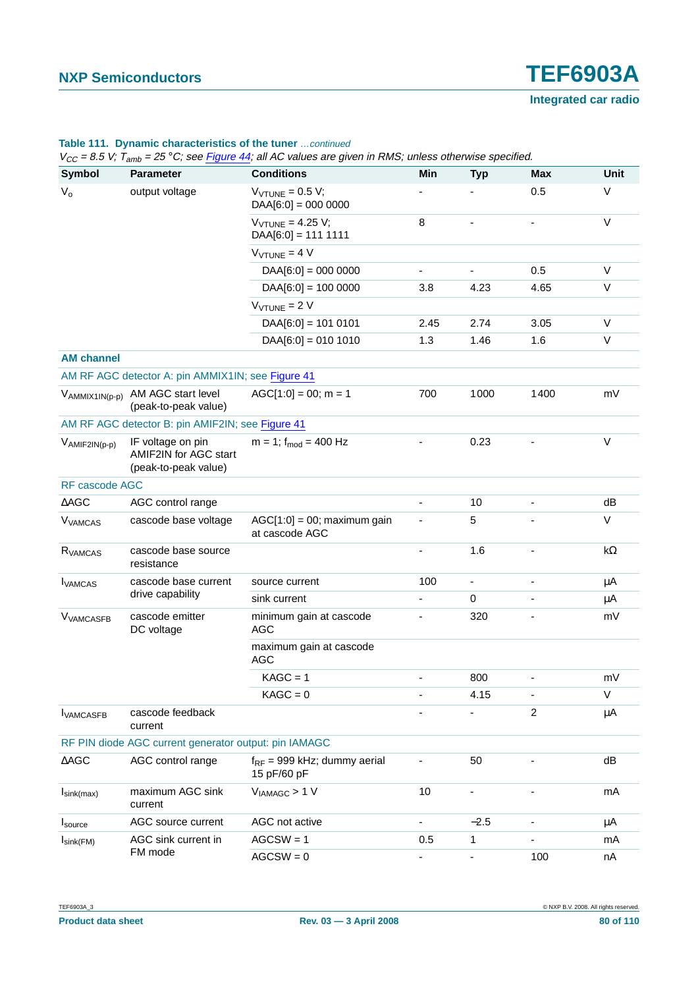#### **Table 111. Dynamic characteristics of the tuner** …continued

 $V_{CC} = 8.5$  V;  $\tilde{T}_{\text{sub}} = 25$  °C; see Figure 44; all AC values are given in RMS; unless otherwise specified.

| Symbol                       | <b>Parameter</b>                                                   | <b>Conditions</b>                                     | Min                          | <b>Typ</b>               | <b>Max</b>     | Unit       |
|------------------------------|--------------------------------------------------------------------|-------------------------------------------------------|------------------------------|--------------------------|----------------|------------|
| $V_{o}$                      | output voltage                                                     | $V_{\text{VTUNE}} = 0.5 V$ ;<br>$DAA[6:0] = 000 0000$ |                              |                          | 0.5            | V          |
|                              |                                                                    | $V_{VTUNE} = 4.25 V;$<br>$DAA[6:0] = 1111111$         | 8                            |                          |                | $\vee$     |
|                              |                                                                    | $V_{VTUNE} = 4 V$                                     |                              |                          |                |            |
|                              |                                                                    | $DAA[6:0] = 000 0000$                                 |                              |                          | 0.5            | $\vee$     |
|                              |                                                                    | $DAA[6:0] = 100 0000$                                 | 3.8                          | 4.23                     | 4.65           | V          |
|                              |                                                                    | $V_{VTUNE} = 2 V$                                     |                              |                          |                |            |
|                              |                                                                    | $DAA[6:0] = 101 0101$                                 | 2.45                         | 2.74                     | 3.05           | V          |
|                              |                                                                    | $DAA[6:0] = 010 1010$                                 | 1.3                          | 1.46                     | 1.6            | V          |
| <b>AM channel</b>            |                                                                    |                                                       |                              |                          |                |            |
|                              | AM RF AGC detector A: pin AMMIX1IN; see Figure 41                  |                                                       |                              |                          |                |            |
|                              | VAMMIX1IN(p-p) AM AGC start level<br>(peak-to-peak value)          | $AGC[1:0] = 00; m = 1$                                | 700                          | 1000                     | 1400           | mV         |
|                              | AM RF AGC detector B: pin AMIF2IN; see Figure 41                   |                                                       |                              |                          |                |            |
| VAMIF2IN(p-p)                | IF voltage on pin<br>AMIF2IN for AGC start<br>(peak-to-peak value) | $m = 1$ ; f <sub>mod</sub> = 400 Hz                   |                              | 0.23                     |                | V          |
| RF cascode AGC               |                                                                    |                                                       |                              |                          |                |            |
| $\triangle$ AGC              | AGC control range                                                  |                                                       |                              | 10                       |                | dB         |
| <b>V<sub>VAMCAS</sub></b>    | cascode base voltage                                               | $AGC[1:0] = 00$ ; maximum gain<br>at cascode AGC      | $\qquad \qquad \blacksquare$ | 5                        |                | V          |
| R <sub>VAMCAS</sub>          | cascode base source<br>resistance                                  |                                                       |                              | 1.6                      |                | k $\Omega$ |
| <b>I</b> VAMCAS              | cascode base current                                               | source current                                        | 100                          | $\blacksquare$           |                | μA         |
|                              | drive capability                                                   | sink current                                          |                              | $\mathbf 0$              |                | μA         |
| <b>V<sub>VAMCASFB</sub></b>  | cascode emitter<br>DC voltage                                      | minimum gain at cascode<br><b>AGC</b>                 |                              | 320                      |                | mV         |
|                              |                                                                    | maximum gain at cascode<br><b>AGC</b>                 |                              |                          |                |            |
|                              |                                                                    | $KAGC = 1$                                            |                              | 800                      |                | mV         |
|                              |                                                                    | $KAGC = 0$                                            |                              | 4.15                     |                | V          |
| <b>IVAMCASFB</b>             | cascode feedback<br>current                                        |                                                       |                              |                          | $\overline{c}$ | $\mu$ A    |
|                              | RF PIN diode AGC current generator output: pin IAMAGC              |                                                       |                              |                          |                |            |
| $\triangle AGC$              | AGC control range                                                  | $f_{RF}$ = 999 kHz; dummy aerial<br>15 pF/60 pF       |                              | 50                       |                | dB         |
| $I_{\text{sink(max)}}$       | maximum AGC sink<br>current                                        | $V_{IAMAGC}$ > 1 V                                    | 10                           |                          |                | mA         |
| Isource                      | AGC source current                                                 | AGC not active                                        |                              | $-2.5$                   |                | μA         |
| $I_{\text{sink}(\text{FM})}$ | AGC sink current in                                                | $AGCSW = 1$                                           | 0.5                          | $\mathbf{1}$             |                | mA         |
|                              | FM mode                                                            | $AGCSW = 0$                                           | $\frac{1}{2}$                | $\overline{\phantom{a}}$ | 100            | nA         |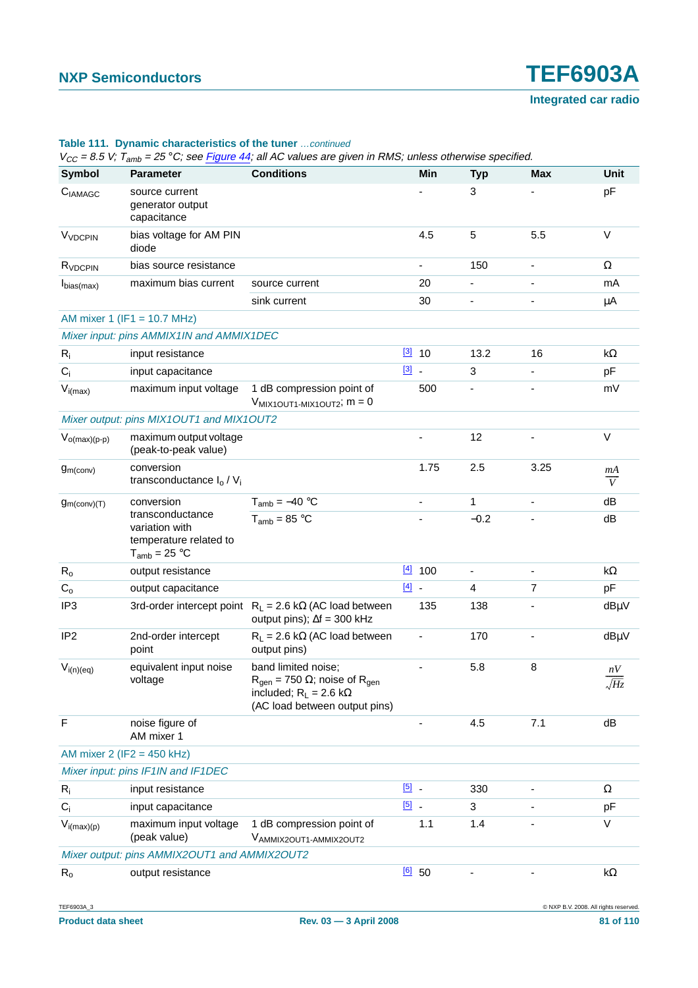|                          | $V_{CC}$ = 8.5 V; T <sub>amb</sub> = 25 °C; see Figure 44; all AC values are given in RMS; unless otherwise specified. |                                                                                                                                                    |               |                          |                          |                          |                      |  |  |
|--------------------------|------------------------------------------------------------------------------------------------------------------------|----------------------------------------------------------------------------------------------------------------------------------------------------|---------------|--------------------------|--------------------------|--------------------------|----------------------|--|--|
| <b>Symbol</b>            | <b>Parameter</b>                                                                                                       | <b>Conditions</b>                                                                                                                                  |               | <b>Min</b>               | <b>Typ</b>               | Max                      | Unit                 |  |  |
| CIAMAGC                  | source current<br>generator output<br>capacitance                                                                      |                                                                                                                                                    |               |                          | 3                        |                          | pF                   |  |  |
| V <sub>VDCPIN</sub>      | bias voltage for AM PIN<br>diode                                                                                       |                                                                                                                                                    |               | 4.5                      | 5                        | 5.5                      | $\vee$               |  |  |
| R <sub>VDCPIN</sub>      | bias source resistance                                                                                                 |                                                                                                                                                    |               | $\overline{\phantom{0}}$ | 150                      | $\overline{\phantom{a}}$ | Ω                    |  |  |
| I <sub>bias(max)</sub>   | maximum bias current                                                                                                   | source current                                                                                                                                     |               | 20                       |                          |                          | mA                   |  |  |
|                          |                                                                                                                        | sink current                                                                                                                                       |               | 30                       | $\overline{\phantom{0}}$ |                          | μA                   |  |  |
|                          | AM mixer 1 (IF1 = 10.7 MHz)                                                                                            |                                                                                                                                                    |               |                          |                          |                          |                      |  |  |
|                          | Mixer input: pins AMMIX1IN and AMMIX1DEC                                                                               |                                                                                                                                                    |               |                          |                          |                          |                      |  |  |
| $R_i$                    | input resistance                                                                                                       |                                                                                                                                                    |               | $[3]$ 10                 | 13.2                     | 16                       | k $\Omega$           |  |  |
| $C_i$                    | input capacitance                                                                                                      |                                                                                                                                                    | $\boxed{3}$ - |                          | 3                        |                          | pF                   |  |  |
| $V_{i(max)}$             | maximum input voltage                                                                                                  | 1 dB compression point of<br>$V_{MIX1OUT1-MIX1OUT2}$ ; $m = 0$                                                                                     |               | 500                      |                          |                          | mV                   |  |  |
|                          | Mixer output: pins MIX1OUT1 and MIX1OUT2                                                                               |                                                                                                                                                    |               |                          |                          |                          |                      |  |  |
| $V_{o(max)(p-p)}$        | maximum output voltage<br>(peak-to-peak value)                                                                         |                                                                                                                                                    |               |                          | 12                       |                          | $\vee$               |  |  |
| g <sub>m</sub> (conv)    | conversion<br>transconductance $I_0 / V_i$                                                                             |                                                                                                                                                    |               | 1.75                     | 2.5                      | 3.25                     | mA<br>$\overline{V}$ |  |  |
| g <sub>m</sub> (conv)(T) | conversion                                                                                                             | $T_{amb} = -40 °C$                                                                                                                                 |               |                          | $\mathbf{1}$             |                          | dB                   |  |  |
|                          | transconductance<br>variation with<br>temperature related to<br>$T_{amb} = 25 °C$                                      | $T_{amb} = 85 °C$                                                                                                                                  |               |                          | $-0.2$                   |                          | dB                   |  |  |
| $R_{o}$                  | output resistance                                                                                                      |                                                                                                                                                    |               | $[4]$ 100                | $\overline{\phantom{a}}$ | $\blacksquare$           | k $\Omega$           |  |  |
| $C_{o}$                  | output capacitance                                                                                                     |                                                                                                                                                    | $[4]$ -       |                          | $\overline{4}$           | $\overline{7}$           | pF                   |  |  |
| IP <sub>3</sub>          |                                                                                                                        | 3rd-order intercept point $R_L = 2.6 k\Omega$ (AC load between<br>output pins); $\Delta f = 300$ kHz                                               |               | 135                      | 138                      |                          | $dB\mu V$            |  |  |
| IP <sub>2</sub>          | 2nd-order intercept<br>point                                                                                           | $R_L$ = 2.6 kΩ (AC load between<br>output pins)                                                                                                    |               |                          | 170                      |                          | dBµV                 |  |  |
| $V_{i(n)(eq)}$           | equivalent input noise<br>voltage                                                                                      | band limited noise;<br>$R_{\text{gen}} = 750 \Omega$ ; noise of $R_{\text{gen}}$<br>included; $R_L = 2.6 k\Omega$<br>(AC load between output pins) |               | ÷,                       | 5.8                      | 8                        | nV<br>$\sqrt{Hz}$    |  |  |
| F                        | noise figure of<br>AM mixer 1                                                                                          |                                                                                                                                                    |               | ۰                        | 4.5                      | 7.1                      | dB                   |  |  |
|                          | AM mixer $2$ (IF2 = 450 kHz)                                                                                           |                                                                                                                                                    |               |                          |                          |                          |                      |  |  |
|                          | Mixer input: pins IF1IN and IF1DEC                                                                                     |                                                                                                                                                    |               |                          |                          |                          |                      |  |  |
| $R_i$                    | input resistance                                                                                                       |                                                                                                                                                    | $\boxed{5}$ . |                          | 330                      | ä,                       | Ω                    |  |  |
| $C_i$                    | input capacitance                                                                                                      |                                                                                                                                                    | $\boxed{5}$   |                          | 3                        |                          | pF                   |  |  |
| $V_{i(max)(p)}$          | maximum input voltage<br>(peak value)                                                                                  | 1 dB compression point of<br>VAMMIX2OUT1-AMMIX2OUT2                                                                                                |               | 1.1                      | 1.4                      |                          | $\vee$               |  |  |
|                          | Mixer output: pins AMMIX2OUT1 and AMMIX2OUT2                                                                           |                                                                                                                                                    |               |                          |                          |                          |                      |  |  |
| $R_{o}$                  | output resistance                                                                                                      |                                                                                                                                                    |               | $[6]$ 50                 |                          |                          | k $\Omega$           |  |  |

#### **Table 111. Dynamic characteristics of the tuner** …continued

Product data sheet **Rev. 03** — 3 April 2008 **81 of 110** 

TEF6903A\_3 © NXP B.V. 2008. All rights reserved.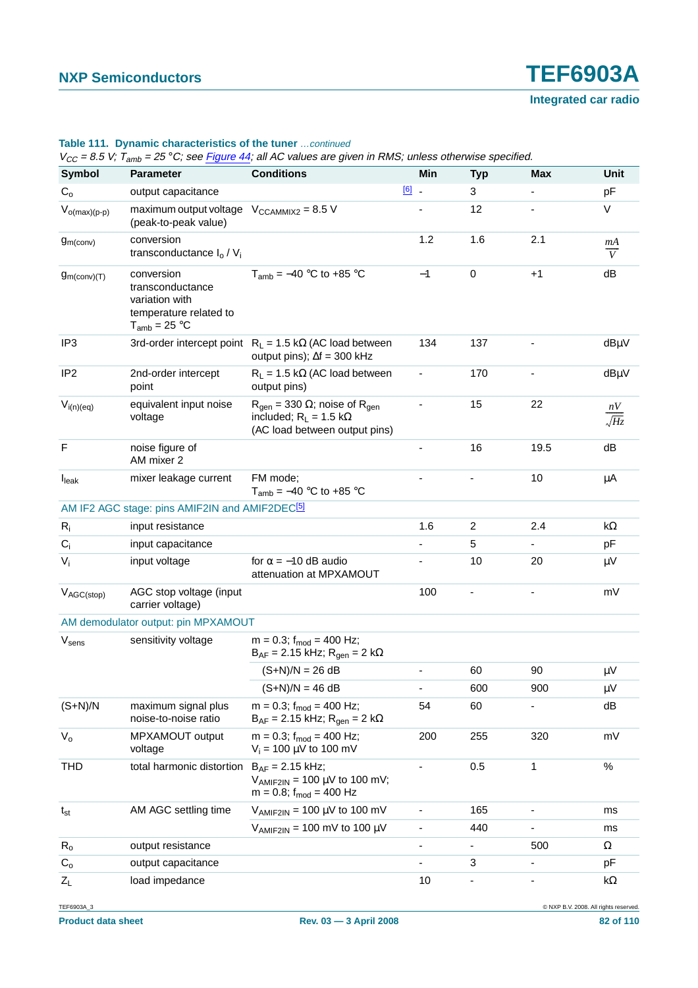| <b>Symbol</b>           | <b>Parameter</b>                                                                                | $V_{CC}$ = 8.5 V; T <sub>amb</sub> = 25 °C; see Figure 44; all AC values are given in RMS; unless otherwise specified.<br><b>Conditions</b> | <b>Min</b>                   | <b>Typ</b>               | <b>Max</b>               | Unit                 |
|-------------------------|-------------------------------------------------------------------------------------------------|---------------------------------------------------------------------------------------------------------------------------------------------|------------------------------|--------------------------|--------------------------|----------------------|
| $C_{o}$                 | output capacitance                                                                              |                                                                                                                                             | $[6]$ $-$                    | 3                        |                          | pF                   |
| $V_{o(max)(p-p)}$       | maximum output voltage $V_{\text{CCAMMIX2}} = 8.5 V$<br>(peak-to-peak value)                    |                                                                                                                                             |                              | 12                       |                          | V                    |
| g <sub>m</sub> (conv)   | conversion<br>transconductance $I_0 / V_i$                                                      |                                                                                                                                             | 1.2                          | 1.6                      | 2.1                      | mA<br>$\overline{V}$ |
| $g_{m\text{(conv)}(T)}$ | conversion<br>transconductance<br>variation with<br>temperature related to<br>$T_{amb}$ = 25 °C | $T_{amb} = -40$ °C to +85 °C                                                                                                                | $-1$                         | $\mathbf 0$              | $+1$                     | dB                   |
| IP <sub>3</sub>         |                                                                                                 | 3rd-order intercept point $R_L = 1.5 k\Omega$ (AC load between<br>output pins); $\Delta f = 300$ kHz                                        | 134                          | 137                      |                          | dBµV                 |
| IP <sub>2</sub>         | 2nd-order intercept<br>point                                                                    | $R_L$ = 1.5 k $\Omega$ (AC load between<br>output pins)                                                                                     | $\overline{\phantom{a}}$     | 170                      |                          | dBµV                 |
| $V_{i(n)(eq)}$          | equivalent input noise<br>voltage                                                               | $R_{\text{gen}} = 330 \Omega$ ; noise of $R_{\text{gen}}$<br>included; $R_L = 1.5 k\Omega$<br>(AC load between output pins)                 | $\frac{1}{2}$                | 15                       | 22                       | nV<br>$\sqrt{Hz}$    |
| F                       | noise figure of<br>AM mixer 2                                                                   |                                                                                                                                             |                              | 16                       | 19.5                     | dB                   |
| $I_{\text{leak}}$       | mixer leakage current                                                                           | FM mode;<br>$T_{amb} = -40$ °C to +85 °C                                                                                                    | ä,                           |                          | 10                       | μA                   |
|                         | AM IF2 AGC stage: pins AMIF2IN and AMIF2DEC <sup>[5]</sup>                                      |                                                                                                                                             |                              |                          |                          |                      |
| $R_i$                   | input resistance                                                                                |                                                                                                                                             | 1.6                          | 2                        | 2.4                      | kΩ                   |
| $C_i$                   | input capacitance                                                                               |                                                                                                                                             | $\overline{\phantom{a}}$     | 5                        | $\overline{\phantom{0}}$ | pF                   |
| $V_i$                   | input voltage                                                                                   | for $\alpha = -10$ dB audio<br>attenuation at MPXAMOUT                                                                                      |                              | 10                       | 20                       | $\mu$ V              |
| $V_{AGC(\text{stop})}$  | AGC stop voltage (input<br>carrier voltage)                                                     |                                                                                                                                             | 100                          | $\overline{\phantom{a}}$ |                          | mV                   |
|                         | AM demodulator output: pin MPXAMOUT                                                             |                                                                                                                                             |                              |                          |                          |                      |
| $V_{\text{sens}}$       | sensitivity voltage                                                                             | $m = 0.3$ ; $f_{mod} = 400$ Hz;<br>$B_{AF}$ = 2.15 kHz; R <sub>gen</sub> = 2 kΩ                                                             |                              |                          |                          |                      |
|                         |                                                                                                 | $(S+N)/N = 26 dB$                                                                                                                           | $\overline{\phantom{0}}$     | 60                       | 90                       | $\mu$ V              |
|                         |                                                                                                 | $(S+N)/N = 46 dB$                                                                                                                           | $\overline{\phantom{0}}$     | 600                      | 900                      | μV                   |
| $(S+N)/N$               | maximum signal plus<br>noise-to-noise ratio                                                     | $m = 0.3$ ; f <sub>mod</sub> = 400 Hz;<br>$B_{AF}$ = 2.15 kHz; R <sub>gen</sub> = 2 kΩ                                                      | 54                           | 60                       |                          | dB                   |
| $V_{o}$                 | MPXAMOUT output<br>voltage                                                                      | $m = 0.3$ ; f <sub>mod</sub> = 400 Hz;<br>$V_i = 100 \mu V$ to 100 mV                                                                       | 200                          | 255                      | 320                      | mV                   |
| THD                     | total harmonic distortion                                                                       | $B_{AF} = 2.15$ kHz;<br>$V_{AMIF2IN}$ = 100 µV to 100 mV;<br>$m = 0.8$ ; f <sub>mod</sub> = 400 Hz                                          |                              | 0.5                      | 1                        | $\%$                 |
| $t_{st}$                | AM AGC settling time                                                                            | $V_{AMIF2IN}$ = 100 µV to 100 mV                                                                                                            | $\overline{\phantom{a}}$     | 165                      | -                        | ms                   |
|                         |                                                                                                 | $V_{AMIF2IN}$ = 100 mV to 100 µV                                                                                                            | $\qquad \qquad \blacksquare$ | 440                      |                          | ms                   |
| $R_{o}$                 | output resistance                                                                               |                                                                                                                                             | $\overline{\phantom{a}}$     | ۰                        | 500                      | Ω                    |
| $C_{o}$                 | output capacitance                                                                              |                                                                                                                                             |                              | 3                        |                          | pF                   |
| $Z_L$                   | load impedance                                                                                  |                                                                                                                                             | 10                           | $\overline{\phantom{a}}$ |                          | k $\Omega$           |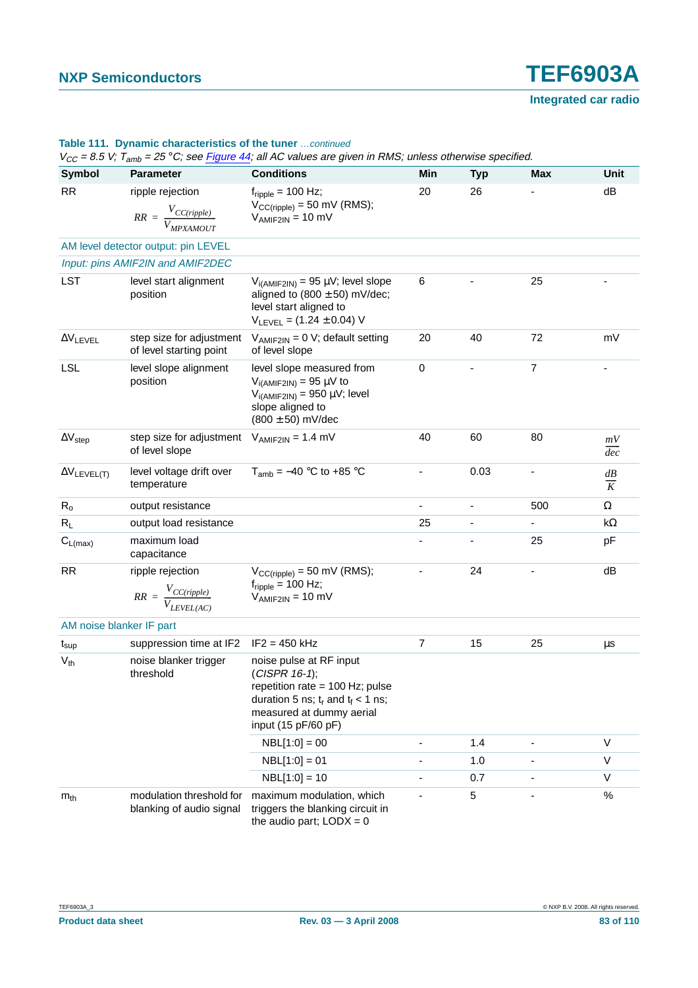|                                     | $V_{CC}$ = 8.5 V; T <sub>amb</sub> = 25 °C; see Figure 44; all AC values are given in RMS; unless otherwise specified. |                                                                                                                                                                              |                          |            |                |                        |  |  |  |  |
|-------------------------------------|------------------------------------------------------------------------------------------------------------------------|------------------------------------------------------------------------------------------------------------------------------------------------------------------------------|--------------------------|------------|----------------|------------------------|--|--|--|--|
| Symbol                              | <b>Parameter</b>                                                                                                       | <b>Conditions</b>                                                                                                                                                            | Min                      | <b>Typ</b> | <b>Max</b>     | Unit                   |  |  |  |  |
| <b>RR</b>                           | ripple rejection<br>$RR = \frac{V_{CC(ripple)}}{V_{MPXAMOUT}}$                                                         | $f_{\text{ripole}}$ = 100 Hz;<br>$V_{CC(ripple)} = 50$ mV (RMS);<br>$V_{AMIF2IN} = 10$ mV                                                                                    | 20                       | 26         |                | dB                     |  |  |  |  |
| AM level detector output: pin LEVEL |                                                                                                                        |                                                                                                                                                                              |                          |            |                |                        |  |  |  |  |
|                                     | Input: pins AMIF2IN and AMIF2DEC                                                                                       |                                                                                                                                                                              |                          |            |                |                        |  |  |  |  |
| <b>LST</b>                          | level start alignment<br>position                                                                                      | $V_{i(AMIF2IN)} = 95 \mu V$ ; level slope<br>aligned to $(800 \pm 50)$ mV/dec;<br>level start aligned to<br>$V_{LEVEL} = (1.24 \pm 0.04) V$                                  | 6                        |            | 25             |                        |  |  |  |  |
| $\Delta V$ LEVEL                    | step size for adjustment<br>of level starting point                                                                    | $V_{AMIF2IN} = 0 V$ ; default setting<br>of level slope                                                                                                                      | 20                       | 40         | 72             | mV                     |  |  |  |  |
| <b>LSL</b>                          | level slope alignment<br>position                                                                                      | level slope measured from<br>$V_{i(AMIF2IN)} = 95 \mu V$ to<br>$V_{i(AMIF2IN)} = 950 \mu V$ ; level<br>slope aligned to<br>$(800 \pm 50)$ mV/dec                             | $\mathbf 0$              |            | $\overline{7}$ |                        |  |  |  |  |
| $\Delta V_{step}$                   | step size for adjustment $V_{AMIF2IN} = 1.4$ mV<br>of level slope                                                      |                                                                                                                                                                              | 40                       | 60         | 80             | mV<br>$\overline{dec}$ |  |  |  |  |
| $\Delta V_{\text{LEVEL(T)}}$        | level voltage drift over<br>temperature                                                                                | $T_{amb} = -40$ °C to +85 °C                                                                                                                                                 | $\overline{\phantom{0}}$ | 0.03       |                | $\frac{dB}{K}$         |  |  |  |  |
| $R_{o}$                             | output resistance                                                                                                      |                                                                                                                                                                              |                          |            | 500            | $\Omega$               |  |  |  |  |
| $R_L$                               | output load resistance                                                                                                 |                                                                                                                                                                              | 25                       |            |                | k $\Omega$             |  |  |  |  |
| $C_{L(max)}$                        | maximum load<br>capacitance                                                                                            |                                                                                                                                                                              |                          |            | 25             | pF                     |  |  |  |  |
| <b>RR</b>                           | ripple rejection<br>$RR = \frac{V_{CC(ripple)}}{V_{LEVEL(AC)}}$                                                        | $V_{CC(ripple)} = 50$ mV (RMS);<br>$f_{\text{ripple}} = 100 \text{ Hz}$ ;<br>$V_{AMIF2IN} = 10$ mV                                                                           | ٠                        | 24         |                | dB                     |  |  |  |  |
| AM noise blanker IF part            |                                                                                                                        |                                                                                                                                                                              |                          |            |                |                        |  |  |  |  |
| $t_{\sf sup}$                       | suppression time at IF2                                                                                                | $IF2 = 450 kHz$                                                                                                                                                              | $\overline{7}$           | 15         | 25             | $\mu$ s                |  |  |  |  |
| $V_{th}$                            | noise blanker trigger<br>threshold                                                                                     | noise pulse at RF input<br>$(CISPR 16-1);$<br>repetition rate = $100$ Hz; pulse<br>duration 5 ns; $t_r$ and $t_f$ < 1 ns;<br>measured at dummy aerial<br>input (15 pF/60 pF) |                          |            |                |                        |  |  |  |  |
|                                     |                                                                                                                        | $NBL[1:0] = 00$                                                                                                                                                              | ä,                       | 1.4        |                | $\vee$                 |  |  |  |  |
|                                     |                                                                                                                        | $NBL[1:0] = 01$                                                                                                                                                              | ä,                       | 1.0        |                | $\vee$                 |  |  |  |  |
|                                     |                                                                                                                        | $NBL[1:0] = 10$                                                                                                                                                              | $\overline{\phantom{a}}$ | 0.7        |                | $\vee$                 |  |  |  |  |
| $m_{th}$                            | modulation threshold for<br>blanking of audio signal                                                                   | maximum modulation, which<br>triggers the blanking circuit in<br>the audio part; $LODX = 0$                                                                                  |                          | 5          |                | $\%$                   |  |  |  |  |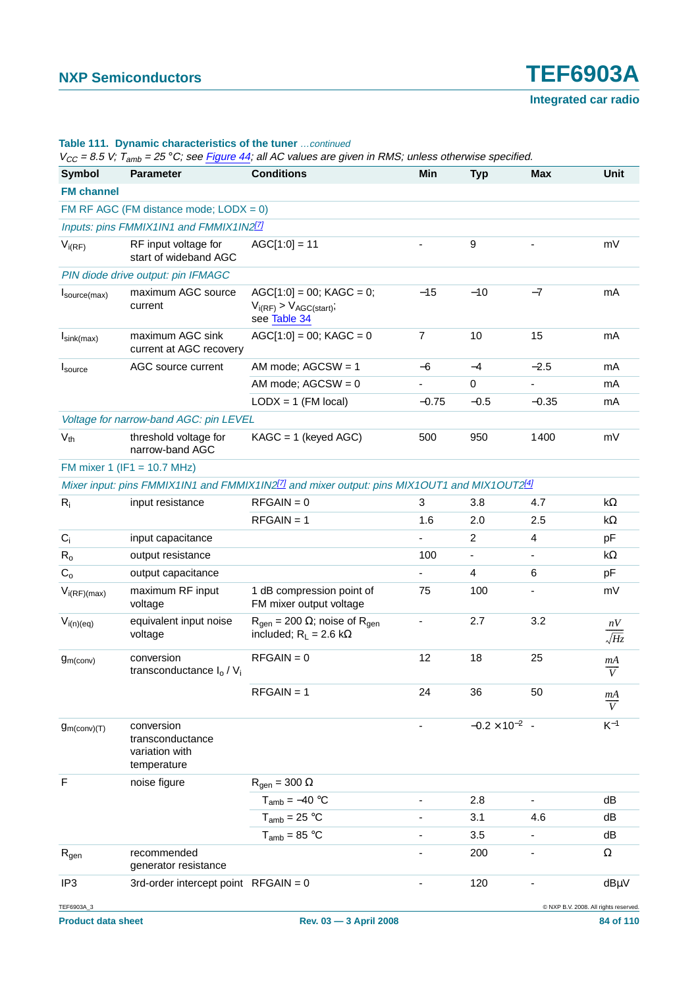|                          | $V_{CC}$ = 8.5 V; T <sub>amb</sub> = 25 °C; see Figure 44; all AC values are given in RMS; unless otherwise specified. |                                                                                                                      |                          |                         |                                      |                      |  |  |  |  |
|--------------------------|------------------------------------------------------------------------------------------------------------------------|----------------------------------------------------------------------------------------------------------------------|--------------------------|-------------------------|--------------------------------------|----------------------|--|--|--|--|
| <b>Symbol</b>            | <b>Parameter</b>                                                                                                       | <b>Conditions</b>                                                                                                    | Min                      | <b>Typ</b>              | <b>Max</b>                           | <b>Unit</b>          |  |  |  |  |
| <b>FM channel</b>        |                                                                                                                        |                                                                                                                      |                          |                         |                                      |                      |  |  |  |  |
|                          | FM RF AGC (FM distance mode; $LODX = 0$ )                                                                              |                                                                                                                      |                          |                         |                                      |                      |  |  |  |  |
|                          | Inputs: pins FMMIX1IN1 and FMMIX1IN2 <sup>[7]</sup>                                                                    |                                                                                                                      |                          |                         |                                      |                      |  |  |  |  |
| $V_{i(RF)}$              | RF input voltage for<br>start of wideband AGC                                                                          | $AGC[1:0] = 11$                                                                                                      |                          | 9                       |                                      | mV                   |  |  |  |  |
|                          | PIN diode drive output: pin IFMAGC                                                                                     |                                                                                                                      |                          |                         |                                      |                      |  |  |  |  |
| $I_{\text{source(max)}}$ | maximum AGC source<br>current                                                                                          | $AGC[1:0] = 00$ ; KAGC = 0;<br>$V_{i(RF)}$ > $V_{AGC(stat)}$ ;<br>see Table 34                                       | $-15$                    | $-10$                   | $-7$                                 | mA                   |  |  |  |  |
| $I_{\text{sink(max)}}$   | maximum AGC sink<br>current at AGC recovery                                                                            | $AGC[1:0] = 00$ ; KAGC = 0                                                                                           | $\overline{7}$           | 10                      | 15                                   | mA                   |  |  |  |  |
| Isource                  | AGC source current                                                                                                     | AM mode; $AGCSW = 1$                                                                                                 | $-6$                     | $-4$                    | $-2.5$                               | mA                   |  |  |  |  |
|                          |                                                                                                                        | AM mode; $AGCSW = 0$                                                                                                 |                          | $\mathbf 0$             |                                      | mA                   |  |  |  |  |
|                          |                                                                                                                        | $LODX = 1$ (FM local)                                                                                                | $-0.75$                  | $-0.5$                  | $-0.35$                              | mA                   |  |  |  |  |
|                          | Voltage for narrow-band AGC: pin LEVEL                                                                                 |                                                                                                                      |                          |                         |                                      |                      |  |  |  |  |
| $V_{th}$                 | threshold voltage for<br>narrow-band AGC                                                                               | $KAGC = 1$ (keyed AGC)                                                                                               | 500                      | 950                     | 1400                                 | mV                   |  |  |  |  |
|                          | FM mixer 1 (IF1 = 10.7 MHz)                                                                                            |                                                                                                                      |                          |                         |                                      |                      |  |  |  |  |
|                          |                                                                                                                        | Mixer input: pins FMMIX1IN1 and FMMIX1IN2 <sup>[7]</sup> and mixer output: pins MIX1OUT1 and MIX1OUT2 <sup>[4]</sup> |                          |                         |                                      |                      |  |  |  |  |
| $R_i$                    | input resistance                                                                                                       | $RFGAIN = 0$                                                                                                         | 3                        | 3.8                     | 4.7                                  | k $\Omega$           |  |  |  |  |
|                          |                                                                                                                        | $RFGAIN = 1$                                                                                                         | 1.6                      | 2.0                     | 2.5                                  | k $\Omega$           |  |  |  |  |
| $C_i$                    | input capacitance                                                                                                      |                                                                                                                      |                          | 2                       | $\overline{4}$                       | pF                   |  |  |  |  |
| $R_{o}$                  | output resistance                                                                                                      |                                                                                                                      | 100                      | $\blacksquare$          |                                      | $k\Omega$            |  |  |  |  |
| $C_{o}$                  | output capacitance                                                                                                     |                                                                                                                      | $\overline{\phantom{0}}$ | 4                       | 6                                    | pF                   |  |  |  |  |
| $V_{i(RF)(max)}$         | maximum RF input<br>voltage                                                                                            | 1 dB compression point of<br>FM mixer output voltage                                                                 | 75                       | 100                     |                                      | mV                   |  |  |  |  |
| $V_{i(n)(eq)}$           | equivalent input noise<br>voltage                                                                                      | $R_{\text{gen}} = 200 \Omega$ ; noise of $R_{\text{gen}}$<br>included; $R_L = 2.6 k\Omega$                           |                          | 2.7                     | 3.2                                  | nV<br>$\sqrt{Hz}$    |  |  |  |  |
| g <sub>m</sub> (conv)    | conversion<br>transconductance $I_0/V_i$                                                                               | $RFGAIN = 0$                                                                                                         | 12                       | 18                      | 25                                   | mA<br>$\overline{V}$ |  |  |  |  |
|                          |                                                                                                                        | $RFGAIN = 1$                                                                                                         | 24                       | 36                      | 50                                   | mA<br>$\overline{V}$ |  |  |  |  |
| $g_{m (conv)(T)}$        | conversion<br>transconductance<br>variation with<br>temperature                                                        |                                                                                                                      |                          | $-0.2 \times 10^{-2}$ - |                                      | $K^{-1}$             |  |  |  |  |
| $\mathsf F$              | noise figure                                                                                                           | $R_{gen} = 300 \Omega$                                                                                               |                          |                         |                                      |                      |  |  |  |  |
|                          |                                                                                                                        | $T_{amb} = -40 °C$                                                                                                   |                          | 2.8                     |                                      | dB                   |  |  |  |  |
|                          |                                                                                                                        | $T_{amb} = 25 °C$                                                                                                    |                          | 3.1                     | 4.6                                  | dB                   |  |  |  |  |
|                          |                                                                                                                        | $T_{amb} = 85 °C$                                                                                                    |                          | 3.5                     |                                      | dB                   |  |  |  |  |
| $R_{gen}$                | recommended<br>generator resistance                                                                                    |                                                                                                                      |                          | 200                     |                                      | $\Omega$             |  |  |  |  |
| IP <sub>3</sub>          | 3rd-order intercept point $RFGAIN = 0$                                                                                 |                                                                                                                      |                          | 120                     |                                      | dBµV                 |  |  |  |  |
| TEF6903A_3               |                                                                                                                        |                                                                                                                      |                          |                         | C NXP B.V. 2008. All rights reserved |                      |  |  |  |  |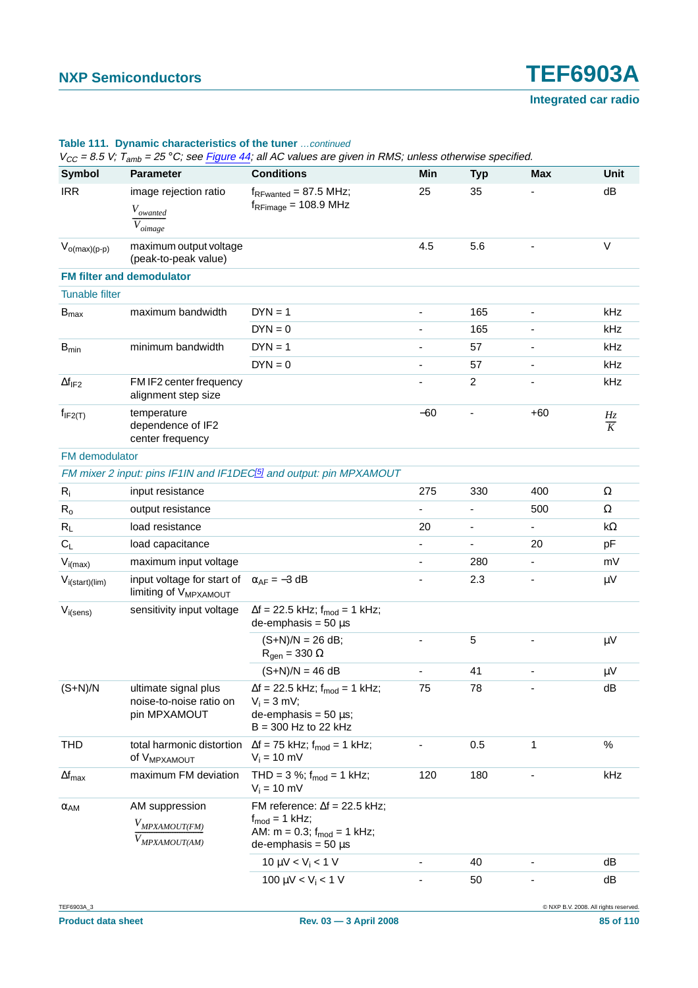|                         |                                                                   | $V_{CC}$ = 8.5 V; T <sub>amb</sub> = 25 °C; see Figure 44; all AC values are given in RMS; unless otherwise specified.                 |       |                          |                          |                |
|-------------------------|-------------------------------------------------------------------|----------------------------------------------------------------------------------------------------------------------------------------|-------|--------------------------|--------------------------|----------------|
| <b>Symbol</b>           | <b>Parameter</b>                                                  | <b>Conditions</b>                                                                                                                      | Min   | <b>Typ</b>               | <b>Max</b>               | Unit           |
| <b>IRR</b>              | image rejection ratio<br>$V_{owanted}$<br>$\overline{V}_{oimage}$ | $f_{RFwanted} = 87.5 \text{ MHz};$<br>$f_{RFimage} = 108.9 \text{ MHz}$                                                                | 25    | 35                       |                          | dB             |
| $V_{o(max)(p-p)}$       | maximum output voltage<br>(peak-to-peak value)                    |                                                                                                                                        | 4.5   | 5.6                      | $\overline{\phantom{0}}$ | $\vee$         |
|                         | <b>FM filter and demodulator</b>                                  |                                                                                                                                        |       |                          |                          |                |
| <b>Tunable filter</b>   |                                                                   |                                                                                                                                        |       |                          |                          |                |
| $B_{\text{max}}$        | maximum bandwidth                                                 | $DYN = 1$                                                                                                                              |       | 165                      |                          | kHz            |
|                         |                                                                   | $DYN = 0$                                                                                                                              | ÷,    | 165                      |                          | kHz            |
| $B_{min}$               | minimum bandwidth                                                 | $DYN = 1$                                                                                                                              |       | 57                       |                          | kHz            |
|                         |                                                                   | $DYN = 0$                                                                                                                              | -     | 57                       | -                        | kHz            |
| $\Delta f_{IF2}$        | FM IF2 center frequency<br>alignment step size                    |                                                                                                                                        |       | $\overline{c}$           |                          | kHz            |
| $f_{IF2(T)}$            | temperature<br>dependence of IF2<br>center frequency              |                                                                                                                                        | $-60$ |                          | $+60$                    | $\frac{Hz}{K}$ |
| FM demodulator          |                                                                   |                                                                                                                                        |       |                          |                          |                |
|                         |                                                                   | FM mixer 2 input: pins IF1IN and IF1DEC <sup>[5]</sup> and output: pin MPXAMOUT                                                        |       |                          |                          |                |
| $R_i$                   | input resistance                                                  |                                                                                                                                        | 275   | 330                      | 400                      | Ω              |
| $R_{o}$                 | output resistance                                                 |                                                                                                                                        |       |                          | 500                      | $\Omega$       |
| $R_L$                   | load resistance                                                   |                                                                                                                                        | 20    | $\overline{\phantom{0}}$ |                          | kΩ             |
| $C_L$                   | load capacitance                                                  |                                                                                                                                        | ÷,    |                          | 20                       | pF             |
| $V_{i(max)}$            | maximum input voltage                                             |                                                                                                                                        | ÷,    | 280                      | ۰                        | mV             |
| $V_{i(start)(lim)}$     | input voltage for start of<br>limiting of V <sub>MPXAMOUT</sub>   | $\alpha_{AF} = -3 dB$                                                                                                                  |       | 2.3                      |                          | $\mu V$        |
| $V_{i(sens)}$           | sensitivity input voltage                                         | $\Delta f = 22.5$ kHz; $f_{mod} = 1$ kHz;<br>$de$ -emphasis = 50 $\mu$ s                                                               |       |                          |                          |                |
|                         |                                                                   | $(S+N)/N = 26 dB;$<br>$R_{gen} = 330 \Omega$                                                                                           |       | 5                        |                          | $\mu$ V        |
|                         |                                                                   | $(S+N)/N = 46 dB$                                                                                                                      |       | 41                       |                          | $\mu V$        |
| $(S+N)/N$               | ultimate signal plus<br>noise-to-noise ratio on<br>pin MPXAMOUT   | $\Delta f = 22.5$ kHz; $f_{mod} = 1$ kHz;<br>$V_i = 3$ mV;<br>$de$ -emphasis = 50 $\mu$ s;<br>$B = 300$ Hz to 22 kHz                   | 75    | 78                       |                          | dB             |
| THD                     | total harmonic distortion<br>Of V <sub>MPXAMOUT</sub>             | $\Delta f = 75$ kHz; $f_{mod} = 1$ kHz;<br>$V_i = 10$ mV                                                                               |       | 0.5                      | 1                        | $\%$           |
| $\Delta f_{\text{max}}$ | maximum FM deviation                                              | THD = $3\%$ ; $f_{mod} = 1$ kHz;<br>$V_i = 10$ mV                                                                                      | 120   | 180                      |                          | kHz            |
| $\alpha_{AM}$           | AM suppression<br>V <sub>MPXAMOUT(FM)</sub><br>MPXAMOUT(AM)       | FM reference: $\Delta f = 22.5$ kHz;<br>$f_{\text{mod}} = 1$ kHz;<br>AM: $m = 0.3$ ; $f_{mod} = 1$ kHz;<br>$de$ -emphasis = 50 $\mu$ s |       |                          |                          |                |
|                         |                                                                   | 10 $\mu$ V < V <sub>i</sub> < 1 V                                                                                                      |       | 40                       |                          | dB             |
|                         |                                                                   | 100 $\mu$ V < V <sub>i</sub> < 1 V                                                                                                     |       | 50                       |                          | dB             |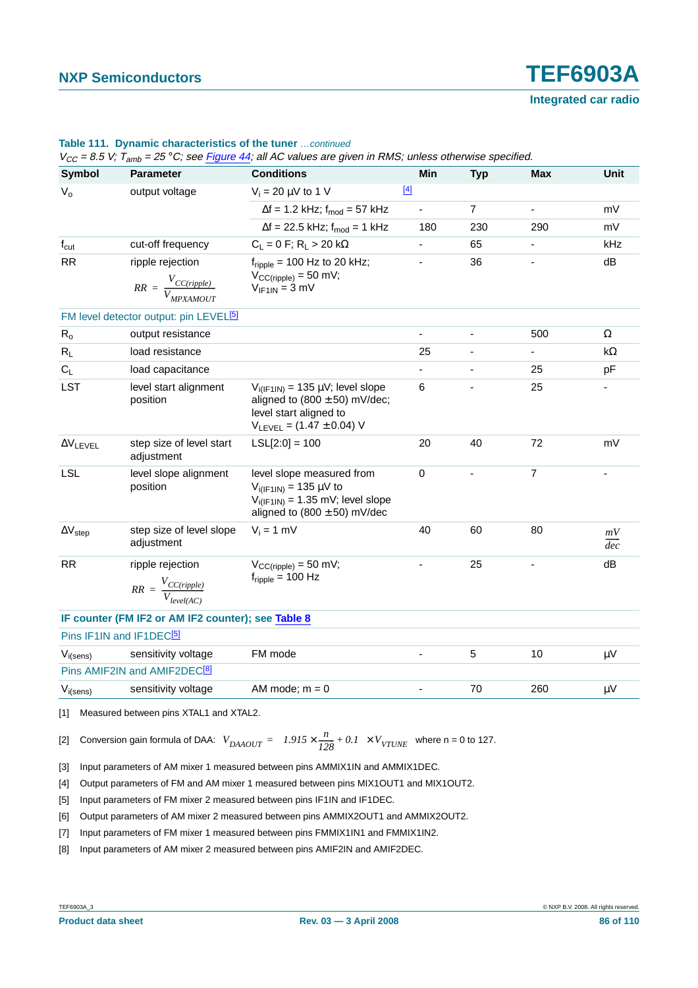|                          |                                                                 |                                                                                                                                            | $V_{CC}$ = 8.5 V; T <sub>amb</sub> = 25 °C; see Figure 44; all AC values are given in RMS; unless otherwise specified. |                |                          |                        |  |  |  |  |  |
|--------------------------|-----------------------------------------------------------------|--------------------------------------------------------------------------------------------------------------------------------------------|------------------------------------------------------------------------------------------------------------------------|----------------|--------------------------|------------------------|--|--|--|--|--|
| <b>Symbol</b>            | <b>Parameter</b>                                                | <b>Conditions</b>                                                                                                                          | Min                                                                                                                    | <b>Typ</b>     | Max                      | <b>Unit</b>            |  |  |  |  |  |
| $V_{o}$                  | output voltage                                                  | $V_i = 20 \mu V$ to 1 V                                                                                                                    | $[4]$                                                                                                                  |                |                          |                        |  |  |  |  |  |
|                          |                                                                 | $\Delta f = 1.2$ kHz; $f_{mod} = 57$ kHz                                                                                                   | $\blacksquare$                                                                                                         | $\overline{7}$ | ÷,                       | mV                     |  |  |  |  |  |
|                          |                                                                 | $\Delta f = 22.5$ kHz; $f_{mod} = 1$ kHz                                                                                                   | 180                                                                                                                    | 230            | 290                      | mV                     |  |  |  |  |  |
| $f_{\text{cut}}$         | cut-off frequency                                               | $C_L = 0 F$ ; R <sub>L</sub> > 20 kΩ                                                                                                       |                                                                                                                        | 65             |                          | kHz                    |  |  |  |  |  |
| <b>RR</b>                | ripple rejection<br>$RR = \frac{V_{CC(ripple)}}{V_{MPXAMOUT}}$  | $f_{\text{ripole}}$ = 100 Hz to 20 kHz;<br>$V_{CC(ripple)} = 50$ mV;<br>$V_{IF1IN} = 3 mV$                                                 |                                                                                                                        | 36             |                          | dB                     |  |  |  |  |  |
|                          | FM level detector output: pin LEVEL <sup>[5]</sup>              |                                                                                                                                            |                                                                                                                        |                |                          |                        |  |  |  |  |  |
| $R_{o}$                  | output resistance                                               |                                                                                                                                            |                                                                                                                        |                | 500                      | $\Omega$               |  |  |  |  |  |
| $R_L$                    | load resistance                                                 |                                                                                                                                            | 25                                                                                                                     | $\blacksquare$ | $\overline{\phantom{a}}$ | kΩ                     |  |  |  |  |  |
| $C_L$                    | load capacitance                                                |                                                                                                                                            | ä,                                                                                                                     |                | 25                       | pF                     |  |  |  |  |  |
| LST                      | level start alignment<br>position                               | $V_{i(IF1IN)} = 135 \mu V$ ; level slope<br>aligned to $(800 \pm 50)$ mV/dec;<br>level start aligned to<br>$V_{LEVEL} = (1.47 \pm 0.04) V$ | 6                                                                                                                      |                | 25                       |                        |  |  |  |  |  |
| $\Delta V$ LEVEL         | step size of level start<br>adjustment                          | $LSL[2:0] = 100$                                                                                                                           | 20                                                                                                                     | 40             | 72                       | mV                     |  |  |  |  |  |
| <b>LSL</b>               | level slope alignment<br>position                               | level slope measured from<br>$V_{i(IF1IN)} = 135 \mu V$ to<br>$V_{i(IF1IN)} = 1.35$ mV; level slope<br>aligned to $(800 \pm 50)$ mV/dec    | $\mathbf 0$                                                                                                            | ÷,             | $\overline{7}$           |                        |  |  |  |  |  |
| $\Delta V_{\text{step}}$ | step size of level slope<br>adjustment                          | $V_i = 1$ mV                                                                                                                               | 40                                                                                                                     | 60             | 80                       | mV<br>$\overline{dec}$ |  |  |  |  |  |
| <b>RR</b>                | ripple rejection<br>$RR = \frac{V_{CC(ripple)}}{V_{level(4C)}}$ | $V_{CC(ripple)} = 50$ mV;<br>$f_{\text{ripple}} = 100 \text{ Hz}$                                                                          |                                                                                                                        | 25             |                          | dB                     |  |  |  |  |  |
|                          | IF counter (FM IF2 or AM IF2 counter); see Table 8              |                                                                                                                                            |                                                                                                                        |                |                          |                        |  |  |  |  |  |
|                          | Pins IF1IN and IF1DEC <sup>[5]</sup>                            |                                                                                                                                            |                                                                                                                        |                |                          |                        |  |  |  |  |  |
| $V_{i(sens)}$            | sensitivity voltage                                             | FM mode                                                                                                                                    | ÷,                                                                                                                     | 5              | 10                       | $\mu V$                |  |  |  |  |  |
|                          | Pins AMIF2IN and AMIF2DEC <sup>[8]</sup>                        |                                                                                                                                            |                                                                                                                        |                |                          |                        |  |  |  |  |  |
| $V_{i(sens)}$            | sensitivity voltage                                             | AM mode; $m = 0$                                                                                                                           | $\qquad \qquad \blacksquare$                                                                                           | 70             | 260                      | $\mu V$                |  |  |  |  |  |

#### **Table 111. Dynamic characteristics of the tuner** …continued

<span id="page-85-1"></span><span id="page-85-0"></span>[1] Measured between pins XTAL1 and XTAL2.

[2] Conversion gain formula of DAA: 
$$
V_{DAAOUT} = (1.915 \times \frac{n}{128} + 0.1) \times V_{VTUNE}
$$
 where n = 0 to 127.

<span id="page-85-2"></span>[3] Input parameters of AM mixer 1 measured between pins AMMIX1IN and AMMIX1DEC.

<span id="page-85-3"></span>[4] Output parameters of FM and AM mixer 1 measured between pins MIX1OUT1 and MIX1OUT2.

- <span id="page-85-4"></span>[5] Input parameters of FM mixer 2 measured between pins IF1IN and IF1DEC.
- <span id="page-85-5"></span>[6] Output parameters of AM mixer 2 measured between pins AMMIX2OUT1 and AMMIX2OUT2.
- <span id="page-85-6"></span>[7] Input parameters of FM mixer 1 measured between pins FMMIX1IN1 and FMMIX1IN2.
- <span id="page-85-7"></span>[8] Input parameters of AM mixer 2 measured between pins AMIF2IN and AMIF2DEC.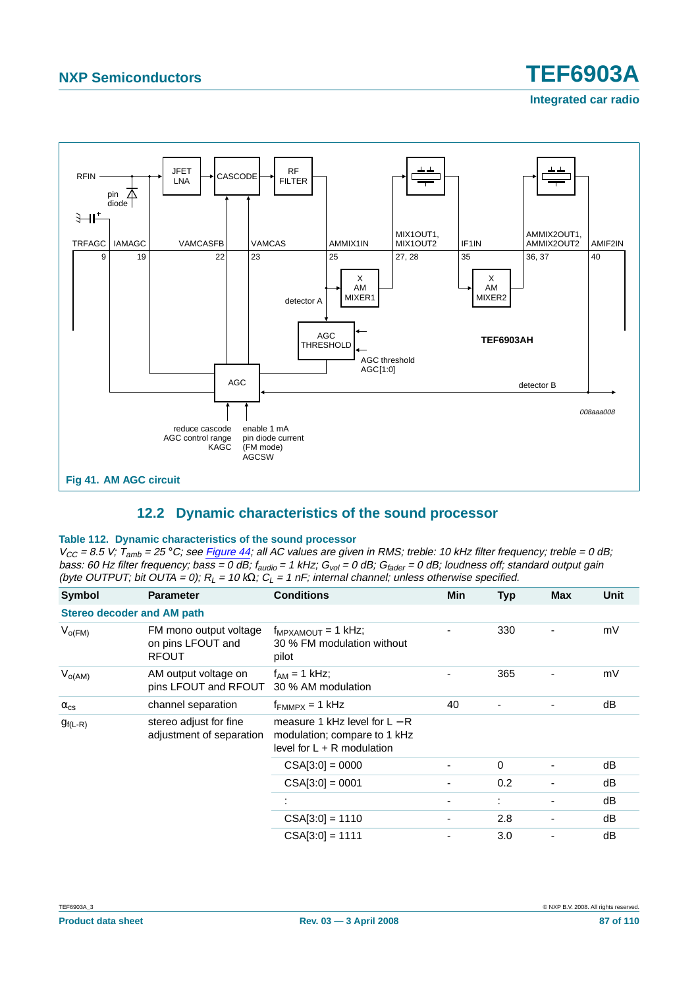

# **12.2 Dynamic characteristics of the sound processor**

#### <span id="page-86-0"></span>**Table 112. Dynamic characteristics of the sound processor**

 $V_{CC}$  = 8.5 V;  $T_{amb}$  = 25 °C; see [Figure](#page-101-0) 44; all AC values are given in RMS; treble: 10 kHz filter frequency; treble = 0 dB; bass: 60 Hz filter frequency; bass = 0 dB;  $f_{\text{audio}} = 1$  kHz;  $G_{\text{vol}} = 0$  dB;  $G_{\text{fader}} = 0$  dB; loudness off; standard output gain (byte OUTPUT; bit OUTA = 0);  $R_L = 10$  kQ;  $C_L = 1$  nF; internal channel; unless otherwise specified.

| Symbol                            | <b>Parameter</b>                                            | <b>Conditions</b>                                                                               | <b>Min</b> | <b>Typ</b> | <b>Max</b> | Unit |
|-----------------------------------|-------------------------------------------------------------|-------------------------------------------------------------------------------------------------|------------|------------|------------|------|
| <b>Stereo decoder and AM path</b> |                                                             |                                                                                                 |            |            |            |      |
| $V_{O(FM)}$                       | FM mono output voltage<br>on pins LFOUT and<br><b>RFOUT</b> | $f_{MPXAMOUT} = 1$ kHz;<br>30 % FM modulation without<br>pilot                                  |            | 330        |            | mV   |
| $V_{O(AM)}$                       | AM output voltage on<br>pins LFOUT and RFOUT                | $f_{AM}$ = 1 kHz;<br>30 % AM modulation                                                         |            | 365        |            | mV   |
| $\alpha_{\rm cs}$                 | channel separation                                          | $f_{FMMPX} = 1$ kHz                                                                             | 40         |            |            | dB   |
| $g_{f(L-R)}$                      | stereo adjust for fine<br>adjustment of separation          | measure 1 kHz level for $L - R$<br>modulation; compare to 1 kHz<br>level for $L + R$ modulation |            |            |            |      |
|                                   |                                                             | $CSA[3:0] = 0000$                                                                               |            | 0          |            | dB   |
|                                   |                                                             | $CSA[3:0] = 0001$                                                                               |            | 0.2        |            | dB   |
|                                   |                                                             |                                                                                                 |            | ÷          |            | dB   |
|                                   |                                                             | $CSA[3:0] = 1110$                                                                               | -          | 2.8        | -          | dB   |
|                                   |                                                             | $CSA[3:0] = 1111$                                                                               |            | 3.0        |            | dB   |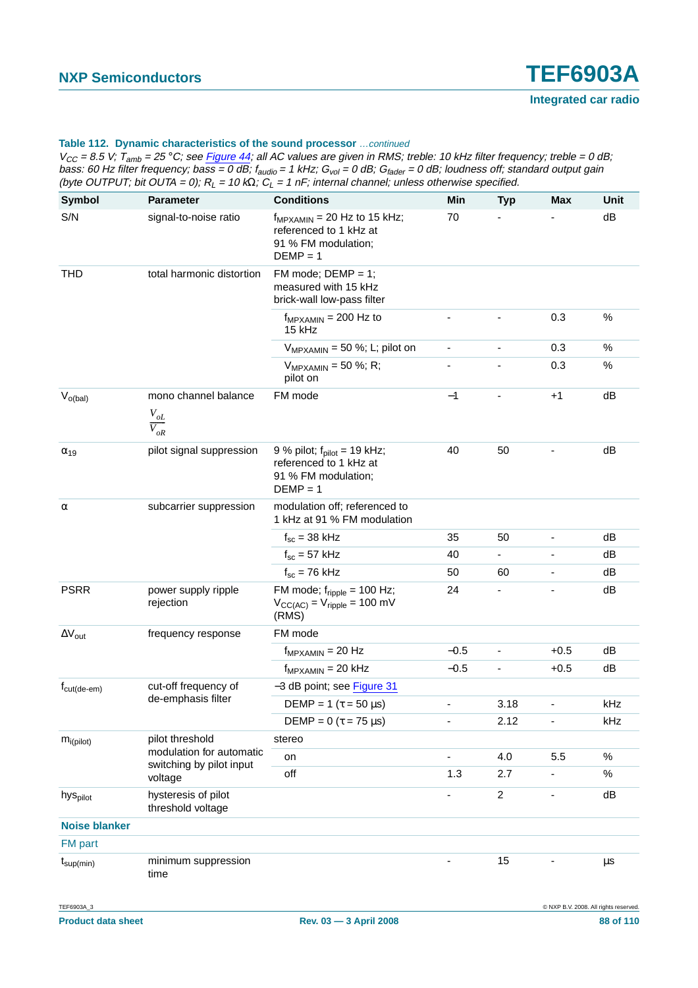| <b>Symbol</b>           | <b>Parameter</b>                                        | <b>Conditions</b>                                                                                           | Min                          | <b>Typ</b>                   | <b>Max</b>               | Unit    |
|-------------------------|---------------------------------------------------------|-------------------------------------------------------------------------------------------------------------|------------------------------|------------------------------|--------------------------|---------|
| S/N                     | signal-to-noise ratio                                   | $f_{MPXAMIN}$ = 20 Hz to 15 kHz;<br>referenced to 1 kHz at<br>91 % FM modulation;<br>$DEMP = 1$             | 70                           |                              |                          | dB      |
| <b>THD</b>              | total harmonic distortion                               | FM mode; $DEMP = 1$ ;<br>measured with 15 kHz<br>brick-wall low-pass filter                                 |                              |                              |                          |         |
|                         |                                                         | $f_{MPXAMIN}$ = 200 Hz to<br>15 kHz                                                                         |                              |                              | 0.3                      | $\%$    |
|                         |                                                         | $V_{MPXAMIN}$ = 50 %; L; pilot on                                                                           | $\overline{\phantom{a}}$     | $\overline{\phantom{0}}$     | 0.3                      | %       |
|                         |                                                         | $V_{MPXAMIN}$ = 50 %; R;<br>pilot on                                                                        |                              |                              | 0.3                      | %       |
| $V_{o(bal)}$            | mono channel balance<br>$V_{oL}$<br>$\overline{V_{oR}}$ | FM mode                                                                                                     | $-1$                         |                              | $+1$                     | dB      |
| $\alpha_{19}$           | pilot signal suppression                                | 9 % pilot; $f_{\text{pilot}} = 19$ kHz;<br>referenced to 1 kHz at<br>91 % FM modulation:<br>$DEMP = 1$      | 40                           | 50                           |                          | dB      |
| $\alpha$                | subcarrier suppression                                  | modulation off; referenced to<br>1 kHz at 91 % FM modulation                                                |                              |                              |                          |         |
|                         |                                                         | $f_{\rm sc}$ = 38 kHz                                                                                       | 35                           | 50                           | ÷,                       | dB      |
|                         |                                                         | $f_{\rm sc}$ = 57 kHz                                                                                       | 40                           | ÷,                           |                          | dB      |
|                         |                                                         | $f_{\rm sc}$ = 76 kHz                                                                                       | 50                           | 60                           | $\overline{\phantom{0}}$ | dB      |
| <b>PSRR</b>             | power supply ripple<br>rejection                        | FM mode; $f_{\text{ripple}} = 100$ Hz;<br>$V_{\text{CC(AC)}} = V_{\text{ripple}} = 100 \text{ mV}$<br>(RMS) | 24                           |                              |                          | dB      |
| $\Delta V_{\text{out}}$ | frequency response                                      | FM mode                                                                                                     |                              |                              |                          |         |
|                         |                                                         | $f_{MPXAMIN} = 20 Hz$                                                                                       | $-0.5$                       | $\qquad \qquad \blacksquare$ | $+0.5$                   | dB      |
|                         |                                                         | $f_{MPXAMIN} = 20$ kHz                                                                                      | $-0.5$                       | $\overline{\phantom{0}}$     | $+0.5$                   | dB      |
| $f_{\text{cut(de-em)}}$ | cut-off frequency of                                    | -3 dB point; see Figure 31                                                                                  |                              |                              |                          |         |
|                         | de-emphasis filter                                      | DEMP = 1 ( $\tau$ = 50 $\mu$ s)                                                                             |                              | 3.18                         |                          | kHz     |
|                         |                                                         | DEMP = $0$ ( $\tau$ = 75 µs)                                                                                | ٠                            | 2.12                         | -                        | kHz     |
| $m_{i(pilot)}$          | pilot threshold                                         | stereo                                                                                                      |                              |                              |                          |         |
|                         | modulation for automatic<br>switching by pilot input    | on                                                                                                          | $\blacksquare$               | 4.0                          | 5.5                      | $\%$    |
|                         | voltage                                                 | off                                                                                                         | 1.3                          | 2.7                          | ٠                        | $\%$    |
| hys <sub>pilot</sub>    | hysteresis of pilot<br>threshold voltage                |                                                                                                             |                              | $\overline{c}$               | ٠                        | dB      |
| <b>Noise blanker</b>    |                                                         |                                                                                                             |                              |                              |                          |         |
| <b>FM</b> part          |                                                         |                                                                                                             |                              |                              |                          |         |
| $t_{\text{sup}(min)}$   | minimum suppression<br>time                             |                                                                                                             | $\qquad \qquad \blacksquare$ | 15                           |                          | $\mu s$ |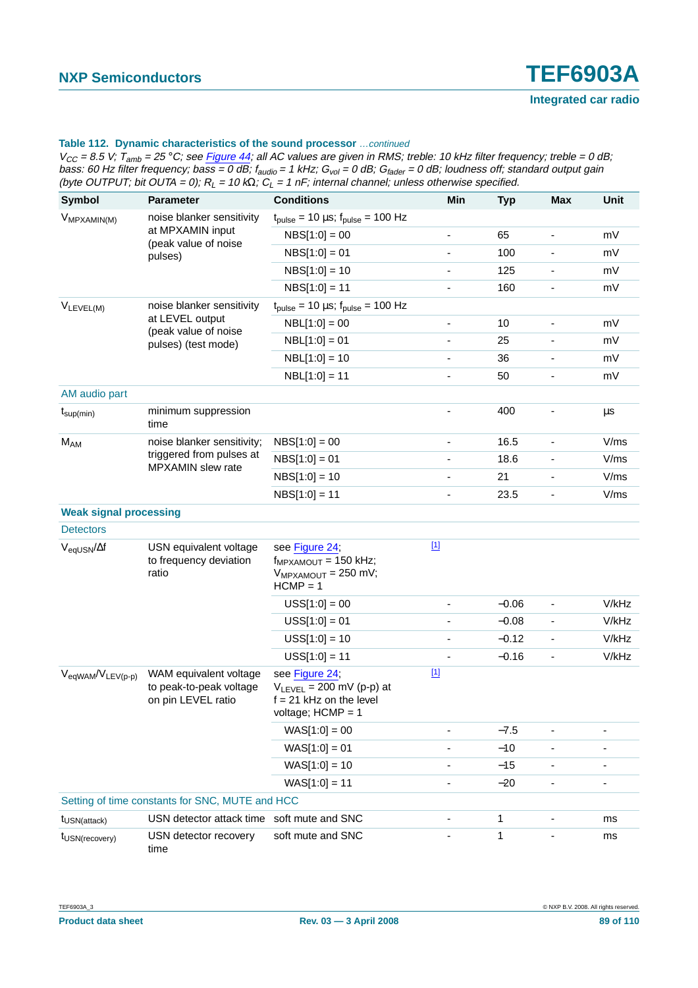$V_{CC}$  = 8.5 V;  $T_{amb}$  = 25 °C; see Figure 44; all AC values are given in RMS; treble: 10 kHz filter frequency; treble = 0 dB; bass: 60 Hz filter frequency; bass = 0 dB; f<sub>audio</sub> = 1 kHz; G<sub>vol</sub> = 0 dB; G<sub>fader</sub> = 0 dB; loudness off; standard output gain (byte OUTPUT; bit OUTA = 0);  $R_L$  = 10 k $\Omega$ ;  $C_L$  = 1 nF; internal channel; unless otherwise specified.

| Symbol                                 | <b>Parameter</b>                                                            | <b>Conditions</b>                                                                                   | Min                          | <b>Typ</b> | <b>Max</b>                   | Unit  |
|----------------------------------------|-----------------------------------------------------------------------------|-----------------------------------------------------------------------------------------------------|------------------------------|------------|------------------------------|-------|
| V <sub>MPXAMIN(M)</sub>                | noise blanker sensitivity                                                   | $t_{pulse}$ = 10 µs; $t_{pulse}$ = 100 Hz                                                           |                              |            |                              |       |
|                                        | at MPXAMIN input<br>(peak value of noise                                    | $NBS[1:0] = 00$                                                                                     | $\frac{1}{2}$                | 65         | $\overline{\phantom{a}}$     | mV    |
|                                        | pulses)                                                                     | $NBS[1:0] = 01$                                                                                     | ٠                            | 100        |                              | mV    |
|                                        |                                                                             | $NBS[1:0] = 10$                                                                                     | $\qquad \qquad \blacksquare$ | 125        | $\overline{\phantom{a}}$     | mV    |
|                                        |                                                                             | $NBS[1:0] = 11$                                                                                     | ä,                           | 160        |                              | mV    |
| $V_{LEVEL(M)}$                         | noise blanker sensitivity                                                   | $t_{pulse}$ = 10 µs; $t_{pulse}$ = 100 Hz                                                           |                              |            |                              |       |
|                                        | at LEVEL output<br>(peak value of noise                                     | $NBL[1:0] = 00$                                                                                     | $\qquad \qquad \blacksquare$ | 10         | $\blacksquare$               | mV    |
|                                        | pulses) (test mode)                                                         | $NBL[1:0] = 01$                                                                                     | -                            | 25         |                              | mV    |
|                                        |                                                                             | $NBL[1:0] = 10$                                                                                     | ä,                           | 36         |                              | mV    |
|                                        |                                                                             | $NBL[1:0] = 11$                                                                                     | ÷,                           | 50         | $\overline{\phantom{a}}$     | mV    |
| AM audio part                          |                                                                             |                                                                                                     |                              |            |                              |       |
| $t_{\text{sup}(min)}$                  | minimum suppression<br>time                                                 |                                                                                                     |                              | 400        |                              | μs    |
| M <sub>AM</sub>                        | noise blanker sensitivity;<br>triggered from pulses at<br>MPXAMIN slew rate | $NBS[1:0] = 00$                                                                                     | -                            | 16.5       | $\overline{\phantom{a}}$     | V/ms  |
|                                        |                                                                             | $NBS[1:0] = 01$                                                                                     | -                            | 18.6       |                              | V/ms  |
|                                        |                                                                             | $NBS[1:0] = 10$                                                                                     | $\qquad \qquad \blacksquare$ | 21         | $\overline{\phantom{a}}$     | V/ms  |
|                                        |                                                                             | $NBS[1:0] = 11$                                                                                     | ٠                            | 23.5       |                              | V/ms  |
| <b>Weak signal processing</b>          |                                                                             |                                                                                                     |                              |            |                              |       |
| <b>Detectors</b>                       |                                                                             |                                                                                                     |                              |            |                              |       |
| $V_{\text{eqUSN}}/\Delta f$            | USN equivalent voltage<br>to frequency deviation<br>ratio                   | see Figure 24;<br>$f_{MPXAMOUT}$ = 150 kHz;<br>$V_{MPXAMOUT}$ = 250 mV;<br>$HCMP = 1$               | $[1]$                        |            |                              |       |
|                                        |                                                                             | $USS[1:0] = 00$                                                                                     | $\qquad \qquad \blacksquare$ | $-0.06$    | $\overline{\phantom{a}}$     | V/kHz |
|                                        |                                                                             | $USS[1:0] = 01$                                                                                     | $\qquad \qquad \blacksquare$ | $-0.08$    | $\overline{\phantom{a}}$     | V/kHz |
|                                        |                                                                             | $USS[1:0] = 10$                                                                                     | $\qquad \qquad \blacksquare$ | $-0.12$    | $\overline{\phantom{a}}$     | V/kHz |
|                                        |                                                                             | $USS[1:0] = 11$                                                                                     |                              | $-0.16$    | $\qquad \qquad \blacksquare$ | V/kHz |
| $V_{\text{eqWAM}}/V_{\text{LEV}(p-p)}$ | WAM equivalent voltage<br>to peak-to-peak voltage<br>on pin LEVEL ratio     | see Figure 24;<br>$V_{LEVEL}$ = 200 mV (p-p) at<br>$f = 21$ kHz on the level<br>voltage; $HCMP = 1$ | $[1]$                        |            |                              |       |
|                                        |                                                                             | $WAS[1:0] = 00$                                                                                     |                              | $-7.5$     | $\qquad \qquad \blacksquare$ |       |
|                                        |                                                                             | $WAS[1:0] = 01$                                                                                     |                              | $-10$      |                              |       |
|                                        |                                                                             | $WAS[1:0] = 10$                                                                                     |                              | $-15$      | -                            |       |
|                                        |                                                                             | $WAS[1:0] = 11$                                                                                     |                              | $-20$      |                              | ٠     |
|                                        | Setting of time constants for SNC, MUTE and HCC                             |                                                                                                     |                              |            |                              |       |
| t <sub>USN(attack)</sub>               | USN detector attack time soft mute and SNC                                  |                                                                                                     |                              | 1          |                              | ms    |
| t <sub>USN(recovery)</sub>             | USN detector recovery<br>time                                               | soft mute and SNC                                                                                   |                              | 1          |                              | ms    |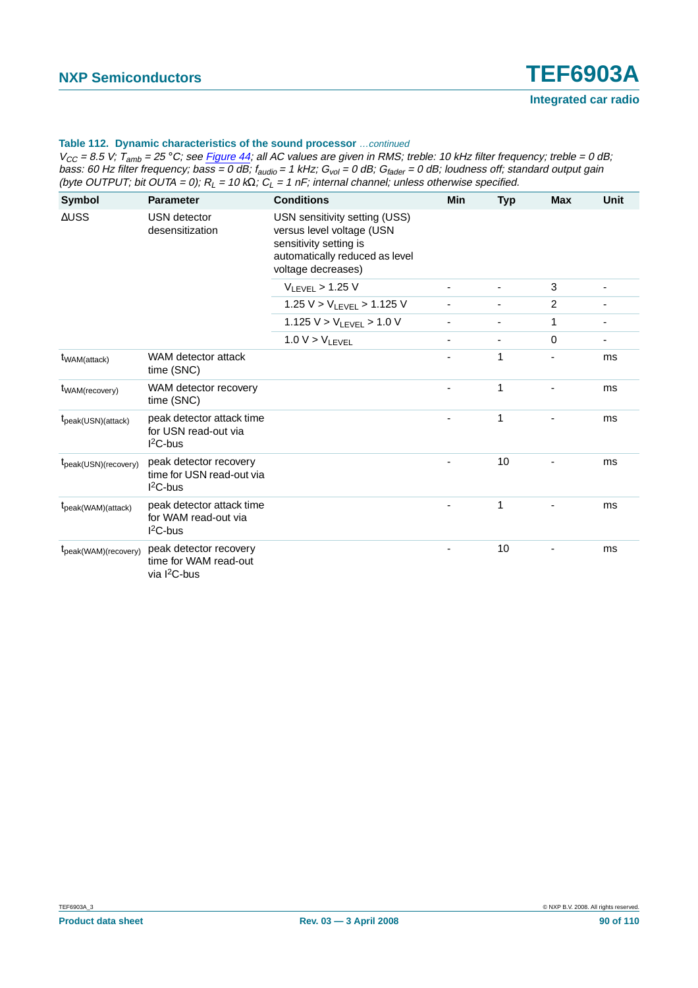| Symbol                                         | <b>Parameter</b>                                                   | <b>Conditions</b>                                                                                                                            | Min | <b>Typ</b> | <b>Max</b>     | Unit |
|------------------------------------------------|--------------------------------------------------------------------|----------------------------------------------------------------------------------------------------------------------------------------------|-----|------------|----------------|------|
| $\triangle$ USS                                | USN detector<br>desensitization                                    | USN sensitivity setting (USS)<br>versus level voltage (USN<br>sensitivity setting is<br>automatically reduced as level<br>voltage decreases) |     |            |                |      |
|                                                |                                                                    | $V_{LEVEL}$ > 1.25 V                                                                                                                         |     |            | 3              |      |
|                                                |                                                                    | 1.25 $V > V_{LEVEL} > 1.125$ V                                                                                                               |     |            | $\overline{2}$ |      |
|                                                |                                                                    | 1.125 $V > V_{LEVEL} > 1.0 V$                                                                                                                |     |            | 1              | ٠    |
|                                                |                                                                    | $1.0 V > V_{LEVEL}$                                                                                                                          |     |            | 0              |      |
| t <sub>WAM</sub> (attack)                      | WAM detector attack<br>time (SNC)                                  |                                                                                                                                              |     | 1          |                | ms   |
| t <sub>WAM</sub> (recovery)                    | WAM detector recovery<br>time (SNC)                                |                                                                                                                                              |     | 1          |                | ms   |
| $t_{\text{peak}(USN)(attack)}$                 | peak detector attack time<br>for USN read-out via<br>$12C$ -bus    |                                                                                                                                              |     | 1          |                | ms   |
| $t_{peak(USN)(recovery)}$                      | peak detector recovery<br>time for USN read-out via<br>$I2C-bus$   |                                                                                                                                              |     | 10         |                | ms   |
| t <sub>peak</sub> (WAM)(attack)                | peak detector attack time<br>for WAM read-out via<br>$12C$ -bus    |                                                                                                                                              |     | 1          |                | ms   |
| $t_{\text{peak}(\text{WAM})(\text{recovery})}$ | peak detector recovery<br>time for WAM read-out<br>via $I^2C$ -bus |                                                                                                                                              |     | 10         |                | ms   |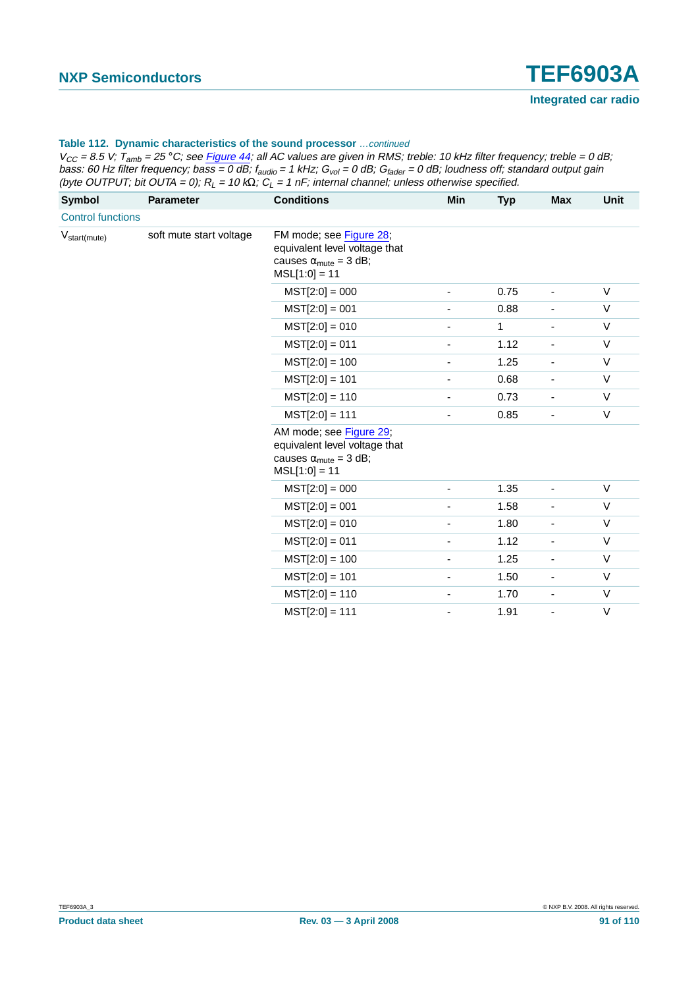| <b>Symbol</b>            | <b>Parameter</b>        | <b>Conditions</b>                                                                                                    | Min                      | <b>Typ</b>    | <b>Max</b>                   | <b>Unit</b>                                                                                                                                        |
|--------------------------|-------------------------|----------------------------------------------------------------------------------------------------------------------|--------------------------|---------------|------------------------------|----------------------------------------------------------------------------------------------------------------------------------------------------|
| <b>Control functions</b> |                         |                                                                                                                      |                          |               |                              |                                                                                                                                                    |
| $V_{start(mute)}$        | soft mute start voltage | FM mode; see Figure 28;<br>equivalent level voltage that<br>causes $\alpha_{\text{mute}} = 3$ dB;<br>$MSL[1:0] = 11$ |                          |               |                              |                                                                                                                                                    |
|                          |                         | $MST[2:0] = 000$                                                                                                     |                          | 0.75          | ٠                            | $\vee$<br>$\vee$<br>$\vee$<br>$\vee$<br>$\vee$<br>$\vee$<br>$\vee$<br>$\vee$<br>$\vee$<br>$\vee$<br>$\vee$<br>$\vee$<br>$\vee$<br>$\vee$<br>$\vee$ |
|                          |                         | $MST[2:0] = 001$                                                                                                     | $\overline{\phantom{a}}$ | 0.88          | $\qquad \qquad \blacksquare$ |                                                                                                                                                    |
|                          |                         | $MST[2:0] = 010$                                                                                                     | $\overline{\phantom{a}}$ | $\mathbf{1}$  | $\frac{1}{2}$                |                                                                                                                                                    |
|                          |                         | $MST[2:0] = 011$                                                                                                     | $\overline{\phantom{a}}$ | 1.12          | $\frac{1}{2}$                |                                                                                                                                                    |
|                          |                         | $MST[2:0] = 100$                                                                                                     | $\overline{\phantom{0}}$ | 1.25          | $\frac{1}{2}$                |                                                                                                                                                    |
|                          | $MST[2:0] = 101$        | ٠                                                                                                                    | 0.68                     | $\frac{1}{2}$ |                              |                                                                                                                                                    |
|                          |                         | $MST[2:0] = 110$                                                                                                     |                          | 0.73          | ä,                           |                                                                                                                                                    |
|                          |                         | $MST[2:0] = 111$                                                                                                     | ٠                        | 0.85          | ä,                           |                                                                                                                                                    |
|                          |                         | AM mode; see Figure 29;<br>equivalent level voltage that<br>causes $\alpha_{\text{mute}} = 3$ dB;<br>$MSL[1:0] = 11$ |                          |               |                              |                                                                                                                                                    |
|                          |                         | $MST[2:0] = 000$                                                                                                     |                          | 1.35          | $\frac{1}{2}$                |                                                                                                                                                    |
|                          |                         | $MST[2:0] = 001$                                                                                                     | $\overline{\phantom{a}}$ | 1.58          | $\overline{\phantom{0}}$     |                                                                                                                                                    |
|                          |                         | $MST[2:0] = 010$                                                                                                     | ÷,                       | 1.80          | $\overline{\phantom{a}}$     |                                                                                                                                                    |
|                          |                         | $MST[2:0] = 011$                                                                                                     | $\overline{\phantom{a}}$ | 1.12          | $\overline{\phantom{a}}$     |                                                                                                                                                    |
|                          |                         | $MST[2:0] = 100$                                                                                                     | -                        | 1.25          | $\overline{\phantom{0}}$     |                                                                                                                                                    |
|                          |                         | $MST[2:0] = 101$                                                                                                     |                          | 1.50          | $\overline{\phantom{0}}$     |                                                                                                                                                    |
|                          |                         | $MST[2:0] = 110$                                                                                                     | ٠                        | 1.70          | $\overline{\phantom{a}}$     |                                                                                                                                                    |
|                          |                         | $MST[2:0] = 111$                                                                                                     |                          | 1.91          | ä,                           | $\vee$                                                                                                                                             |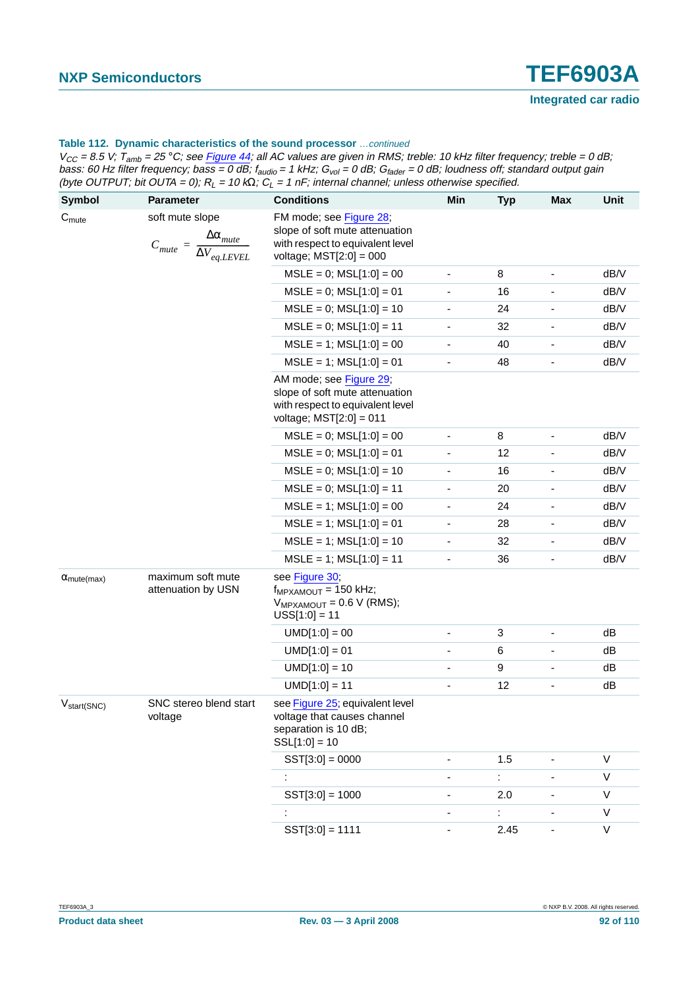$V_{CC}$  = 8.5 V;  $T_{amb}$  = 25 °C; see Figure 44; all AC values are given in RMS; treble: 10 kHz filter frequency; treble = 0 dB; bass: 60 Hz filter frequency; bass = 0 dB; f<sub>audio</sub> = 1 kHz; G<sub>vol</sub> = 0 dB; G<sub>fader</sub> = 0 dB; loudness off; standard output gain (byte OUTPUT; bit OUTA = 0);  $R_L$  = 10 k $\Omega$ ;  $C_L$  = 1 nF; internal channel; unless otherwise specified.

| <b>Symbol</b>               | <b>Parameter</b>                                                                                 | <b>Conditions</b>                                                                                                          | Min                          | <b>Typ</b> | <b>Max</b>               | Unit         |
|-----------------------------|--------------------------------------------------------------------------------------------------|----------------------------------------------------------------------------------------------------------------------------|------------------------------|------------|--------------------------|--------------|
| C <sub>mute</sub>           |                                                                                                  | FM mode; see Figure 28;                                                                                                    |                              |            |                          |              |
|                             | soft mute slope<br>$\Delta\alpha_{\textit{mute}}$<br>$C_{mute} = \frac{1}{\Delta V_{eq. LEVEL}}$ | slope of soft mute attenuation<br>with respect to equivalent level<br>voltage; $MST[2:0] = 000$                            |                              |            |                          |              |
|                             |                                                                                                  | $MSLE = 0$ ; $MSL[1:0] = 00$                                                                                               | $\qquad \qquad \blacksquare$ | 8          | $\overline{\phantom{a}}$ | dB/V         |
|                             |                                                                                                  | $MSLE = 0$ ; $MSL[1:0] = 01$                                                                                               |                              | 16         |                          | dB/V         |
|                             |                                                                                                  | $MSLE = 0$ ; $MSL[1:0] = 10$                                                                                               |                              | 24         |                          | dB/V         |
|                             |                                                                                                  | $MSLE = 0$ ; $MSL[1:0] = 11$                                                                                               |                              | 32         |                          | dB/V         |
|                             |                                                                                                  | $MSLE = 1$ ; $MSL[1:0] = 00$                                                                                               | $\qquad \qquad \blacksquare$ | 40         |                          | dB/V         |
|                             |                                                                                                  | $MSLE = 1$ ; $MSL[1:0] = 01$                                                                                               |                              | 48         |                          | dB/V         |
|                             |                                                                                                  | AM mode; see Figure 29;<br>slope of soft mute attenuation<br>with respect to equivalent level<br>voltage; $MST[2:0] = 011$ |                              |            |                          |              |
|                             |                                                                                                  | $MSE = 0$ ; $MSL[1:0] = 00$                                                                                                | -                            | 8          |                          | dB/V         |
|                             |                                                                                                  | $MSLE = 0$ ; $MSL[1:0] = 01$                                                                                               |                              | 12         |                          | dB/V         |
|                             |                                                                                                  | $MSLE = 0$ ; $MSL[1:0] = 10$                                                                                               | $\qquad \qquad \blacksquare$ | 16         |                          | dB/V         |
|                             |                                                                                                  | $MSLE = 0$ ; $MSL[1:0] = 11$                                                                                               | ٠                            | 20         |                          | dB/V         |
|                             |                                                                                                  | $MSLE = 1$ ; $MSL[1:0] = 00$                                                                                               | -                            | 24         |                          | dB/V         |
|                             |                                                                                                  | $MSLE = 1$ ; $MSL[1:0] = 01$                                                                                               |                              | 28         |                          | dB/V         |
|                             |                                                                                                  | $MSLE = 1$ ; $MSL[1:0] = 10$                                                                                               | -                            | 32         |                          | dB/V         |
|                             |                                                                                                  | $MSLE = 1$ ; $MSL[1:0] = 11$                                                                                               |                              | 36         |                          | dB/V         |
| $\alpha_{\text{mute(max)}}$ | maximum soft mute<br>attenuation by USN                                                          | see Figure 30;<br>$f_{MPXAMOUT}$ = 150 kHz;<br>$V_{MPXAMOUT} = 0.6 V (RMS);$<br>$USS[1:0] = 11$                            |                              |            |                          |              |
|                             |                                                                                                  | $UMD[1:0] = 00$                                                                                                            | -                            | 3          |                          | dB           |
|                             |                                                                                                  | $UMD[1:0] = 01$                                                                                                            | ٠                            | 6          |                          | dB           |
|                             |                                                                                                  | $UMD[1:0] = 10$                                                                                                            | ٠                            | 9          |                          | dB           |
|                             |                                                                                                  | $UMD[1:0] = 11$                                                                                                            |                              | 12         |                          | dB           |
| $V_{\text{start(SNC)}}$     | SNC stereo blend start<br>voltage                                                                | see Figure 25; equivalent level<br>voltage that causes channel<br>separation is 10 dB;<br>$SSL[1:0] = 10$                  |                              |            |                          |              |
|                             |                                                                                                  | $SST[3:0] = 0000$                                                                                                          | ٠                            | 1.5        |                          | V            |
|                             |                                                                                                  |                                                                                                                            | ٠                            | t.         |                          | $\mathsf{V}$ |
|                             |                                                                                                  | $SST[3:0] = 1000$                                                                                                          |                              | 2.0        |                          | V            |
|                             |                                                                                                  |                                                                                                                            |                              |            |                          | $\mathsf V$  |
|                             |                                                                                                  | $SST[3:0] = 1111$                                                                                                          |                              | 2.45       |                          | $\mathsf V$  |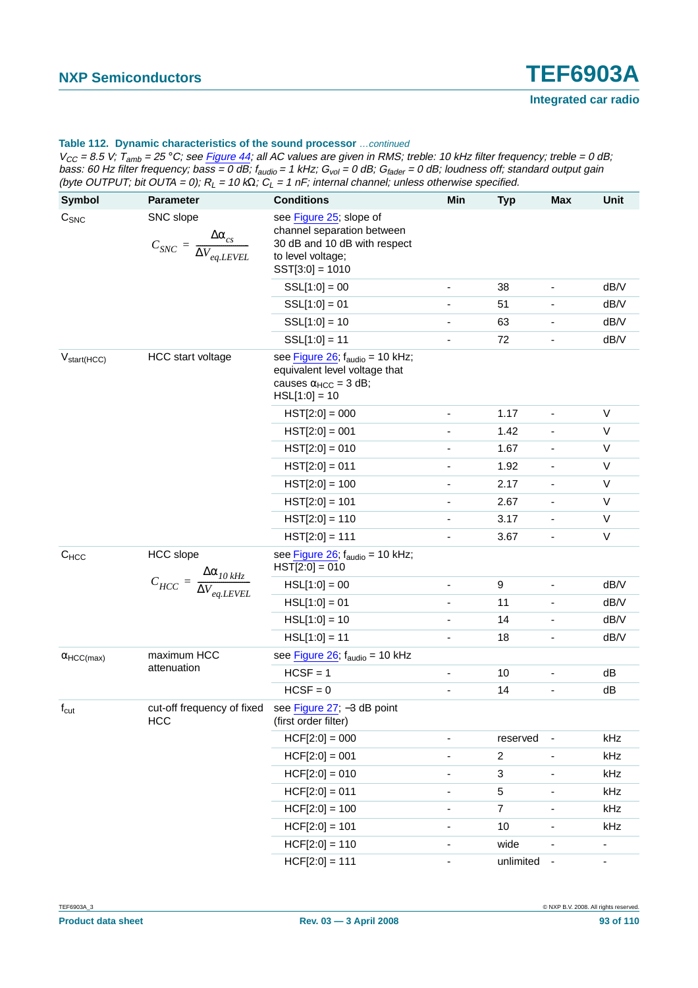| <b>Symbol</b>                 | <b>Parameter</b>                                                                  | <b>Conditions</b>                                                                                                                | Min                          | <b>Typ</b>     | <b>Max</b>               | Unit           |
|-------------------------------|-----------------------------------------------------------------------------------|----------------------------------------------------------------------------------------------------------------------------------|------------------------------|----------------|--------------------------|----------------|
| $C_{\text{SNC}}$              | SNC slope<br>$\Delta\alpha_{_{CS}}$<br>$C_{SNC} = \frac{1}{\Delta V_{eq. LEVEL}}$ | see Figure 25; slope of<br>channel separation between<br>30 dB and 10 dB with respect<br>to level voltage;<br>$SST[3:0] = 1010$  |                              |                |                          |                |
|                               |                                                                                   | $SSL[1:0] = 00$                                                                                                                  | -                            | 38             |                          | dB/V           |
|                               |                                                                                   | $SSL[1:0] = 01$                                                                                                                  | -                            | 51             |                          | dB/V           |
|                               |                                                                                   | $SSL[1:0] = 10$                                                                                                                  | ٠                            | 63             |                          | dB/V           |
|                               |                                                                                   | $SSL[1:0] = 11$                                                                                                                  | ٠                            | 72             |                          | dB/V           |
| $V_{start(HCC)}$              | <b>HCC</b> start voltage                                                          | see Figure 26, $f_{\text{audio}} = 10$ kHz;<br>equivalent level voltage that<br>causes $\alpha_{HCC} = 3$ dB;<br>$HSL[1:0] = 10$ |                              |                |                          |                |
|                               |                                                                                   | $HST[2:0] = 000$                                                                                                                 | -                            | 1.17           |                          | $\mathsf{V}$   |
|                               |                                                                                   | $HST[2:0] = 001$                                                                                                                 | -                            | 1.42           |                          | V              |
|                               |                                                                                   | $HST[2:0] = 010$                                                                                                                 | -                            | 1.67           |                          | $\mathsf{V}$   |
|                               |                                                                                   | $HST[2:0] = 011$                                                                                                                 | $\overline{a}$               | 1.92           |                          | V              |
|                               |                                                                                   | $HST[2:0] = 100$                                                                                                                 | -                            | 2.17           |                          | $\mathsf{V}$   |
|                               |                                                                                   | $HST[2:0] = 101$                                                                                                                 | -                            | 2.67           | $\overline{\phantom{a}}$ | V              |
|                               |                                                                                   | $HST[2:0] = 110$                                                                                                                 | -                            | 3.17           |                          | $\mathsf{V}$   |
|                               |                                                                                   | $HST[2:0] = 111$                                                                                                                 | ٠                            | 3.67           | ۰                        | $\mathsf{V}$   |
| <b>HCC</b> slope<br>$C_{HCC}$ |                                                                                   | see Figure 26; f <sub>audio</sub> = 10 kHz;<br>$HST[2:0] = 010$                                                                  |                              |                |                          |                |
|                               | $C_{HCC} = \frac{\Delta\alpha_{10\,kHz}}{\Delta V_{eq.LEVEL}}$                    | $HSL[1:0] = 00$                                                                                                                  | -                            | 9              | $\overline{\phantom{a}}$ | dB/V           |
|                               |                                                                                   | $HSL[1:0] = 01$                                                                                                                  |                              | 11             |                          | dB/V           |
|                               |                                                                                   | $HSL[1:0] = 10$                                                                                                                  | $\qquad \qquad \blacksquare$ | 14             |                          | dB/V           |
|                               |                                                                                   | $HSL[1:0] = 11$                                                                                                                  | ٠                            | 18             |                          | dB/V           |
| $\alpha$ HCC(max)             | maximum HCC                                                                       | see Figure $26$ ; $f_{\text{audio}} = 10$ kHz                                                                                    |                              |                |                          |                |
|                               | attenuation                                                                       | $HCSF = 1$                                                                                                                       | -                            | 10             |                          | dB             |
|                               |                                                                                   | $HCSF = 0$                                                                                                                       | ÷,                           | 14             |                          | dB             |
| $f_{\text{cut}}$              | cut-off frequency of fixed<br><b>HCC</b>                                          | see Figure 27; -3 dB point<br>(first order filter)                                                                               |                              |                |                          |                |
|                               |                                                                                   | $HCF[2:0] = 000$                                                                                                                 |                              | reserved       |                          | kHz            |
|                               |                                                                                   | $HCF[2:0] = 001$                                                                                                                 |                              | $\overline{c}$ |                          | kHz            |
|                               |                                                                                   | $HCF[2:0] = 010$                                                                                                                 | $\qquad \qquad \blacksquare$ | 3              | $\overline{\phantom{a}}$ | kHz            |
|                               |                                                                                   | $HCF[2:0] = 011$                                                                                                                 | $\qquad \qquad \blacksquare$ | 5              | $\blacksquare$           | kHz            |
|                               |                                                                                   | $HCF[2:0] = 100$                                                                                                                 | -                            | $\overline{7}$ |                          | kHz            |
|                               |                                                                                   | $HCF[2:0] = 101$                                                                                                                 | $\frac{1}{2}$                | 10             |                          | kHz            |
|                               |                                                                                   | $HCF[2:0] = 110$                                                                                                                 | $\qquad \qquad \blacksquare$ | wide           | $\overline{\phantom{a}}$ | $\blacksquare$ |
|                               |                                                                                   | $HCF[2:0] = 111$                                                                                                                 | $\qquad \qquad \blacksquare$ | unlimited      | $\overline{\phantom{a}}$ | $\blacksquare$ |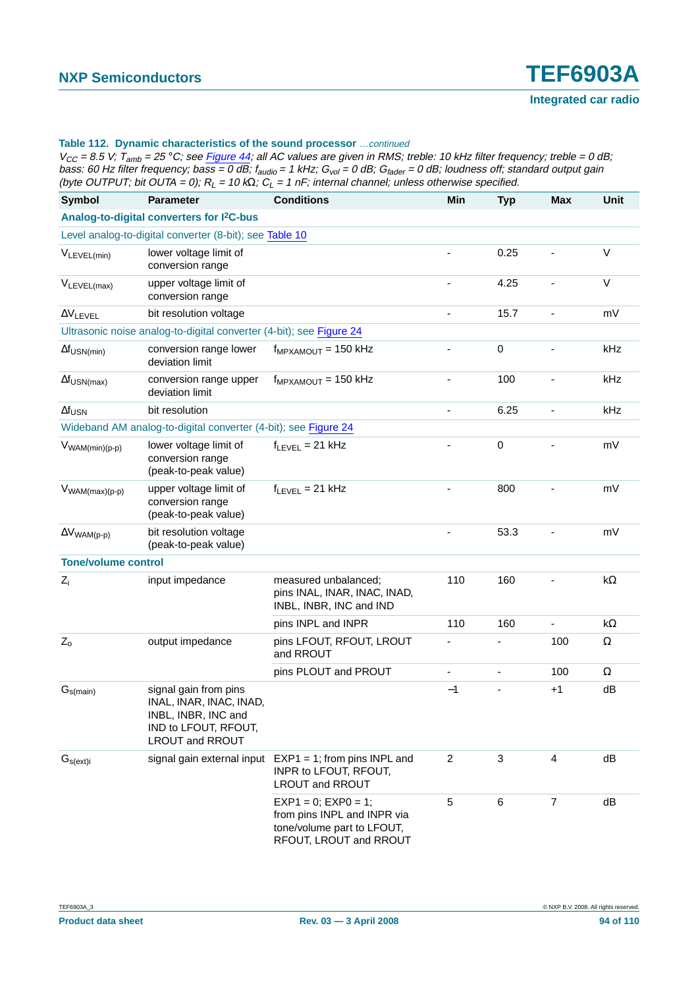| <b>Symbol</b>              | <b>Parameter</b>                                                                                                          | <b>Conditions</b>                                                                                                | Min                          | <b>Typ</b>               | <b>Max</b>     | <b>Unit</b> |
|----------------------------|---------------------------------------------------------------------------------------------------------------------------|------------------------------------------------------------------------------------------------------------------|------------------------------|--------------------------|----------------|-------------|
|                            | Analog-to-digital converters for I <sup>2</sup> C-bus                                                                     |                                                                                                                  |                              |                          |                |             |
|                            | Level analog-to-digital converter (8-bit); see Table 10                                                                   |                                                                                                                  |                              |                          |                |             |
| VLEVEL(min)                | lower voltage limit of<br>conversion range                                                                                |                                                                                                                  |                              | 0.25                     |                | $\vee$      |
| $V_{LEVEL(max)}$           | upper voltage limit of<br>conversion range                                                                                |                                                                                                                  |                              | 4.25                     |                | V           |
| $\Delta V$ LEVEL           | bit resolution voltage                                                                                                    |                                                                                                                  | $\blacksquare$               | 15.7                     | L,             | mV          |
|                            | Ultrasonic noise analog-to-digital converter (4-bit); see Figure 24                                                       |                                                                                                                  |                              |                          |                |             |
| $\Delta f_{USN(min)}$      | conversion range lower<br>deviation limit                                                                                 | $f_{MPXAMOUT}$ = 150 kHz                                                                                         | ٠                            | 0                        | ä,             | kHz         |
| $\Delta f_{USN(max)}$      | conversion range upper<br>deviation limit                                                                                 | $f_{MPXAMOUT}$ = 150 kHz                                                                                         |                              | 100                      |                | kHz         |
| $\Delta f_{\text{USN}}$    | bit resolution                                                                                                            |                                                                                                                  | $\blacksquare$               | 6.25                     | L,             | kHz         |
|                            | Wideband AM analog-to-digital converter (4-bit); see Figure 24                                                            |                                                                                                                  |                              |                          |                |             |
| $V_{WAM(min)(p-p)}$        | lower voltage limit of<br>conversion range<br>(peak-to-peak value)                                                        | $f_{LEVEL} = 21$ kHz                                                                                             |                              | 0                        |                | mV          |
| $V_{WAM(max)(p-p)}$        | upper voltage limit of<br>conversion range<br>(peak-to-peak value)                                                        | $f_{LEVEL} = 21$ kHz                                                                                             |                              | 800                      |                | mV          |
| $\Delta V_{WAM(p-p)}$      | bit resolution voltage<br>(peak-to-peak value)                                                                            |                                                                                                                  |                              | 53.3                     |                | mV          |
| <b>Tone/volume control</b> |                                                                                                                           |                                                                                                                  |                              |                          |                |             |
| $Z_i$                      | input impedance                                                                                                           | measured unbalanced;<br>pins INAL, INAR, INAC, INAD,<br>INBL, INBR, INC and IND                                  | 110                          | 160                      |                | $k\Omega$   |
|                            |                                                                                                                           | pins INPL and INPR                                                                                               | 110                          | 160                      | L,             | k $\Omega$  |
| $Z_0$                      | output impedance                                                                                                          | pins LFOUT, RFOUT, LROUT<br>and RROUT                                                                            |                              |                          | 100            | Ω           |
|                            |                                                                                                                           | pins PLOUT and PROUT                                                                                             | $\qquad \qquad \blacksquare$ | $\overline{\phantom{a}}$ | 100            | $\Omega$    |
| G <sub>s(main)</sub>       | signal gain from pins<br>INAL, INAR, INAC, INAD,<br>INBL, INBR, INC and<br>IND to LFOUT, RFOUT,<br><b>LROUT and RROUT</b> |                                                                                                                  | $-1$                         |                          | $+1$           | dB          |
| G <sub>s(exti)</sub>       | signal gain external input                                                                                                | $EXP1 = 1$ ; from pins INPL and<br><b>INPR to LFOUT, RFOUT,</b><br><b>LROUT and RROUT</b>                        | $\overline{c}$               | 3                        | 4              | dB          |
|                            |                                                                                                                           | $EXP1 = 0$ ; $EXP0 = 1$ ;<br>from pins INPL and INPR via<br>tone/volume part to LFOUT,<br>RFOUT, LROUT and RROUT | 5                            | 6                        | $\overline{7}$ | dB          |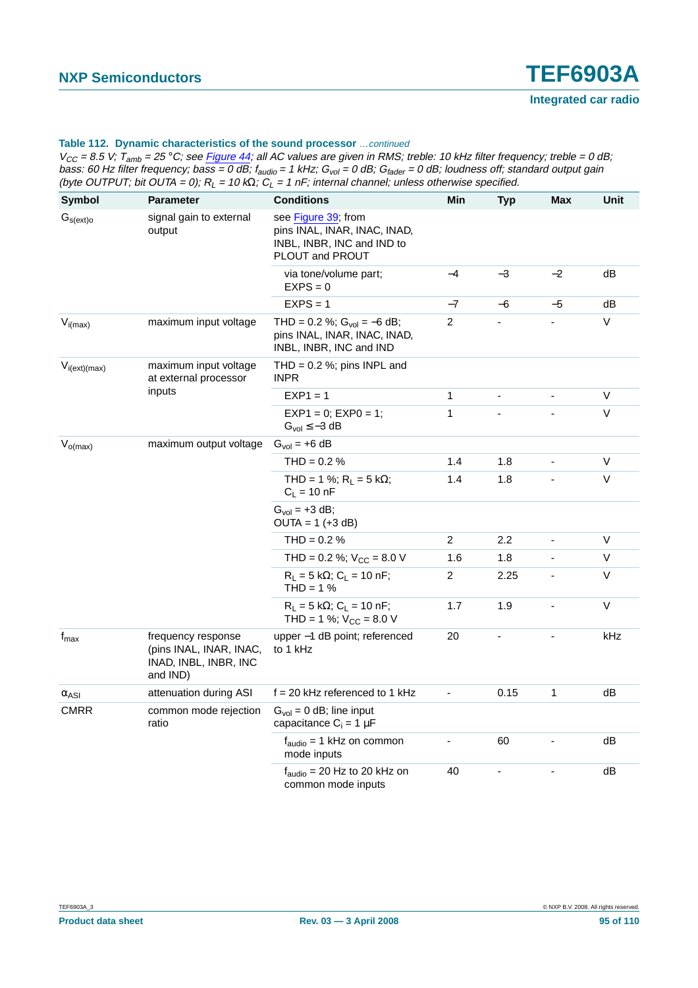| Symbol            | <b>Parameter</b>                                                                   | <b>Conditions</b>                                                                                    | Min                      | <b>Typ</b>                   | Max                      | <b>Unit</b> |
|-------------------|------------------------------------------------------------------------------------|------------------------------------------------------------------------------------------------------|--------------------------|------------------------------|--------------------------|-------------|
| $G_{s(ext)o}$     | signal gain to external<br>output                                                  | see Figure 39; from<br>pins INAL, INAR, INAC, INAD,<br>INBL, INBR, INC and IND to<br>PLOUT and PROUT |                          |                              |                          |             |
|                   |                                                                                    | via tone/volume part;<br>$EXPS = 0$                                                                  | $-4$                     | $-3$                         | $-2$                     | dB          |
|                   |                                                                                    | $EXPS = 1$                                                                                           | $-7$                     | -6                           | $-5$                     | dB          |
| $V_{i(max)}$      | maximum input voltage                                                              | THD = 0.2 %; $Gvol = -6 dB$ ;<br>pins INAL, INAR, INAC, INAD,<br>INBL, INBR, INC and IND             | $\overline{2}$           |                              |                          | V           |
| $V_{i(ext)(max)}$ | maximum input voltage<br>at external processor                                     | THD = $0.2$ %; pins INPL and<br><b>INPR</b>                                                          |                          |                              |                          |             |
|                   | inputs                                                                             | $EXP1 = 1$                                                                                           | 1                        | ÷,                           |                          | V           |
|                   |                                                                                    | $EXP1 = 0$ ; $EXP0 = 1$ ;<br>$Gvol \le -3 dB$                                                        | 1                        |                              |                          | $\vee$      |
| $V_{o(max)}$      | maximum output voltage                                                             | $Gvol = +6 dB$                                                                                       |                          |                              |                          |             |
|                   |                                                                                    | THD = $0.2 \%$                                                                                       | 1.4                      | 1.8                          |                          | V           |
|                   |                                                                                    | THD = 1 %; $R_L$ = 5 k $\Omega$ ;<br>$C_L = 10 nF$                                                   | 1.4                      | 1.8                          |                          | V           |
|                   |                                                                                    | $Gvol = +3 dB;$<br>$OUTA = 1 (+3 dB)$                                                                |                          |                              |                          |             |
|                   |                                                                                    | $THD = 0.2 %$                                                                                        | $\overline{c}$           | 2.2                          | ÷,                       | V           |
|                   |                                                                                    | THD = $0.2$ %; $V_{CC}$ = 8.0 V                                                                      | 1.6                      | 1.8                          |                          | V           |
|                   |                                                                                    | $R_L = 5 k\Omega$ ; C <sub>L</sub> = 10 nF;<br>$THD = 1%$                                            | $\overline{c}$           | 2.25                         |                          | V           |
|                   |                                                                                    | $R_L = 5 k\Omega$ ; $C_L = 10 nF$ ;<br>THD = 1 %; $V_{CC}$ = 8.0 V                                   | 1.7                      | 1.9                          |                          | $\vee$      |
| $f_{\text{max}}$  | frequency response<br>(pins INAL, INAR, INAC,<br>INAD, INBL, INBR, INC<br>and IND) | upper -1 dB point; referenced<br>to 1 kHz                                                            | 20                       | $\qquad \qquad \blacksquare$ | $\overline{a}$           | kHz         |
| $\alpha_{ASI}$    | attenuation during ASI                                                             | $f = 20$ kHz referenced to 1 kHz                                                                     | $\blacksquare$           | 0.15                         | 1                        | dB          |
| <b>CMRR</b>       | common mode rejection<br>ratio                                                     | $Gvol = 0$ dB; line input<br>capacitance $C_i = 1 \mu F$                                             |                          |                              |                          |             |
|                   |                                                                                    | $f_{\text{audio}} = 1$ kHz on common<br>mode inputs                                                  | $\overline{\phantom{a}}$ | 60                           | $\overline{\phantom{a}}$ | dB          |
|                   |                                                                                    | $f_{\text{audio}}$ = 20 Hz to 20 kHz on<br>common mode inputs                                        | 40                       |                              |                          | dB          |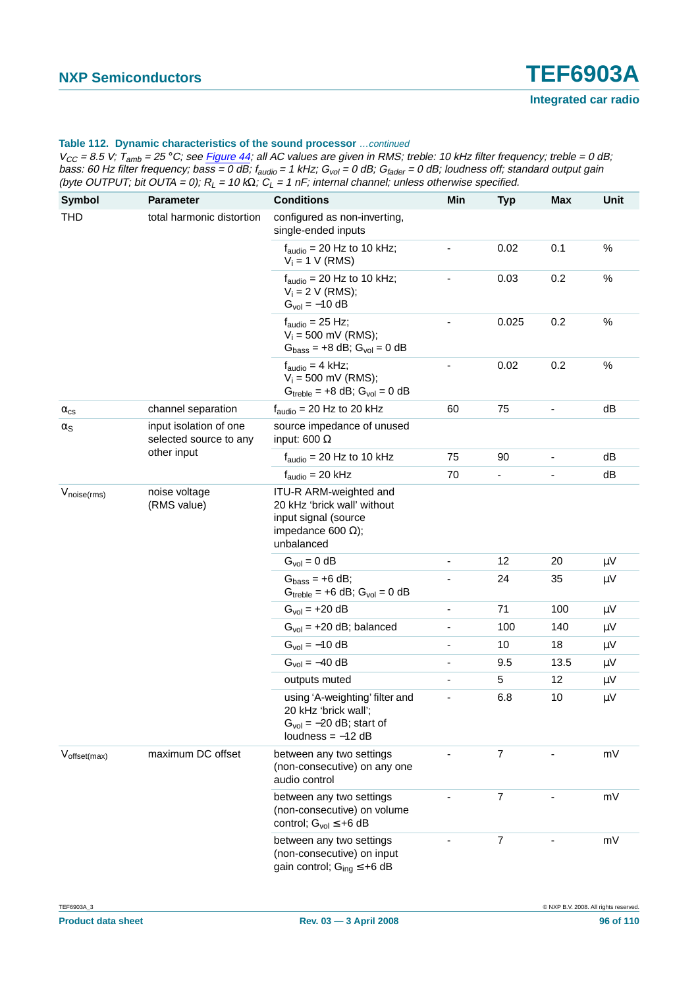| Symbol               | <b>Parameter</b>                                 | <b>Conditions</b>                                                                                                        | Min                          | <b>Typ</b>               | Max  | Unit    |
|----------------------|--------------------------------------------------|--------------------------------------------------------------------------------------------------------------------------|------------------------------|--------------------------|------|---------|
| <b>THD</b>           | total harmonic distortion                        | configured as non-inverting,<br>single-ended inputs                                                                      |                              |                          |      |         |
|                      |                                                  | $f_{\text{audio}}$ = 20 Hz to 10 kHz;<br>$V_i = 1 V (RMS)$                                                               |                              | 0.02                     | 0.1  | $\%$    |
|                      |                                                  | $f_{\text{audio}}$ = 20 Hz to 10 kHz;<br>$V_i = 2 V (RMS);$<br>$G_{\text{vol}} = -10 \text{ dB}$                         | ÷,                           | 0.03                     | 0.2  | $\%$    |
|                      |                                                  | $f_{\text{audio}} = 25$ Hz;<br>$V_i = 500$ mV (RMS);<br>$Gbass = +8 dB$ ; $Gvol = 0 dB$                                  |                              | 0.025                    | 0.2  | $\%$    |
|                      |                                                  | $f_{\text{audio}} = 4$ kHz;<br>$V_i = 500$ mV (RMS);<br>$G_{\text{treble}} = +8$ dB; $G_{\text{vol}} = 0$ dB             |                              | 0.02                     | 0.2  | $\%$    |
| $\alpha_{\text{cs}}$ | channel separation                               | $f_{\text{audio}} = 20$ Hz to 20 kHz                                                                                     | 60                           | 75                       |      | dB      |
| $\alpha_{\text{S}}$  | input isolation of one<br>selected source to any | source impedance of unused<br>input: 600 $\Omega$                                                                        |                              |                          |      |         |
|                      | other input                                      | $f_{\text{audio}} = 20$ Hz to 10 kHz                                                                                     | 75                           | 90                       |      | dB      |
|                      |                                                  | $f_{\text{audio}} = 20$ kHz                                                                                              | 70                           | $\overline{\phantom{0}}$ |      | dB      |
| $V_{noise(rms)}$     | noise voltage<br>(RMS value)                     | ITU-R ARM-weighted and<br>20 kHz 'brick wall' without<br>input signal (source<br>impedance 600 $\Omega$ );<br>unbalanced |                              |                          |      |         |
|                      |                                                  | $Gvol = 0 dB$                                                                                                            |                              | 12                       | 20   | $\mu$ V |
|                      |                                                  | $Gbass = +6 dB;$<br>$G_{\text{treble}} = +6$ dB; $G_{\text{vol}} = 0$ dB                                                 |                              | 24                       | 35   | $\mu V$ |
|                      |                                                  | $G_{\text{vol}} = +20 \text{ dB}$                                                                                        | $\blacksquare$               | 71                       | 100  | $\mu V$ |
|                      |                                                  | $Gvol = +20$ dB; balanced                                                                                                | $\qquad \qquad \blacksquare$ | 100                      | 140  | $\mu$ V |
|                      |                                                  | $G_{\text{vol}} = -10 \text{ dB}$                                                                                        | $\qquad \qquad \blacksquare$ | 10                       | 18   | $\mu V$ |
|                      |                                                  | $G_{\text{vol}} = -40 \text{ dB}$                                                                                        | $\qquad \qquad \blacksquare$ | 9.5                      | 13.5 | $\mu V$ |
|                      |                                                  | outputs muted                                                                                                            | -                            | 5                        | 12   | $\mu V$ |
|                      |                                                  | using 'A-weighting' filter and<br>20 kHz 'brick wall';<br>$Gvol = -20 dB$ ; start of<br>loudness $= -12$ dB              |                              | 6.8                      | 10   | $\mu$ V |
| Voffset(max)         | maximum DC offset                                | between any two settings<br>(non-consecutive) on any one<br>audio control                                                |                              | 7                        |      | mV      |
|                      |                                                  | between any two settings<br>(non-consecutive) on volume<br>control; $G_{vol} \leq +6$ dB                                 |                              | 7                        |      | mV      |
|                      |                                                  | between any two settings<br>(non-consecutive) on input<br>gain control; $G_{ing} \leq +6$ dB                             |                              | 7                        |      | mV      |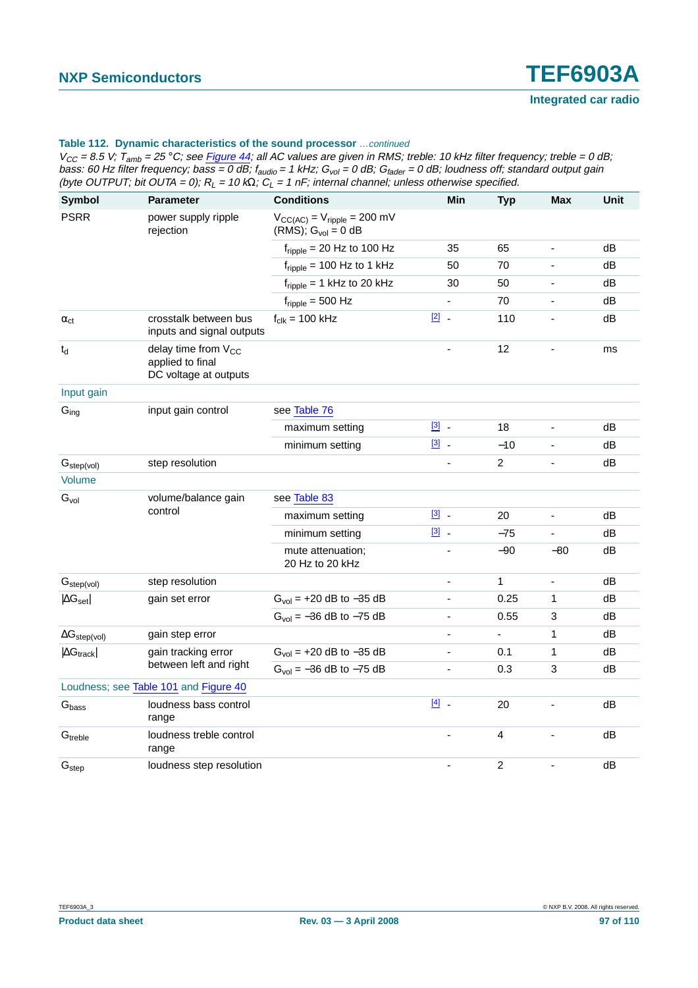| <b>Symbol</b>             | <b>Parameter</b>                                                             | <b>Conditions</b>                                                                | Min            | <b>Typ</b>               | <b>Max</b>               | Unit |
|---------------------------|------------------------------------------------------------------------------|----------------------------------------------------------------------------------|----------------|--------------------------|--------------------------|------|
| <b>PSRR</b>               | power supply ripple<br>rejection                                             | $V_{\text{CC(AC)}} = V_{\text{ripple}} = 200 \text{ mV}$<br>(RMS); $Gvol = 0$ dB |                |                          |                          |      |
|                           |                                                                              | $f_{\text{ripple}}$ = 20 Hz to 100 Hz                                            | 35             | 65                       | ÷,                       | dB   |
|                           |                                                                              | $f_{\text{ripole}}$ = 100 Hz to 1 kHz                                            | 50             | 70                       |                          | dB   |
|                           |                                                                              | $f_{\text{ripple}} = 1$ kHz to 20 kHz                                            | 30             | 50                       | $\frac{1}{2}$            | dB   |
|                           |                                                                              | $f_{\text{ripple}} = 500 \text{ Hz}$                                             | $\frac{1}{2}$  | 70                       |                          | dB   |
| $\alpha_{ct}$             | crosstalk between bus<br>inputs and signal outputs                           | $f_{\text{clk}} = 100 \text{ kHz}$                                               | $\boxed{2}$ .  | 110                      | $\overline{\phantom{a}}$ | dB   |
| $\mathfrak{t}_{\sf d}$    | delay time from V <sub>CC</sub><br>applied to final<br>DC voltage at outputs |                                                                                  | $\blacksquare$ | 12                       | $\frac{1}{2}$            | ms   |
| Input gain                |                                                                              |                                                                                  |                |                          |                          |      |
| $G_{ing}$                 | input gain control                                                           | see Table 76                                                                     |                |                          |                          |      |
|                           |                                                                              | maximum setting                                                                  | $\boxed{3}$ .  | 18                       | $\overline{a}$           | dB   |
|                           |                                                                              | minimum setting                                                                  | $\boxed{3}$ .  | $-10$                    |                          | dB   |
| $G_{step(vol)}$           | step resolution                                                              |                                                                                  | $\blacksquare$ | $\overline{2}$           | $\overline{a}$           | dB   |
| <b>Volume</b>             |                                                                              |                                                                                  |                |                          |                          |      |
| $G_{\text{vol}}$          | volume/balance gain                                                          | see Table 83                                                                     |                |                          |                          |      |
|                           | control                                                                      | maximum setting                                                                  | $\boxed{3}$ .  | 20                       | L,                       | dB   |
|                           |                                                                              | minimum setting                                                                  | $\boxed{3}$ .  | $-75$                    | $\overline{a}$           | dB   |
|                           |                                                                              | mute attenuation;<br>20 Hz to 20 kHz                                             | ÷,             | $-90$                    | $-80$                    | dB   |
| G <sub>step(vol)</sub>    | step resolution                                                              |                                                                                  | $\blacksquare$ | $\mathbf{1}$             | $\overline{\phantom{a}}$ | dB   |
| $ \Delta G_{\text{set}} $ | gain set error                                                               | $G_{vol}$ = +20 dB to -35 dB                                                     | $\blacksquare$ | 0.25                     | 1                        | dB   |
|                           |                                                                              | $G_{vol} = -36$ dB to $-75$ dB                                                   |                | 0.55                     | 3                        | dB   |
| $\Delta G_{step(vol)}$    | gain step error                                                              |                                                                                  |                | $\overline{\phantom{a}}$ | 1                        | dB   |
| $ \Delta G_{track} $      | gain tracking error                                                          | $G_{vol}$ = +20 dB to -35 dB                                                     |                | 0.1                      | 1                        | dB   |
|                           | between left and right                                                       | $G_{\text{vol}} = -36$ dB to $-75$ dB                                            | $\blacksquare$ | 0.3                      | 3                        | dB   |
|                           | Loudness; see Table 101 and Figure 40                                        |                                                                                  |                |                          |                          |      |
| $G_{\text{bass}}$         | loudness bass control<br>range                                               |                                                                                  | $[4]$ .        | 20                       | L,                       | dB   |
| G <sub>treble</sub>       | loudness treble control<br>range                                             |                                                                                  |                | 4                        |                          | dB   |
| G <sub>step</sub>         | loudness step resolution                                                     |                                                                                  | $\overline{a}$ | $\overline{c}$           |                          | dB   |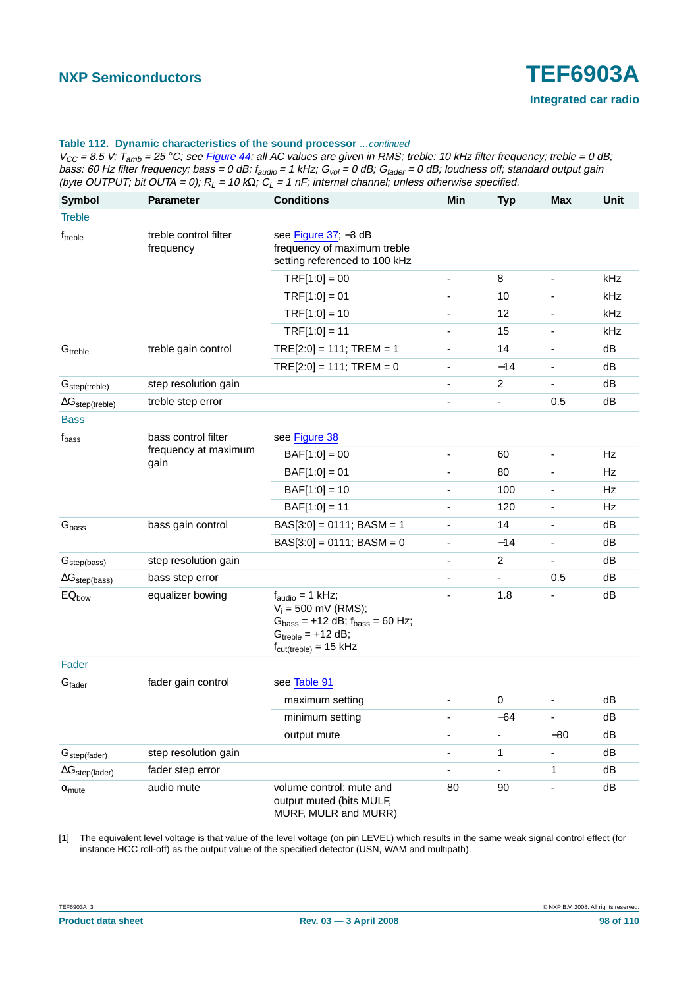$V_{CC}$  = 8.5 V;  $T_{amb}$  = 25 °C; see Figure 44; all AC values are given in RMS; treble: 10 kHz filter frequency; treble = 0 dB; bass: 60 Hz filter frequency; bass = 0 dB; f<sub>audio</sub> = 1 kHz; G<sub>vol</sub> = 0 dB; G<sub>fader</sub> = 0 dB; loudness off; standard output gain (byte OUTPUT; bit OUTA = 0);  $R_L$  = 10 k $\Omega$ ;  $C_L$  = 1 nF; internal channel; unless otherwise specified.

| Symbol                     | <b>Parameter</b>                   | <b>Conditions</b>                                                                                                                                                    | Min                          | <b>Typ</b>       | <b>Max</b>                   | <b>Unit</b> |
|----------------------------|------------------------------------|----------------------------------------------------------------------------------------------------------------------------------------------------------------------|------------------------------|------------------|------------------------------|-------------|
| <b>Treble</b>              |                                    |                                                                                                                                                                      |                              |                  |                              |             |
| f <sub>treble</sub>        | treble control filter<br>frequency | see Figure 37; -3 dB<br>frequency of maximum treble<br>setting referenced to 100 kHz                                                                                 |                              |                  |                              |             |
|                            |                                    | $TRF[1:0] = 00$                                                                                                                                                      | $\overline{\phantom{a}}$     | 8                | -                            | kHz         |
|                            |                                    | $TRF[1:0] = 01$                                                                                                                                                      |                              | 10               |                              | kHz         |
|                            |                                    | $TRF[1:0] = 10$                                                                                                                                                      | $\qquad \qquad \blacksquare$ | 12               | ٠                            | kHz         |
|                            |                                    | $TRF[1:0] = 11$                                                                                                                                                      | ٠                            | 15               |                              | kHz         |
| G <sub>treble</sub>        | treble gain control                | $TRE[2:0] = 111; TREM = 1$                                                                                                                                           | $\qquad \qquad \blacksquare$ | 14               | ٠                            | dB          |
|                            |                                    | $TRE[2:0] = 111; TREM = 0$                                                                                                                                           | $\overline{\phantom{a}}$     | $-14$            |                              | dB          |
| G <sub>step</sub> (treble) | step resolution gain               |                                                                                                                                                                      | $\overline{\phantom{a}}$     | $\boldsymbol{2}$ | $\overline{\phantom{a}}$     | dB          |
| $\Delta G_{step (treble)}$ | treble step error                  |                                                                                                                                                                      |                              |                  | 0.5                          | dB          |
| <b>Bass</b>                |                                    |                                                                                                                                                                      |                              |                  |                              |             |
| $f_{\text{bass}}$          | bass control filter                | see Figure 38                                                                                                                                                        |                              |                  |                              |             |
|                            | frequency at maximum<br>gain       | $BAF[1:0] = 00$                                                                                                                                                      | $\qquad \qquad \blacksquare$ | 60               | ÷,                           | Hz          |
|                            |                                    | $BAF[1:0] = 01$                                                                                                                                                      | -                            | 80               |                              | Hz          |
|                            |                                    | $BAF[1:0] = 10$                                                                                                                                                      | $\overline{\phantom{a}}$     | 100              | $\qquad \qquad \blacksquare$ | Hz          |
|                            |                                    | $BAF[1:0] = 11$                                                                                                                                                      |                              | 120              |                              | Hz          |
| $\mathsf{G}_{\text{bass}}$ | bass gain control                  | $BAS[3:0] = 0111$ ; $BASM = 1$                                                                                                                                       | $\overline{\phantom{a}}$     | 14               | $\qquad \qquad \blacksquare$ | dB          |
|                            |                                    | $BAS[3:0] = 0111$ ; $BASM = 0$                                                                                                                                       | $\qquad \qquad \blacksquare$ | $-14$            |                              | dB          |
| G <sub>step(bass)</sub>    | step resolution gain               |                                                                                                                                                                      | $\overline{\phantom{a}}$     | $\overline{c}$   | $\qquad \qquad \blacksquare$ | dB          |
| $\Delta G_{step(bass)}$    | bass step error                    |                                                                                                                                                                      |                              |                  | 0.5                          | dB          |
| EQ <sub>bow</sub>          | equalizer bowing                   | $f_{\text{audio}} = 1$ kHz;<br>$V_i = 500$ mV (RMS);<br>$G_{bass}$ = +12 dB; $f_{bass}$ = 60 Hz;<br>$Gtreble = +12 dB;$<br>$f_{\text{cut}(treble)} = 15 \text{ kHz}$ | $\overline{\phantom{a}}$     | 1.8              |                              | dB          |
| Fader                      |                                    |                                                                                                                                                                      |                              |                  |                              |             |
| G <sub>fader</sub>         | fader gain control                 | see Table 91                                                                                                                                                         |                              |                  |                              |             |
|                            |                                    | maximum setting                                                                                                                                                      |                              | $\pmb{0}$        |                              | dB          |
|                            |                                    | minimum setting                                                                                                                                                      |                              | $-64$            |                              | ${\sf dB}$  |
|                            |                                    | output mute                                                                                                                                                          | $\blacksquare$               | $\blacksquare$   | $-80$                        | dB          |
| G <sub>step(fader)</sub>   | step resolution gain               |                                                                                                                                                                      | ٠                            | 1                |                              | dB          |
| $\Delta G_{step(fader)}$   | fader step error                   |                                                                                                                                                                      |                              |                  | 1                            | dB          |
| $\alpha_{\text{mute}}$     | audio mute                         | volume control: mute and<br>output muted (bits MULF,<br>MURF, MULR and MURR)                                                                                         | 80                           | 90               |                              | dB          |

<span id="page-97-0"></span>[1] The equivalent level voltage is that value of the level voltage (on pin LEVEL) which results in the same weak signal control effect (for instance HCC roll-off) as the output value of the specified detector (USN, WAM and multipath).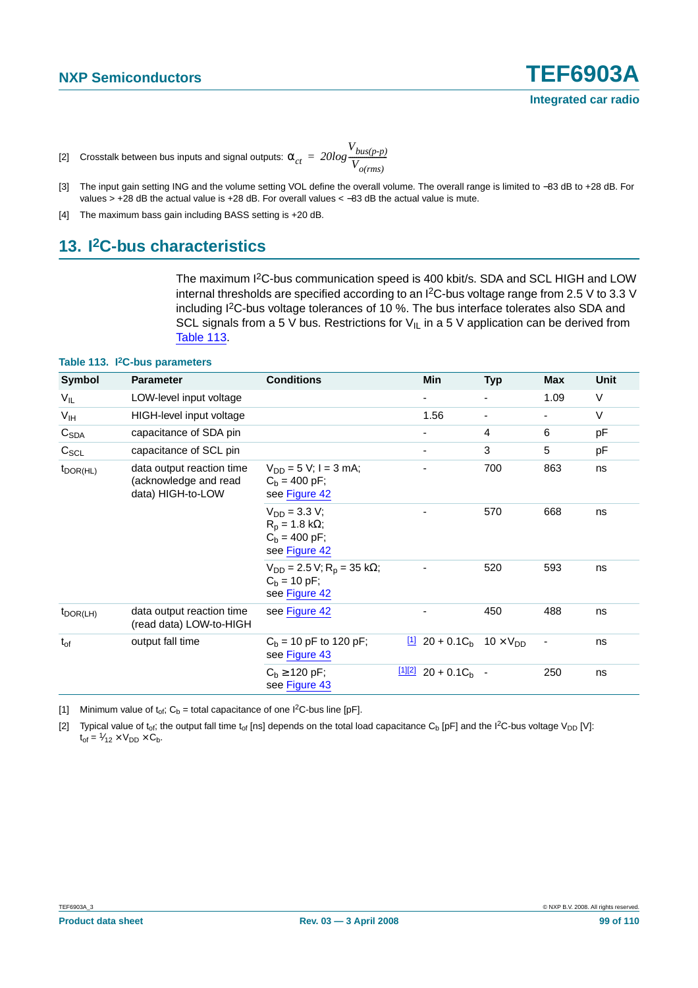- <span id="page-98-0"></span>[2] Crosstalk between bus inputs and signal outputs:  $\alpha_{ct}^{} = 20log$ *Vbus(p-p)*  $= 20 log \frac{bus(p-p)}{V_{o(rms)}}$
- <span id="page-98-1"></span>[3] The input gain setting ING and the volume setting VOL define the overall volume. The overall range is limited to −83 dB to +28 dB. For values > +28 dB the actual value is +28 dB. For overall values < −83 dB the actual value is mute.
- <span id="page-98-2"></span>[4] The maximum bass gain including BASS setting is +20 dB.

# **13. I2C-bus characteristics**

The maximum I2C-bus communication speed is 400 kbit/s. SDA and SCL HIGH and LOW internal thresholds are specified according to an I2C-bus voltage range from 2.5 V to 3.3 V including I<sup>2</sup>C-bus voltage tolerances of 10 %. The bus interface tolerates also SDA and SCL signals from a 5 V bus. Restrictions for  $V_{I}$  in a 5 V application can be derived from [Table](#page-98-5) 113.

#### <span id="page-98-5"></span>**Table 113. I2C-bus parameters**

| Symbol                                                                                          | <b>Parameter</b>                                                      | <b>Conditions</b>                                                                       | Min                                                         | <b>Typ</b>     | <b>Max</b>               | Unit   |
|-------------------------------------------------------------------------------------------------|-----------------------------------------------------------------------|-----------------------------------------------------------------------------------------|-------------------------------------------------------------|----------------|--------------------------|--------|
| $V_{IL}$                                                                                        | LOW-level input voltage                                               |                                                                                         |                                                             |                | 1.09                     | V      |
| V <sub>IH</sub>                                                                                 | HIGH-level input voltage                                              |                                                                                         | 1.56                                                        | $\blacksquare$ | $\overline{\phantom{a}}$ | $\vee$ |
| C <sub>SDA</sub>                                                                                | capacitance of SDA pin                                                |                                                                                         |                                                             | $\overline{4}$ | 6                        | pF     |
| $C_{SCL}$                                                                                       | capacitance of SCL pin                                                |                                                                                         |                                                             | 3              | 5                        | pF     |
| data output reaction time<br>$t_{\text{DOR(HL)}}$<br>(acknowledge and read<br>data) HIGH-to-LOW | $V_{DD} = 5 V$ ; I = 3 mA;<br>$C_h = 400 \text{ pF}$<br>see Figure 42 |                                                                                         | 700                                                         | 863            | ns                       |        |
|                                                                                                 |                                                                       | $V_{DD} = 3.3 V;$<br>$R_p = 1.8 k\Omega$ ;<br>$C_h = 400 \text{ pF}$ ;<br>see Figure 42 |                                                             | 570            | 668                      | ns     |
|                                                                                                 |                                                                       | $V_{DD} = 2.5 V$ ; R <sub>p</sub> = 35 kΩ;<br>$C_b = 10 pF$ ;<br>see Figure 42          |                                                             | 520            | 593                      | ns     |
| $t_{\text{DOR(LH)}}$                                                                            | data output reaction time<br>(read data) LOW-to-HIGH                  | see Figure 42                                                                           |                                                             | 450            | 488                      | ns     |
| $t_{of}$                                                                                        | output fall time                                                      | $C_b$ = 10 pF to 120 pF;<br>see Figure 43                                               | $\frac{11}{20}$ 20 + 0.1C <sub>h</sub> 10 × V <sub>DD</sub> |                | ٠                        | ns     |
|                                                                                                 |                                                                       | $C_b \ge 120 \text{ pF}$ ;<br>see Figure 43                                             | $\frac{[1][2]}{20}$ + 0.1C <sub>b</sub> -                   |                | 250                      | ns     |

<span id="page-98-3"></span>[1] Minimum value of  $t_{of}$ ; C<sub>b</sub> = total capacitance of one I<sup>2</sup>C-bus line [pF].

<span id="page-98-4"></span>[2] Typical value of t<sub>of</sub>; the output fall time t<sub>of</sub> [ns] depends on the total load capacitance C<sub>b</sub> [pF] and the I<sup>2</sup>C-bus voltage V<sub>DD</sub> [V]:  $t_{of} = \frac{1}{2} \times V_{DD} \times C_b.$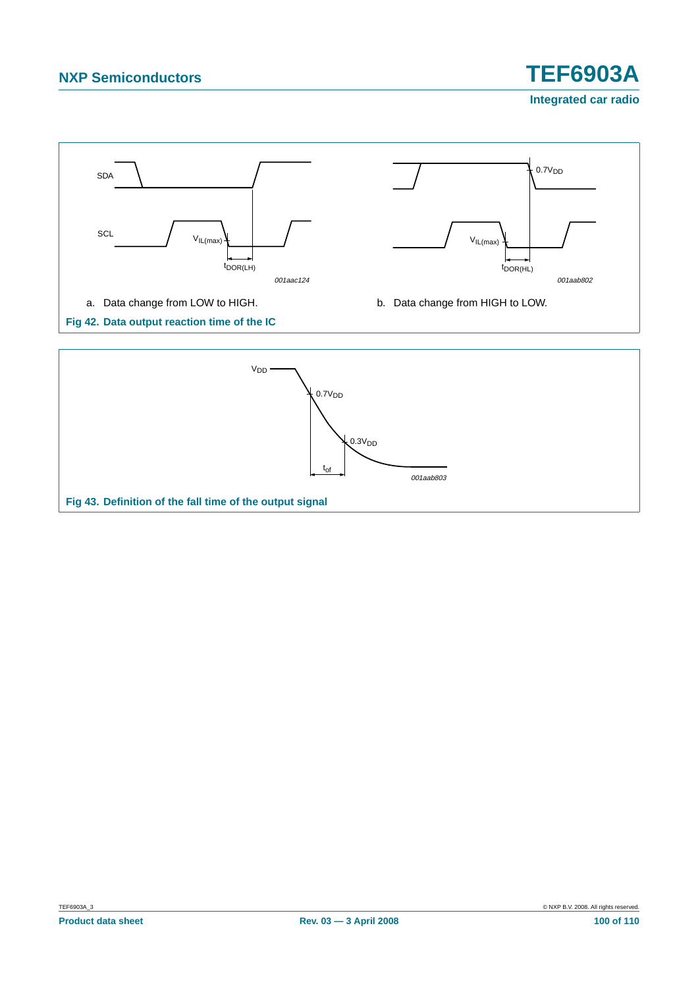# **NXP Semiconductors TEF6903A**

**Integrated car radio**

<span id="page-99-0"></span>

#### <span id="page-99-1"></span>**Fig 43. Definition of the fall time of the output signal**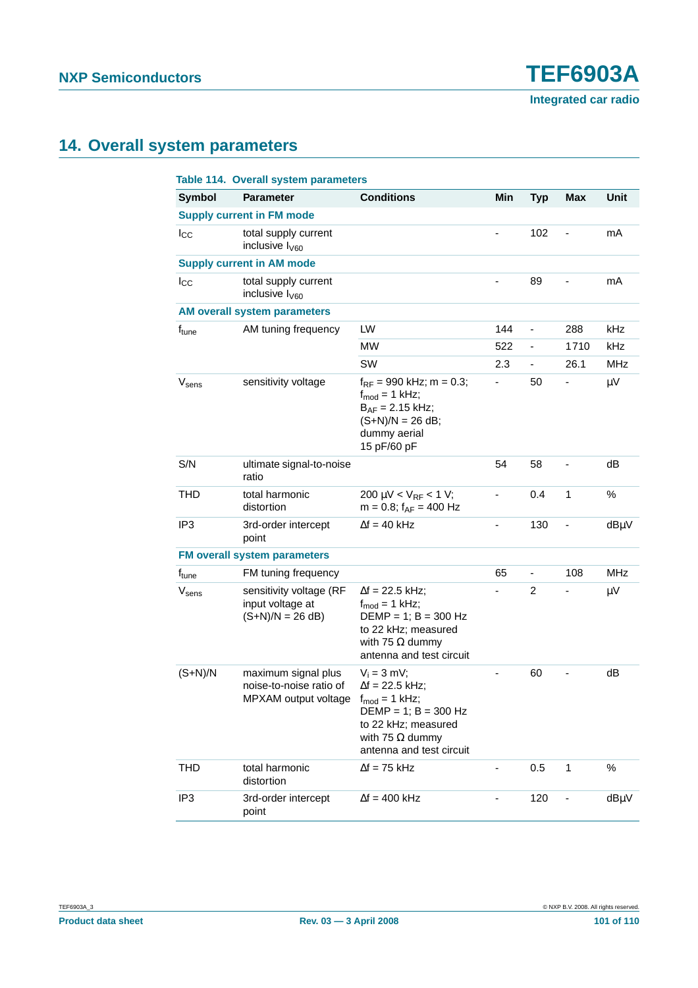# **14. Overall system parameters**

|                   | Table 114. Overall system parameters                                   |                                                                                                                                                                                |                          |                              |                          |            |
|-------------------|------------------------------------------------------------------------|--------------------------------------------------------------------------------------------------------------------------------------------------------------------------------|--------------------------|------------------------------|--------------------------|------------|
| <b>Symbol</b>     | <b>Parameter</b>                                                       | <b>Conditions</b>                                                                                                                                                              | Min                      | <b>Typ</b>                   | <b>Max</b>               | Unit       |
|                   | <b>Supply current in FM mode</b>                                       |                                                                                                                                                                                |                          |                              |                          |            |
| $I_{\rm CC}$      | total supply current<br>inclusive $I_{\text{V60}}$                     |                                                                                                                                                                                |                          | 102                          | $\overline{\phantom{0}}$ | mA         |
|                   | <b>Supply current in AM mode</b>                                       |                                                                                                                                                                                |                          |                              |                          |            |
| $I_{\rm CC}$      | total supply current<br>inclusive I <sub>V60</sub>                     |                                                                                                                                                                                |                          | 89                           |                          | mA         |
|                   | <b>AM overall system parameters</b>                                    |                                                                                                                                                                                |                          |                              |                          |            |
| f <sub>tune</sub> | AM tuning frequency                                                    | LW                                                                                                                                                                             | 144                      | $\qquad \qquad \blacksquare$ | 288                      | kHz        |
|                   |                                                                        | <b>MW</b>                                                                                                                                                                      | 522                      | ä,                           | 1710                     | kHz        |
|                   |                                                                        | SW                                                                                                                                                                             | 2.3                      | $\overline{\phantom{0}}$     | 26.1                     | <b>MHz</b> |
| $V_{\text{sens}}$ | sensitivity voltage                                                    | $f_{RF}$ = 990 kHz; m = 0.3;<br>$f_{\text{mod}} = 1$ kHz;<br>$B_{AF} = 2.15$ kHz;<br>$(S+N)/N = 26 dB;$<br>dummy aerial<br>15 pF/60 pF                                         | ÷,                       | 50                           | -                        | $\mu$ V    |
| S/N               | ultimate signal-to-noise<br>ratio                                      |                                                                                                                                                                                | 54                       | 58                           |                          | dB         |
| <b>THD</b>        | total harmonic<br>distortion                                           | 200 $\mu$ V < V <sub>RF</sub> < 1 V;<br>$m = 0.8$ ; $f_{AF} = 400$ Hz                                                                                                          | $\overline{\phantom{0}}$ | 0.4                          | $\mathbf{1}$             | %          |
| IP <sub>3</sub>   | 3rd-order intercept<br>point                                           | $\Delta f = 40$ kHz                                                                                                                                                            |                          | 130                          |                          | dBµV       |
|                   | <b>FM overall system parameters</b>                                    |                                                                                                                                                                                |                          |                              |                          |            |
| f <sub>tune</sub> | FM tuning frequency                                                    |                                                                                                                                                                                | 65                       | $\qquad \qquad \blacksquare$ | 108                      | <b>MHz</b> |
| $V_{\text{sens}}$ | sensitivity voltage (RF<br>input voltage at<br>$(S+N)/N = 26 dB$       | $\Delta f = 22.5$ kHz;<br>$f_{\text{mod}} = 1$ kHz;<br>$DEMP = 1$ ; $B = 300 Hz$<br>to 22 kHz; measured<br>with 75 $\Omega$ dummy<br>antenna and test circuit                  |                          | $\overline{2}$               |                          | $\mu V$    |
| $(S+N)/N$         | maximum signal plus<br>noise-to-noise ratio of<br>MPXAM output voltage | $V_i = 3$ mV;<br>$\Delta f = 22.5$ kHz;<br>$f_{\text{mod}} = 1$ kHz;<br>$DEMP = 1$ ; $B = 300 Hz$<br>to 22 kHz; measured<br>with 75 $\Omega$ dummy<br>antenna and test circuit |                          | 60                           |                          | dB         |
| <b>THD</b>        | total harmonic<br>distortion                                           | $\Delta f = 75$ kHz                                                                                                                                                            |                          | 0.5                          | 1                        | $\%$       |
| IP <sub>3</sub>   | 3rd-order intercept<br>point                                           | $\Delta f = 400$ kHz                                                                                                                                                           |                          | 120                          |                          | dBµV       |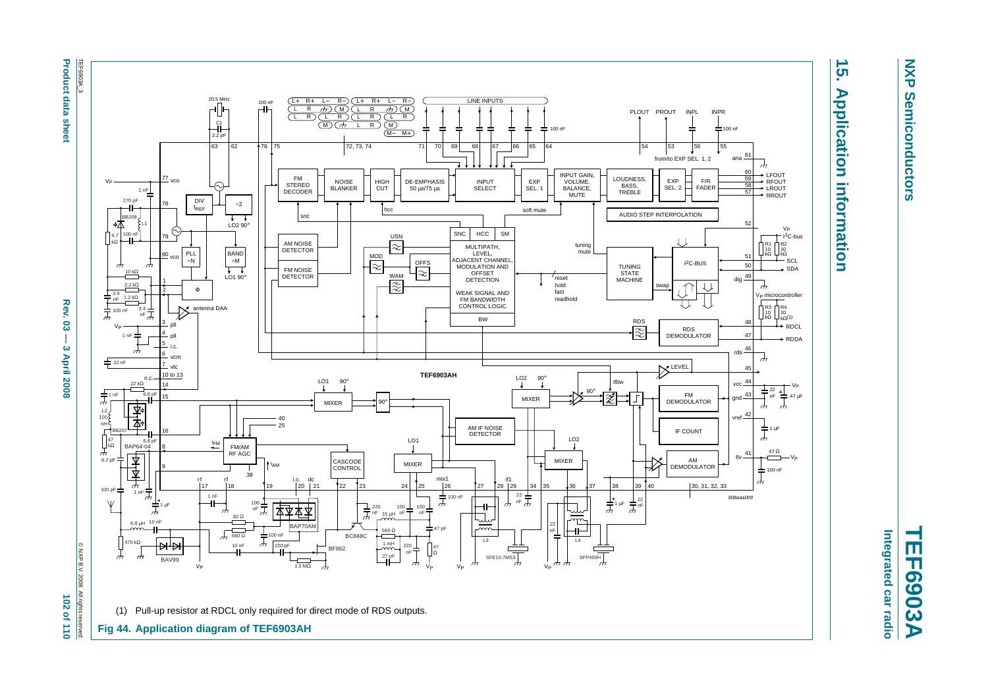**Product data i** sheet

**Product data sheet April 2008 — 3 April 2008 202 of 110**  $\mu$  **and 20 of 110**  $\mu$  102 of 110 Rev. င္လ  $\overline{1}$  $\boldsymbol{\omega}$ **April 2008** 

102 of 110



**15. Application information**

**Application information** 

 $\overline{5}$ 

**NXP Semiconductors**

**Semiconductors** 

**NXP** 

<span id="page-101-0"></span>**TEF6903A** Integrated car radio **Integrated car radio**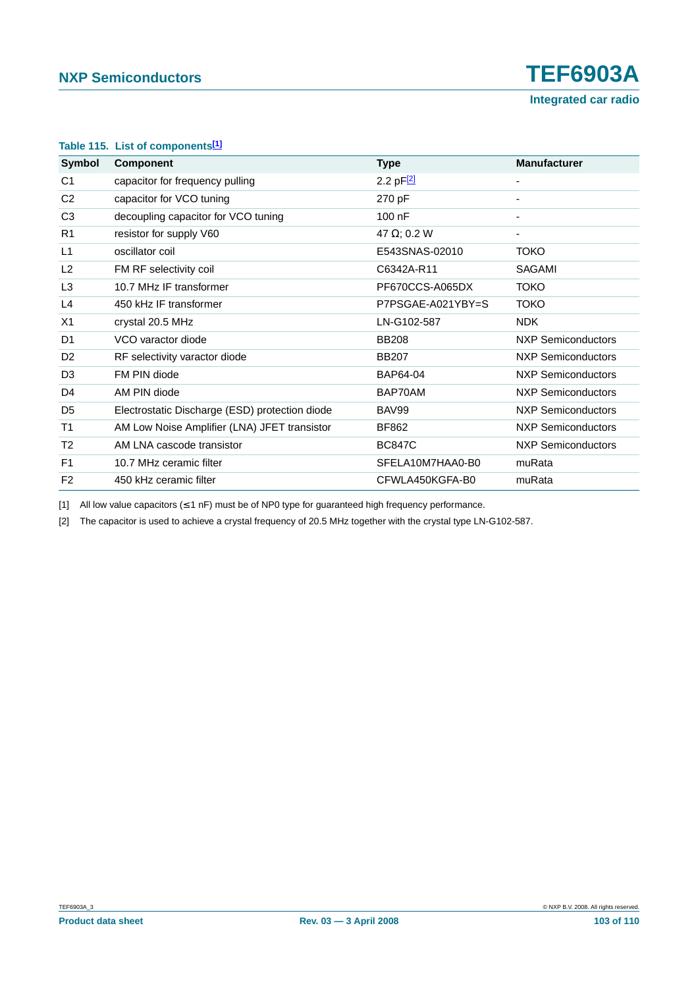|  |  | Table 115. List of components <sup>[1]</sup> |
|--|--|----------------------------------------------|
|--|--|----------------------------------------------|

| Symbol         | <b>Component</b>                               | <b>Type</b>         | <b>Manufacturer</b>       |
|----------------|------------------------------------------------|---------------------|---------------------------|
| C <sub>1</sub> | capacitor for frequency pulling                | 2.2 $pF[2]$         |                           |
| C <sub>2</sub> | capacitor for VCO tuning                       | 270 pF              | ۰                         |
| C <sub>3</sub> | decoupling capacitor for VCO tuning            | $100$ nF            | ۰                         |
| R <sub>1</sub> | resistor for supply V60                        | 47 $\Omega$ ; 0.2 W | ۰                         |
| L1             | oscillator coil                                | E543SNAS-02010      | <b>TOKO</b>               |
| L2             | FM RF selectivity coil                         | C6342A-R11          | <b>SAGAMI</b>             |
| L <sub>3</sub> | 10.7 MHz IF transformer                        | PF670CCS-A065DX     | <b>TOKO</b>               |
| L <sub>4</sub> | 450 kHz IF transformer                         | P7PSGAE-A021YBY=S   | <b>TOKO</b>               |
| X <sub>1</sub> | crystal 20.5 MHz                               | LN-G102-587         | <b>NDK</b>                |
| D <sub>1</sub> | VCO varactor diode                             | <b>BB208</b>        | <b>NXP Semiconductors</b> |
| D <sub>2</sub> | RF selectivity varactor diode                  | <b>BB207</b>        | NXP Semiconductors        |
| D <sub>3</sub> | FM PIN diode                                   | BAP64-04            | NXP Semiconductors        |
| D <sub>4</sub> | AM PIN diode                                   | BAP70AM             | NXP Semiconductors        |
| D <sub>5</sub> | Electrostatic Discharge (ESD) protection diode | BAV99               | <b>NXP Semiconductors</b> |
| T <sub>1</sub> | AM Low Noise Amplifier (LNA) JFET transistor   | BF862               | <b>NXP Semiconductors</b> |
| T <sub>2</sub> | AM LNA cascode transistor                      | <b>BC847C</b>       | <b>NXP Semiconductors</b> |
| F <sub>1</sub> | 10.7 MHz ceramic filter                        | SFELA10M7HAA0-B0    | muRata                    |
| F <sub>2</sub> | 450 kHz ceramic filter                         | CFWLA450KGFA-B0     | muRata                    |

<span id="page-102-0"></span>[1] All low value capacitors (≤ 1 nF) must be of NP0 type for guaranteed high frequency performance.

<span id="page-102-1"></span>[2] The capacitor is used to achieve a crystal frequency of 20.5 MHz together with the crystal type LN-G102-587.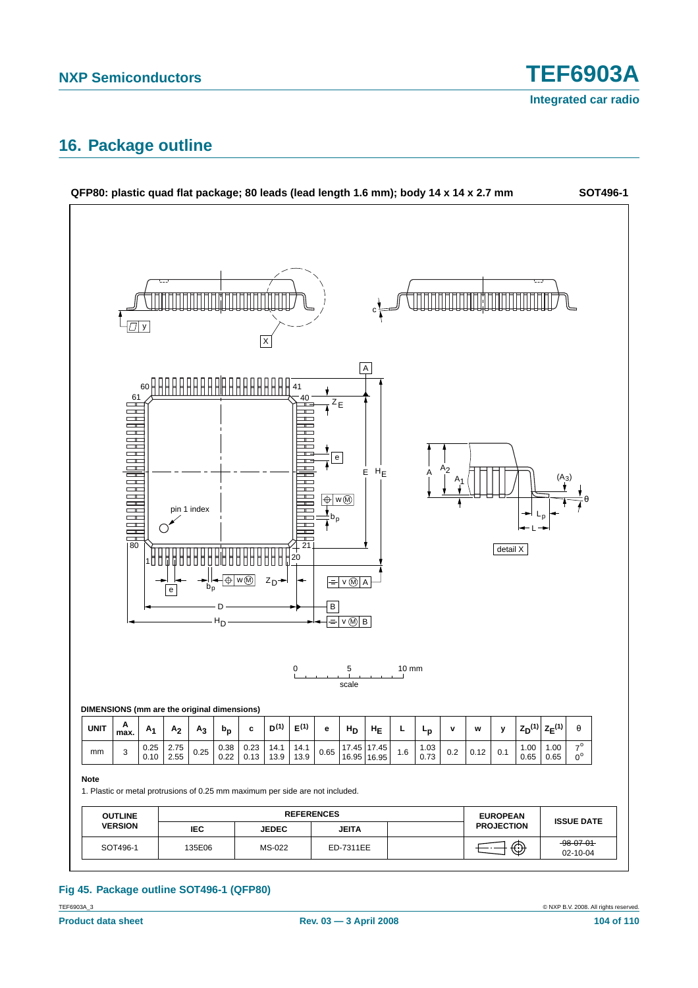# **16. Package outline**



### **Fig 45. Package outline SOT496-1 (QFP80)**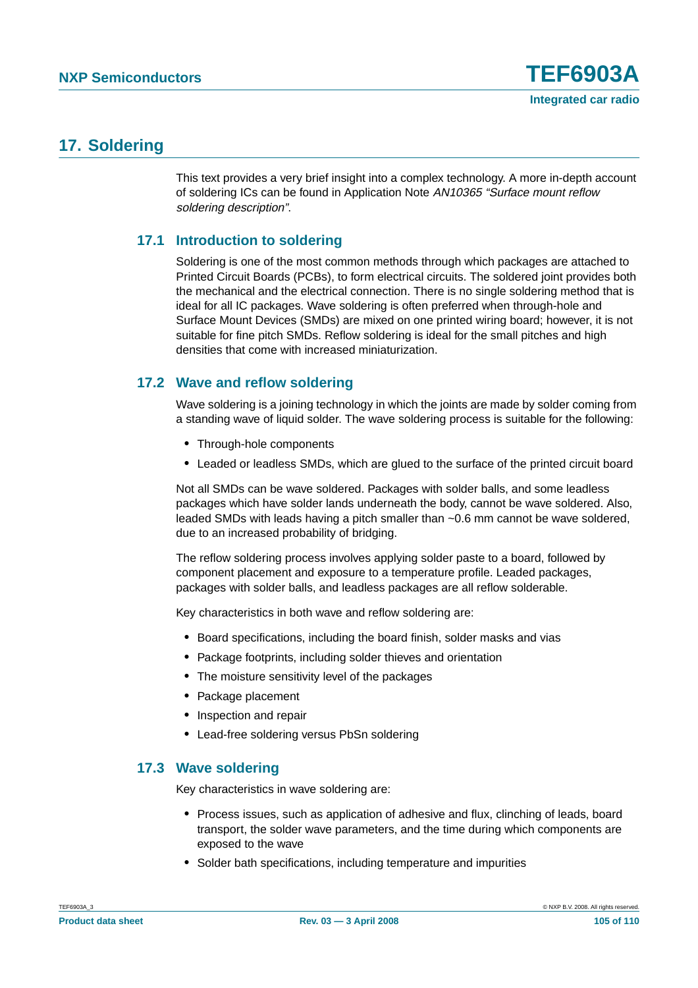# **17. Soldering**

This text provides a very brief insight into a complex technology. A more in-depth account of soldering ICs can be found in Application Note AN10365 "Surface mount reflow soldering description".

# **17.1 Introduction to soldering**

Soldering is one of the most common methods through which packages are attached to Printed Circuit Boards (PCBs), to form electrical circuits. The soldered joint provides both the mechanical and the electrical connection. There is no single soldering method that is ideal for all IC packages. Wave soldering is often preferred when through-hole and Surface Mount Devices (SMDs) are mixed on one printed wiring board; however, it is not suitable for fine pitch SMDs. Reflow soldering is ideal for the small pitches and high densities that come with increased miniaturization.

# **17.2 Wave and reflow soldering**

Wave soldering is a joining technology in which the joints are made by solder coming from a standing wave of liquid solder. The wave soldering process is suitable for the following:

- **•** Through-hole components
- **•** Leaded or leadless SMDs, which are glued to the surface of the printed circuit board

Not all SMDs can be wave soldered. Packages with solder balls, and some leadless packages which have solder lands underneath the body, cannot be wave soldered. Also, leaded SMDs with leads having a pitch smaller than ~0.6 mm cannot be wave soldered, due to an increased probability of bridging.

The reflow soldering process involves applying solder paste to a board, followed by component placement and exposure to a temperature profile. Leaded packages, packages with solder balls, and leadless packages are all reflow solderable.

Key characteristics in both wave and reflow soldering are:

- **•** Board specifications, including the board finish, solder masks and vias
- **•** Package footprints, including solder thieves and orientation
- **•** The moisture sensitivity level of the packages
- **•** Package placement
- **•** Inspection and repair
- **•** Lead-free soldering versus PbSn soldering

### **17.3 Wave soldering**

Key characteristics in wave soldering are:

- **•** Process issues, such as application of adhesive and flux, clinching of leads, board transport, the solder wave parameters, and the time during which components are exposed to the wave
- **•** Solder bath specifications, including temperature and impurities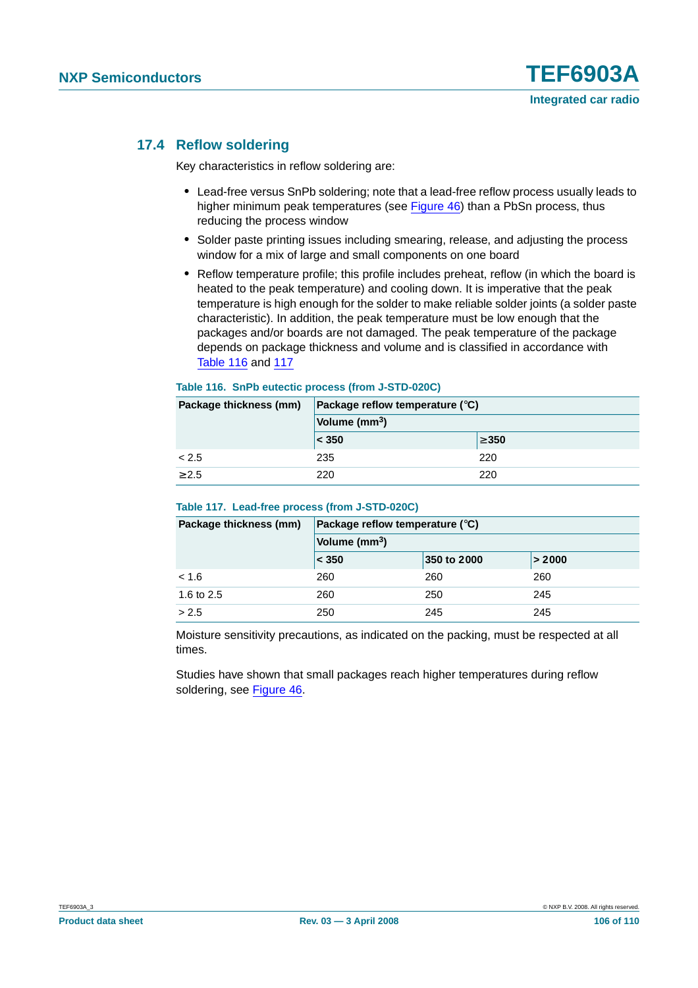### **17.4 Reflow soldering**

Key characteristics in reflow soldering are:

- **•** Lead-free versus SnPb soldering; note that a lead-free reflow process usually leads to higher minimum peak temperatures (see Figure 46) than a PbSn process, thus reducing the process window
- **•** Solder paste printing issues including smearing, release, and adjusting the process window for a mix of large and small components on one board
- **•** Reflow temperature profile; this profile includes preheat, reflow (in which the board is heated to the peak temperature) and cooling down. It is imperative that the peak temperature is high enough for the solder to make reliable solder joints (a solder paste characteristic). In addition, the peak temperature must be low enough that the packages and/or boards are not damaged. The peak temperature of the package depends on package thickness and volume and is classified in accordance with Table 116 and 117

#### **Table 116. SnPb eutectic process (from J-STD-020C)**

| Package thickness (mm) | Package reflow temperature $(^\circ \text{C})$ |            |  |
|------------------------|------------------------------------------------|------------|--|
|                        | Volume (mm <sup>3</sup> )                      |            |  |
|                        | < 350                                          | $\geq 350$ |  |
| < 2.5                  | 235                                            | 220        |  |
| > 2.5                  | 220                                            | 220        |  |

#### **Table 117. Lead-free process (from J-STD-020C)**

| Package thickness (mm) | Package reflow temperature $(^\circ \mathsf{C})$ |             |        |  |
|------------------------|--------------------------------------------------|-------------|--------|--|
|                        | Volume $(mm3)$                                   |             |        |  |
|                        | < 350                                            | 350 to 2000 | > 2000 |  |
| < 1.6                  | 260                                              | 260         | 260    |  |
| 1.6 to 2.5             | 260                                              | 250         | 245    |  |
| > 2.5                  | 250                                              | 245         | 245    |  |

Moisture sensitivity precautions, as indicated on the packing, must be respected at all times.

Studies have shown that small packages reach higher temperatures during reflow soldering, see Figure 46.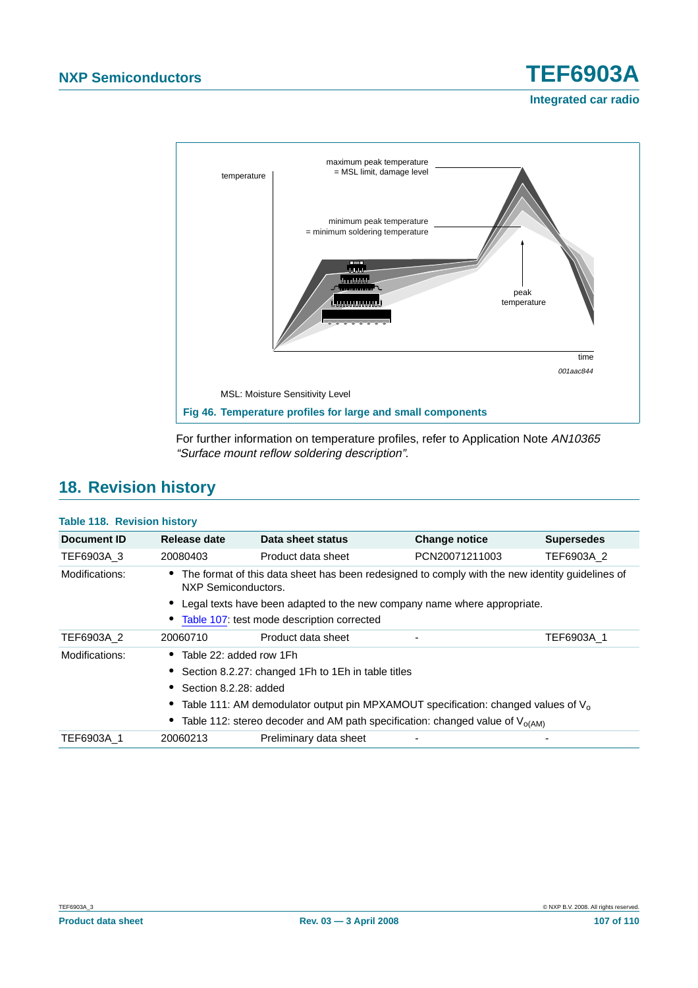

For further information on temperature profiles, refer to Application Note AN10365 "Surface mount reflow soldering description".

# **18. Revision history**

### **Table 118. Revision history**

| Document ID    | Release date                                                                           | Data sheet status                                                                                 | <b>Change notice</b> | <b>Supersedes</b> |  |
|----------------|----------------------------------------------------------------------------------------|---------------------------------------------------------------------------------------------------|----------------------|-------------------|--|
| TEF6903A 3     | 20080403                                                                               | Product data sheet                                                                                | PCN20071211003       | TEF6903A 2        |  |
| Modifications: | NXP Semiconductors.                                                                    | • The format of this data sheet has been redesigned to comply with the new identity guidelines of |                      |                   |  |
|                | • Legal texts have been adapted to the new company name where appropriate.             |                                                                                                   |                      |                   |  |
|                |                                                                                        | • Table 107: test mode description corrected                                                      |                      |                   |  |
| TEF6903A 2     | 20060710                                                                               | Product data sheet                                                                                |                      | TEF6903A 1        |  |
| Modifications: | $\bullet$ Table 22: added row 1Fh                                                      |                                                                                                   |                      |                   |  |
|                | • Section 8.2.27: changed 1Fh to 1Eh in table titles                                   |                                                                                                   |                      |                   |  |
|                | • Section 8.2.28: added                                                                |                                                                                                   |                      |                   |  |
|                | • Table 111: AM demodulator output pin MPXAMOUT specification: changed values of $V_0$ |                                                                                                   |                      |                   |  |
|                | • Table 112: stereo decoder and AM path specification: changed value of $V_{o(AM)}$    |                                                                                                   |                      |                   |  |
| TEF6903A 1     | 20060213                                                                               | Preliminary data sheet                                                                            |                      |                   |  |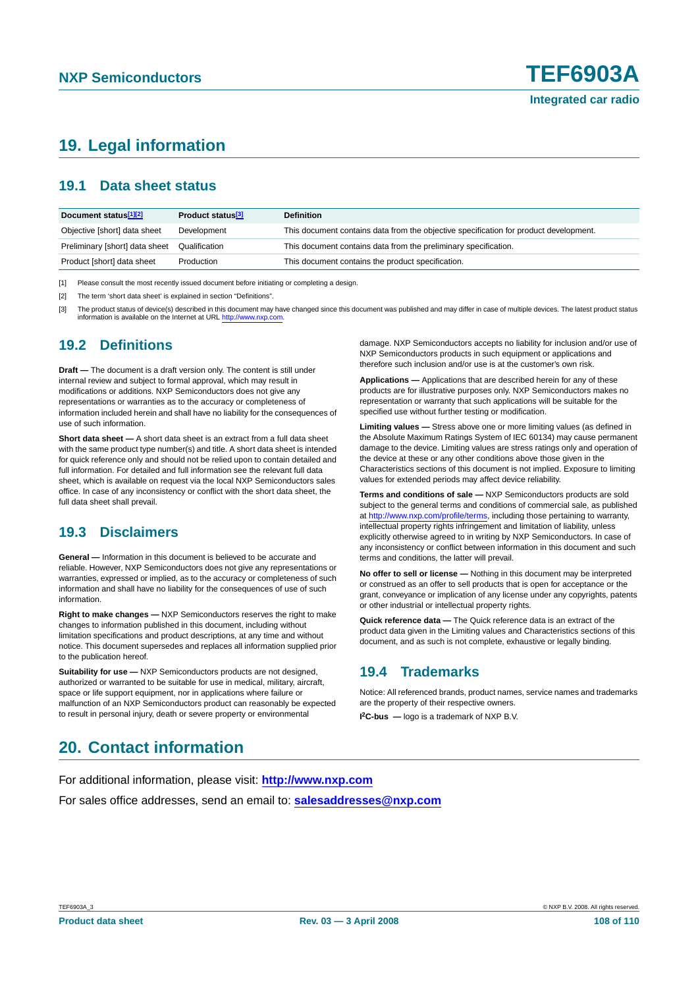# **19. Legal information**

### **19.1 Data sheet status**

| Document status <sup>[1][2]</sup> | Product status <sup>[3]</sup> | <b>Definition</b>                                                                     |
|-----------------------------------|-------------------------------|---------------------------------------------------------------------------------------|
| Objective [short] data sheet      | Development                   | This document contains data from the objective specification for product development. |
| Preliminary [short] data sheet    | Qualification                 | This document contains data from the preliminary specification.                       |
| Product [short] data sheet        | Production                    | This document contains the product specification.                                     |

[1] Please consult the most recently issued document before initiating or completing a design.

[2] The term 'short data sheet' is explained in section "Definitions".

[3] The product status of device(s) described in this document may have changed since this document was published and may differ in case of multiple devices. The latest product status information is available on the Internet at URL <http://www.nxp.com>.

### **19.2 Definitions**

**Draft —** The document is a draft version only. The content is still under internal review and subject to formal approval, which may result in modifications or additions. NXP Semiconductors does not give any representations or warranties as to the accuracy or completeness of information included herein and shall have no liability for the consequences of use of such information.

**Short data sheet —** A short data sheet is an extract from a full data sheet with the same product type number(s) and title. A short data sheet is intended for quick reference only and should not be relied upon to contain detailed and full information. For detailed and full information see the relevant full data sheet, which is available on request via the local NXP Semiconductors sales office. In case of any inconsistency or conflict with the short data sheet, the full data sheet shall prevail.

# **19.3 Disclaimers**

**General —** Information in this document is believed to be accurate and reliable. However, NXP Semiconductors does not give any representations or warranties, expressed or implied, as to the accuracy or completeness of such information and shall have no liability for the consequences of use of such information.

**Right to make changes —** NXP Semiconductors reserves the right to make changes to information published in this document, including without limitation specifications and product descriptions, at any time and without notice. This document supersedes and replaces all information supplied prior to the publication hereof.

**Suitability for use —** NXP Semiconductors products are not designed, authorized or warranted to be suitable for use in medical, military, aircraft, space or life support equipment, nor in applications where failure or malfunction of an NXP Semiconductors product can reasonably be expected to result in personal injury, death or severe property or environmental

damage. NXP Semiconductors accepts no liability for inclusion and/or use of NXP Semiconductors products in such equipment or applications and therefore such inclusion and/or use is at the customer's own risk.

**Applications —** Applications that are described herein for any of these products are for illustrative purposes only. NXP Semiconductors makes no representation or warranty that such applications will be suitable for the specified use without further testing or modification.

**Limiting values —** Stress above one or more limiting values (as defined in the Absolute Maximum Ratings System of IEC 60134) may cause permanent damage to the device. Limiting values are stress ratings only and operation of the device at these or any other conditions above those given in the Characteristics sections of this document is not implied. Exposure to limiting values for extended periods may affect device reliability.

**Terms and conditions of sale —** NXP Semiconductors products are sold subject to the general terms and conditions of commercial sale, as published at <http://www.nxp.com/profile/terms>, including those pertaining to warranty, intellectual property rights infringement and limitation of liability, unless explicitly otherwise agreed to in writing by NXP Semiconductors. In case of any inconsistency or conflict between information in this document and such terms and conditions, the latter will prevail.

**No offer to sell or license —** Nothing in this document may be interpreted or construed as an offer to sell products that is open for acceptance or the grant, conveyance or implication of any license under any copyrights, patents or other industrial or intellectual property rights.

**Quick reference data —** The Quick reference data is an extract of the product data given in the Limiting values and Characteristics sections of this document, and as such is not complete, exhaustive or legally binding.

# **19.4 Trademarks**

Notice: All referenced brands, product names, service names and trademarks are the property of their respective owners.

**I 2C-bus —** logo is a trademark of NXP B.V.

# **20. Contact information**

For additional information, please visit: **http://www.nxp.com** For sales office addresses, send an email to: **salesaddresses@nxp.com**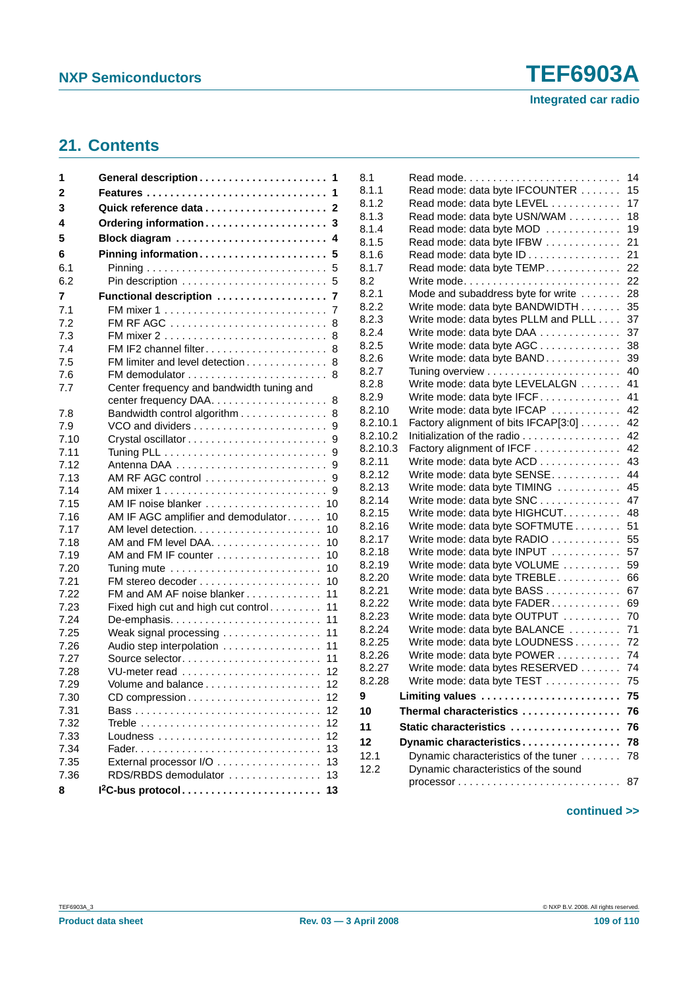## <span id="page-108-0"></span>**21. Contents**

| 1            |                                                                             |
|--------------|-----------------------------------------------------------------------------|
| 2            | Features                                                                    |
| 3            |                                                                             |
| 4            | Ordering information 3                                                      |
| 5            | Block diagram<br>4                                                          |
| 6            | Pinning information<br>5                                                    |
| 6.1          | 5                                                                           |
| 6.2          | 5                                                                           |
| 7            | Functional description  7                                                   |
| 7.1          | 7                                                                           |
| 7.2          | FM RF AGC<br>8                                                              |
| 7.3          | 8                                                                           |
| 7.4          | FM IF2 channel filter<br>8                                                  |
| 7.5          | FM limiter and level detection<br>8                                         |
| 7.6          | 8                                                                           |
| 7.7          | Center frequency and bandwidth tuning and                                   |
|              | 8                                                                           |
| 7.8          | Bandwidth control algorithm<br>8                                            |
| 7.9          | 9                                                                           |
| 7.10         | 9                                                                           |
| 7.11         | 9                                                                           |
| 7.12         | 9                                                                           |
| 7.13<br>7.14 | AM RF AGC control<br>9                                                      |
| 7.15         | 9                                                                           |
| 7.16         | 10<br>AM IF AGC amplifier and demodulator<br>10                             |
| 7.17         | 10                                                                          |
| 7.18         | AM and FM level DAA<br>10                                                   |
| 7.19         | AM and FM IF counter<br>10                                                  |
| 7.20         | Tuning mute $\ldots \ldots \ldots \ldots \ldots \ldots \ldots \ldots$<br>10 |
| 7.21         | 10                                                                          |
| 7.22         | FM and AM AF noise blanker<br>11                                            |
| 7.23         | Fixed high cut and high cut control<br>11                                   |
| 7.24         | 11                                                                          |
| 7.25         | Weak signal processing<br>11                                                |
| 7.26         | 11<br>Audio step interpolation                                              |
| 7.27         | Source selector<br>11                                                       |
| 7.28         | VU-meter read<br>12                                                         |
| 7.29         | 12                                                                          |
| 7.30         | 12<br>CD compression                                                        |
| 7.31         | 12                                                                          |
| 7.32         | 12                                                                          |
| 7.33         | 12<br>Loudness                                                              |
| 7.34         | 13                                                                          |
| 7.35         | External processor I/O<br>13                                                |
| 7.36         | RDS/RBDS demodulator<br>13                                                  |
| 8            | I <sup>2</sup> C-bus protocol<br>13                                         |

| 8.1      | Read mode                            | 14 |
|----------|--------------------------------------|----|
| 8.1.1    | Read mode: data byte IFCOUNTER       | 15 |
| 8.1.2    | Read mode: data byte LEVEL           | 17 |
| 8.1.3    | Read mode: data byte USN/WAM         | 18 |
| 8.1.4    | Read mode: data byte MOD             | 19 |
| 8.1.5    | Read mode: data byte IFBW            | 21 |
| 8.1.6    | Read mode: data byte ID              | 21 |
| 8.1.7    | Read mode: data byte TEMP.           | 22 |
| 8.2      | Write mode                           | 22 |
| 8.2.1    | Mode and subaddress byte for write   | 28 |
| 8.2.2    | Write mode: data byte BANDWIDTH      | 35 |
| 8.2.3    | Write mode: data bytes PLLM and PLLL | 37 |
| 8.2.4    | Write mode: data byte DAA            | 37 |
| 8.2.5    | Write mode: data byte AGC            | 38 |
| 8.2.6    | Write mode: data byte BAND           | 39 |
| 8.2.7    |                                      | 40 |
| 8.2.8    | Write mode: data byte LEVELALGN      | 41 |
| 8.2.9    | Write mode: data byte IFCF           | 41 |
| 8.2.10   | Write mode: data byte IFCAP          | 42 |
| 8.2.10.1 | Factory alignment of bits IFCAP[3:0] | 42 |
| 8.2.10.2 | Initialization of the radio          | 42 |
| 8.2.10.3 | Factory alignment of IFCF            | 42 |
| 8.2.11   | Write mode: data byte ACD            | 43 |
| 8.2.12   | Write mode: data byte SENSE          | 44 |
| 8.2.13   | Write mode: data byte TIMING         | 45 |
| 8.2.14   | Write mode: data byte SNC            | 47 |
| 8.2.15   | Write mode: data byte HIGHCUT.       | 48 |
| 8.2.16   | Write mode: data byte SOFTMUTE       | 51 |
| 8.2.17   | Write mode: data byte RADIO          | 55 |
| 8.2.18   | Write mode: data byte INPUT          | 57 |
| 8.2.19   | Write mode: data byte VOLUME         | 59 |
| 8.2.20   | Write mode: data byte TREBLE         | 66 |
| 8.2.21   | Write mode: data byte BASS           | 67 |
| 8.2.22   | Write mode: data byte FADER          | 69 |
| 8.2.23   | Write mode: data byte OUTPUT         | 70 |
| 8.2.24   | Write mode: data byte BALANCE        | 71 |
| 8.2.25   | Write mode: data byte LOUDNESS       | 72 |
| 8.2.26   | Write mode: data byte POWER          | 74 |
| 8.2.27   | Write mode: data bytes RESERVED      | 74 |
| 8.2.28   | Write mode: data byte TEST           | 75 |
| 9        | Limiting values                      | 75 |
| 10       | Thermal characteristics              | 76 |
| 11       | Static characteristics               | 76 |
| 12       | Dynamic characteristics              | 78 |
| 12.1     | Dynamic characteristics of the tuner | 78 |
| 12.2     | Dynamic characteristics of the sound |    |
|          |                                      | 87 |
|          |                                      |    |

## **continued >>**